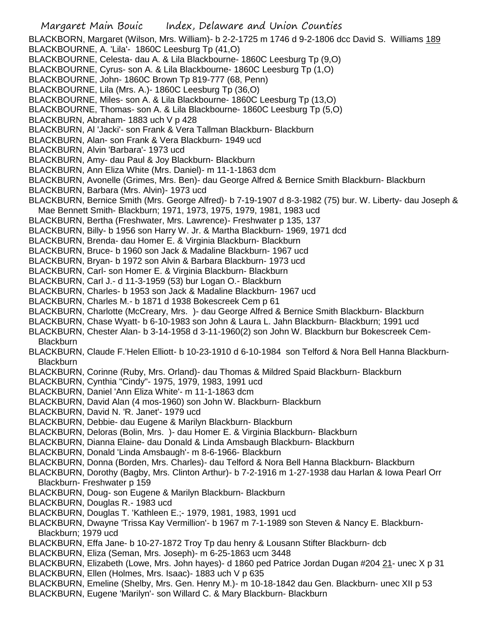Margaret Main Bouic Index, Delaware and Union Counties BLACKBORN, Margaret (Wilson, Mrs. William)- b 2-2-1725 m 1746 d 9-2-1806 dcc David S. Williams 189 BLACKBOURNE, A. 'Lila'- 1860C Leesburg Tp (41,O) BLACKBOURNE, Celesta- dau A. & Lila Blackbourne- 1860C Leesburg Tp (9,O) BLACKBOURNE, Cyrus- son A. & Lila Blackbourne- 1860C Leesburg Tp (1,O) BLACKBOURNE, John- 1860C Brown Tp 819-777 (68, Penn) BLACKBOURNE, Lila (Mrs. A.)- 1860C Leesburg Tp (36,O) BLACKBOURNE, Miles- son A. & Lila Blackbourne- 1860C Leesburg Tp (13,O) BLACKBOURNE, Thomas- son A. & Lila Blackbourne- 1860C Leesburg Tp (5,O) BLACKBURN, Abraham- 1883 uch V p 428 BLACKBURN, Al 'Jacki'- son Frank & Vera Tallman Blackburn- Blackburn BLACKBURN, Alan- son Frank & Vera Blackburn- 1949 ucd BLACKBURN, Alvin 'Barbara'- 1973 ucd BLACKBURN, Amy- dau Paul & Joy Blackburn- Blackburn BLACKBURN, Ann Eliza White (Mrs. Daniel)- m 11-1-1863 dcm BLACKBURN, Avonelle (Grimes, Mrs. Ben)- dau George Alfred & Bernice Smith Blackburn- Blackburn BLACKBURN, Barbara (Mrs. Alvin)- 1973 ucd BLACKBURN, Bernice Smith (Mrs. George Alfred)- b 7-19-1907 d 8-3-1982 (75) bur. W. Liberty- dau Joseph & Mae Bennett Smith- Blackburn; 1971, 1973, 1975, 1979, 1981, 1983 ucd BLACKBURN, Bertha (Freshwater, Mrs. Lawrence)- Freshwater p 135, 137 BLACKBURN, Billy- b 1956 son Harry W. Jr. & Martha Blackburn- 1969, 1971 dcd BLACKBURN, Brenda- dau Homer E. & Virginia Blackburn- Blackburn BLACKBURN, Bruce- b 1960 son Jack & Madaline Blackburn- 1967 ucd BLACKBURN, Bryan- b 1972 son Alvin & Barbara Blackburn- 1973 ucd BLACKBURN, Carl- son Homer E. & Virginia Blackburn- Blackburn BLACKBURN, Carl J.- d 11-3-1959 (53) bur Logan O.- Blackburn BLACKBURN, Charles- b 1953 son Jack & Madaline Blackburn- 1967 ucd BLACKBURN, Charles M.- b 1871 d 1938 Bokescreek Cem p 61 BLACKBURN, Charlotte (McCreary, Mrs. )- dau George Alfred & Bernice Smith Blackburn- Blackburn BLACKBURN, Chase Wyatt- b 6-10-1983 son John & Laura L. Jahn Blackburn- Blackburn; 1991 ucd BLACKBURN, Chester Alan- b 3-14-1958 d 3-11-1960(2) son John W. Blackburn bur Bokescreek Cem-**Blackburn** BLACKBURN, Claude F.'Helen Elliott- b 10-23-1910 d 6-10-1984 son Telford & Nora Bell Hanna Blackburn-**Blackburn** BLACKBURN, Corinne (Ruby, Mrs. Orland)- dau Thomas & Mildred Spaid Blackburn- Blackburn BLACKBURN, Cynthia "Cindy"- 1975, 1979, 1983, 1991 ucd BLACKBURN, Daniel 'Ann Eliza White'- m 11-1-1863 dcm BLACKBURN, David Alan (4 mos-1960) son John W. Blackburn- Blackburn BLACKBURN, David N. 'R. Janet'- 1979 ucd BLACKBURN, Debbie- dau Eugene & Marilyn Blackburn- Blackburn BLACKBURN, Deloras (Bolin, Mrs. )- dau Homer E. & Virginia Blackburn- Blackburn BLACKBURN, Dianna Elaine- dau Donald & Linda Amsbaugh Blackburn- Blackburn BLACKBURN, Donald 'Linda Amsbaugh'- m 8-6-1966- Blackburn BLACKBURN, Donna (Borden, Mrs. Charles)- dau Telford & Nora Bell Hanna Blackburn- Blackburn BLACKBURN, Dorothy (Bagby, Mrs. Clinton Arthur)- b 7-2-1916 m 1-27-1938 dau Harlan & Iowa Pearl Orr Blackburn- Freshwater p 159 BLACKBURN, Doug- son Eugene & Marilyn Blackburn- Blackburn BLACKBURN, Douglas R.- 1983 ucd BLACKBURN, Douglas T. 'Kathleen E.;- 1979, 1981, 1983, 1991 ucd BLACKBURN, Dwayne 'Trissa Kay Vermillion'- b 1967 m 7-1-1989 son Steven & Nancy E. Blackburn-Blackburn; 1979 ucd BLACKBURN, Effa Jane- b 10-27-1872 Troy Tp dau henry & Lousann Stifter Blackburn- dcb BLACKBURN, Eliza (Seman, Mrs. Joseph)- m 6-25-1863 ucm 3448 BLACKBURN, Elizabeth (Lowe, Mrs. John hayes)- d 1860 ped Patrice Jordan Dugan #204 21- unec X p 31 BLACKBURN, Ellen (Holmes, Mrs. Isaac)- 1883 uch V p 635 BLACKBURN, Emeline (Shelby, Mrs. Gen. Henry M.)- m 10-18-1842 dau Gen. Blackburn- unec XII p 53 BLACKBURN, Eugene 'Marilyn'- son Willard C. & Mary Blackburn- Blackburn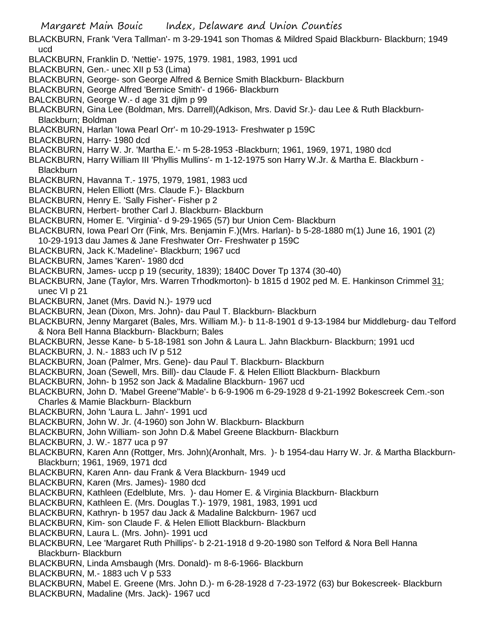- Margaret Main Bouic Index, Delaware and Union Counties BLACKBURN, Frank 'Vera Tallman'- m 3-29-1941 son Thomas & Mildred Spaid Blackburn- Blackburn; 1949 ucd BLACKBURN, Franklin D. 'Nettie'- 1975, 1979. 1981, 1983, 1991 ucd BLACKBURN, Gen.- unec XII p 53 (Lima) BLACKBURN, George- son George Alfred & Bernice Smith Blackburn- Blackburn BLACKBURN, George Alfred 'Bernice Smith'- d 1966- Blackburn BALCKBURN, George W.- d age 31 djlm p 99 BLACKBURN, Gina Lee (Boldman, Mrs. Darrell)(Adkison, Mrs. David Sr.)- dau Lee & Ruth Blackburn-Blackburn; Boldman BLACKBURN, Harlan 'Iowa Pearl Orr'- m 10-29-1913- Freshwater p 159C BLACKBURN, Harry- 1980 dcd BLACKBURN, Harry W. Jr. 'Martha E.'- m 5-28-1953 -Blackburn; 1961, 1969, 1971, 1980 dcd BLACKBURN, Harry William III 'Phyllis Mullins'- m 1-12-1975 son Harry W.Jr. & Martha E. Blackburn - **Blackburn** BLACKBURN, Havanna T.- 1975, 1979, 1981, 1983 ucd BLACKBURN, Helen Elliott (Mrs. Claude F.)- Blackburn BLACKBURN, Henry E. 'Sally Fisher'- Fisher p 2 BLACKBURN, Herbert- brother Carl J. Blackburn- Blackburn BLACKBURN, Homer E. 'Virginia'- d 9-29-1965 (57) bur Union Cem- Blackburn BLACKBURN, Iowa Pearl Orr (Fink, Mrs. Benjamin F.)(Mrs. Harlan)- b 5-28-1880 m(1) June 16, 1901 (2) 10-29-1913 dau James & Jane Freshwater Orr- Freshwater p 159C BLACKBURN, Jack K.'Madeline'- Blackburn; 1967 ucd BLACKBURN, James 'Karen'- 1980 dcd BLACKBURN, James- uccp p 19 (security, 1839); 1840C Dover Tp 1374 (30-40) BLACKBURN, Jane (Taylor, Mrs. Warren Trhodkmorton)- b 1815 d 1902 ped M. E. Hankinson Crimmel 31; unec VI p 21 BLACKBURN, Janet (Mrs. David N.)- 1979 ucd BLACKBURN, Jean (Dixon, Mrs. John)- dau Paul T. Blackburn- Blackburn BLACKBURN, Jenny Margaret (Bales, Mrs. William M.)- b 11-8-1901 d 9-13-1984 bur Middleburg- dau Telford & Nora Bell Hanna Blackburn- Blackburn; Bales BLACKBURN, Jesse Kane- b 5-18-1981 son John & Laura L. Jahn Blackburn- Blackburn; 1991 ucd BLACKBURN, J. N.- 1883 uch IV p 512 BLACKBURN, Joan (Palmer, Mrs. Gene)- dau Paul T. Blackburn- Blackburn BLACKBURN, Joan (Sewell, Mrs. Bill)- dau Claude F. & Helen Elliott Blackburn- Blackburn BLACKBURN, John- b 1952 son Jack & Madaline Blackburn- 1967 ucd BLACKBURN, John D. 'Mabel Greene''Mable'- b 6-9-1906 m 6-29-1928 d 9-21-1992 Bokescreek Cem.-son Charles & Mamie Blackburn- Blackburn BLACKBURN, John 'Laura L. Jahn'- 1991 ucd BLACKBURN, John W. Jr. (4-1960) son John W. Blackburn- Blackburn BLACKBURN, John William- son John D.& Mabel Greene Blackburn- Blackburn BLACKBURN, J. W.- 1877 uca p 97 BLACKBURN, Karen Ann (Rottger, Mrs. John)(Aronhalt, Mrs. )- b 1954-dau Harry W. Jr. & Martha Blackburn-Blackburn; 1961, 1969, 1971 dcd BLACKBURN, Karen Ann- dau Frank & Vera Blackburn- 1949 ucd BLACKBURN, Karen (Mrs. James)- 1980 dcd BLACKBURN, Kathleen (Edelblute, Mrs. )- dau Homer E. & Virginia Blackburn- Blackburn BLACKBURN, Kathleen E. (Mrs. Douglas T.)- 1979, 1981, 1983, 1991 ucd BLACKBURN, Kathryn- b 1957 dau Jack & Madaline Balckburn- 1967 ucd BLACKBURN, Kim- son Claude F. & Helen Elliott Blackburn- Blackburn BLACKBURN, Laura L. (Mrs. John)- 1991 ucd BLACKBURN, Lee 'Margaret Ruth Phillips'- b 2-21-1918 d 9-20-1980 son Telford & Nora Bell Hanna Blackburn- Blackburn BLACKBURN, Linda Amsbaugh (Mrs. Donald)- m 8-6-1966- Blackburn
- BLACKBURN, M.- 1883 uch V p 533
- BLACKBURN, Mabel E. Greene (Mrs. John D.)- m 6-28-1928 d 7-23-1972 (63) bur Bokescreek- Blackburn BLACKBURN, Madaline (Mrs. Jack)- 1967 ucd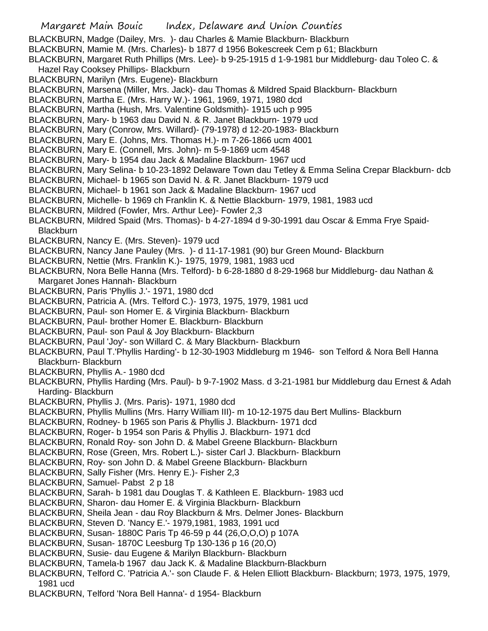- Margaret Main Bouic Index, Delaware and Union Counties BLACKBURN, Madge (Dailey, Mrs. )- dau Charles & Mamie Blackburn- Blackburn BLACKBURN, Mamie M. (Mrs. Charles)- b 1877 d 1956 Bokescreek Cem p 61; Blackburn BLACKBURN, Margaret Ruth Phillips (Mrs. Lee)- b 9-25-1915 d 1-9-1981 bur Middleburg- dau Toleo C. & Hazel Ray Cooksey Phillips- Blackburn BLACKBURN, Marilyn (Mrs. Eugene)- Blackburn BLACKBURN, Marsena (Miller, Mrs. Jack)- dau Thomas & Mildred Spaid Blackburn- Blackburn BLACKBURN, Martha E. (Mrs. Harry W.)- 1961, 1969, 1971, 1980 dcd BLACKBURN, Martha (Hush, Mrs. Valentine Goldsmith)- 1915 uch p 995 BLACKBURN, Mary- b 1963 dau David N. & R. Janet Blackburn- 1979 ucd BLACKBURN, Mary (Conrow, Mrs. Willard)- (79-1978) d 12-20-1983- Blackburn BLACKBURN, Mary E. (Johns, Mrs. Thomas H.)- m 7-26-1866 ucm 4001 BLACKBURN, Mary E. (Connell, Mrs. John)- m 5-9-1869 ucm 4548 BLACKBURN, Mary- b 1954 dau Jack & Madaline Blackburn- 1967 ucd BLACKBURN, Mary Selina- b 10-23-1892 Delaware Town dau Tetley & Emma Selina Crepar Blackburn- dcb BLACKBURN, Michael- b 1965 son David N. & R. Janet Blackburn- 1979 ucd BLACKBURN, Michael- b 1961 son Jack & Madaline Blackburn- 1967 ucd BLACKBURN, Michelle- b 1969 ch Franklin K. & Nettie Blackburn- 1979, 1981, 1983 ucd BLACKBURN, Mildred (Fowler, Mrs. Arthur Lee)- Fowler 2,3 BLACKBURN, Mildred Spaid (Mrs. Thomas)- b 4-27-1894 d 9-30-1991 dau Oscar & Emma Frye Spaid-**Blackburn** BLACKBURN, Nancy E. (Mrs. Steven)- 1979 ucd BLACKBURN, Nancy Jane Pauley (Mrs. )- d 11-17-1981 (90) bur Green Mound- Blackburn BLACKBURN, Nettie (Mrs. Franklin K.)- 1975, 1979, 1981, 1983 ucd BLACKBURN, Nora Belle Hanna (Mrs. Telford)- b 6-28-1880 d 8-29-1968 bur Middleburg- dau Nathan & Margaret Jones Hannah- Blackburn BLACKBURN, Paris 'Phyllis J.'- 1971, 1980 dcd BLACKBURN, Patricia A. (Mrs. Telford C.)- 1973, 1975, 1979, 1981 ucd BLACKBURN, Paul- son Homer E. & Virginia Blackburn- Blackburn BLACKBURN, Paul- brother Homer E. Blackburn- Blackburn BLACKBURN, Paul- son Paul & Joy Blackburn- Blackburn BLACKBURN, Paul 'Joy'- son Willard C. & Mary Blackburn- Blackburn BLACKBURN, Paul T.'Phyllis Harding'- b 12-30-1903 Middleburg m 1946- son Telford & Nora Bell Hanna Blackburn- Blackburn BLACKBURN, Phyllis A.- 1980 dcd BLACKBURN, Phyllis Harding (Mrs. Paul)- b 9-7-1902 Mass. d 3-21-1981 bur Middleburg dau Ernest & Adah Harding- Blackburn BLACKBURN, Phyllis J. (Mrs. Paris)- 1971, 1980 dcd BLACKBURN, Phyllis Mullins (Mrs. Harry William III)- m 10-12-1975 dau Bert Mullins- Blackburn BLACKBURN, Rodney- b 1965 son Paris & Phyllis J. Blackburn- 1971 dcd BLACKBURN, Roger- b 1954 son Paris & Phyllis J. Blackburn- 1971 dcd BLACKBURN, Ronald Roy- son John D. & Mabel Greene Blackburn- Blackburn BLACKBURN, Rose (Green, Mrs. Robert L.)- sister Carl J. Blackburn- Blackburn BLACKBURN, Roy- son John D. & Mabel Greene Blackburn- Blackburn BLACKBURN, Sally Fisher (Mrs. Henry E.)- Fisher 2,3 BLACKBURN, Samuel- Pabst 2 p 18 BLACKBURN, Sarah- b 1981 dau Douglas T. & Kathleen E. Blackburn- 1983 ucd BLACKBURN, Sharon- dau Homer E. & Virginia Blackburn- Blackburn BLACKBURN, Sheila Jean - dau Roy Blackburn & Mrs. Delmer Jones- Blackburn BLACKBURN, Steven D. 'Nancy E.'- 1979,1981, 1983, 1991 ucd BLACKBURN, Susan- 1880C Paris Tp 46-59 p 44 (26,O,O,O) p 107A BLACKBURN, Susan- 1870C Leesburg Tp 130-136 p 16 (20,O) BLACKBURN, Susie- dau Eugene & Marilyn Blackburn- Blackburn BLACKBURN, Tamela-b 1967 dau Jack K. & Madaline Blackburn-Blackburn BLACKBURN, Telford C. 'Patricia A.'- son Claude F. & Helen Elliott Blackburn- Blackburn; 1973, 1975, 1979, 1981 ucd
- BLACKBURN, Telford 'Nora Bell Hanna'- d 1954- Blackburn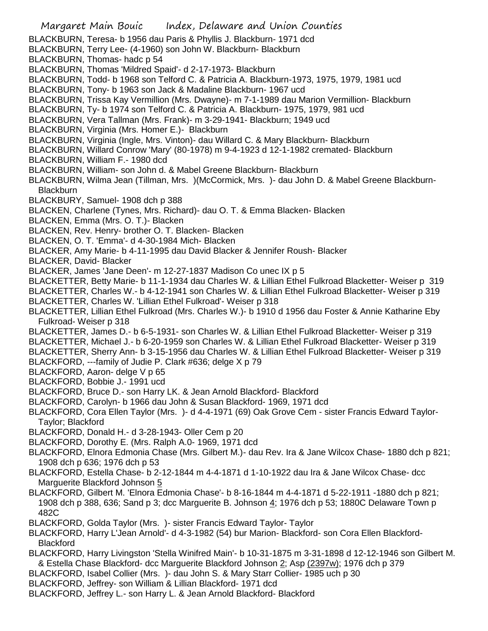- Margaret Main Bouic Index, Delaware and Union Counties BLACKBURN, Teresa- b 1956 dau Paris & Phyllis J. Blackburn- 1971 dcd BLACKBURN, Terry Lee- (4-1960) son John W. Blackburn- Blackburn BLACKBURN, Thomas- hadc p 54 BLACKBURN, Thomas 'Mildred Spaid'- d 2-17-1973- Blackburn BLACKBURN, Todd- b 1968 son Telford C. & Patricia A. Blackburn-1973, 1975, 1979, 1981 ucd BLACKBURN, Tony- b 1963 son Jack & Madaline Blackburn- 1967 ucd BLACKBURN, Trissa Kay Vermillion (Mrs. Dwayne)- m 7-1-1989 dau Marion Vermillion- Blackburn BLACKBURN, Ty- b 1974 son Telford C. & Patricia A. Blackburn- 1975, 1979, 981 ucd BLACKBURN, Vera Tallman (Mrs. Frank)- m 3-29-1941- Blackburn; 1949 ucd BLACKBURN, Virginia (Mrs. Homer E.)- Blackburn BLACKBURN, Virginia (Ingle, Mrs. Vinton)- dau Willard C. & Mary Blackburn- Blackburn BLACKBURN, Willard Conrow 'Mary' (80-1978) m 9-4-1923 d 12-1-1982 cremated- Blackburn BLACKBURN, William F.- 1980 dcd BLACKBURN, William- son John d. & Mabel Greene Blackburn- Blackburn BLACKBURN, Wilma Jean (Tillman, Mrs. )(McCormick, Mrs. )- dau John D. & Mabel Greene Blackburn-**Blackburn** BLACKBURY, Samuel- 1908 dch p 388 BLACKEN, Charlene (Tynes, Mrs. Richard)- dau O. T. & Emma Blacken- Blacken BLACKEN, Emma (Mrs. O. T.)- Blacken BLACKEN, Rev. Henry- brother O. T. Blacken- Blacken BLACKEN, O. T. 'Emma'- d 4-30-1984 Mich- Blacken BLACKER, Amy Marie- b 4-11-1995 dau David Blacker & Jennifer Roush- Blacker BLACKER, David- Blacker BLACKER, James 'Jane Deen'- m 12-27-1837 Madison Co unec IX p 5 BLACKETTER, Betty Marie- b 11-1-1934 dau Charles W. & Lillian Ethel Fulkroad Blacketter- Weiser p 319 BLACKETTER, Charles W.- b 4-12-1941 son Charles W. & Lillian Ethel Fulkroad Blacketter- Weiser p 319 BLACKETTER, Charles W. 'Lillian Ethel Fulkroad'- Weiser p 318 BLACKETTER, Lillian Ethel Fulkroad (Mrs. Charles W.)- b 1910 d 1956 dau Foster & Annie Katharine Eby Fulkroad- Weiser p 318 BLACKETTER, James D.- b 6-5-1931- son Charles W. & Lillian Ethel Fulkroad Blacketter- Weiser p 319 BLACKETTER, Michael J.- b 6-20-1959 son Charles W. & Lillian Ethel Fulkroad Blacketter- Weiser p 319 BLACKETTER, Sherry Ann- b 3-15-1956 dau Charles W. & Lillian Ethel Fulkroad Blacketter- Weiser p 319 BLACKFORD, ---family of Judie P. Clark #636; delge X p 79 BLACKFORD, Aaron- delge V p 65 BLACKFORD, Bobbie J.- 1991 ucd BLACKFORD, Bruce D.- son Harry LK. & Jean Arnold Blackford- Blackford BLACKFORD, Carolyn- b 1966 dau John & Susan Blackford- 1969, 1971 dcd BLACKFORD, Cora Ellen Taylor (Mrs. )- d 4-4-1971 (69) Oak Grove Cem - sister Francis Edward Taylor-Taylor; Blackford BLACKFORD, Donald H.- d 3-28-1943- Oller Cem p 20 BLACKFORD, Dorothy E. (Mrs. Ralph A.0- 1969, 1971 dcd BLACKFORD, Elnora Edmonia Chase (Mrs. Gilbert M.)- dau Rev. Ira & Jane Wilcox Chase- 1880 dch p 821; 1908 dch p 636; 1976 dch p 53 BLACKFORD, Estella Chase- b 2-12-1844 m 4-4-1871 d 1-10-1922 dau Ira & Jane Wilcox Chase- dcc Marguerite Blackford Johnson 5
- BLACKFORD, Gilbert M. 'Elnora Edmonia Chase'- b 8-16-1844 m 4-4-1871 d 5-22-1911 -1880 dch p 821; 1908 dch p 388, 636; Sand p 3; dcc Marguerite B. Johnson 4; 1976 dch p 53; 1880C Delaware Town p 482C
- BLACKFORD, Golda Taylor (Mrs. )- sister Francis Edward Taylor- Taylor
- BLACKFORD, Harry L'Jean Arnold'- d 4-3-1982 (54) bur Marion- Blackford- son Cora Ellen Blackford-**Blackford**
- BLACKFORD, Harry Livingston 'Stella Winifred Main'- b 10-31-1875 m 3-31-1898 d 12-12-1946 son Gilbert M. & Estella Chase Blackford- dcc Marguerite Blackford Johnson 2; Asp (2397w); 1976 dch p 379
- BLACKFORD, Isabel Collier (Mrs. )- dau John S. & Mary Starr Collier- 1985 uch p 30
- BLACKFORD, Jeffrey- son William & Lillian Blackford- 1971 dcd
- BLACKFORD, Jeffrey L.- son Harry L. & Jean Arnold Blackford- Blackford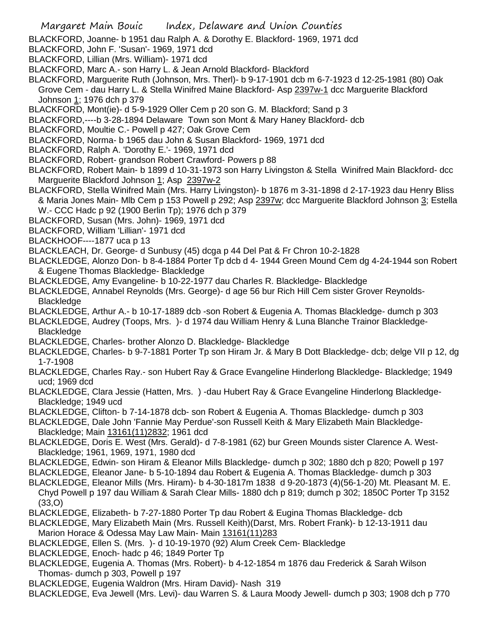BLACKFORD, Joanne- b 1951 dau Ralph A. & Dorothy E. Blackford- 1969, 1971 dcd

- BLACKFORD, John F. 'Susan'- 1969, 1971 dcd
- BLACKFORD, Lillian (Mrs. William)- 1971 dcd
- BLACKFORD, Marc A.- son Harry L. & Jean Arnold Blackford- Blackford
- BLACKFORD, Marguerite Ruth (Johnson, Mrs. Therl)- b 9-17-1901 dcb m 6-7-1923 d 12-25-1981 (80) Oak Grove Cem - dau Harry L. & Stella Winifred Maine Blackford- Asp 2397w-1 dcc Marguerite Blackford Johnson 1; 1976 dch p 379
- BLACKFORD, Mont(ie)- d 5-9-1929 Oller Cem p 20 son G. M. Blackford; Sand p 3
- BLACKFORD,----b 3-28-1894 Delaware Town son Mont & Mary Haney Blackford- dcb
- BLACKFORD, Moultie C.- Powell p 427; Oak Grove Cem
- BLACKFORD, Norma- b 1965 dau John & Susan Blackford- 1969, 1971 dcd
- BLACKFORD, Ralph A. 'Dorothy E.'- 1969, 1971 dcd
- BLACKFORD, Robert- grandson Robert Crawford- Powers p 88
- BLACKFORD, Robert Main- b 1899 d 10-31-1973 son Harry Livingston & Stella Winifred Main Blackford- dcc Marguerite Blackford Johnson 1; Asp 2397w-2
- BLACKFORD, Stella Winifred Main (Mrs. Harry Livingston)- b 1876 m 3-31-1898 d 2-17-1923 dau Henry Bliss & Maria Jones Main- Mlb Cem p 153 Powell p 292; Asp 2397w; dcc Marguerite Blackford Johnson 3; Estella W.- CCC Hadc p 92 (1900 Berlin Tp); 1976 dch p 379
- BLACKFORD, Susan (Mrs. John)- 1969, 1971 dcd
- BLACKFORD, William 'Lillian'- 1971 dcd
- BLACKHOOF----1877 uca p 13
- BLACKLEACH, Dr. George- d Sunbusy (45) dcga p 44 Del Pat & Fr Chron 10-2-1828
- BLACKLEDGE, Alonzo Don- b 8-4-1884 Porter Tp dcb d 4- 1944 Green Mound Cem dg 4-24-1944 son Robert & Eugene Thomas Blackledge- Blackledge
- BLACKLEDGE, Amy Evangeline- b 10-22-1977 dau Charles R. Blackledge- Blackledge
- BLACKLEDGE, Annabel Reynolds (Mrs. George)- d age 56 bur Rich Hill Cem sister Grover Reynolds-Blackledge
- BLACKLEDGE, Arthur A.- b 10-17-1889 dcb -son Robert & Eugenia A. Thomas Blackledge- dumch p 303
- BLACKLEDGE, Audrey (Toops, Mrs. )- d 1974 dau William Henry & Luna Blanche Trainor Blackledge-Blackledge
- BLACKLEDGE, Charles- brother Alonzo D. Blackledge- Blackledge
- BLACKLEDGE, Charles- b 9-7-1881 Porter Tp son Hiram Jr. & Mary B Dott Blackledge- dcb; delge VII p 12, dg 1-7-1908
- BLACKLEDGE, Charles Ray.- son Hubert Ray & Grace Evangeline Hinderlong Blackledge- Blackledge; 1949 ucd; 1969 dcd
- BLACKLEDGE, Clara Jessie (Hatten, Mrs. ) -dau Hubert Ray & Grace Evangeline Hinderlong Blackledge-Blackledge; 1949 ucd
- BLACKLEDGE, Clifton- b 7-14-1878 dcb- son Robert & Eugenia A. Thomas Blackledge- dumch p 303
- BLACKLEDGE, Dale John 'Fannie May Perdue'-son Russell Keith & Mary Elizabeth Main Blackledge-Blackledge; Main 13161(11)2832; 1961 dcd
- BLACKLEDGE, Doris E. West (Mrs. Gerald)- d 7-8-1981 (62) bur Green Mounds sister Clarence A. West-Blackledge; 1961, 1969, 1971, 1980 dcd
- BLACKLEDGE, Edwin- son Hiram & Eleanor Mills Blackledge- dumch p 302; 1880 dch p 820; Powell p 197
- BLACKLEDGE, Eleanor Jane- b 5-10-1894 dau Robert & Eugenia A. Thomas Blackledge- dumch p 303
- BLACKLEDGE, Eleanor Mills (Mrs. Hiram)- b 4-30-1817m 1838 d 9-20-1873 (4)(56-1-20) Mt. Pleasant M. E. Chyd Powell p 197 dau William & Sarah Clear Mills- 1880 dch p 819; dumch p 302; 1850C Porter Tp 3152 (33,O)
- BLACKLEDGE, Elizabeth- b 7-27-1880 Porter Tp dau Robert & Eugina Thomas Blackledge- dcb
- BLACKLEDGE, Mary Elizabeth Main (Mrs. Russell Keith)(Darst, Mrs. Robert Frank)- b 12-13-1911 dau Marion Horace & Odessa May Law Main- Main 13161(11)283
- BLACKLEDGE, Ellen S. (Mrs. )- d 10-19-1970 (92) Alum Creek Cem- Blackledge
- BLACKLEDGE, Enoch- hadc p 46; 1849 Porter Tp
- BLACKLEDGE, Eugenia A. Thomas (Mrs. Robert)- b 4-12-1854 m 1876 dau Frederick & Sarah Wilson Thomas- dumch p 303, Powell p 197
- BLACKLEDGE, Eugenia Waldron (Mrs. Hiram David)- Nash 319
- BLACKLEDGE, Eva Jewell (Mrs. Levi)- dau Warren S. & Laura Moody Jewell- dumch p 303; 1908 dch p 770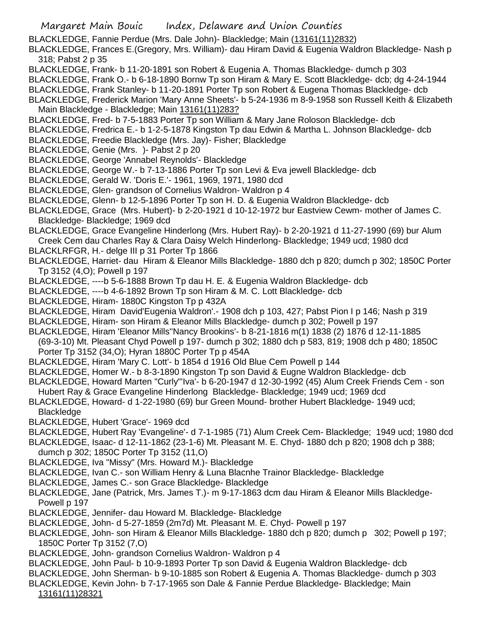BLACKLEDGE, Fannie Perdue (Mrs. Dale John)- Blackledge; Main (13161(11)2832)

BLACKLEDGE, Frances E.(Gregory, Mrs. William)- dau Hiram David & Eugenia Waldron Blackledge- Nash p 318; Pabst 2 p 35

- BLACKLEDGE, Frank- b 11-20-1891 son Robert & Eugenia A. Thomas Blackledge- dumch p 303
- BLACKLEDGE, Frank O.- b 6-18-1890 Bornw Tp son Hiram & Mary E. Scott Blackledge- dcb; dg 4-24-1944
- BLACKLEDGE, Frank Stanley- b 11-20-1891 Porter Tp son Robert & Eugena Thomas Blackledge- dcb

BLACKLEDGE, Frederick Marion 'Mary Anne Sheets'- b 5-24-1936 m 8-9-1958 son Russell Keith & Elizabeth Main Blackledge - Blackledge; Main 13161(11)283?

- BLACKLEDGE, Fred- b 7-5-1883 Porter Tp son William & Mary Jane Roloson Blackledge- dcb
- BLACKLEDGE, Fredrica E.- b 1-2-5-1878 Kingston Tp dau Edwin & Martha L. Johnson Blackledge- dcb
- BLACKLEDGE, Freedie Blackledge (Mrs. Jay)- Fisher; Blackledge
- BLACKLEDGE, Genie (Mrs. )- Pabst 2 p 20
- BLACKLEDGE, George 'Annabel Reynolds'- Blackledge
- BLACKLEDGE, George W.- b 7-13-1886 Porter Tp son Levi & Eva jewell Blackledge- dcb
- BLACKLEDGE, Gerald W. 'Doris E.'- 1961, 1969, 1971, 1980 dcd
- BLACKLEDGE, Glen- grandson of Cornelius Waldron- Waldron p 4
- BLACKLEDGE, Glenn- b 12-5-1896 Porter Tp son H. D. & Eugenia Waldron Blackledge- dcb
- BLACKLEDGE, Grace (Mrs. Hubert)- b 2-20-1921 d 10-12-1972 bur Eastview Cewm- mother of James C. Blackledge- Blackledge; 1969 dcd
- BLACKLEDGE, Grace Evangeline Hinderlong (Mrs. Hubert Ray)- b 2-20-1921 d 11-27-1990 (69) bur Alum Creek Cem dau Charles Ray & Clara Daisy Welch Hinderlong- Blackledge; 1949 ucd; 1980 dcd
- BLACKLRFGR, H.- delge III p 31 Porter Tp 1866
- BLACKLEDGE, Harriet- dau Hiram & Eleanor Mills Blackledge- 1880 dch p 820; dumch p 302; 1850C Porter Tp 3152 (4,O); Powell p 197
- BLACKLEDGE, ----b 5-6-1888 Brown Tp dau H. E. & Eugenia Waldron Blackledge- dcb
- BLACKLEDGE, ----b 4-6-1892 Brown Tp son Hiram & M. C. Lott Blackledge- dcb
- BLACKLEDGE, Hiram- 1880C Kingston Tp p 432A
- BLACKLEDGE, Hiram David'Eugenia Waldron'.- 1908 dch p 103, 427; Pabst Pion I p 146; Nash p 319
- BLACKLEDGE, Hiram- son Hiram & Eleanor Mills Blackledge- dumch p 302; Powell p 197
- BLACKLEDGE, Hiram 'Eleanor Mills''Nancy Brookins'- b 8-21-1816 m(1) 1838 (2) 1876 d 12-11-1885

(69-3-10) Mt. Pleasant Chyd Powell p 197- dumch p 302; 1880 dch p 583, 819; 1908 dch p 480; 1850C Porter Tp 3152 (34,O); Hyran 1880C Porter Tp p 454A

- BLACKLEDGE, Hiram 'Mary C. Lott'- b 1854 d 1916 Old Blue Cem Powell p 144
- BLACKLEDGE, Homer W.- b 8-3-1890 Kingston Tp son David & Eugne Waldron Blackledge- dcb
- BLACKLEDGE, Howard Marten "Curly"'Iva'- b 6-20-1947 d 12-30-1992 (45) Alum Creek Friends Cem son Hubert Ray & Grace Evangeline Hinderlong Blackledge- Blackledge; 1949 ucd; 1969 dcd
- BLACKLEDGE, Howard- d 1-22-1980 (69) bur Green Mound- brother Hubert Blackledge- 1949 ucd;
- Blackledge
- BLACKLEDGE, Hubert 'Grace'- 1969 dcd
- BLACKLEDGE, Hubert Ray 'Evangeline'- d 7-1-1985 (71) Alum Creek Cem- Blackledge; 1949 ucd; 1980 dcd
- BLACKLEDGE, Isaac- d 12-11-1862 (23-1-6) Mt. Pleasant M. E. Chyd- 1880 dch p 820; 1908 dch p 388;
- dumch p 302; 1850C Porter Tp 3152 (11,O)
- BLACKLEDGE, Iva "Missy" (Mrs. Howard M.)- Blackledge
- BLACKLEDGE, Ivan C.- son William Henry & Luna Blacnhe Trainor Blackledge- Blackledge
- BLACKLEDGE, James C.- son Grace Blackledge- Blackledge
- BLACKLEDGE, Jane (Patrick, Mrs. James T.)- m 9-17-1863 dcm dau Hiram & Eleanor Mills Blackledge-Powell p 197
- BLACKLEDGE, Jennifer- dau Howard M. Blackledge- Blackledge
- BLACKLEDGE, John- d 5-27-1859 (2m7d) Mt. Pleasant M. E. Chyd- Powell p 197
- BLACKLEDGE, John- son Hiram & Eleanor Mills Blackledge- 1880 dch p 820; dumch p 302; Powell p 197; 1850C Porter Tp 3152 (7,O)
- BLACKLEDGE, John- grandson Cornelius Waldron- Waldron p 4
- BLACKLEDGE, John Paul- b 10-9-1893 Porter Tp son David & Eugenia Waldron Blackledge- dcb
- BLACKLEDGE, John Sherman- b 9-10-1885 son Robert & Eugenia A. Thomas Blackledge- dumch p 303
- BLACKLEDGE, Kevin John- b 7-17-1965 son Dale & Fannie Perdue Blackledge- Blackledge; Main
	- 13161(11)28321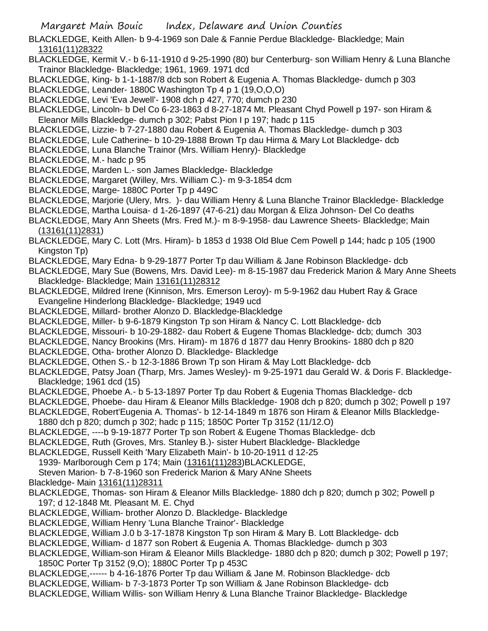BLACKLEDGE, Keith Allen- b 9-4-1969 son Dale & Fannie Perdue Blackledge- Blackledge; Main 13161(11)28322

BLACKLEDGE, Kermit V.- b 6-11-1910 d 9-25-1990 (80) bur Centerburg- son William Henry & Luna Blanche Trainor Blackledge- Blackledge; 1961, 1969. 1971 dcd

- BLACKLEDGE, King- b 1-1-1887/8 dcb son Robert & Eugenia A. Thomas Blackledge- dumch p 303
- BLACKLEDGE, Leander- 1880C Washington Tp 4 p 1 (19,O,O,O)
- BLACKLEDGE, Levi 'Eva Jewell'- 1908 dch p 427, 770; dumch p 230
- BLACKLEDGE, Lincoln- b Del Co 6-23-1863 d 8-27-1874 Mt. Pleasant Chyd Powell p 197- son Hiram & Eleanor Mills Blackledge- dumch p 302; Pabst Pion I p 197; hadc p 115
- BLACKLEDGE, Lizzie- b 7-27-1880 dau Robert & Eugenia A. Thomas Blackledge- dumch p 303
- BLACKLEDGE, Lule Catherine- b 10-29-1888 Brown Tp dau Hirma & Mary Lot Blackledge- dcb

BLACKLEDGE, Luna Blanche Trainor (Mrs. William Henry)- Blackledge

- BLACKLEDGE, M.- hadc p 95
- BLACKLEDGE, Marden L.- son James Blackledge- Blackledge
- BLACKLEDGE, Margaret (Willey, Mrs. William C.)- m 9-3-1854 dcm
- BLACKLEDGE, Marge- 1880C Porter Tp p 449C
- BLACKLEDGE, Marjorie (Ulery, Mrs. )- dau William Henry & Luna Blanche Trainor Blackledge- Blackledge
- BLACKLEDGE, Martha Louisa- d 1-26-1897 (47-6-21) dau Morgan & Eliza Johnson- Del Co deaths
- BLACKLEDGE, Mary Ann Sheets (Mrs. Fred M.)- m 8-9-1958- dau Lawrence Sheets- Blackledge; Main (13161(11)2831)
- BLACKLEDGE, Mary C. Lott (Mrs. Hiram)- b 1853 d 1938 Old Blue Cem Powell p 144; hadc p 105 (1900 Kingston Tp)
- BLACKLEDGE, Mary Edna- b 9-29-1877 Porter Tp dau William & Jane Robinson Blackledge- dcb
- BLACKLEDGE, Mary Sue (Bowens, Mrs. David Lee)- m 8-15-1987 dau Frederick Marion & Mary Anne Sheets Blackledge- Blackledge; Main 13161(11)28312
- BLACKLEDGE, Mildred Irene (Kinnison, Mrs. Emerson Leroy)- m 5-9-1962 dau Hubert Ray & Grace Evangeline Hinderlong Blackledge- Blackledge; 1949 ucd
- BLACKLEDGE, Millard- brother Alonzo D. Blackledge-Blackledge
- BLACKLEDGE, Miller- b 9-6-1879 Kingston Tp son Hiram & Nancy C. Lott Blackledge- dcb
- BLACKLEDGE, Missouri- b 10-29-1882- dau Robert & Eugene Thomas Blackledge- dcb; dumch 303
- BLACKLEDGE, Nancy Brookins (Mrs. Hiram)- m 1876 d 1877 dau Henry Brookins- 1880 dch p 820
- BLACKLEDGE, Otha- brother Alonzo D. Blackledge- Blackledge
- BLACKLEDGE, Othen S.- b 12-3-1886 Brown Tp son Hiram & May Lott Blackledge- dcb
- BLACKLEDGE, Patsy Joan (Tharp, Mrs. James Wesley)- m 9-25-1971 dau Gerald W. & Doris F. Blackledge-Blackledge; 1961 dcd (15)
- BLACKLEDGE, Phoebe A.- b 5-13-1897 Porter Tp dau Robert & Eugenia Thomas Blackledge- dcb
- BLACKLEDGE, Phoebe- dau Hiram & Eleanor Mills Blackledge- 1908 dch p 820; dumch p 302; Powell p 197
- BLACKLEDGE, Robert'Eugenia A. Thomas'- b 12-14-1849 m 1876 son Hiram & Eleanor Mills Blackledge-
- 1880 dch p 820; dumch p 302; hadc p 115; 1850C Porter Tp 3152 (11/12.O)
- BLACKLEDGE, ----b 9-19-1877 Porter Tp son Robert & Eugene Thomas Blackledge- dcb
- BLACKLEDGE, Ruth (Groves, Mrs. Stanley B.)- sister Hubert Blackledge- Blackledge
- BLACKLEDGE, Russell Keith 'Mary Elizabeth Main'- b 10-20-1911 d 12-25
	- 1939- Marlborough Cem p 174; Main (13161(11)283)BLACKLEDGE,
- Steven Marion- b 7-8-1960 son Frederick Marion & Mary ANne Sheets
- Blackledge- Main 13161(11)28311
- BLACKLEDGE, Thomas- son Hiram & Eleanor Mills Blackledge- 1880 dch p 820; dumch p 302; Powell p 197; d 12-1848 Mt. Pleasant M. E. Chyd
- BLACKLEDGE, William- brother Alonzo D. Blackledge- Blackledge
- BLACKLEDGE, William Henry 'Luna Blanche Trainor'- Blackledge
- BLACKLEDGE, William J.0 b 3-17-1878 Kingston Tp son Hiram & Mary B. Lott Blackledge- dcb
- BLACKLEDGE, William- d 1877 son Robert & Eugenia A. Thomas Blackledge- dumch p 303
- BLACKLEDGE, William-son Hiram & Eleanor Mills Blackledge- 1880 dch p 820; dumch p 302; Powell p 197; 1850C Porter Tp 3152 (9,O); 1880C Porter Tp p 453C
- BLACKLEDGE,------ b 4-16-1876 Porter Tp dau William & Jane M. Robinson Blackledge- dcb
- BLACKLEDGE, William- b 7-3-1873 Porter Tp son William & Jane Robinson Blackledge- dcb
- BLACKLEDGE, William Willis- son William Henry & Luna Blanche Trainor Blackledge- Blackledge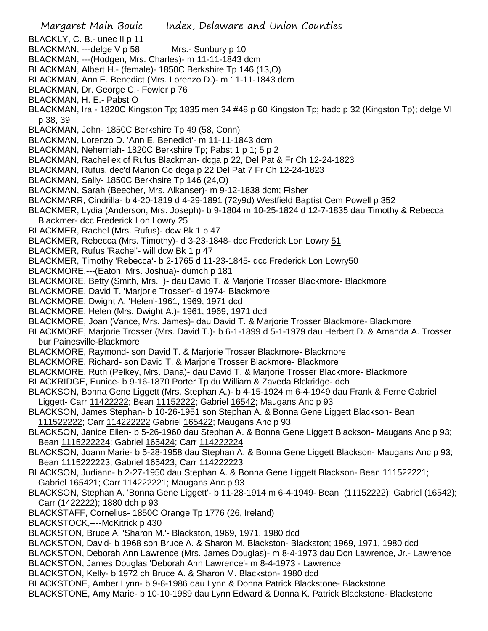- Margaret Main Bouic Index, Delaware and Union Counties BLACKLY, C. B.- unec II p 11 BLACKMAN, ---delge V p 58 Mrs.- Sunbury p 10 BLACKMAN, ---(Hodgen, Mrs. Charles)- m 11-11-1843 dcm BLACKMAN, Albert H.- (female)- 1850C Berkshire Tp 146 (13,O) BLACKMAN, Ann E. Benedict (Mrs. Lorenzo D.)- m 11-11-1843 dcm BLACKMAN, Dr. George C.- Fowler p 76 BLACKMAN, H. E.- Pabst O BLACKMAN, Ira - 1820C Kingston Tp; 1835 men 34 #48 p 60 Kingston Tp; hadc p 32 (Kingston Tp); delge VI p 38, 39 BLACKMAN, John- 1850C Berkshire Tp 49 (58, Conn) BLACKMAN, Lorenzo D. 'Ann E. Benedict'- m 11-11-1843 dcm BLACKMAN, Nehemiah- 1820C Berkshire Tp; Pabst 1 p 1; 5 p 2 BLACKMAN, Rachel ex of Rufus Blackman- dcga p 22, Del Pat & Fr Ch 12-24-1823 BLACKMAN, Rufus, dec'd Marion Co dcga p 22 Del Pat 7 Fr Ch 12-24-1823 BLACKMAN, Sally- 1850C Berkhsire Tp 146 (24,O) BLACKMAN, Sarah (Beecher, Mrs. Alkanser)- m 9-12-1838 dcm; Fisher BLACKMARR, Cindrilla- b 4-20-1819 d 4-29-1891 (72y9d) Westfield Baptist Cem Powell p 352 BLACKMER, Lydia (Anderson, Mrs. Joseph)- b 9-1804 m 10-25-1824 d 12-7-1835 dau Timothy & Rebecca Blackmer- dcc Frederick Lon Lowry 25 BLACKMER, Rachel (Mrs. Rufus)- dcw Bk 1 p 47 BLACKMER, Rebecca (Mrs. Timothy)- d 3-23-1848- dcc Frederick Lon Lowry 51 BLACKMER, Rufus 'Rachel'- will dcw Bk 1 p 47 BLACKMER, Timothy 'Rebecca'- b 2-1765 d 11-23-1845- dcc Frederick Lon Lowry50 BLACKMORE,---(Eaton, Mrs. Joshua)- dumch p 181 BLACKMORE, Betty (Smith, Mrs. )- dau David T. & Marjorie Trosser Blackmore- Blackmore BLACKMORE, David T. 'Marjorie Trosser'- d 1974- Blackmore BLACKMORE, Dwight A. 'Helen'-1961, 1969, 1971 dcd BLACKMORE, Helen (Mrs. Dwight A.)- 1961, 1969, 1971 dcd BLACKMORE, Joan (Vance, Mrs. James)- dau David T. & Marjorie Trosser Blackmore- Blackmore BLACKMORE, Marjorie Trosser (Mrs. David T.)- b 6-1-1899 d 5-1-1979 dau Herbert D. & Amanda A. Trosser bur Painesville-Blackmore BLACKMORE, Raymond- son David T. & Marjorie Trosser Blackmore- Blackmore BLACKMORE, Richard- son David T. & Marjorie Trosser Blackmore- Blackmore BLACKMORE, Ruth (Pelkey, Mrs. Dana)- dau David T. & Marjorie Trosser Blackmore- Blackmore BLACKRIDGE, Eunice- b 9-16-1870 Porter Tp du William & Zaveda Blckridge- dcb BLACKSON, Bonna Gene Liggett (Mrs. Stephan A.)- b 4-15-1924 m 6-4-1949 dau Frank & Ferne Gabriel Liggett- Carr 11422222; Bean 11152222; Gabriel 16542; Maugans Anc p 93 BLACKSON, James Stephan- b 10-26-1951 son Stephan A. & Bonna Gene Liggett Blackson- Bean 111522222; Carr 114222222 Gabriel 165422; Maugans Anc p 93 BLACKSON, Janice Ellen- b 5-26-1960 dau Stephan A. & Bonna Gene Liggett Blackson- Maugans Anc p 93; Bean 1115222224; Gabriel 165424; Carr 114222224 BLACKSON, Joann Marie- b 5-28-1958 dau Stephan A. & Bonna Gene Liggett Blackson- Maugans Anc p 93; Bean 1115222223; Gabriel 165423; Carr 114222223 BLACKSON, Judiann- b 2-27-1950 dau Stephan A. & Bonna Gene Liggett Blackson- Bean 111522221; Gabriel 165421; Carr 114222221; Maugans Anc p 93 BLACKSON, Stephan A. 'Bonna Gene Liggett'- b 11-28-1914 m 6-4-1949- Bean (11152222); Gabriel (16542); Carr (1422222); 1880 dch p 93 BLACKSTAFF, Cornelius- 1850C Orange Tp 1776 (26, Ireland) BLACKSTOCK,----McKitrick p 430 BLACKSTON, Bruce A. 'Sharon M.'- Blackston, 1969, 1971, 1980 dcd BLACKSTON, David- b 1968 son Bruce A. & Sharon M. Blackston- Blackston; 1969, 1971, 1980 dcd
- BLACKSTON, Deborah Ann Lawrence (Mrs. James Douglas)- m 8-4-1973 dau Don Lawrence, Jr.- Lawrence
- BLACKSTON, James Douglas 'Deborah Ann Lawrence'- m 8-4-1973 Lawrence
- BLACKSTON, Kelly- b 1972 ch Bruce A. & Sharon M. Blackston- 1980 dcd
- BLACKSTONE, Amber Lynn- b 9-8-1986 dau Lynn & Donna Patrick Blackstone- Blackstone
- BLACKSTONE, Amy Marie- b 10-10-1989 dau Lynn Edward & Donna K. Patrick Blackstone- Blackstone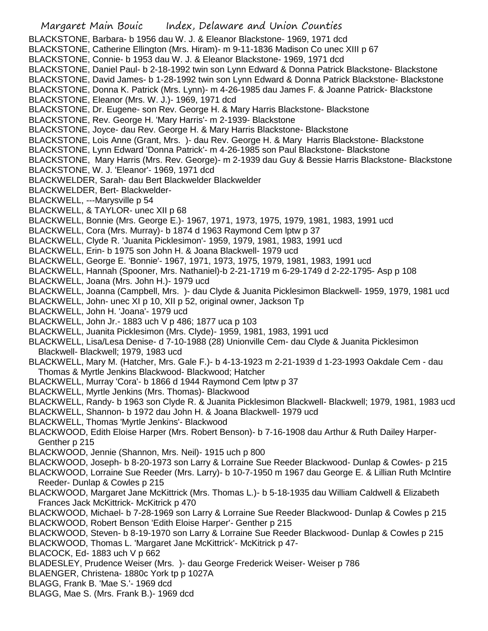Margaret Main Bouic Index, Delaware and Union Counties BLACKSTONE, Barbara- b 1956 dau W. J. & Eleanor Blackstone- 1969, 1971 dcd BLACKSTONE, Catherine Ellington (Mrs. Hiram)- m 9-11-1836 Madison Co unec XIII p 67 BLACKSTONE, Connie- b 1953 dau W. J. & Eleanor Blackstone- 1969, 1971 dcd BLACKSTONE, Daniel Paul- b 2-18-1992 twin son Lynn Edward & Donna Patrick Blackstone- Blackstone BLACKSTONE, David James- b 1-28-1992 twin son Lynn Edward & Donna Patrick Blackstone- Blackstone BLACKSTONE, Donna K. Patrick (Mrs. Lynn)- m 4-26-1985 dau James F. & Joanne Patrick- Blackstone BLACKSTONE, Eleanor (Mrs. W. J.)- 1969, 1971 dcd BLACKSTONE, Dr. Eugene- son Rev. George H. & Mary Harris Blackstone- Blackstone BLACKSTONE, Rev. George H. 'Mary Harris'- m 2-1939- Blackstone BLACKSTONE, Joyce- dau Rev. George H. & Mary Harris Blackstone- Blackstone BLACKSTONE, Lois Anne (Grant, Mrs. )- dau Rev. George H. & Mary Harris Blackstone- Blackstone BLACKSTONE, Lynn Edward 'Donna Patrick'- m 4-26-1985 son Paul Blackstone- Blackstone BLACKSTONE, Mary Harris (Mrs. Rev. George)- m 2-1939 dau Guy & Bessie Harris Blackstone- Blackstone BLACKSTONE, W. J. 'Eleanor'- 1969, 1971 dcd BLACKWELDER, Sarah- dau Bert Blackwelder Blackwelder BLACKWELDER, Bert- Blackwelder-BLACKWELL, ---Marysville p 54 BLACKWELL, & TAYLOR- unec XII p 68 BLACKWELL, Bonnie (Mrs. George E.)- 1967, 1971, 1973, 1975, 1979, 1981, 1983, 1991 ucd BLACKWELL, Cora (Mrs. Murray)- b 1874 d 1963 Raymond Cem lptw p 37 BLACKWELL, Clyde R. 'Juanita Picklesimon'- 1959, 1979, 1981, 1983, 1991 ucd BLACKWELL, Erin- b 1975 son John H. & Joana Blackwell- 1979 ucd BLACKWELL, George E. 'Bonnie'- 1967, 1971, 1973, 1975, 1979, 1981, 1983, 1991 ucd BLACKWELL, Hannah (Spooner, Mrs. Nathaniel)-b 2-21-1719 m 6-29-1749 d 2-22-1795- Asp p 108 BLACKWELL, Joana (Mrs. John H.)- 1979 ucd BLACKWELL, Joanna (Campbell, Mrs. )- dau Clyde & Juanita Picklesimon Blackwell- 1959, 1979, 1981 ucd BLACKWELL, John- unec XI p 10, XII p 52, original owner, Jackson Tp BLACKWELL, John H. 'Joana'- 1979 ucd BLACKWELL, John Jr.- 1883 uch V p 486; 1877 uca p 103 BLACKWELL, Juanita Picklesimon (Mrs. Clyde)- 1959, 1981, 1983, 1991 ucd BLACKWELL, Lisa/Lesa Denise- d 7-10-1988 (28) Unionville Cem- dau Clyde & Juanita Picklesimon Blackwell- Blackwell; 1979, 1983 ucd BLACKWELL, Mary M. (Hatcher, Mrs. Gale F.)- b 4-13-1923 m 2-21-1939 d 1-23-1993 Oakdale Cem - dau Thomas & Myrtle Jenkins Blackwood- Blackwood; Hatcher BLACKWELL, Murray 'Cora'- b 1866 d 1944 Raymond Cem lptw p 37 BLACKWELL, Myrtle Jenkins (Mrs. Thomas)- Blackwood BLACKWELL, Randy- b 1963 son Clyde R. & Juanita Picklesimon Blackwell- Blackwell; 1979, 1981, 1983 ucd BLACKWELL, Shannon- b 1972 dau John H. & Joana Blackwell- 1979 ucd BLACKWELL, Thomas 'Myrtle Jenkins'- Blackwood BLACKWOOD, Edith Eloise Harper (Mrs. Robert Benson)- b 7-16-1908 dau Arthur & Ruth Dailey Harper-Genther p 215 BLACKWOOD, Jennie (Shannon, Mrs. Neil)- 1915 uch p 800 BLACKWOOD, Joseph- b 8-20-1973 son Larry & Lorraine Sue Reeder Blackwood- Dunlap & Cowles- p 215 BLACKWOOD, Lorraine Sue Reeder (Mrs. Larry)- b 10-7-1950 m 1967 dau George E. & Lillian Ruth McIntire Reeder- Dunlap & Cowles p 215 BLACKWOOD, Margaret Jane McKittrick (Mrs. Thomas L.)- b 5-18-1935 dau William Caldwell & Elizabeth Frances Jack McKittrick- McKitrick p 470 BLACKWOOD, Michael- b 7-28-1969 son Larry & Lorraine Sue Reeder Blackwood- Dunlap & Cowles p 215 BLACKWOOD, Robert Benson 'Edith Eloise Harper'- Genther p 215 BLACKWOOD, Steven- b 8-19-1970 son Larry & Lorraine Sue Reeder Blackwood- Dunlap & Cowles p 215 BLACKWOOD, Thomas L. 'Margaret Jane McKittrick'- McKitrick p 47- BLACOCK, Ed- 1883 uch V p 662 BLADESLEY, Prudence Weiser (Mrs. )- dau George Frederick Weiser- Weiser p 786 BLAENGER, Christena- 1880c York tp p 1027A BLAGG, Frank B. 'Mae S.'- 1969 dcd BLAGG, Mae S. (Mrs. Frank B.)- 1969 dcd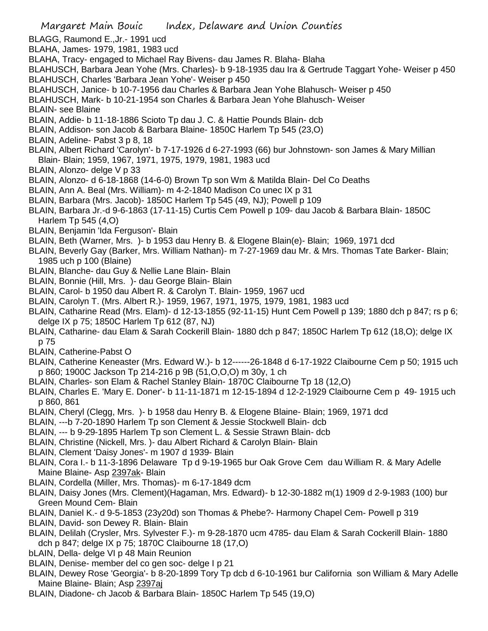- BLAGG, Raumond E.,Jr.- 1991 ucd
- BLAHA, James- 1979, 1981, 1983 ucd
- BLAHA, Tracy- engaged to Michael Ray Bivens- dau James R. Blaha- Blaha
- BLAHUSCH, Barbara Jean Yohe (Mrs. Charles)- b 9-18-1935 dau Ira & Gertrude Taggart Yohe- Weiser p 450 BLAHUSCH, Charles 'Barbara Jean Yohe'- Weiser p 450
- BLAHUSCH, Janice- b 10-7-1956 dau Charles & Barbara Jean Yohe Blahusch- Weiser p 450
- BLAHUSCH, Mark- b 10-21-1954 son Charles & Barbara Jean Yohe Blahusch- Weiser
- BLAIN- see Blaine
- BLAIN, Addie- b 11-18-1886 Scioto Tp dau J. C. & Hattie Pounds Blain- dcb
- BLAIN, Addison- son Jacob & Barbara Blaine- 1850C Harlem Tp 545 (23,O)
- BLAIN, Adeline- Pabst 3 p 8, 18
- BLAIN, Albert Richard 'Carolyn'- b 7-17-1926 d 6-27-1993 (66) bur Johnstown- son James & Mary Millian Blain- Blain; 1959, 1967, 1971, 1975, 1979, 1981, 1983 ucd
- BLAIN, Alonzo- delge V p 33
- BLAIN, Alonzo- d 6-18-1868 (14-6-0) Brown Tp son Wm & Matilda Blain- Del Co Deaths
- BLAIN, Ann A. Beal (Mrs. William)- m 4-2-1840 Madison Co unec IX p 31
- BLAIN, Barbara (Mrs. Jacob)- 1850C Harlem Tp 545 (49, NJ); Powell p 109
- BLAIN, Barbara Jr.-d 9-6-1863 (17-11-15) Curtis Cem Powell p 109- dau Jacob & Barbara Blain- 1850C Harlem Tp 545 (4,O)
- BLAIN, Benjamin 'Ida Ferguson'- Blain
- BLAIN, Beth (Warner, Mrs. )- b 1953 dau Henry B. & Elogene Blain(e)- Blain; 1969, 1971 dcd
- BLAIN, Beverly Gay (Barker, Mrs. William Nathan)- m 7-27-1969 dau Mr. & Mrs. Thomas Tate Barker- Blain; 1985 uch p 100 (Blaine)
- BLAIN, Blanche- dau Guy & Nellie Lane Blain- Blain
- BLAIN, Bonnie (Hill, Mrs. )- dau George Blain- Blain
- BLAIN, Carol- b 1950 dau Albert R. & Carolyn T. Blain- 1959, 1967 ucd
- BLAIN, Carolyn T. (Mrs. Albert R.)- 1959, 1967, 1971, 1975, 1979, 1981, 1983 ucd
- BLAIN, Catharine Read (Mrs. Elam)- d 12-13-1855 (92-11-15) Hunt Cem Powell p 139; 1880 dch p 847; rs p 6; delge IX p 75; 1850C Harlem Tp 612 (87, NJ)
- BLAIN, Catharine- dau Elam & Sarah Cockerill Blain- 1880 dch p 847; 1850C Harlem Tp 612 (18,O); delge IX p 75
- BLAIN, Catherine-Pabst O
- BLAIN, Catherine Keneaster (Mrs. Edward W.)- b 12------26-1848 d 6-17-1922 Claibourne Cem p 50; 1915 uch p 860; 1900C Jackson Tp 214-216 p 9B (51,O,O,O) m 30y, 1 ch
- BLAIN, Charles- son Elam & Rachel Stanley Blain- 1870C Claibourne Tp 18 (12,O)
- BLAIN, Charles E. 'Mary E. Doner'- b 11-11-1871 m 12-15-1894 d 12-2-1929 Claibourne Cem p 49- 1915 uch p 860, 861
- BLAIN, Cheryl (Clegg, Mrs. )- b 1958 dau Henry B. & Elogene Blaine- Blain; 1969, 1971 dcd
- BLAIN, ---b 7-20-1890 Harlem Tp son Clement & Jessie Stockwell Blain- dcb
- BLAIN, --- b 9-29-1895 Harlem Tp son Clement L. & Sessie Strawn Blain- dcb
- BLAIN, Christine (Nickell, Mrs. )- dau Albert Richard & Carolyn Blain- Blain
- BLAIN, Clement 'Daisy Jones'- m 1907 d 1939- Blain
- BLAIN, Cora I.- b 11-3-1896 Delaware Tp d 9-19-1965 bur Oak Grove Cem dau William R. & Mary Adelle Maine Blaine- Asp 2397ak- Blain
- BLAIN, Cordella (Miller, Mrs. Thomas)- m 6-17-1849 dcm
- BLAIN, Daisy Jones (Mrs. Clement)(Hagaman, Mrs. Edward)- b 12-30-1882 m(1) 1909 d 2-9-1983 (100) bur Green Mound Cem- Blain
- BLAIN, Daniel K.- d 9-5-1853 (23y20d) son Thomas & Phebe?- Harmony Chapel Cem- Powell p 319
- BLAIN, David- son Dewey R. Blain- Blain
- BLAIN, Delilah (Crysler, Mrs. Sylvester F.)- m 9-28-1870 ucm 4785- dau Elam & Sarah Cockerill Blain- 1880 dch p 847; delge IX p 75; 1870C Claibourne 18 (17,O)
- bLAIN, Della- delge VI p 48 Main Reunion
- BLAIN, Denise- member del co gen soc- delge I p 21
- BLAIN, Dewey Rose 'Georgia'- b 8-20-1899 Tory Tp dcb d 6-10-1961 bur California son William & Mary Adelle Maine Blaine- Blain; Asp 2397aj
- BLAIN, Diadone- ch Jacob & Barbara Blain- 1850C Harlem Tp 545 (19,O)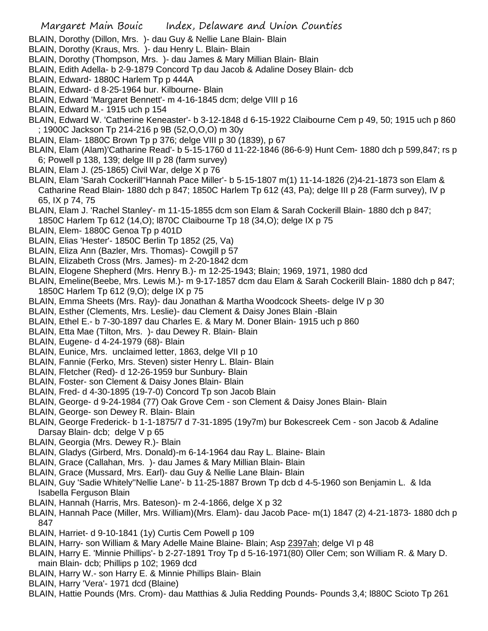- BLAIN, Dorothy (Dillon, Mrs. )- dau Guy & Nellie Lane Blain- Blain
- BLAIN, Dorothy (Kraus, Mrs. )- dau Henry L. Blain- Blain
- BLAIN, Dorothy (Thompson, Mrs. )- dau James & Mary Millian Blain- Blain
- BLAIN, Edith Adella- b 2-9-1879 Concord Tp dau Jacob & Adaline Dosey Blain- dcb
- BLAIN, Edward- 1880C Harlem Tp p 444A
- BLAIN, Edward- d 8-25-1964 bur. Kilbourne- Blain
- BLAIN, Edward 'Margaret Bennett'- m 4-16-1845 dcm; delge VIII p 16
- BLAIN, Edward M.- 1915 uch p 154
- BLAIN, Edward W. 'Catherine Keneaster'- b 3-12-1848 d 6-15-1922 Claibourne Cem p 49, 50; 1915 uch p 860 ; 1900C Jackson Tp 214-216 p 9B (52,O,O,O) m 30y
- BLAIN, Elam- 1880C Brown Tp p 376; delge VIII p 30 (1839), p 67
- BLAIN, Elam (Alam)'Catharine Read'- b 5-15-1760 d 11-22-1846 (86-6-9) Hunt Cem- 1880 dch p 599,847; rs p 6; Powell p 138, 139; delge III p 28 (farm survey)
- BLAIN, Elam J. (25-1865) Civil War, delge X p 76
- BLAIN, Elam 'Sarah Cockerill''Hannah Pace Miller'- b 5-15-1807 m(1) 11-14-1826 (2)4-21-1873 son Elam & Catharine Read Blain- 1880 dch p 847; 1850C Harlem Tp 612 (43, Pa); delge III p 28 (Farm survey), IV p 65, IX p 74, 75
- BLAIN, Elam J. 'Rachel Stanley'- m 11-15-1855 dcm son Elam & Sarah Cockerill Blain- 1880 dch p 847; 1850C Harlem Tp 612 (14,O); l870C Claibourne Tp 18 (34,O); delge IX p 75
- BLAIN, Elem- 1880C Genoa Tp p 401D
- BLAIN, Elias 'Hester'- 1850C Berlin Tp 1852 (25, Va)
- BLAIN, Eliza Ann (Bazler, Mrs. Thomas)- Cowgill p 57
- BLAIN, Elizabeth Cross (Mrs. James)- m 2-20-1842 dcm
- BLAIN, Elogene Shepherd (Mrs. Henry B.)- m 12-25-1943; Blain; 1969, 1971, 1980 dcd
- BLAIN, Emeline(Beebe, Mrs. Lewis M.)- m 9-17-1857 dcm dau Elam & Sarah Cockerill Blain- 1880 dch p 847; 1850C Harlem Tp 612 (9,O); delge IX p 75
- BLAIN, Emma Sheets (Mrs. Ray)- dau Jonathan & Martha Woodcock Sheets- delge IV p 30
- BLAIN, Esther (Clements, Mrs. Leslie)- dau Clement & Daisy Jones Blain -Blain
- BLAIN, Ethel E.- b 7-30-1897 dau Charles E. & Mary M. Doner Blain- 1915 uch p 860
- BLAIN, Etta Mae (Tilton, Mrs. )- dau Dewey R. Blain- Blain
- BLAIN, Eugene- d 4-24-1979 (68)- Blain
- BLAIN, Eunice, Mrs. unclaimed letter, 1863, delge VII p 10
- BLAIN, Fannie (Ferko, Mrs. Steven) sister Henry L. Blain- Blain
- BLAIN, Fletcher (Red)- d 12-26-1959 bur Sunbury- Blain
- BLAIN, Foster- son Clement & Daisy Jones Blain- Blain
- BLAIN, Fred- d 4-30-1895 (19-7-0) Concord Tp son Jacob Blain
- BLAIN, George- d 9-24-1984 (77) Oak Grove Cem son Clement & Daisy Jones Blain- Blain
- BLAIN, George- son Dewey R. Blain- Blain
- BLAIN, George Frederick- b 1-1-1875/7 d 7-31-1895 (19y7m) bur Bokescreek Cem son Jacob & Adaline Darsay Blain- dcb; delge V p 65
- BLAIN, Georgia (Mrs. Dewey R.)- Blain
- BLAIN, Gladys (Girberd, Mrs. Donald)-m 6-14-1964 dau Ray L. Blaine- Blain
- BLAIN, Grace (Callahan, Mrs. )- dau James & Mary Millian Blain- Blain
- BLAIN, Grace (Mussard, Mrs. Earl)- dau Guy & Nellie Lane Blain- Blain
- BLAIN, Guy 'Sadie Whitely''Nellie Lane'- b 11-25-1887 Brown Tp dcb d 4-5-1960 son Benjamin L. & Ida Isabella Ferguson Blain
- BLAIN, Hannah (Harris, Mrs. Bateson)- m 2-4-1866, delge X p 32
- BLAIN, Hannah Pace (Miller, Mrs. William)(Mrs. Elam)- dau Jacob Pace- m(1) 1847 (2) 4-21-1873- 1880 dch p 847
- BLAIN, Harriet- d 9-10-1841 (1y) Curtis Cem Powell p 109
- BLAIN, Harry- son William & Mary Adelle Maine Blaine- Blain; Asp 2397ah; delge VI p 48
- BLAIN, Harry E. 'Minnie Phillips'- b 2-27-1891 Troy Tp d 5-16-1971(80) Oller Cem; son William R. & Mary D. main Blain- dcb; Phillips p 102; 1969 dcd
- BLAIN, Harry W.- son Harry E. & Minnie Phillips Blain- Blain
- BLAIN, Harry 'Vera'- 1971 dcd (Blaine)
- BLAIN, Hattie Pounds (Mrs. Crom)- dau Matthias & Julia Redding Pounds- Pounds 3,4; l880C Scioto Tp 261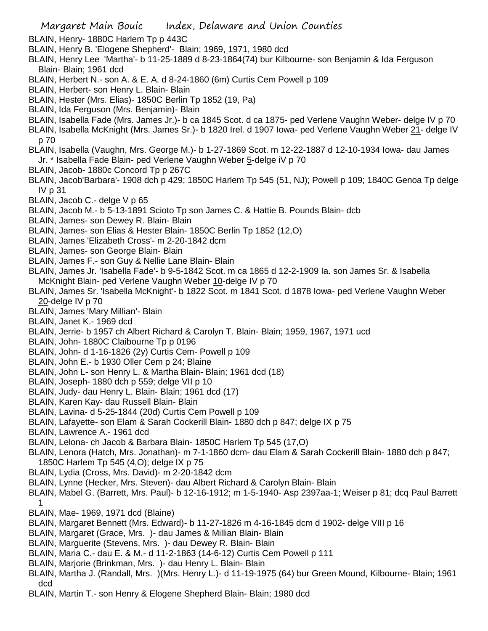Margaret Main Bouic Index, Delaware and Union Counties

- BLAIN, Henry- 1880C Harlem Tp p 443C
- BLAIN, Henry B. 'Elogene Shepherd'- Blain; 1969, 1971, 1980 dcd
- BLAIN, Henry Lee 'Martha'- b 11-25-1889 d 8-23-1864(74) bur Kilbourne- son Benjamin & Ida Ferguson Blain- Blain; 1961 dcd
- BLAIN, Herbert N.- son A. & E. A. d 8-24-1860 (6m) Curtis Cem Powell p 109
- BLAIN, Herbert- son Henry L. Blain- Blain
- BLAIN, Hester (Mrs. Elias)- 1850C Berlin Tp 1852 (19, Pa)
- BLAIN, Ida Ferguson (Mrs. Benjamin)- Blain
- BLAIN, Isabella Fade (Mrs. James Jr.)- b ca 1845 Scot. d ca 1875- ped Verlene Vaughn Weber- delge IV p 70
- BLAIN, Isabella McKnight (Mrs. James Sr.)- b 1820 Irel. d 1907 Iowa- ped Verlene Vaughn Weber 21- delge IV p 70
- BLAIN, Isabella (Vaughn, Mrs. George M.)- b 1-27-1869 Scot. m 12-22-1887 d 12-10-1934 Iowa- dau James Jr. \* Isabella Fade Blain- ped Verlene Vaughn Weber 5-delge iV p 70
- BLAIN, Jacob- 1880c Concord Tp p 267C
- BLAIN, Jacob'Barbara'- 1908 dch p 429; 1850C Harlem Tp 545 (51, NJ); Powell p 109; 1840C Genoa Tp delge IV p 31
- BLAIN, Jacob C.- delge V p 65
- BLAIN, Jacob M.- b 5-13-1891 Scioto Tp son James C. & Hattie B. Pounds Blain- dcb
- BLAIN, James- son Dewey R. Blain- Blain
- BLAIN, James- son Elias & Hester Blain- 1850C Berlin Tp 1852 (12,O)
- BLAIN, James 'Elizabeth Cross'- m 2-20-1842 dcm
- BLAIN, James- son George Blain- Blain
- BLAIN, James F.- son Guy & Nellie Lane Blain- Blain
- BLAIN, James Jr. 'Isabella Fade'- b 9-5-1842 Scot. m ca 1865 d 12-2-1909 Ia. son James Sr. & Isabella McKnight Blain- ped Verlene Vaughn Weber 10-delge IV p 70
- BLAIN, James Sr. 'Isabella McKnight'- b 1822 Scot. m 1841 Scot. d 1878 Iowa- ped Verlene Vaughn Weber 20-delge IV p 70
- BLAIN, James 'Mary Millian'- Blain
- BLAIN, Janet K.- 1969 dcd
- BLAIN, Jerrie- b 1957 ch Albert Richard & Carolyn T. Blain- Blain; 1959, 1967, 1971 ucd
- BLAIN, John- 1880C Claibourne Tp p 0196
- BLAIN, John- d 1-16-1826 (2y) Curtis Cem- Powell p 109
- BLAIN, John E.- b 1930 Oller Cem p 24; Blaine
- BLAIN, John L- son Henry L. & Martha Blain- Blain; 1961 dcd (18)
- BLAIN, Joseph- 1880 dch p 559; delge VII p 10
- BLAIN, Judy- dau Henry L. Blain- Blain; 1961 dcd (17)
- BLAIN, Karen Kay- dau Russell Blain- Blain
- BLAIN, Lavina- d 5-25-1844 (20d) Curtis Cem Powell p 109
- BLAIN, Lafayette- son Elam & Sarah Cockerill Blain- 1880 dch p 847; delge IX p 75
- BLAIN, Lawrence A.- 1961 dcd
- BLAIN, Lelona- ch Jacob & Barbara Blain- 1850C Harlem Tp 545 (17,O)
- BLAIN, Lenora (Hatch, Mrs. Jonathan)- m 7-1-1860 dcm- dau Elam & Sarah Cockerill Blain- 1880 dch p 847; 1850C Harlem Tp 545 (4,O); delge IX p 75
- BLAIN, Lydia (Cross, Mrs. David)- m 2-20-1842 dcm
- BLAIN, Lynne (Hecker, Mrs. Steven)- dau Albert Richard & Carolyn Blain- Blain
- BLAIN, Mabel G. (Barrett, Mrs. Paul)- b 12-16-1912; m 1-5-1940- Asp 2397aa-1; Weiser p 81; dcq Paul Barrett 1
- BLAIN, Mae- 1969, 1971 dcd (Blaine)
- BLAIN, Margaret Bennett (Mrs. Edward)- b 11-27-1826 m 4-16-1845 dcm d 1902- delge VIII p 16
- BLAIN, Margaret (Grace, Mrs. )- dau James & Millian Blain- Blain
- BLAIN, Marguerite (Stevens, Mrs. )- dau Dewey R. Blain- Blain
- BLAIN, Maria C.- dau E. & M.- d 11-2-1863 (14-6-12) Curtis Cem Powell p 111
- BLAIN, Marjorie (Brinkman, Mrs. )- dau Henry L. Blain- Blain
- BLAIN, Martha J. (Randall, Mrs. )(Mrs. Henry L.)- d 11-19-1975 (64) bur Green Mound, Kilbourne- Blain; 1961 dcd
- BLAIN, Martin T.- son Henry & Elogene Shepherd Blain- Blain; 1980 dcd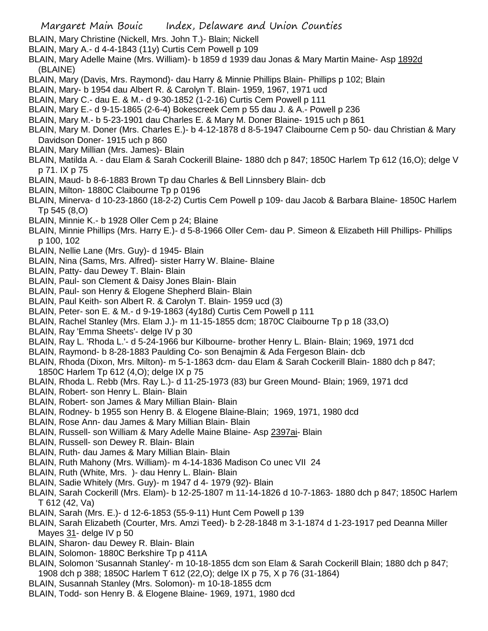- BLAIN, Mary Christine (Nickell, Mrs. John T.)- Blain; Nickell
- BLAIN, Mary A.- d 4-4-1843 (11y) Curtis Cem Powell p 109
- BLAIN, Mary Adelle Maine (Mrs. William)- b 1859 d 1939 dau Jonas & Mary Martin Maine- Asp 1892d (BLAINE)
- BLAIN, Mary (Davis, Mrs. Raymond)- dau Harry & Minnie Phillips Blain- Phillips p 102; Blain
- BLAIN, Mary- b 1954 dau Albert R. & Carolyn T. Blain- 1959, 1967, 1971 ucd
- BLAIN, Mary C.- dau E. & M.- d 9-30-1852 (1-2-16) Curtis Cem Powell p 111
- BLAIN, Mary E.- d 9-15-1865 (2-6-4) Bokescreek Cem p 55 dau J. & A.- Powell p 236
- BLAIN, Mary M.- b 5-23-1901 dau Charles E. & Mary M. Doner Blaine- 1915 uch p 861
- BLAIN, Mary M. Doner (Mrs. Charles E.)- b 4-12-1878 d 8-5-1947 Claibourne Cem p 50- dau Christian & Mary Davidson Doner- 1915 uch p 860
- BLAIN, Mary Millian (Mrs. James)- Blain
- BLAIN, Matilda A. dau Elam & Sarah Cockerill Blaine- 1880 dch p 847; 1850C Harlem Tp 612 (16,O); delge V p 71. IX p 75
- BLAIN, Maud- b 8-6-1883 Brown Tp dau Charles & Bell Linnsbery Blain- dcb
- BLAIN, Milton- 1880C Claibourne Tp p 0196
- BLAIN, Minerva- d 10-23-1860 (18-2-2) Curtis Cem Powell p 109- dau Jacob & Barbara Blaine- 1850C Harlem Tp 545 (8,O)
- BLAIN, Minnie K.- b 1928 Oller Cem p 24; Blaine
- BLAIN, Minnie Phillips (Mrs. Harry E.)- d 5-8-1966 Oller Cem- dau P. Simeon & Elizabeth Hill Phillips- Phillips p 100, 102
- BLAIN, Nellie Lane (Mrs. Guy)- d 1945- Blain
- BLAIN, Nina (Sams, Mrs. Alfred)- sister Harry W. Blaine- Blaine
- BLAIN, Patty- dau Dewey T. Blain- Blain
- BLAIN, Paul- son Clement & Daisy Jones Blain- Blain
- BLAIN, Paul- son Henry & Elogene Shepherd Blain- Blain
- BLAIN, Paul Keith- son Albert R. & Carolyn T. Blain- 1959 ucd (3)
- BLAIN, Peter- son E. & M.- d 9-19-1863 (4y18d) Curtis Cem Powell p 111
- BLAIN, Rachel Stanley (Mrs. Elam J.)- m 11-15-1855 dcm; 1870C Claibourne Tp p 18 (33,O)
- BLAIN, Ray 'Emma Sheets'- delge IV p 30
- BLAIN, Ray L. 'Rhoda L.'- d 5-24-1966 bur Kilbourne- brother Henry L. Blain- Blain; 1969, 1971 dcd
- BLAIN, Raymond- b 8-28-1883 Paulding Co- son Benajmin & Ada Fergeson Blain- dcb
- BLAIN, Rhoda (Dixon, Mrs. Milton)- m 5-1-1863 dcm- dau Elam & Sarah Cockerill Blain- 1880 dch p 847; 1850C Harlem Tp 612 (4,O); delge IX p 75
- BLAIN, Rhoda L. Rebb (Mrs. Ray L.)- d 11-25-1973 (83) bur Green Mound- Blain; 1969, 1971 dcd
- BLAIN, Robert- son Henry L. Blain- Blain
- BLAIN, Robert- son James & Mary Millian Blain- Blain
- BLAIN, Rodney- b 1955 son Henry B. & Elogene Blaine-Blain; 1969, 1971, 1980 dcd
- BLAIN, Rose Ann- dau James & Mary Millian Blain- Blain
- BLAIN, Russell- son William & Mary Adelle Maine Blaine- Asp 2397ai- Blain
- BLAIN, Russell- son Dewey R. Blain- Blain
- BLAIN, Ruth- dau James & Mary Millian Blain- Blain
- BLAIN, Ruth Mahony (Mrs. William)- m 4-14-1836 Madison Co unec VII 24
- BLAIN, Ruth (White, Mrs. )- dau Henry L. Blain- Blain
- BLAIN, Sadie Whitely (Mrs. Guy)- m 1947 d 4- 1979 (92)- Blain
- BLAIN, Sarah Cockerill (Mrs. Elam)- b 12-25-1807 m 11-14-1826 d 10-7-1863- 1880 dch p 847; 1850C Harlem T 612 (42, Va)
- BLAIN, Sarah (Mrs. E.)- d 12-6-1853 (55-9-11) Hunt Cem Powell p 139
- BLAIN, Sarah Elizabeth (Courter, Mrs. Amzi Teed)- b 2-28-1848 m 3-1-1874 d 1-23-1917 ped Deanna Miller Mayes 31- delge IV p 50
- BLAIN, Sharon- dau Dewey R. Blain- Blain
- BLAIN, Solomon- 1880C Berkshire Tp p 411A
- BLAIN, Solomon 'Susannah Stanley'- m 10-18-1855 dcm son Elam & Sarah Cockerill Blain; 1880 dch p 847; 1908 dch p 388; 1850C Harlem T 612 (22,O); delge IX p 75, X p 76 (31-1864)
- BLAIN, Susannah Stanley (Mrs. Solomon)- m 10-18-1855 dcm
- BLAIN, Todd- son Henry B. & Elogene Blaine- 1969, 1971, 1980 dcd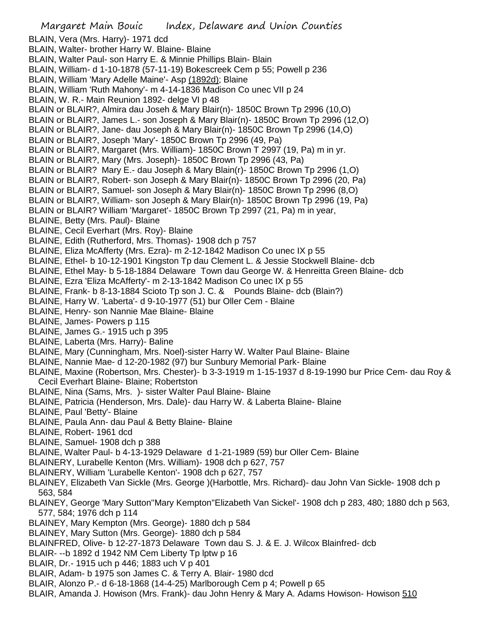BLAIN, Vera (Mrs. Harry)- 1971 dcd BLAIN, Walter- brother Harry W. Blaine- Blaine BLAIN, Walter Paul- son Harry E. & Minnie Phillips Blain- Blain BLAIN, William- d 1-10-1878 (57-11-19) Bokescreek Cem p 55; Powell p 236 BLAIN, William 'Mary Adelle Maine'- Asp (1892d); Blaine BLAIN, William 'Ruth Mahony'- m 4-14-1836 Madison Co unec VII p 24 BLAIN, W. R.- Main Reunion 1892- delge VI p 48 BLAIN or BLAIR?, Almira dau Joseh & Mary Blair(n)- 1850C Brown Tp 2996 (10,O) BLAIN or BLAIR?, James L.- son Joseph & Mary Blair(n)- 1850C Brown Tp 2996 (12,O) BLAIN or BLAIR?, Jane- dau Joseph & Mary Blair(n)- 1850C Brown Tp 2996 (14,O) BLAIN or BLAIR?, Joseph 'Mary'- 1850C Brown Tp 2996 (49, Pa) BLAIN or BLAIR?, Margaret (Mrs. William)- 1850C Brown T 2997 (19, Pa) m in yr. BLAIN or BLAIR?, Mary (Mrs. Joseph)- 1850C Brown Tp 2996 (43, Pa) BLAIN or BLAIR? Mary E.- dau Joseph & Mary Blain(r)- 1850C Brown Tp 2996 (1,O) BLAIN or BLAIR?, Robert- son Joseph & Mary Blair(n)- 1850C Brown Tp 2996 (20, Pa) BLAIN or BLAIR?, Samuel- son Joseph & Mary Blair(n)- 1850C Brown Tp 2996 (8,O) BLAIN or BLAIR?, William- son Joseph & Mary Blair(n)- 1850C Brown Tp 2996 (19, Pa) BLAIN or BLAIR? William 'Margaret'- 1850C Brown Tp 2997 (21, Pa) m in year, BLAINE, Betty (Mrs. Paul)- Blaine BLAINE, Cecil Everhart (Mrs. Roy)- Blaine BLAINE, Edith (Rutherford, Mrs. Thomas)- 1908 dch p 757 BLAINE, Eliza McAfferty (Mrs. Ezra)- m 2-12-1842 Madison Co unec IX p 55 BLAINE, Ethel- b 10-12-1901 Kingston Tp dau Clement L. & Jessie Stockwell Blaine- dcb BLAINE, Ethel May- b 5-18-1884 Delaware Town dau George W. & Henreitta Green Blaine- dcb BLAINE, Ezra 'Eliza McAfferty'- m 2-13-1842 Madison Co unec IX p 55 BLAINE, Frank- b 8-13-1884 Scioto Tp son J. C. & Pounds Blaine- dcb (Blain?) BLAINE, Harry W. 'Laberta'- d 9-10-1977 (51) bur Oller Cem - Blaine BLAINE, Henry- son Nannie Mae Blaine- Blaine BLAINE, James- Powers p 115 BLAINE, James G.- 1915 uch p 395 BLAINE, Laberta (Mrs. Harry)- Baline BLAINE, Mary (Cunningham, Mrs. Noel)-sister Harry W. Walter Paul Blaine- Blaine BLAINE, Nannie Mae- d 12-20-1982 (97) bur Sunbury Memorial Park- Blaine BLAINE, Maxine (Robertson, Mrs. Chester)- b 3-3-1919 m 1-15-1937 d 8-19-1990 bur Price Cem- dau Roy & Cecil Everhart Blaine- Blaine; Robertston BLAINE, Nina (Sams, Mrs. )- sister Walter Paul Blaine- Blaine BLAINE, Patricia (Henderson, Mrs. Dale)- dau Harry W. & Laberta Blaine- Blaine BLAINE, Paul 'Betty'- Blaine BLAINE, Paula Ann- dau Paul & Betty Blaine- Blaine BLAINE, Robert- 1961 dcd BLAINE, Samuel- 1908 dch p 388 BLAINE, Walter Paul- b 4-13-1929 Delaware d 1-21-1989 (59) bur Oller Cem- Blaine BLAINERY, Lurabelle Kenton (Mrs. William)- 1908 dch p 627, 757 BLAINERY, William 'Lurabelle Kenton'- 1908 dch p 627, 757 BLAINEY, Elizabeth Van Sickle (Mrs. George )(Harbottle, Mrs. Richard)- dau John Van Sickle- 1908 dch p 563, 584 BLAINEY, George 'Mary Sutton''Mary Kempton''Elizabeth Van Sickel'- 1908 dch p 283, 480; 1880 dch p 563, 577, 584; 1976 dch p 114 BLAINEY, Mary Kempton (Mrs. George)- 1880 dch p 584 BLAINEY, Mary Sutton (Mrs. George)- 1880 dch p 584 BLAINFRED, Olive- b 12-27-1873 Delaware Town dau S. J. & E. J. Wilcox Blainfred- dcb BLAIR- --b 1892 d 1942 NM Cem Liberty Tp lptw p 16 BLAIR, Dr.- 1915 uch p 446; 1883 uch V p 401 BLAIR, Adam- b 1975 son James C. & Terry A. Blair- 1980 dcd BLAIR, Alonzo P.- d 6-18-1868 (14-4-25) Marlborough Cem p 4; Powell p 65 BLAIR, Amanda J. Howison (Mrs. Frank)- dau John Henry & Mary A. Adams Howison- Howison 510

Margaret Main Bouic Index, Delaware and Union Counties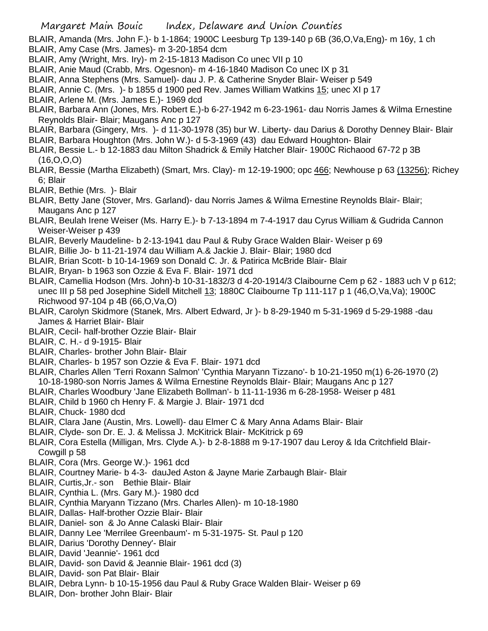BLAIR, Amanda (Mrs. John F.)- b 1-1864; 1900C Leesburg Tp 139-140 p 6B (36,O,Va,Eng)- m 16y, 1 ch BLAIR, Amy Case (Mrs. James)- m 3-20-1854 dcm

- BLAIR, Amy (Wright, Mrs. Iry)- m 2-15-1813 Madison Co unec VII p 10
- BLAIR, Anie Maud (Crabb, Mrs. Ogesnon)- m 4-16-1840 Madison Co unec IX p 31
- BLAIR, Anna Stephens (Mrs. Samuel)- dau J. P. & Catherine Snyder Blair- Weiser p 549
- BLAIR, Annie C. (Mrs. )- b 1855 d 1900 ped Rev. James William Watkins 15; unec XI p 17
- BLAIR, Arlene M. (Mrs. James E.)- 1969 dcd
- BLAIR, Barbara Ann (Jones, Mrs. Robert E.)-b 6-27-1942 m 6-23-1961- dau Norris James & Wilma Ernestine Reynolds Blair- Blair; Maugans Anc p 127
- BLAIR, Barbara (Gingery, Mrs. )- d 11-30-1978 (35) bur W. Liberty- dau Darius & Dorothy Denney Blair- Blair
- BLAIR, Barbara Houghton (Mrs. John W.)- d 5-3-1969 (43) dau Edward Houghton- Blair
- BLAIR, Bessie L.- b 12-1883 dau Milton Shadrick & Emily Hatcher Blair- 1900C Richaood 67-72 p 3B (16,O,O,O)
- BLAIR, Bessie (Martha Elizabeth) (Smart, Mrs. Clay)- m 12-19-1900; opc 466; Newhouse p 63 (13256); Richey 6; Blair
- BLAIR, Bethie (Mrs. )- Blair
- BLAIR, Betty Jane (Stover, Mrs. Garland)- dau Norris James & Wilma Ernestine Reynolds Blair- Blair; Maugans Anc p 127
- BLAIR, Beulah Irene Weiser (Ms. Harry E.)- b 7-13-1894 m 7-4-1917 dau Cyrus William & Gudrida Cannon Weiser-Weiser p 439
- BLAIR, Beverly Maudeline- b 2-13-1941 dau Paul & Ruby Grace Walden Blair- Weiser p 69
- BLAIR, Billie Jo- b 11-21-1974 dau William A.& Jackie J. Blair- Blair; 1980 dcd
- BLAIR, Brian Scott- b 10-14-1969 son Donald C. Jr. & Patirica McBride Blair- Blair
- BLAIR, Bryan- b 1963 son Ozzie & Eva F. Blair- 1971 dcd
- BLAIR, Camellia Hodson (Mrs. John)-b 10-31-1832/3 d 4-20-1914/3 Claibourne Cem p 62 1883 uch V p 612; unec III p 58 ped Josephine Sidell Mitchell 13; 1880C Claibourne Tp 111-117 p 1 (46,O,Va,Va); 1900C Richwood 97-104 p 4B (66,O,Va,O)
- BLAIR, Carolyn Skidmore (Stanek, Mrs. Albert Edward, Jr )- b 8-29-1940 m 5-31-1969 d 5-29-1988 -dau James & Harriet Blair- Blair
- BLAIR, Cecil- half-brother Ozzie Blair- Blair
- BLAIR, C. H.- d 9-1915- Blair
- BLAIR, Charles- brother John Blair- Blair
- BLAIR, Charles- b 1957 son Ozzie & Eva F. Blair- 1971 dcd
- BLAIR, Charles Allen 'Terri Roxann Salmon' 'Cynthia Maryann Tizzano'- b 10-21-1950 m(1) 6-26-1970 (2) 10-18-1980-son Norris James & Wilma Ernestine Reynolds Blair- Blair; Maugans Anc p 127
- BLAIR, Charles Woodbury 'Jane Elizabeth Bollman'- b 11-11-1936 m 6-28-1958- Weiser p 481
- BLAIR, Child b 1960 ch Henry F. & Margie J. Blair- 1971 dcd
- BLAIR, Chuck- 1980 dcd
- BLAIR, Clara Jane (Austin, Mrs. Lowell)- dau Elmer C & Mary Anna Adams Blair- Blair
- BLAIR, Clyde- son Dr. E. J. & Melissa J. McKitrick Blair- McKitrick p 69
- BLAIR, Cora Estella (Milligan, Mrs. Clyde A.)- b 2-8-1888 m 9-17-1907 dau Leroy & Ida Critchfield Blair-Cowgill p 58
- BLAIR, Cora (Mrs. George W.)- 1961 dcd
- BLAIR, Courtney Marie- b 4-3- dauJed Aston & Jayne Marie Zarbaugh Blair- Blair
- BLAIR, Curtis,Jr.- son Bethie Blair- Blair
- BLAIR, Cynthia L. (Mrs. Gary M.)- 1980 dcd
- BLAIR, Cynthia Maryann Tizzano (Mrs. Charles Allen)- m 10-18-1980
- BLAIR, Dallas- Half-brother Ozzie Blair- Blair
- BLAIR, Daniel- son & Jo Anne Calaski Blair- Blair
- BLAIR, Danny Lee 'Merrilee Greenbaum'- m 5-31-1975- St. Paul p 120
- BLAIR, Darius 'Dorothy Denney'- Blair
- BLAIR, David 'Jeannie'- 1961 dcd
- BLAIR, David- son David & Jeannie Blair- 1961 dcd (3)
- BLAIR, David- son Pat Blair- Blair
- BLAIR, Debra Lynn- b 10-15-1956 dau Paul & Ruby Grace Walden Blair- Weiser p 69
- BLAIR, Don- brother John Blair- Blair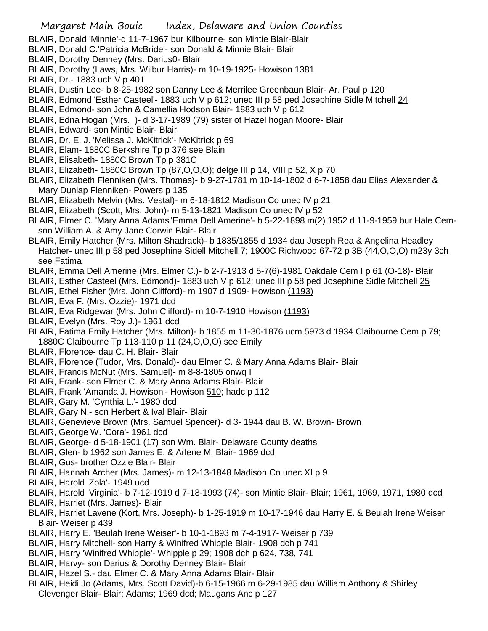- BLAIR, Donald 'Minnie'-d 11-7-1967 bur Kilbourne- son Mintie Blair-Blair
- BLAIR, Donald C.'Patricia McBride'- son Donald & Minnie Blair- Blair
- BLAIR, Dorothy Denney (Mrs. Darius0- Blair
- BLAIR, Dorothy (Laws, Mrs. Wilbur Harris)- m 10-19-1925- Howison 1381
- BLAIR, Dr.- 1883 uch V p 401
- BLAIR, Dustin Lee- b 8-25-1982 son Danny Lee & Merrilee Greenbaun Blair- Ar. Paul p 120
- BLAIR, Edmond 'Esther Casteel'- 1883 uch V p 612; unec III p 58 ped Josephine Sidle Mitchell 24
- BLAIR, Edmond- son John & Camellia Hodson Blair- 1883 uch V p 612
- BLAIR, Edna Hogan (Mrs. )- d 3-17-1989 (79) sister of Hazel hogan Moore- Blair
- BLAIR, Edward- son Mintie Blair- Blair
- BLAIR, Dr. E. J. 'Melissa J. McKitrick'- McKitrick p 69
- BLAIR, Elam- 1880C Berkshire Tp p 376 see Blain
- BLAIR, Elisabeth- 1880C Brown Tp p 381C
- BLAIR, Elizabeth- 1880C Brown Tp (87,O,O,O); delge III p 14, VIII p 52, X p 70
- BLAIR, Elizabeth Flenniken (Mrs. Thomas)- b 9-27-1781 m 10-14-1802 d 6-7-1858 dau Elias Alexander & Mary Dunlap Flenniken- Powers p 135
- BLAIR, Elizabeth Melvin (Mrs. Vestal)- m 6-18-1812 Madison Co unec IV p 21
- BLAIR, Elizabeth (Scott, Mrs. John)- m 5-13-1821 Madison Co unec IV p 52
- BLAIR, Elmer C. 'Mary Anna Adams''Emma Dell Amerine'- b 5-22-1898 m(2) 1952 d 11-9-1959 bur Hale Cemson William A. & Amy Jane Corwin Blair- Blair
- BLAIR, Emily Hatcher (Mrs. Milton Shadrack)- b 1835/1855 d 1934 dau Joseph Rea & Angelina Headley Hatcher- unec III p 58 ped Josephine Sidell Mitchell 7; 1900C Richwood 67-72 p 3B (44,O,O,O) m23y 3ch see Fatima
- BLAIR, Emma Dell Amerine (Mrs. Elmer C.)- b 2-7-1913 d 5-7(6)-1981 Oakdale Cem I p 61 (O-18)- Blair
- BLAIR, Esther Casteel (Mrs. Edmond)- 1883 uch V p 612; unec III p 58 ped Josephine Sidle Mitchell 25
- BLAIR, Ethel Fisher (Mrs. John Clifford)- m 1907 d 1909- Howison (1193)
- BLAIR, Eva F. (Mrs. Ozzie)- 1971 dcd
- BLAIR, Eva Ridgewar (Mrs. John Clifford)- m 10-7-1910 Howison (1193)
- BLAIR, Evelyn (Mrs. Roy J.)- 1961 dcd
- BLAIR, Fatima Emily Hatcher (Mrs. Milton)- b 1855 m 11-30-1876 ucm 5973 d 1934 Claibourne Cem p 79; 1880C Claibourne Tp 113-110 p 11 (24,O,O,O) see Emily
- BLAIR, Florence- dau C. H. Blair- Blair
- BLAIR, Florence (Tudor, Mrs. Donald)- dau Elmer C. & Mary Anna Adams Blair- Blair
- BLAIR, Francis McNut (Mrs. Samuel)- m 8-8-1805 onwq I
- BLAIR, Frank- son Elmer C. & Mary Anna Adams Blair- Blair
- BLAIR, Frank 'Amanda J. Howison'- Howison 510; hadc p 112
- BLAIR, Gary M. 'Cynthia L.'- 1980 dcd
- BLAIR, Gary N.- son Herbert & Ival Blair- Blair
- BLAIR, Genevieve Brown (Mrs. Samuel Spencer)- d 3- 1944 dau B. W. Brown- Brown
- BLAIR, George W. 'Cora'- 1961 dcd
- BLAIR, George- d 5-18-1901 (17) son Wm. Blair- Delaware County deaths
- BLAIR, Glen- b 1962 son James E. & Arlene M. Blair- 1969 dcd
- BLAIR, Gus- brother Ozzie Blair- Blair
- BLAIR, Hannah Archer (Mrs. James)- m 12-13-1848 Madison Co unec XI p 9
- BLAIR, Harold 'Zola'- 1949 ucd
- BLAIR, Harold 'Virginia'- b 7-12-1919 d 7-18-1993 (74)- son Mintie Blair- Blair; 1961, 1969, 1971, 1980 dcd
- BLAIR, Harriet (Mrs. James)- Blair
- BLAIR, Harriet Lavene (Kort, Mrs. Joseph)- b 1-25-1919 m 10-17-1946 dau Harry E. & Beulah Irene Weiser Blair- Weiser p 439
- BLAIR, Harry E. 'Beulah Irene Weiser'- b 10-1-1893 m 7-4-1917- Weiser p 739
- BLAIR, Harry Mitchell- son Harry & Winifred Whipple Blair- 1908 dch p 741
- BLAIR, Harry 'Winifred Whipple'- Whipple p 29; 1908 dch p 624, 738, 741
- BLAIR, Harvy- son Darius & Dorothy Denney Blair- Blair
- BLAIR, Hazel S.- dau Elmer C. & Mary Anna Adams Blair- Blair
- BLAIR, Heidi Jo (Adams, Mrs. Scott David)-b 6-15-1966 m 6-29-1985 dau William Anthony & Shirley Clevenger Blair- Blair; Adams; 1969 dcd; Maugans Anc p 127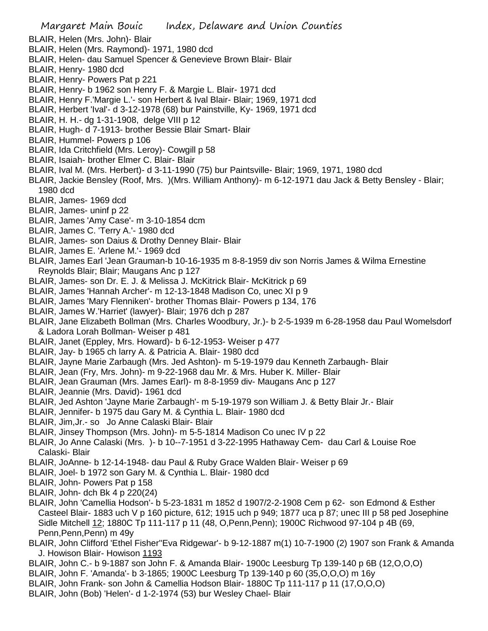- BLAIR, Helen (Mrs. John)- Blair
- BLAIR, Helen (Mrs. Raymond)- 1971, 1980 dcd
- BLAIR, Helen- dau Samuel Spencer & Genevieve Brown Blair- Blair
- BLAIR, Henry- 1980 dcd
- BLAIR, Henry- Powers Pat p 221
- BLAIR, Henry- b 1962 son Henry F. & Margie L. Blair- 1971 dcd
- BLAIR, Henry F.'Margie L.'- son Herbert & Ival Blair- Blair; 1969, 1971 dcd
- BLAIR, Herbert 'Ival'- d 3-12-1978 (68) bur Painstville, Ky- 1969, 1971 dcd
- BLAIR, H. H.- dg 1-31-1908, delge VIII p 12
- BLAIR, Hugh- d 7-1913- brother Bessie Blair Smart- Blair
- BLAIR, Hummel- Powers p 106
- BLAIR, Ida Critchfield (Mrs. Leroy)- Cowgill p 58
- BLAIR, Isaiah- brother Elmer C. Blair- Blair
- BLAIR, Ival M. (Mrs. Herbert)- d 3-11-1990 (75) bur Paintsville- Blair; 1969, 1971, 1980 dcd
- BLAIR, Jackie Bensley (Roof, Mrs. )(Mrs. William Anthony)- m 6-12-1971 dau Jack & Betty Bensley Blair; 1980 dcd
- BLAIR, James- 1969 dcd
- BLAIR, James- uninf p 22
- BLAIR, James 'Amy Case'- m 3-10-1854 dcm
- BLAIR, James C. 'Terry A.'- 1980 dcd
- BLAIR, James- son Daius & Drothy Denney Blair- Blair
- BLAIR, James E. 'Arlene M.'- 1969 dcd
- BLAIR, James Earl 'Jean Grauman-b 10-16-1935 m 8-8-1959 div son Norris James & Wilma Ernestine Reynolds Blair; Blair; Maugans Anc p 127
- BLAIR, James- son Dr. E. J. & Melissa J. McKitrick Blair- McKitrick p 69
- BLAIR, James 'Hannah Archer'- m 12-13-1848 Madison Co, unec XI p 9
- BLAIR, James 'Mary Flenniken'- brother Thomas Blair- Powers p 134, 176
- BLAIR, James W.'Harriet' (lawyer)- Blair; 1976 dch p 287
- BLAIR, Jane Elizabeth Bollman (Mrs. Charles Woodbury, Jr.)- b 2-5-1939 m 6-28-1958 dau Paul Womelsdorf & Ladora Lorah Bollman- Weiser p 481
- BLAIR, Janet (Eppley, Mrs. Howard)- b 6-12-1953- Weiser p 477
- BLAIR, Jay- b 1965 ch larry A. & Patricia A. Blair- 1980 dcd
- BLAIR, Jayne Marie Zarbaugh (Mrs. Jed Ashton)- m 5-19-1979 dau Kenneth Zarbaugh- Blair
- BLAIR, Jean (Fry, Mrs. John)- m 9-22-1968 dau Mr. & Mrs. Huber K. Miller- Blair
- BLAIR, Jean Grauman (Mrs. James Earl)- m 8-8-1959 div- Maugans Anc p 127
- BLAIR, Jeannie (Mrs. David)- 1961 dcd
- BLAIR, Jed Ashton 'Jayne Marie Zarbaugh'- m 5-19-1979 son William J. & Betty Blair Jr.- Blair
- BLAIR, Jennifer- b 1975 dau Gary M. & Cynthia L. Blair- 1980 dcd
- BLAIR, Jim,Jr.- so Jo Anne Calaski Blair- Blair
- BLAIR, Jinsey Thompson (Mrs. John)- m 5-5-1814 Madison Co unec IV p 22
- BLAIR, Jo Anne Calaski (Mrs. )- b 10--7-1951 d 3-22-1995 Hathaway Cem- dau Carl & Louise Roe Calaski- Blair
- BLAIR, JoAnne- b 12-14-1948- dau Paul & Ruby Grace Walden Blair- Weiser p 69
- BLAIR, Joel- b 1972 son Gary M. & Cynthia L. Blair- 1980 dcd
- BLAIR, John- Powers Pat p 158
- BLAIR, John- dch Bk 4 p 220(24)
- BLAIR, John 'Camellia Hodson'- b 5-23-1831 m 1852 d 1907/2-2-1908 Cem p 62- son Edmond & Esther Casteel Blair- 1883 uch V p 160 picture, 612; 1915 uch p 949; 1877 uca p 87; unec III p 58 ped Josephine Sidle Mitchell 12; 1880C Tp 111-117 p 11 (48, O,Penn,Penn); 1900C Richwood 97-104 p 4B (69, Penn,Penn,Penn) m 49y
- BLAIR, John Clifford 'Ethel Fisher''Eva Ridgewar'- b 9-12-1887 m(1) 10-7-1900 (2) 1907 son Frank & Amanda J. Howison Blair- Howison 1193
- BLAIR, John C.- b 9-1887 son John F. & Amanda Blair- 1900c Leesburg Tp 139-140 p 6B (12,O,O,O)
- BLAIR, John F. 'Amanda'- b 3-1865; 1900C Leesburg Tp 139-140 p 60 (35,O,O,O) m 16y
- BLAIR, John Frank- son John & Camellia Hodson Blair- 1880C Tp 111-117 p 11 (17,O,O,O)
- BLAIR, John (Bob) 'Helen'- d 1-2-1974 (53) bur Wesley Chael- Blair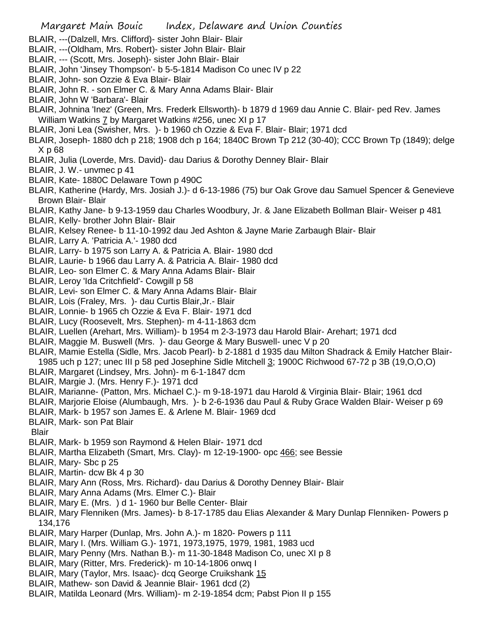- BLAIR, ---(Dalzell, Mrs. Clifford)- sister John Blair- Blair
- BLAIR, ---(Oldham, Mrs. Robert)- sister John Blair- Blair
- BLAIR, --- (Scott, Mrs. Joseph)- sister John Blair- Blair
- BLAIR, John 'Jinsey Thompson'- b 5-5-1814 Madison Co unec IV p 22
- BLAIR, John- son Ozzie & Eva Blair- Blair
- BLAIR, John R. son Elmer C. & Mary Anna Adams Blair- Blair
- BLAIR, John W 'Barbara'- Blair
- BLAIR, Johnina 'Inez' (Green, Mrs. Frederk Ellsworth)- b 1879 d 1969 dau Annie C. Blair- ped Rev. James William Watkins 7 by Margaret Watkins #256, unec XI p 17
- BLAIR, Joni Lea (Swisher, Mrs. )- b 1960 ch Ozzie & Eva F. Blair- Blair; 1971 dcd
- BLAIR, Joseph- 1880 dch p 218; 1908 dch p 164; 1840C Brown Tp 212 (30-40); CCC Brown Tp (1849); delge X p 68
- BLAIR, Julia (Loverde, Mrs. David)- dau Darius & Dorothy Denney Blair- Blair
- BLAIR, J. W.- unvmec p 41
- BLAIR, Kate- 1880C Delaware Town p 490C
- BLAIR, Katherine (Hardy, Mrs. Josiah J.)- d 6-13-1986 (75) bur Oak Grove dau Samuel Spencer & Genevieve Brown Blair- Blair
- BLAIR, Kathy Jane- b 9-13-1959 dau Charles Woodbury, Jr. & Jane Elizabeth Bollman Blair- Weiser p 481
- BLAIR, Kelly- brother John Blair- Blair
- BLAIR, Kelsey Renee- b 11-10-1992 dau Jed Ashton & Jayne Marie Zarbaugh Blair- Blair
- BLAIR, Larry A. 'Patricia A.'- 1980 dcd
- BLAIR, Larry- b 1975 son Larry A. & Patricia A. Blair- 1980 dcd
- BLAIR, Laurie- b 1966 dau Larry A. & Patricia A. Blair- 1980 dcd
- BLAIR, Leo- son Elmer C. & Mary Anna Adams Blair- Blair
- BLAIR, Leroy 'Ida Critchfield'- Cowgill p 58
- BLAIR, Levi- son Elmer C. & Mary Anna Adams Blair- Blair
- BLAIR, Lois (Fraley, Mrs. )- dau Curtis Blair,Jr.- Blair
- BLAIR, Lonnie- b 1965 ch Ozzie & Eva F. Blair- 1971 dcd
- BLAIR, Lucy (Roosevelt, Mrs. Stephen)- m 4-11-1863 dcm
- BLAIR, Luellen (Arehart, Mrs. William)- b 1954 m 2-3-1973 dau Harold Blair- Arehart; 1971 dcd
- BLAIR, Maggie M. Buswell (Mrs. )- dau George & Mary Buswell- unec V p 20
- BLAIR, Mamie Estella (Sidle, Mrs. Jacob Pearl)- b 2-1881 d 1935 dau Milton Shadrack & Emily Hatcher Blair-1985 uch p 127; unec III p 58 ped Josephine Sidle Mitchell 3; 1900C Richwood 67-72 p 3B (19,O,O,O)
- BLAIR, Margaret (Lindsey, Mrs. John)- m 6-1-1847 dcm
- BLAIR, Margie J. (Mrs. Henry F.)- 1971 dcd
- BLAIR, Marianne- (Patton, Mrs. Michael C.)- m 9-18-1971 dau Harold & Virginia Blair- Blair; 1961 dcd
- BLAIR, Marjorie Eloise (Alumbaugh, Mrs. )- b 2-6-1936 dau Paul & Ruby Grace Walden Blair- Weiser p 69
- BLAIR, Mark- b 1957 son James E. & Arlene M. Blair- 1969 dcd
- BLAIR, Mark- son Pat Blair
- Blair
- BLAIR, Mark- b 1959 son Raymond & Helen Blair- 1971 dcd
- BLAIR, Martha Elizabeth (Smart, Mrs. Clay)- m 12-19-1900- opc 466; see Bessie
- BLAIR, Mary- Sbc p 25
- BLAIR, Martin- dcw Bk 4 p 30
- BLAIR, Mary Ann (Ross, Mrs. Richard)- dau Darius & Dorothy Denney Blair- Blair
- BLAIR, Mary Anna Adams (Mrs. Elmer C.)- Blair
- BLAIR, Mary E. (Mrs. ) d 1- 1960 bur Belle Center- Blair
- BLAIR, Mary Flenniken (Mrs. James)- b 8-17-1785 dau Elias Alexander & Mary Dunlap Flenniken- Powers p 134,176
- BLAIR, Mary Harper (Dunlap, Mrs. John A.)- m 1820- Powers p 111
- BLAIR, Mary I. (Mrs. William G.)- 1971, 1973,1975, 1979, 1981, 1983 ucd
- BLAIR, Mary Penny (Mrs. Nathan B.)- m 11-30-1848 Madison Co, unec XI p 8
- BLAIR, Mary (Ritter, Mrs. Frederick)- m 10-14-1806 onwq I
- BLAIR, Mary (Taylor, Mrs. Isaac)- dcq George Cruikshank 15
- BLAIR, Mathew- son David & Jeannie Blair- 1961 dcd (2)
- BLAIR, Matilda Leonard (Mrs. William)- m 2-19-1854 dcm; Pabst Pion II p 155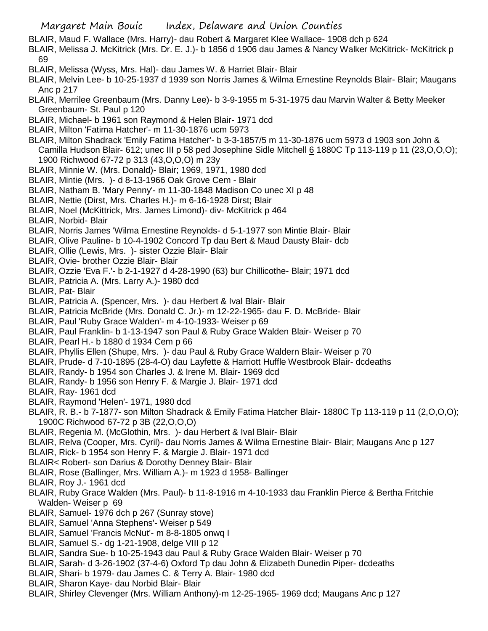- BLAIR, Maud F. Wallace (Mrs. Harry)- dau Robert & Margaret Klee Wallace- 1908 dch p 624
- BLAIR, Melissa J. McKitrick (Mrs. Dr. E. J.)- b 1856 d 1906 dau James & Nancy Walker McKitrick- McKitrick p 69
- BLAIR, Melissa (Wyss, Mrs. Hal)- dau James W. & Harriet Blair- Blair
- BLAIR, Melvin Lee- b 10-25-1937 d 1939 son Norris James & Wilma Ernestine Reynolds Blair- Blair; Maugans Anc p 217
- BLAIR, Merrilee Greenbaum (Mrs. Danny Lee)- b 3-9-1955 m 5-31-1975 dau Marvin Walter & Betty Meeker Greenbaum- St. Paul p 120
- BLAIR, Michael- b 1961 son Raymond & Helen Blair- 1971 dcd
- BLAIR, Milton 'Fatima Hatcher'- m 11-30-1876 ucm 5973
- BLAIR, Milton Shadrack 'Emily Fatima Hatcher'- b 3-3-1857/5 m 11-30-1876 ucm 5973 d 1903 son John & Camilla Hudson Blair- 612; unec III p 58 ped Josephine Sidle Mitchell 6 1880C Tp 113-119 p 11 (23,O,O,O); 1900 Richwood 67-72 p 313 (43,O,O,O) m 23y
- BLAIR, Minnie W. (Mrs. Donald)- Blair; 1969, 1971, 1980 dcd
- BLAIR, Mintie (Mrs. )- d 8-13-1966 Oak Grove Cem Blair
- BLAIR, Natham B. 'Mary Penny'- m 11-30-1848 Madison Co unec XI p 48
- BLAIR, Nettie (Dirst, Mrs. Charles H.)- m 6-16-1928 Dirst; Blair
- BLAIR, Noel (McKittrick, Mrs. James Limond)- div- McKitrick p 464
- BLAIR, Norbid- Blair
- BLAIR, Norris James 'Wilma Ernestine Reynolds- d 5-1-1977 son Mintie Blair- Blair
- BLAIR, Olive Pauline- b 10-4-1902 Concord Tp dau Bert & Maud Dausty Blair- dcb
- BLAIR, Ollie (Lewis, Mrs. )- sister Ozzie Blair- Blair
- BLAIR, Ovie- brother Ozzie Blair- Blair
- BLAIR, Ozzie 'Eva F.'- b 2-1-1927 d 4-28-1990 (63) bur Chillicothe- Blair; 1971 dcd
- BLAIR, Patricia A. (Mrs. Larry A.)- 1980 dcd
- BLAIR, Pat- Blair
- BLAIR, Patricia A. (Spencer, Mrs. )- dau Herbert & Ival Blair- Blair
- BLAIR, Patricia McBride (Mrs. Donald C. Jr.)- m 12-22-1965- dau F. D. McBride- Blair
- BLAIR, Paul 'Ruby Grace Walden'- m 4-10-1933- Weiser p 69
- BLAIR, Paul Franklin- b 1-13-1947 son Paul & Ruby Grace Walden Blair- Weiser p 70
- BLAIR, Pearl H.- b 1880 d 1934 Cem p 66
- BLAIR, Phyllis Ellen (Shupe, Mrs. )- dau Paul & Ruby Grace Waldern Blair- Weiser p 70
- BLAIR, Prude- d 7-10-1895 (28-4-O) dau Layfette & Harriott Huffle Westbrook Blair- dcdeaths
- BLAIR, Randy- b 1954 son Charles J. & Irene M. Blair- 1969 dcd
- BLAIR, Randy- b 1956 son Henry F. & Margie J. Blair- 1971 dcd
- BLAIR, Ray- 1961 dcd
- BLAIR, Raymond 'Helen'- 1971, 1980 dcd
- BLAIR, R. B.- b 7-1877- son Milton Shadrack & Emily Fatima Hatcher Blair- 1880C Tp 113-119 p 11 (2,O,O,O); 1900C Richwood 67-72 p 3B (22,O,O,O)
- BLAIR, Regenia M. (McGlothin, Mrs. )- dau Herbert & Ival Blair- Blair
- BLAIR, Relva (Cooper, Mrs. Cyril)- dau Norris James & Wilma Ernestine Blair- Blair; Maugans Anc p 127
- BLAIR, Rick- b 1954 son Henry F. & Margie J. Blair- 1971 dcd
- BLAIR< Robert- son Darius & Dorothy Denney Blair- Blair
- BLAIR, Rose (Ballinger, Mrs. William A.)- m 1923 d 1958- Ballinger
- BLAIR, Roy J.- 1961 dcd
- BLAIR, Ruby Grace Walden (Mrs. Paul)- b 11-8-1916 m 4-10-1933 dau Franklin Pierce & Bertha Fritchie Walden- Weiser p 69
- BLAIR, Samuel- 1976 dch p 267 (Sunray stove)
- BLAIR, Samuel 'Anna Stephens'- Weiser p 549
- BLAIR, Samuel 'Francis McNut'- m 8-8-1805 onwq I
- BLAIR, Samuel S.- dg 1-21-1908, delge VIII p 12
- BLAIR, Sandra Sue- b 10-25-1943 dau Paul & Ruby Grace Walden Blair- Weiser p 70
- BLAIR, Sarah- d 3-26-1902 (37-4-6) Oxford Tp dau John & Elizabeth Dunedin Piper- dcdeaths
- BLAIR, Shari- b 1979- dau James C. & Terry A. Blair- 1980 dcd
- BLAIR, Sharon Kaye- dau Norbid Blair- Blair
- BLAIR, Shirley Clevenger (Mrs. William Anthony)-m 12-25-1965- 1969 dcd; Maugans Anc p 127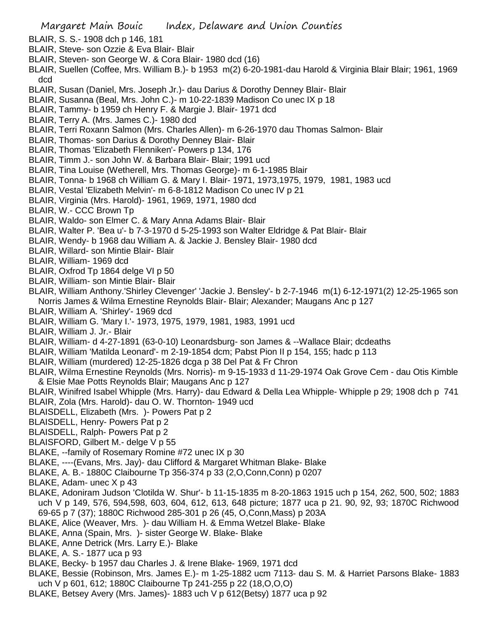- BLAIR, S. S.- 1908 dch p 146, 181
- BLAIR, Steve- son Ozzie & Eva Blair- Blair
- BLAIR, Steven- son George W. & Cora Blair- 1980 dcd (16)
- BLAIR, Suellen (Coffee, Mrs. William B.)- b 1953 m(2) 6-20-1981-dau Harold & Virginia Blair Blair; 1961, 1969 dcd
- BLAIR, Susan (Daniel, Mrs. Joseph Jr.)- dau Darius & Dorothy Denney Blair- Blair
- BLAIR, Susanna (Beal, Mrs. John C.)- m 10-22-1839 Madison Co unec IX p 18
- BLAIR, Tammy- b 1959 ch Henry F. & Margie J. Blair- 1971 dcd
- BLAIR, Terry A. (Mrs. James C.)- 1980 dcd
- BLAIR, Terri Roxann Salmon (Mrs. Charles Allen)- m 6-26-1970 dau Thomas Salmon- Blair
- BLAIR, Thomas- son Darius & Dorothy Denney Blair- Blair
- BLAIR, Thomas 'Elizabeth Flenniken'- Powers p 134, 176
- BLAIR, Timm J.- son John W. & Barbara Blair- Blair; 1991 ucd
- BLAIR, Tina Louise (Wetherell, Mrs. Thomas George)- m 6-1-1985 Blair
- BLAIR, Tonna- b 1968 ch William G. & Mary I. Blair- 1971, 1973,1975, 1979, 1981, 1983 ucd
- BLAIR, Vestal 'Elizabeth Melvin'- m 6-8-1812 Madison Co unec IV p 21
- BLAIR, Virginia (Mrs. Harold)- 1961, 1969, 1971, 1980 dcd
- BLAIR, W.- CCC Brown Tp
- BLAIR, Waldo- son Elmer C. & Mary Anna Adams Blair- Blair
- BLAIR, Walter P. 'Bea u'- b 7-3-1970 d 5-25-1993 son Walter Eldridge & Pat Blair- Blair
- BLAIR, Wendy- b 1968 dau William A. & Jackie J. Bensley Blair- 1980 dcd
- BLAIR, Willard- son Mintie Blair- Blair
- BLAIR, William- 1969 dcd
- BLAIR, Oxfrod Tp 1864 delge VI p 50
- BLAIR, William- son Mintie Blair- Blair
- BLAIR, William Anthony.'Shirley Clevenger' 'Jackie J. Bensley'- b 2-7-1946 m(1) 6-12-1971(2) 12-25-1965 son Norris James & Wilma Ernestine Reynolds Blair- Blair; Alexander; Maugans Anc p 127
- BLAIR, William A. 'Shirley'- 1969 dcd
- BLAIR, William G. 'Mary I.'- 1973, 1975, 1979, 1981, 1983, 1991 ucd
- BLAIR, William J. Jr.- Blair
- BLAIR, William- d 4-27-1891 (63-0-10) Leonardsburg- son James & --Wallace Blair; dcdeaths
- BLAIR, William 'Matilda Leonard'- m 2-19-1854 dcm; Pabst Pion II p 154, 155; hadc p 113
- BLAIR, William (murdered) 12-25-1826 dcga p 38 Del Pat & Fr Chron
- BLAIR, Wilma Ernestine Reynolds (Mrs. Norris)- m 9-15-1933 d 11-29-1974 Oak Grove Cem dau Otis Kimble & Elsie Mae Potts Reynolds Blair; Maugans Anc p 127
- BLAIR, Winifred Isabel Whipple (Mrs. Harry)- dau Edward & Della Lea Whipple- Whipple p 29; 1908 dch p 741 BLAIR, Zola (Mrs. Harold)- dau O. W. Thornton- 1949 ucd
- BLAISDELL, Elizabeth (Mrs. )- Powers Pat p 2
- BLAISDELL, Henry- Powers Pat p 2
- BLAISDELL, Ralph- Powers Pat p 2
- BLAISFORD, Gilbert M.- delge V p 55
- BLAKE, --family of Rosemary Romine #72 unec IX p 30
- BLAKE, ----(Evans, Mrs. Jay)- dau Clifford & Margaret Whitman Blake- Blake
- BLAKE, A. B.- 1880C Claibourne Tp 356-374 p 33 (2,O,Conn,Conn) p 0207
- BLAKE, Adam- unec X p 43
- BLAKE, Adoniram Judson 'Clotilda W. Shur'- b 11-15-1835 m 8-20-1863 1915 uch p 154, 262, 500, 502; 1883 uch V p 149, 576, 594,598, 603, 604, 612, 613, 648 picture; 1877 uca p 21. 90, 92, 93; 1870C Richwood 69-65 p 7 (37); 1880C Richwood 285-301 p 26 (45, O,Conn,Mass) p 203A
- BLAKE, Alice (Weaver, Mrs. )- dau William H. & Emma Wetzel Blake- Blake
- BLAKE, Anna (Spain, Mrs. )- sister George W. Blake- Blake
- BLAKE, Anne Detrick (Mrs. Larry E.)- Blake
- BLAKE, A. S.- 1877 uca p 93
- BLAKE, Becky- b 1957 dau Charles J. & Irene Blake- 1969, 1971 dcd
- BLAKE, Bessie (Robinson, Mrs. James E.)- m 1-25-1882 ucm 7113- dau S. M. & Harriet Parsons Blake- 1883 uch V p 601, 612; 1880C Claibourne Tp 241-255 p 22 (18,O,O,O)
- BLAKE, Betsey Avery (Mrs. James)- 1883 uch V p 612(Betsy) 1877 uca p 92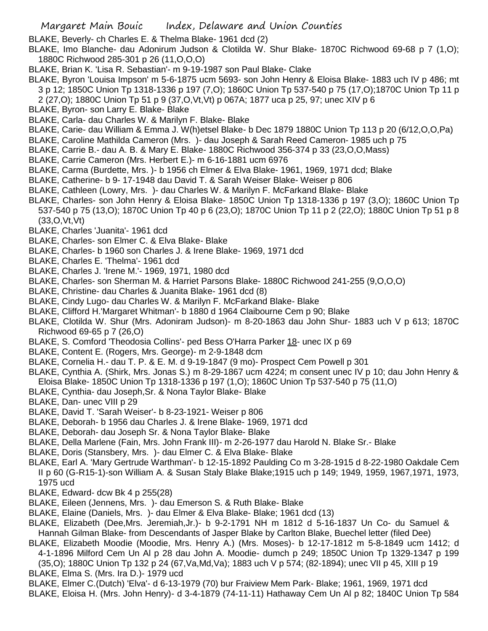BLAKE, Beverly- ch Charles E. & Thelma Blake- 1961 dcd (2)

- BLAKE, Imo Blanche- dau Adonirum Judson & Clotilda W. Shur Blake- 1870C Richwood 69-68 p 7 (1,O); 1880C Richwood 285-301 p 26 (11,O,O,O)
- BLAKE, Brian K. 'Lisa R. Sebastian'- m 9-19-1987 son Paul Blake- Clake
- BLAKE, Byron 'Louisa Impson' m 5-6-1875 ucm 5693- son John Henry & Eloisa Blake- 1883 uch IV p 486; mt 3 p 12; 1850C Union Tp 1318-1336 p 197 (7,O); 1860C Union Tp 537-540 p 75 (17,O);1870C Union Tp 11 p
- 2 (27,O); 1880C Union Tp 51 p 9 (37,O,Vt,Vt) p 067A; 1877 uca p 25, 97; unec XIV p 6
- BLAKE, Byron- son Larry E. Blake- Blake
- BLAKE, Carla- dau Charles W. & Marilyn F. Blake- Blake
- BLAKE, Carie- dau William & Emma J. W(h)etsel Blake- b Dec 1879 1880C Union Tp 113 p 20 (6/12,O,O,Pa)
- BLAKE, Caroline Mathilda Cameron (Mrs. )- dau Joseph & Sarah Reed Cameron- 1985 uch p 75
- BLAKE, Carrie B.- dau A. B. & Mary E. Blake- 1880C Richwood 356-374 p 33 (23,O,O,Mass)
- BLAKE, Carrie Cameron (Mrs. Herbert E.)- m 6-16-1881 ucm 6976
- BLAKE, Carma (Burdette, Mrs. )- b 1956 ch Elmer & Elva Blake- 1961, 1969, 1971 dcd; Blake
- BLAKE, Catherine- b 9- 17-1948 dau David T. & Sarah Weiser Blake- Weiser p 806
- BLAKE, Cathleen (Lowry, Mrs. )- dau Charles W. & Marilyn F. McFarkand Blake- Blake
- BLAKE, Charles- son John Henry & Eloisa Blake- 1850C Union Tp 1318-1336 p 197 (3,O); 1860C Union Tp 537-540 p 75 (13,O); 1870C Union Tp 40 p 6 (23,O); 1870C Union Tp 11 p 2 (22,O); 1880C Union Tp 51 p 8 (33,O,Vt,Vt)
- BLAKE, Charles 'Juanita'- 1961 dcd
- BLAKE, Charles- son Elmer C. & Elva Blake- Blake
- BLAKE, Charles- b 1960 son Charles J. & Irene Blake- 1969, 1971 dcd
- BLAKE, Charles E. 'Thelma'- 1961 dcd
- BLAKE, Charles J. 'Irene M.'- 1969, 1971, 1980 dcd
- BLAKE, Charles- son Sherman M. & Harriet Parsons Blake- 1880C Richwood 241-255 (9,O,O,O)
- BLAKE, Christine- dau Charles & Juanita Blake- 1961 dcd (8)
- BLAKE, Cindy Lugo- dau Charles W. & Marilyn F. McFarkand Blake- Blake
- BLAKE, Clifford H.'Margaret Whitman'- b 1880 d 1964 Claibourne Cem p 90; Blake
- BLAKE, Clotilda W. Shur (Mrs. Adoniram Judson)- m 8-20-1863 dau John Shur- 1883 uch V p 613; 1870C Richwood 69-65 p 7 (26,O)
- BLAKE, S. Comford 'Theodosia Collins'- ped Bess O'Harra Parker 18- unec IX p 69
- BLAKE, Content E. (Rogers, Mrs. George)- m 2-9-1848 dcm
- BLAKE, Cornelia H.- dau T. P. & E. M. d 9-19-1847 (9 mo)- Prospect Cem Powell p 301
- BLAKE, Cynthia A. (Shirk, Mrs. Jonas S.) m 8-29-1867 ucm 4224; m consent unec IV p 10; dau John Henry & Eloisa Blake- 1850C Union Tp 1318-1336 p 197 (1,O); 1860C Union Tp 537-540 p 75 (11,O)
- BLAKE, Cynthia- dau Joseph,Sr. & Nona Taylor Blake- Blake
- BLAKE, Dan- unec VIII p 29
- BLAKE, David T. 'Sarah Weiser'- b 8-23-1921- Weiser p 806
- BLAKE, Deborah- b 1956 dau Charles J. & Irene Blake- 1969, 1971 dcd
- BLAKE, Deborah- dau Joseph Sr. & Nona Taylor Blake- Blake
- BLAKE, Della Marlene (Fain, Mrs. John Frank III)- m 2-26-1977 dau Harold N. Blake Sr.- Blake
- BLAKE, Doris (Stansbery, Mrs. )- dau Elmer C. & Elva Blake- Blake
- BLAKE, Earl A. 'Mary Gertrude Warthman'- b 12-15-1892 Paulding Co m 3-28-1915 d 8-22-1980 Oakdale Cem II p 60 (G-R15-1)-son William A. & Susan Staly Blake Blake;1915 uch p 149; 1949, 1959, 1967,1971, 1973, 1975 ucd
- BLAKE, Edward- dcw Bk 4 p 255(28)
- BLAKE, Eileen (Jennens, Mrs. )- dau Emerson S. & Ruth Blake- Blake
- BLAKE, Elaine (Daniels, Mrs. )- dau Elmer & Elva Blake- Blake; 1961 dcd (13)
- BLAKE, Elizabeth (Dee,Mrs. Jeremiah,Jr.)- b 9-2-1791 NH m 1812 d 5-16-1837 Un Co- du Samuel & Hannah Gilman Blake- from Descendants of Jasper Blake by Carlton Blake, Buechel letter (filed Dee)
- BLAKE, Elizabeth Moodie (Moodie, Mrs. Henry A.) (Mrs. Moses)- b 12-17-1812 m 5-8-1849 ucm 1412; d
- 4-1-1896 Milford Cem Un Al p 28 dau John A. Moodie- dumch p 249; 1850C Union Tp 1329-1347 p 199 (35,O); 1880C Union Tp 132 p 24 (67,Va,Md,Va); 1883 uch V p 574; (82-1894); unec VII p 45, XIII p 19
- BLAKE, Elma S. (Mrs. Ira D.)- 1979 ucd
- BLAKE, Elmer C.(Dutch) 'Elva'- d 6-13-1979 (70) bur Fraiview Mem Park- Blake; 1961, 1969, 1971 dcd
- BLAKE, Eloisa H. (Mrs. John Henry)- d 3-4-1879 (74-11-11) Hathaway Cem Un Al p 82; 1840C Union Tp 584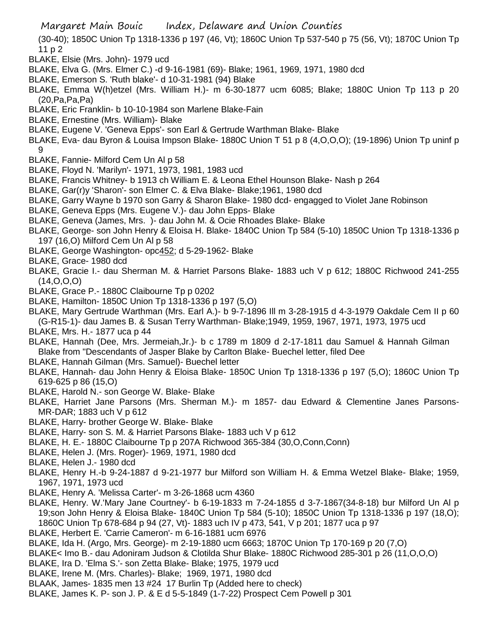Margaret Main Bouic Index, Delaware and Union Counties

(30-40); 1850C Union Tp 1318-1336 p 197 (46, Vt); 1860C Union Tp 537-540 p 75 (56, Vt); 1870C Union Tp 11 p 2

- BLAKE, Elsie (Mrs. John)- 1979 ucd
- BLAKE, Elva G. (Mrs. Elmer C.) -d 9-16-1981 (69)- Blake; 1961, 1969, 1971, 1980 dcd
- BLAKE, Emerson S. 'Ruth blake'- d 10-31-1981 (94) Blake
- BLAKE, Emma W(h)etzel (Mrs. William H.)- m 6-30-1877 ucm 6085; Blake; 1880C Union Tp 113 p 20 (20,Pa,Pa,Pa)
- BLAKE, Eric Franklin- b 10-10-1984 son Marlene Blake-Fain
- BLAKE, Ernestine (Mrs. William)- Blake
- BLAKE, Eugene V. 'Geneva Epps'- son Earl & Gertrude Warthman Blake- Blake
- BLAKE, Eva- dau Byron & Louisa Impson Blake- 1880C Union T 51 p 8 (4,O,O,O); (19-1896) Union Tp uninf p  $\mathsf{Q}$
- BLAKE, Fannie- Milford Cem Un Al p 58
- BLAKE, Floyd N. 'Marilyn'- 1971, 1973, 1981, 1983 ucd
- BLAKE, Francis Whitney- b 1913 ch William E. & Leona Ethel Hounson Blake- Nash p 264
- BLAKE, Gar(r)y 'Sharon'- son Elmer C. & Elva Blake- Blake;1961, 1980 dcd
- BLAKE, Garry Wayne b 1970 son Garry & Sharon Blake- 1980 dcd- engagged to Violet Jane Robinson
- BLAKE, Geneva Epps (Mrs. Eugene V.)- dau John Epps- Blake
- BLAKE, Geneva (James, Mrs. )- dau John M. & Ocie Rhoades Blake- Blake
- BLAKE, George- son John Henry & Eloisa H. Blake- 1840C Union Tp 584 (5-10) 1850C Union Tp 1318-1336 p 197 (16,O) Milford Cem Un Al p 58
- BLAKE, George Washington- opc452; d 5-29-1962- Blake
- BLAKE, Grace- 1980 dcd
- BLAKE, Gracie I.- dau Sherman M. & Harriet Parsons Blake- 1883 uch V p 612; 1880C Richwood 241-255 (14,O,O,O)
- BLAKE, Grace P.- 1880C Claibourne Tp p 0202
- BLAKE, Hamilton- 1850C Union Tp 1318-1336 p 197 (5,O)
- BLAKE, Mary Gertrude Warthman (Mrs. Earl A.)- b 9-7-1896 Ill m 3-28-1915 d 4-3-1979 Oakdale Cem II p 60 (G-R15-1)- dau James B. & Susan Terry Warthman- Blake;1949, 1959, 1967, 1971, 1973, 1975 ucd
- BLAKE, Mrs. H.- 1877 uca p 44
- BLAKE, Hannah (Dee, Mrs. Jermeiah,Jr.)- b c 1789 m 1809 d 2-17-1811 dau Samuel & Hannah Gilman Blake from "Descendants of Jasper Blake by Carlton Blake- Buechel letter, filed Dee
- BLAKE, Hannah Gilman (Mrs. Samuel)- Buechel letter
- BLAKE, Hannah- dau John Henry & Eloisa Blake- 1850C Union Tp 1318-1336 p 197 (5,O); 1860C Union Tp 619-625 p 86 (15,O)
- BLAKE, Harold N.- son George W. Blake- Blake
- BLAKE, Harriet Jane Parsons (Mrs. Sherman M.)- m 1857- dau Edward & Clementine Janes Parsons-MR-DAR; 1883 uch V p 612
- BLAKE, Harry- brother George W. Blake- Blake
- BLAKE, Harry- son S. M. & Harriet Parsons Blake- 1883 uch V p 612
- BLAKE, H. E.- 1880C Claibourne Tp p 207A Richwood 365-384 (30,O,Conn,Conn)
- BLAKE, Helen J. (Mrs. Roger)- 1969, 1971, 1980 dcd
- BLAKE, Helen J.- 1980 dcd
- BLAKE, Henry H.-b 9-24-1887 d 9-21-1977 bur Milford son William H. & Emma Wetzel Blake- Blake; 1959, 1967, 1971, 1973 ucd
- BLAKE, Henry A. 'Melissa Carter'- m 3-26-1868 ucm 4360
- BLAKE, Henry. W.'Mary Jane Courtney'- b 6-19-1833 m 7-24-1855 d 3-7-1867(34-8-18) bur Milford Un Al p 19;son John Henry & Eloisa Blake- 1840C Union Tp 584 (5-10); 1850C Union Tp 1318-1336 p 197 (18,O); 1860C Union Tp 678-684 p 94 (27, Vt)- 1883 uch IV p 473, 541, V p 201; 1877 uca p 97
- BLAKE, Herbert E. 'Carrie Cameron'- m 6-16-1881 ucm 6976
- BLAKE, Ida H. (Argo, Mrs. George)- m 2-19-1880 ucm 6663; 1870C Union Tp 170-169 p 20 (7,O)
- BLAKE< Imo B.- dau Adoniram Judson & Clotilda Shur Blake- 1880C Richwood 285-301 p 26 (11,O,O,O)
- BLAKE, Ira D. 'Elma S.'- son Zetta Blake- Blake; 1975, 1979 ucd
- BLAKE, Irene M. (Mrs. Charles)- Blake; 1969, 1971, 1980 dcd
- BLAAK, James- 1835 men 13 #24 17 Burlin Tp (Added here to check)
- BLAKE, James K. P- son J. P. & E d 5-5-1849 (1-7-22) Prospect Cem Powell p 301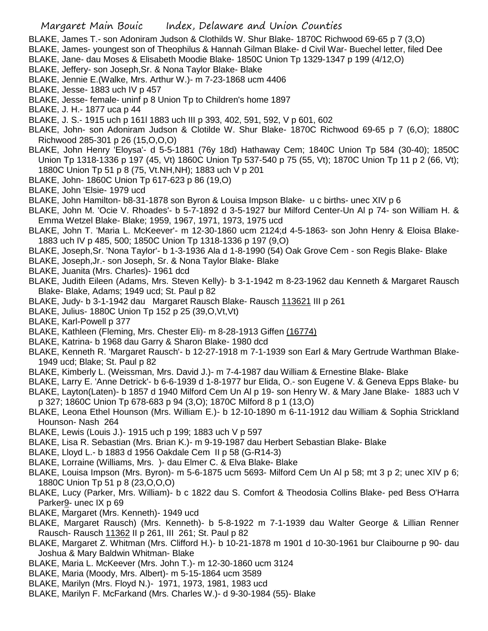- BLAKE, James T.- son Adoniram Judson & Clothilds W. Shur Blake- 1870C Richwood 69-65 p 7 (3,O)
- BLAKE, James- youngest son of Theophilus & Hannah Gilman Blake- d Civil War- Buechel letter, filed Dee
- BLAKE, Jane- dau Moses & Elisabeth Moodie Blake- 1850C Union Tp 1329-1347 p 199 (4/12,O)
- BLAKE, Jeffery- son Joseph,Sr. & Nona Taylor Blake- Blake
- BLAKE, Jennie E.(Walke, Mrs. Arthur W.)- m 7-23-1868 ucm 4406
- BLAKE, Jesse- 1883 uch IV p 457
- BLAKE, Jesse- female- uninf p 8 Union Tp to Children's home 1897
- BLAKE, J. H.- 1877 uca p 44
- BLAKE, J. S.- 1915 uch p 161l 1883 uch III p 393, 402, 591, 592, V p 601, 602
- BLAKE, John- son Adoniram Judson & Clotilde W. Shur Blake- 1870C Richwood 69-65 p 7 (6,O); 1880C Richwood 285-301 p 26 (15,O,O,O)
- BLAKE, John Henry 'Eloysa'- d 5-5-1881 (76y 18d) Hathaway Cem; 1840C Union Tp 584 (30-40); 1850C Union Tp 1318-1336 p 197 (45, Vt) 1860C Union Tp 537-540 p 75 (55, Vt); 1870C Union Tp 11 p 2 (66, Vt); 1880C Union Tp 51 p 8 (75, Vt.NH,NH); 1883 uch V p 201
- BLAKE, John- 1860C Union Tp 617-623 p 86 (19,O)
- BLAKE, John 'Elsie- 1979 ucd
- BLAKE, John Hamilton- b8-31-1878 son Byron & Louisa Impson Blake- u c births- unec XIV p 6
- BLAKE, John M. 'Ocie V. Rhoades'- b 5-7-1892 d 3-5-1927 bur Milford Center-Un Al p 74- son William H. & Emma Wetzel Blake- Blake; 1959, 1967, 1971, 1973, 1975 ucd
- BLAKE, John T. 'Maria L. McKeever'- m 12-30-1860 ucm 2124;d 4-5-1863- son John Henry & Eloisa Blake-1883 uch IV p 485, 500; 1850C Union Tp 1318-1336 p 197 (9,O)
- BLAKE, Joseph,Sr. 'Nona Taylor'- b 1-3-1936 Ala d 1-8-1990 (54) Oak Grove Cem son Regis Blake- Blake
- BLAKE, Joseph,Jr.- son Joseph, Sr. & Nona Taylor Blake- Blake
- BLAKE, Juanita (Mrs. Charles)- 1961 dcd
- BLAKE, Judith Eileen (Adams, Mrs. Steven Kelly)- b 3-1-1942 m 8-23-1962 dau Kenneth & Margaret Rausch Blake- Blake, Adams; 1949 ucd; St. Paul p 82
- BLAKE, Judy- b 3-1-1942 dau Margaret Rausch Blake- Rausch 113621 III p 261
- BLAKE, Julius- 1880C Union Tp 152 p 25 (39,O,Vt,Vt)
- BLAKE, Karl-Powell p 377
- BLAKE, Kathleen (Fleming, Mrs. Chester Eli)- m 8-28-1913 Giffen (16774)
- BLAKE, Katrina- b 1968 dau Garry & Sharon Blake- 1980 dcd
- BLAKE, Kenneth R. 'Margaret Rausch'- b 12-27-1918 m 7-1-1939 son Earl & Mary Gertrude Warthman Blake-1949 ucd; Blake; St. Paul p 82
- BLAKE, Kimberly L. (Weissman, Mrs. David J.)- m 7-4-1987 dau William & Ernestine Blake- Blake
- BLAKE, Larry E. 'Anne Detrick'- b 6-6-1939 d 1-8-1977 bur Elida, O.- son Eugene V. & Geneva Epps Blake- bu
- BLAKE, Layton(Laten)- b 1857 d 1940 Milford Cem Un Al p 19- son Henry W. & Mary Jane Blake- 1883 uch V p 327; 1860C Union Tp 678-683 p 94 (3,O); 1870C Milford 8 p 1 (13,O)
- BLAKE, Leona Ethel Hounson (Mrs. William E.)- b 12-10-1890 m 6-11-1912 dau William & Sophia Strickland Hounson- Nash 264
- BLAKE, Lewis (Louis J.)- 1915 uch p 199; 1883 uch V p 597
- BLAKE, Lisa R. Sebastian (Mrs. Brian K.)- m 9-19-1987 dau Herbert Sebastian Blake- Blake
- BLAKE, Lloyd L.- b 1883 d 1956 Oakdale Cem II p 58 (G-R14-3)
- BLAKE, Lorraine (Williams, Mrs. )- dau Elmer C. & Elva Blake- Blake
- BLAKE, Louisa Impson (Mrs. Byron)- m 5-6-1875 ucm 5693- Milford Cem Un Al p 58; mt 3 p 2; unec XIV p 6; 1880C Union Tp 51 p 8 (23,O,O,O)
- BLAKE, Lucy (Parker, Mrs. William)- b c 1822 dau S. Comfort & Theodosia Collins Blake- ped Bess O'Harra Parker9- unec IX p 69
- BLAKE, Margaret (Mrs. Kenneth)- 1949 ucd
- BLAKE, Margaret Rausch) (Mrs. Kenneth)- b 5-8-1922 m 7-1-1939 dau Walter George & Lillian Renner Rausch- Rausch 11362 II p 261, III 261; St. Paul p 82
- BLAKE, Margaret Z. Whitman (Mrs. Clifford H.)- b 10-21-1878 m 1901 d 10-30-1961 bur Claibourne p 90- dau Joshua & Mary Baldwin Whitman- Blake
- BLAKE, Maria L. McKeever (Mrs. John T.)- m 12-30-1860 ucm 3124
- BLAKE, Maria (Moody, Mrs. Albert)- m 5-15-1864 ucm 3589
- BLAKE, Marilyn (Mrs. Floyd N.)- 1971, 1973, 1981, 1983 ucd
- BLAKE, Marilyn F. McFarkand (Mrs. Charles W.)- d 9-30-1984 (55)- Blake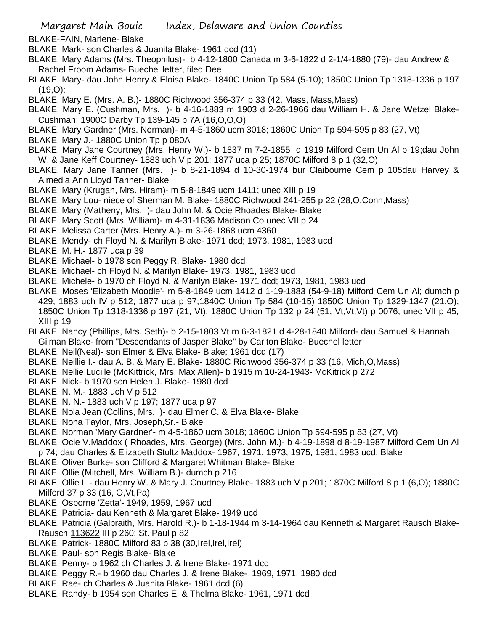BLAKE-FAIN, Marlene- Blake

- BLAKE, Mark- son Charles & Juanita Blake- 1961 dcd (11)
- BLAKE, Mary Adams (Mrs. Theophilus)- b 4-12-1800 Canada m 3-6-1822 d 2-1/4-1880 (79)- dau Andrew & Rachel Froom Adams- Buechel letter, filed Dee
- BLAKE, Mary- dau John Henry & Eloisa Blake- 1840C Union Tp 584 (5-10); 1850C Union Tp 1318-1336 p 197 (19,O);
- BLAKE, Mary E. (Mrs. A. B.)- 1880C Richwood 356-374 p 33 (42, Mass, Mass,Mass)
- BLAKE, Mary E. (Cushman, Mrs. )- b 4-16-1883 m 1903 d 2-26-1966 dau William H. & Jane Wetzel Blake-Cushman; 1900C Darby Tp 139-145 p 7A (16,O,O,O)
- BLAKE, Mary Gardner (Mrs. Norman)- m 4-5-1860 ucm 3018; 1860C Union Tp 594-595 p 83 (27, Vt)
- BLAKE, Mary J.- 1880C Union Tp p 080A
- BLAKE, Mary Jane Courtney (Mrs. Henry W.)- b 1837 m 7-2-1855 d 1919 Milford Cem Un Al p 19;dau John W. & Jane Keff Courtney- 1883 uch V p 201; 1877 uca p 25; 1870C Milford 8 p 1 (32,O)
- BLAKE, Mary Jane Tanner (Mrs. )- b 8-21-1894 d 10-30-1974 bur Claibourne Cem p 105dau Harvey & Almedia Ann Lloyd Tanner- Blake
- BLAKE, Mary (Krugan, Mrs. Hiram)- m 5-8-1849 ucm 1411; unec XIII p 19
- BLAKE, Mary Lou- niece of Sherman M. Blake- 1880C Richwood 241-255 p 22 (28,O,Conn,Mass)
- BLAKE, Mary (Matheny, Mrs. )- dau John M. & Ocie Rhoades Blake- Blake
- BLAKE, Mary Scott (Mrs. William)- m 4-31-1836 Madison Co unec VII p 24
- BLAKE, Melissa Carter (Mrs. Henry A.)- m 3-26-1868 ucm 4360
- BLAKE, Mendy- ch Floyd N. & Marilyn Blake- 1971 dcd; 1973, 1981, 1983 ucd
- BLAKE, M. H.- 1877 uca p 39
- BLAKE, Michael- b 1978 son Peggy R. Blake- 1980 dcd
- BLAKE, Michael- ch Floyd N. & Marilyn Blake- 1973, 1981, 1983 ucd
- BLAKE, Michele- b 1970 ch Floyd N. & Marilyn Blake- 1971 dcd; 1973, 1981, 1983 ucd
- BLAKE, Moses 'Elizabeth Moodie'- m 5-8-1849 ucm 1412 d 1-19-1883 (54-9-18) Milford Cem Un Al; dumch p 429; 1883 uch IV p 512; 1877 uca p 97;1840C Union Tp 584 (10-15) 1850C Union Tp 1329-1347 (21,O); 1850C Union Tp 1318-1336 p 197 (21, Vt); 1880C Union Tp 132 p 24 (51, Vt,Vt,Vt) p 0076; unec VII p 45, XIII p 19
- BLAKE, Nancy (Phillips, Mrs. Seth)- b 2-15-1803 Vt m 6-3-1821 d 4-28-1840 Milford- dau Samuel & Hannah Gilman Blake- from "Descendants of Jasper Blake" by Carlton Blake- Buechel letter
- BLAKE, Neil(Neal)- son Elmer & Elva Blake- Blake; 1961 dcd (17)
- BLAKE, Neillie I.- dau A. B. & Mary E. Blake- 1880C Richwood 356-374 p 33 (16, Mich,O,Mass)
- BLAKE, Nellie Lucille (McKittrick, Mrs. Max Allen)- b 1915 m 10-24-1943- McKitrick p 272
- BLAKE, Nick- b 1970 son Helen J. Blake- 1980 dcd
- BLAKE, N. M.- 1883 uch V p 512
- BLAKE, N. N.- 1883 uch V p 197; 1877 uca p 97
- BLAKE, Nola Jean (Collins, Mrs. )- dau Elmer C. & Elva Blake- Blake
- BLAKE, Nona Taylor, Mrs. Joseph,Sr.- Blake
- BLAKE, Norman 'Mary Gardner'- m 4-5-1860 ucm 3018; 1860C Union Tp 594-595 p 83 (27, Vt)
- BLAKE, Ocie V.Maddox ( Rhoades, Mrs. George) (Mrs. John M.)- b 4-19-1898 d 8-19-1987 Milford Cem Un Al p 74; dau Charles & Elizabeth Stultz Maddox- 1967, 1971, 1973, 1975, 1981, 1983 ucd; Blake
- BLAKE, Oliver Burke- son Clifford & Margaret Whitman Blake- Blake
- BLAKE, Ollie (Mitchell, Mrs. William B.)- dumch p 216
- BLAKE, Ollie L.- dau Henry W. & Mary J. Courtney Blake- 1883 uch V p 201; 1870C Milford 8 p 1 (6,O); 1880C Milford 37 p 33 (16, O,Vt,Pa)
- BLAKE, Osborne 'Zetta'- 1949, 1959, 1967 ucd
- BLAKE, Patricia- dau Kenneth & Margaret Blake- 1949 ucd
- BLAKE, Patricia (Galbraith, Mrs. Harold R.)- b 1-18-1944 m 3-14-1964 dau Kenneth & Margaret Rausch Blake-Rausch 113622 III p 260; St. Paul p 82
- BLAKE, Patrick- 1880C Milford 83 p 38 (30, Irel, Irel, Irel)
- BLAKE. Paul- son Regis Blake- Blake
- BLAKE, Penny- b 1962 ch Charles J. & Irene Blake- 1971 dcd
- BLAKE, Peggy R.- b 1960 dau Charles J. & Irene Blake- 1969, 1971, 1980 dcd
- BLAKE, Rae- ch Charles & Juanita Blake- 1961 dcd (6)
- BLAKE, Randy- b 1954 son Charles E. & Thelma Blake- 1961, 1971 dcd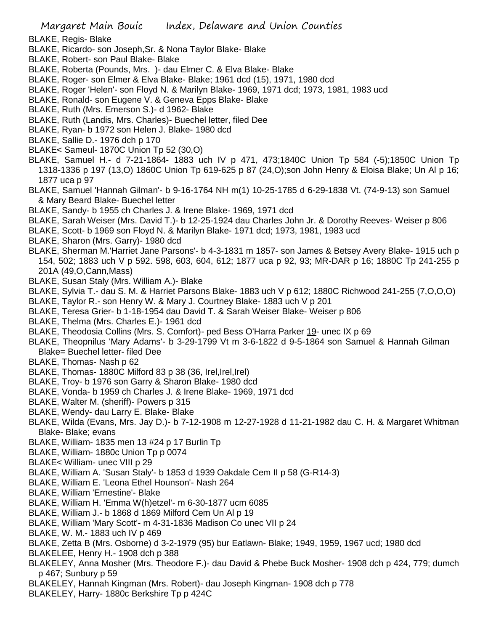- BLAKE, Regis- Blake
- BLAKE, Ricardo- son Joseph,Sr. & Nona Taylor Blake- Blake
- BLAKE, Robert- son Paul Blake- Blake
- BLAKE, Roberta (Pounds, Mrs. )- dau Elmer C. & Elva Blake- Blake
- BLAKE, Roger- son Elmer & Elva Blake- Blake; 1961 dcd (15), 1971, 1980 dcd
- BLAKE, Roger 'Helen'- son Floyd N. & Marilyn Blake- 1969, 1971 dcd; 1973, 1981, 1983 ucd
- BLAKE, Ronald- son Eugene V. & Geneva Epps Blake- Blake
- BLAKE, Ruth (Mrs. Emerson S.)- d 1962- Blake
- BLAKE, Ruth (Landis, Mrs. Charles)- Buechel letter, filed Dee
- BLAKE, Ryan- b 1972 son Helen J. Blake- 1980 dcd
- BLAKE, Sallie D.- 1976 dch p 170
- BLAKE< Sameul- 1870C Union Tp 52 (30,O)
- BLAKE, Samuel H.- d 7-21-1864- 1883 uch IV p 471, 473;1840C Union Tp 584 (-5);1850C Union Tp 1318-1336 p 197 (13,O) 1860C Union Tp 619-625 p 87 (24,O);son John Henry & Eloisa Blake; Un Al p 16; 1877 uca p 97
- BLAKE, Samuel 'Hannah Gilman'- b 9-16-1764 NH m(1) 10-25-1785 d 6-29-1838 Vt. (74-9-13) son Samuel & Mary Beard Blake- Buechel letter
- BLAKE, Sandy- b 1955 ch Charles J. & Irene Blake- 1969, 1971 dcd
- BLAKE, Sarah Weiser (Mrs. David T.)- b 12-25-1924 dau Charles John Jr. & Dorothy Reeves- Weiser p 806
- BLAKE, Scott- b 1969 son Floyd N. & Marilyn Blake- 1971 dcd; 1973, 1981, 1983 ucd
- BLAKE, Sharon (Mrs. Garry)- 1980 dcd
- BLAKE, Sherman M.'Harriet Jane Parsons'- b 4-3-1831 m 1857- son James & Betsey Avery Blake- 1915 uch p 154, 502; 1883 uch V p 592. 598, 603, 604, 612; 1877 uca p 92, 93; MR-DAR p 16; 1880C Tp 241-255 p 201A (49,O,Cann,Mass)
- BLAKE, Susan Staly (Mrs. William A.)- Blake
- BLAKE, Sylvia T.- dau S. M. & Harriet Parsons Blake- 1883 uch V p 612; 1880C Richwood 241-255 (7,O,O,O)
- BLAKE, Taylor R.- son Henry W. & Mary J. Courtney Blake- 1883 uch V p 201
- BLAKE, Teresa Grier- b 1-18-1954 dau David T. & Sarah Weiser Blake- Weiser p 806
- BLAKE, Thelma (Mrs. Charles E.)- 1961 dcd
- BLAKE, Theodosia Collins (Mrs. S. Comfort)- ped Bess O'Harra Parker 19- unec IX p 69
- BLAKE, Theopnilus 'Mary Adams'- b 3-29-1799 Vt m 3-6-1822 d 9-5-1864 son Samuel & Hannah Gilman Blake= Buechel letter- filed Dee
- BLAKE, Thomas- Nash p 62
- BLAKE, Thomas- 1880C Milford 83 p 38 (36, Irel, Irel, Irel)
- BLAKE, Troy- b 1976 son Garry & Sharon Blake- 1980 dcd
- BLAKE, Vonda- b 1959 ch Charles J. & Irene Blake- 1969, 1971 dcd
- BLAKE, Walter M. (sheriff)- Powers p 315
- BLAKE, Wendy- dau Larry E. Blake- Blake
- BLAKE, Wilda (Evans, Mrs. Jay D.)- b 7-12-1908 m 12-27-1928 d 11-21-1982 dau C. H. & Margaret Whitman Blake- Blake; evans
- BLAKE, William- 1835 men 13 #24 p 17 Burlin Tp
- BLAKE, William- 1880c Union Tp p 0074
- BLAKE< William- unec VIII p 29
- BLAKE, William A. 'Susan Staly'- b 1853 d 1939 Oakdale Cem II p 58 (G-R14-3)
- BLAKE, William E. 'Leona Ethel Hounson'- Nash 264
- BLAKE, William 'Ernestine'- Blake
- BLAKE, William H. 'Emma W(h)etzel'- m 6-30-1877 ucm 6085
- BLAKE, William J.- b 1868 d 1869 Milford Cem Un Al p 19
- BLAKE, William 'Mary Scott'- m 4-31-1836 Madison Co unec VII p 24
- BLAKE, W. M.- 1883 uch IV p 469
- BLAKE, Zetta B (Mrs. Osborne) d 3-2-1979 (95) bur Eatlawn- Blake; 1949, 1959, 1967 ucd; 1980 dcd
- BLAKELEE, Henry H.- 1908 dch p 388
- BLAKELEY, Anna Mosher (Mrs. Theodore F.)- dau David & Phebe Buck Mosher- 1908 dch p 424, 779; dumch p 467; Sunbury p 59
- BLAKELEY, Hannah Kingman (Mrs. Robert)- dau Joseph Kingman- 1908 dch p 778
- BLAKELEY, Harry- 1880c Berkshire Tp p 424C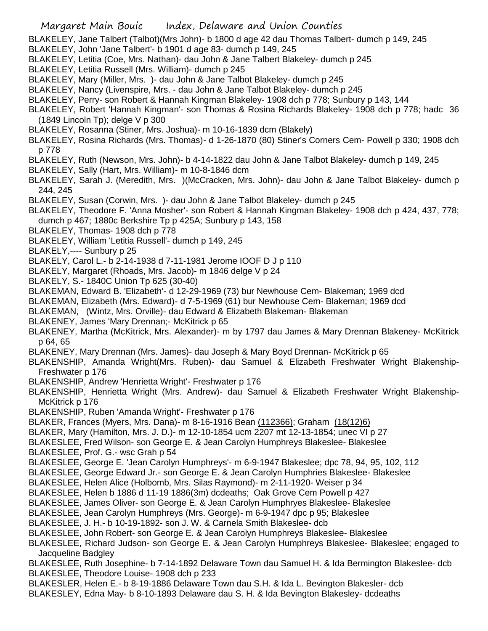BLAKELEY, Jane Talbert (Talbot)(Mrs John)- b 1800 d age 42 dau Thomas Talbert- dumch p 149, 245

- BLAKELEY, John 'Jane Talbert'- b 1901 d age 83- dumch p 149, 245
- BLAKELEY, Letitia (Coe, Mrs. Nathan)- dau John & Jane Talbert Blakeley- dumch p 245
- BLAKELEY, Letitia Russell (Mrs. William)- dumch p 245
- BLAKELEY, Mary (Miller, Mrs. )- dau John & Jane Talbot Blakeley- dumch p 245
- BLAKELEY, Nancy (Livenspire, Mrs. dau John & Jane Talbot Blakeley- dumch p 245
- BLAKELEY, Perry- son Robert & Hannah Kingman Blakeley- 1908 dch p 778; Sunbury p 143, 144
- BLAKELEY, Robert 'Hannah Kingman'- son Thomas & Rosina Richards Blakeley- 1908 dch p 778; hadc 36 (1849 Lincoln Tp); delge V p 300
- BLAKELEY, Rosanna (Stiner, Mrs. Joshua)- m 10-16-1839 dcm (Blakely)
- BLAKELEY, Rosina Richards (Mrs. Thomas)- d 1-26-1870 (80) Stiner's Corners Cem- Powell p 330; 1908 dch p 778
- BLAKELEY, Ruth (Newson, Mrs. John)- b 4-14-1822 dau John & Jane Talbot Blakeley- dumch p 149, 245
- BLAKELEY, Sally (Hart, Mrs. William)- m 10-8-1846 dcm
- BLAKELEY, Sarah J. (Meredith, Mrs. )(McCracken, Mrs. John)- dau John & Jane Talbot Blakeley- dumch p 244, 245
- BLAKELEY, Susan (Corwin, Mrs. )- dau John & Jane Talbot Blakeley- dumch p 245
- BLAKELEY, Theodore F. 'Anna Mosher'- son Robert & Hannah Kingman Blakeley- 1908 dch p 424, 437, 778; dumch p 467; 1880c Berkshire Tp p 425A; Sunbury p 143, 158
- BLAKELEY, Thomas- 1908 dch p 778
- BLAKELEY, William 'Letitia Russell'- dumch p 149, 245
- BLAKELY,---- Sunbury p 25
- BLAKELY, Carol L.- b 2-14-1938 d 7-11-1981 Jerome IOOF D J p 110
- BLAKELY, Margaret (Rhoads, Mrs. Jacob)- m 1846 delge V p 24
- BLAKELY, S.- 1840C Union Tp 625 (30-40)
- BLAKEMAN, Edward B. 'Elizabeth'- d 12-29-1969 (73) bur Newhouse Cem- Blakeman; 1969 dcd
- BLAKEMAN, Elizabeth (Mrs. Edward)- d 7-5-1969 (61) bur Newhouse Cem- Blakeman; 1969 dcd
- BLAKEMAN, (Wintz, Mrs. Orville)- dau Edward & Elizabeth Blakeman- Blakeman
- BLAKENEY, James 'Mary Drennan;- McKitrick p 65
- BLAKENEY, Martha (McKitrick, Mrs. Alexander)- m by 1797 dau James & Mary Drennan Blakeney- McKitrick p 64, 65
- BLAKENEY, Mary Drennan (Mrs. James)- dau Joseph & Mary Boyd Drennan- McKitrick p 65
- BLAKENSHIP, Amanda Wright(Mrs. Ruben)- dau Samuel & Elizabeth Freshwater Wright Blakenship-Freshwater p 176
- BLAKENSHIP, Andrew 'Henrietta Wright'- Freshwater p 176
- BLAKENSHIP, Henrietta Wright (Mrs. Andrew)- dau Samuel & Elizabeth Freshwater Wright Blakenship-McKitrick p 176
- BLAKENSHIP, Ruben 'Amanda Wright'- Freshwater p 176
- BLAKER, Frances (Myers, Mrs. Dana)- m 8-16-1916 Bean (112366); Graham (18(12)6)
- BLAKER, Mary (Hamilton, Mrs. J. D.)- m 12-10-1854 ucm 2207 mt 12-13-1854; unec VI p 27
- BLAKESLEE, Fred Wilson- son George E. & Jean Carolyn Humphreys Blakeslee- Blakeslee
- BLAKESLEE, Prof. G.- wsc Grah p 54
- BLAKESLEE, George E. 'Jean Carolyn Humphreys'- m 6-9-1947 Blakeslee; dpc 78, 94, 95, 102, 112
- BLAKESLEE, George Edward Jr.- son George E. & Jean Carolyn Humphries Blakeslee- Blakeslee
- BLAKESLEE, Helen Alice (Holbomb, Mrs. Silas Raymond)- m 2-11-1920- Weiser p 34
- BLAKESLEE, Helen b 1886 d 11-19 1886(3m) dcdeaths; Oak Grove Cem Powell p 427
- BLAKESLEE, James Oliver- son George E. & Jean Carolyn Humphryes Blakeslee- Blakeslee
- BLAKESLEE, Jean Carolyn Humphreys (Mrs. George)- m 6-9-1947 dpc p 95; Blakeslee
- BLAKESLEE, J. H.- b 10-19-1892- son J. W. & Carnela Smith Blakeslee- dcb
- BLAKESLEE, John Robert- son George E. & Jean Carolyn Humphreys Blakeslee- Blakeslee
- BLAKESLEE, Richard Judson- son George E. & Jean Carolyn Humphreys Blakeslee- Blakeslee; engaged to Jacqueline Badgley
- BLAKESLEE, Ruth Josephine- b 7-14-1892 Delaware Town dau Samuel H. & Ida Bermington Blakeslee- dcb
- BLAKESLEE, Theodore Louise- 1908 dch p 233
- BLAKESLER, Helen E.- b 8-19-1886 Delaware Town dau S.H. & Ida L. Bevington Blakesler- dcb
- BLAKESLEY, Edna May- b 8-10-1893 Delaware dau S. H. & Ida Bevington Blakesley- dcdeaths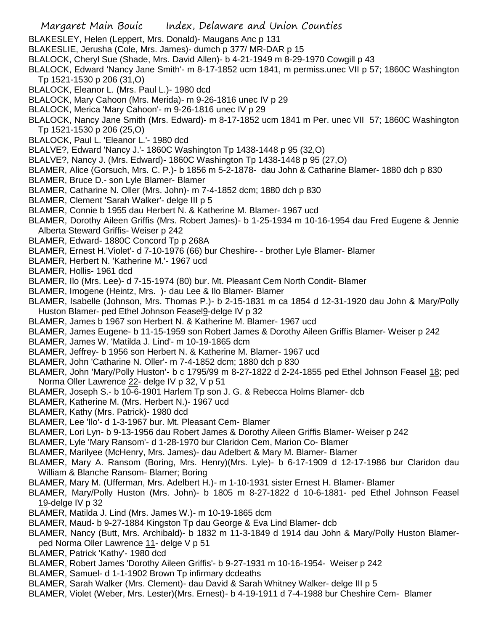- BLAKESLEY, Helen (Leppert, Mrs. Donald)- Maugans Anc p 131
- BLAKESLIE, Jerusha (Cole, Mrs. James)- dumch p 377/ MR-DAR p 15
- BLALOCK, Cheryl Sue (Shade, Mrs. David Allen)- b 4-21-1949 m 8-29-1970 Cowgill p 43
- BLALOCK, Edward 'Nancy Jane Smith'- m 8-17-1852 ucm 1841, m permiss.unec VII p 57; 1860C Washington Tp 1521-1530 p 206 (31,O)
- BLALOCK, Eleanor L. (Mrs. Paul L.)- 1980 dcd
- BLALOCK, Mary Cahoon (Mrs. Merida)- m 9-26-1816 unec IV p 29
- BLALOCK, Merica 'Mary Cahoon'- m 9-26-1816 unec IV p 29
- BLALOCK, Nancy Jane Smith (Mrs. Edward)- m 8-17-1852 ucm 1841 m Per. unec VII 57; 1860C Washington Tp 1521-1530 p 206 (25,O)
- BLALOCK, Paul L. 'Eleanor L.'- 1980 dcd
- BLALVE?, Edward 'Nancy J.'- 1860C Washington Tp 1438-1448 p 95 (32,O)
- BLALVE?, Nancy J. (Mrs. Edward)- 1860C Washington Tp 1438-1448 p 95 (27,O)
- BLAMER, Alice (Gorsuch, Mrs. C. P.)- b 1856 m 5-2-1878- dau John & Catharine Blamer- 1880 dch p 830
- BLAMER, Bruce D.- son Lyle Blamer- Blamer
- BLAMER, Catharine N. Oller (Mrs. John)- m 7-4-1852 dcm; 1880 dch p 830
- BLAMER, Clement 'Sarah Walker'- delge III p 5
- BLAMER, Connie b 1955 dau Herbert N. & Katherine M. Blamer- 1967 ucd
- BLAMER, Dorothy Aileen Griffis (Mrs. Robert James)- b 1-25-1934 m 10-16-1954 dau Fred Eugene & Jennie Alberta Steward Griffis- Weiser p 242
- BLAMER, Edward- 1880C Concord Tp p 268A
- BLAMER, Ernest H.'Violet'- d 7-10-1976 (66) bur Cheshire- brother Lyle Blamer- Blamer
- BLAMER, Herbert N. 'Katherine M.'- 1967 ucd
- BLAMER, Hollis- 1961 dcd
- BLAMER, Ilo (Mrs. Lee)- d 7-15-1974 (80) bur. Mt. Pleasant Cem North Condit- Blamer
- BLAMER, Imogene (Heintz, Mrs. )- dau Lee & Ilo Blamer- Blamer
- BLAMER, Isabelle (Johnson, Mrs. Thomas P.)- b 2-15-1831 m ca 1854 d 12-31-1920 dau John & Mary/Polly Huston Blamer- ped Ethel Johnson Feasel<sup>9-</sup>delge IV p 32
- BLAMER, James b 1967 son Herbert N. & Katherine M. Blamer- 1967 ucd
- BLAMER, James Eugene- b 11-15-1959 son Robert James & Dorothy Aileen Griffis Blamer- Weiser p 242
- BLAMER, James W. 'Matilda J. Lind'- m 10-19-1865 dcm
- BLAMER, Jeffrey- b 1956 son Herbert N. & Katherine M. Blamer- 1967 ucd
- BLAMER, John 'Catharine N. Oller'- m 7-4-1852 dcm; 1880 dch p 830
- BLAMER, John 'Mary/Polly Huston'- b c 1795/99 m 8-27-1822 d 2-24-1855 ped Ethel Johnson Feasel 18; ped Norma Oller Lawrence 22- delge IV p 32, V p 51
- BLAMER, Joseph S.- b 10-6-1901 Harlem Tp son J. G. & Rebecca Holms Blamer- dcb
- BLAMER, Katherine M. (Mrs. Herbert N.)- 1967 ucd
- BLAMER, Kathy (Mrs. Patrick)- 1980 dcd
- BLAMER, Lee 'Ilo'- d 1-3-1967 bur. Mt. Pleasant Cem- Blamer
- BLAMER, Lori Lyn- b 9-13-1956 dau Robert James & Dorothy Aileen Griffis Blamer- Weiser p 242
- BLAMER, Lyle 'Mary Ransom'- d 1-28-1970 bur Claridon Cem, Marion Co- Blamer
- BLAMER, Marilyee (McHenry, Mrs. James)- dau Adelbert & Mary M. Blamer- Blamer
- BLAMER, Mary A. Ransom (Boring, Mrs. Henry)(Mrs. Lyle)- b 6-17-1909 d 12-17-1986 bur Claridon dau William & Blanche Ransom- Blamer; Boring
- BLAMER, Mary M. (Ufferman, Mrs. Adelbert H.)- m 1-10-1931 sister Ernest H. Blamer- Blamer
- BLAMER, Mary/Polly Huston (Mrs. John)- b 1805 m 8-27-1822 d 10-6-1881- ped Ethel Johnson Feasel 19-delge IV p 32
- BLAMER, Matilda J. Lind (Mrs. James W.)- m 10-19-1865 dcm
- BLAMER, Maud- b 9-27-1884 Kingston Tp dau George & Eva Lind Blamer- dcb
- BLAMER, Nancy (Butt, Mrs. Archibald)- b 1832 m 11-3-1849 d 1914 dau John & Mary/Polly Huston Blamerped Norma Oller Lawrence 11- delge V p 51
- BLAMER, Patrick 'Kathy'- 1980 dcd
- BLAMER, Robert James 'Dorothy Aileen Griffis'- b 9-27-1931 m 10-16-1954- Weiser p 242
- BLAMER, Samuel- d 1-1-1902 Brown Tp infirmary dcdeaths
- BLAMER, Sarah Walker (Mrs. Clement)- dau David & Sarah Whitney Walker- delge III p 5
- BLAMER, Violet (Weber, Mrs. Lester)(Mrs. Ernest)- b 4-19-1911 d 7-4-1988 bur Cheshire Cem- Blamer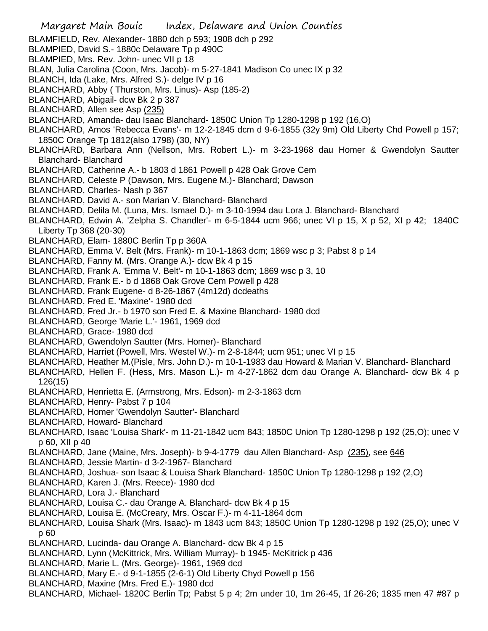- Margaret Main Bouic Index, Delaware and Union Counties BLAMFIELD, Rev. Alexander- 1880 dch p 593; 1908 dch p 292 BLAMPIED, David S.- 1880c Delaware Tp p 490C BLAMPIED, Mrs. Rev. John- unec VII p 18 BLAN, Julia Carolina (Coon, Mrs. Jacob)- m 5-27-1841 Madison Co unec IX p 32 BLANCH, Ida (Lake, Mrs. Alfred S.)- delge IV p 16 BLANCHARD, Abby ( Thurston, Mrs. Linus)- Asp (185-2) BLANCHARD, Abigail- dcw Bk 2 p 387 BLANCHARD, Allen see Asp (235) BLANCHARD, Amanda- dau Isaac Blanchard- 1850C Union Tp 1280-1298 p 192 (16,O) BLANCHARD, Amos 'Rebecca Evans'- m 12-2-1845 dcm d 9-6-1855 (32y 9m) Old Liberty Chd Powell p 157; 1850C Orange Tp 1812(also 1798) (30, NY) BLANCHARD, Barbara Ann (Nellson, Mrs. Robert L.)- m 3-23-1968 dau Homer & Gwendolyn Sautter Blanchard- Blanchard BLANCHARD, Catherine A.- b 1803 d 1861 Powell p 428 Oak Grove Cem BLANCHARD, Celeste P (Dawson, Mrs. Eugene M.)- Blanchard; Dawson BLANCHARD, Charles- Nash p 367 BLANCHARD, David A.- son Marian V. Blanchard- Blanchard BLANCHARD, Delila M. (Luna, Mrs. Ismael D.)- m 3-10-1994 dau Lora J. Blanchard- Blanchard BLANCHARD, Edwin A. 'Zelpha S. Chandler'- m 6-5-1844 ucm 966; unec VI p 15, X p 52, XI p 42; 1840C Liberty Tp 368 (20-30) BLANCHARD, Elam- 1880C Berlin Tp p 360A BLANCHARD, Emma V. Belt (Mrs. Frank)- m 10-1-1863 dcm; 1869 wsc p 3; Pabst 8 p 14 BLANCHARD, Fanny M. (Mrs. Orange A.)- dcw Bk 4 p 15 BLANCHARD, Frank A. 'Emma V. Belt'- m 10-1-1863 dcm; 1869 wsc p 3, 10 BLANCHARD, Frank E.- b d 1868 Oak Grove Cem Powell p 428 BLANCHARD, Frank Eugene- d 8-26-1867 (4m12d) dcdeaths BLANCHARD, Fred E. 'Maxine'- 1980 dcd BLANCHARD, Fred Jr.- b 1970 son Fred E. & Maxine Blanchard- 1980 dcd BLANCHARD, George 'Marie L.'- 1961, 1969 dcd BLANCHARD, Grace- 1980 dcd BLANCHARD, Gwendolyn Sautter (Mrs. Homer)- Blanchard BLANCHARD, Harriet (Powell, Mrs. Westel W.)- m 2-8-1844; ucm 951; unec VI p 15 BLANCHARD, Heather M.(Pisle, Mrs. John D.)- m 10-1-1983 dau Howard & Marian V. Blanchard- Blanchard BLANCHARD, Hellen F. (Hess, Mrs. Mason L.)- m 4-27-1862 dcm dau Orange A. Blanchard- dcw Bk 4 p 126(15) BLANCHARD, Henrietta E. (Armstrong, Mrs. Edson)- m 2-3-1863 dcm BLANCHARD, Henry- Pabst 7 p 104 BLANCHARD, Homer 'Gwendolyn Sautter'- Blanchard BLANCHARD, Howard- Blanchard BLANCHARD, Isaac 'Louisa Shark'- m 11-21-1842 ucm 843; 1850C Union Tp 1280-1298 p 192 (25,O); unec V p 60, XII p 40 BLANCHARD, Jane (Maine, Mrs. Joseph)- b 9-4-1779 dau Allen Blanchard- Asp (235), see 646 BLANCHARD, Jessie Martin- d 3-2-1967- Blanchard BLANCHARD, Joshua- son Isaac & Louisa Shark Blanchard- 1850C Union Tp 1280-1298 p 192 (2,O) BLANCHARD, Karen J. (Mrs. Reece)- 1980 dcd BLANCHARD, Lora J.- Blanchard BLANCHARD, Louisa C.- dau Orange A. Blanchard- dcw Bk 4 p 15 BLANCHARD, Louisa E. (McCreary, Mrs. Oscar F.)- m 4-11-1864 dcm
- BLANCHARD, Louisa Shark (Mrs. Isaac)- m 1843 ucm 843; 1850C Union Tp 1280-1298 p 192 (25,O); unec V p 60
- BLANCHARD, Lucinda- dau Orange A. Blanchard- dcw Bk 4 p 15
- BLANCHARD, Lynn (McKittrick, Mrs. William Murray)- b 1945- McKitrick p 436
- BLANCHARD, Marie L. (Mrs. George)- 1961, 1969 dcd
- BLANCHARD, Mary E.- d 9-1-1855 (2-6-1) Old Liberty Chyd Powell p 156
- BLANCHARD, Maxine (Mrs. Fred E.)- 1980 dcd
- BLANCHARD, Michael- 1820C Berlin Tp; Pabst 5 p 4; 2m under 10, 1m 26-45, 1f 26-26; 1835 men 47 #87 p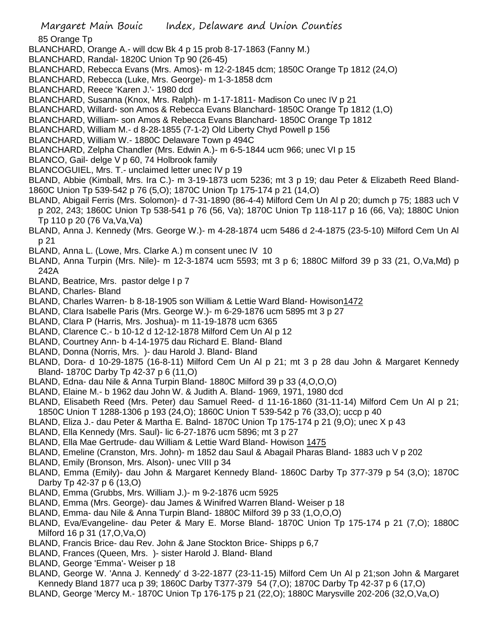85 Orange Tp

- BLANCHARD, Orange A.- will dcw Bk 4 p 15 prob 8-17-1863 (Fanny M.)
- BLANCHARD, Randal- 1820C Union Tp 90 (26-45)
- BLANCHARD, Rebecca Evans (Mrs. Amos)- m 12-2-1845 dcm; 1850C Orange Tp 1812 (24,O)
- BLANCHARD, Rebecca (Luke, Mrs. George)- m 1-3-1858 dcm
- BLANCHARD, Reece 'Karen J.'- 1980 dcd
- BLANCHARD, Susanna (Knox, Mrs. Ralph)- m 1-17-1811- Madison Co unec IV p 21
- BLANCHARD, Willard- son Amos & Rebecca Evans Blanchard- 1850C Orange Tp 1812 (1,O)
- BLANCHARD, William- son Amos & Rebecca Evans Blanchard- 1850C Orange Tp 1812
- BLANCHARD, William M.- d 8-28-1855 (7-1-2) Old Liberty Chyd Powell p 156
- BLANCHARD, William W.- 1880C Delaware Town p 494C
- BLANCHARD, Zelpha Chandler (Mrs. Edwin A.)- m 6-5-1844 ucm 966; unec VI p 15
- BLANCO, Gail- delge V p 60, 74 Holbrook family
- BLANCOGUIEL, Mrs. T.- unclaimed letter unec IV p 19
- BLAND, Abbie (Kimball, Mrs. Ira C.)- m 3-19-1873 ucm 5236; mt 3 p 19; dau Peter & Elizabeth Reed Bland-1860C Union Tp 539-542 p 76 (5,O); 1870C Union Tp 175-174 p 21 (14,O)
- BLAND, Abigail Ferris (Mrs. Solomon)- d 7-31-1890 (86-4-4) Milford Cem Un Al p 20; dumch p 75; 1883 uch V p 202, 243; 1860C Union Tp 538-541 p 76 (56, Va); 1870C Union Tp 118-117 p 16 (66, Va); 1880C Union Tp 110 p 20 (76 Va,Va,Va)
- BLAND, Anna J. Kennedy (Mrs. George W.)- m 4-28-1874 ucm 5486 d 2-4-1875 (23-5-10) Milford Cem Un Al p 21
- BLAND, Anna L. (Lowe, Mrs. Clarke A.) m consent unec IV 10
- BLAND, Anna Turpin (Mrs. Nile)- m 12-3-1874 ucm 5593; mt 3 p 6; 1880C Milford 39 p 33 (21, O,Va,Md) p 242A
- BLAND, Beatrice, Mrs. pastor delge I p 7
- BLAND, Charles- Bland
- BLAND, Charles Warren- b 8-18-1905 son William & Lettie Ward Bland- Howison1472
- BLAND, Clara Isabelle Paris (Mrs. George W.)- m 6-29-1876 ucm 5895 mt 3 p 27
- BLAND, Clara P (Harris, Mrs. Joshua)- m 11-19-1878 ucm 6365
- BLAND, Clarence C.- b 10-12 d 12-12-1878 Milford Cem Un Al p 12
- BLAND, Courtney Ann- b 4-14-1975 dau Richard E. Bland- Bland
- BLAND, Donna (Norris, Mrs. )- dau Harold J. Bland- Bland
- BLAND, Dora- d 10-29-1875 (16-8-11) Milford Cem Un Al p 21; mt 3 p 28 dau John & Margaret Kennedy Bland- 1870C Darby Tp 42-37 p 6 (11,O)
- BLAND, Edna- dau Nile & Anna Turpin Bland- 1880C Milford 39 p 33 (4,O,O,O)
- BLAND, Elaine M.- b 1962 dau John W. & Judith A. Bland- 1969, 1971, 1980 dcd
- BLAND, Elisabeth Reed (Mrs. Peter) dau Samuel Reed- d 11-16-1860 (31-11-14) Milford Cem Un Al p 21; 1850C Union T 1288-1306 p 193 (24,O); 1860C Union T 539-542 p 76 (33,O); uccp p 40
- BLAND, Eliza J.- dau Peter & Martha E. Balnd- 1870C Union Tp 175-174 p 21 (9,O); unec X p 43
- BLAND, Ella Kennedy (Mrs. Saul)- lic 6-27-1876 ucm 5896; mt 3 p 27
- BLAND, Ella Mae Gertrude- dau William & Lettie Ward Bland- Howison 1475
- BLAND, Emeline (Cranston, Mrs. John)- m 1852 dau Saul & Abagail Pharas Bland- 1883 uch V p 202
- BLAND, Emily (Bronson, Mrs. Alson)- unec VIII p 34
- BLAND, Emma (Emily)- dau John & Margaret Kennedy Bland- 1860C Darby Tp 377-379 p 54 (3,O); 1870C Darby Tp 42-37 p 6 (13,O)
- BLAND, Emma (Grubbs, Mrs. William J.)- m 9-2-1876 ucm 5925
- BLAND, Emma (Mrs. George)- dau James & Winifred Warren Bland- Weiser p 18
- BLAND, Emma- dau Nile & Anna Turpin Bland- 1880C Milford 39 p 33 (1,O,O,O)
- BLAND, Eva/Evangeline- dau Peter & Mary E. Morse Bland- 1870C Union Tp 175-174 p 21 (7,O); 1880C Milford 16 p 31 (17,O,Va,O)
- BLAND, Francis Brice- dau Rev. John & Jane Stockton Brice- Shipps p 6,7
- BLAND, Frances (Queen, Mrs. )- sister Harold J. Bland- Bland
- BLAND, George 'Emma'- Weiser p 18
- BLAND, George W. 'Anna J. Kennedy' d 3-22-1877 (23-11-15) Milford Cem Un Al p 21;son John & Margaret Kennedy Bland 1877 uca p 39; 1860C Darby T377-379 54 (7,O); 1870C Darby Tp 42-37 p 6 (17,O)
- BLAND, George 'Mercy M.- 1870C Union Tp 176-175 p 21 (22,O); 1880C Marysville 202-206 (32,O,Va,O)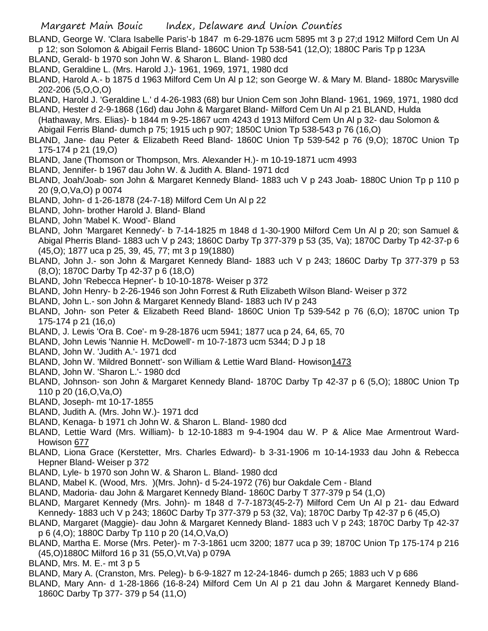BLAND, George W. 'Clara Isabelle Paris'-b 1847 m 6-29-1876 ucm 5895 mt 3 p 27;d 1912 Milford Cem Un Al p 12; son Solomon & Abigail Ferris Bland- 1860C Union Tp 538-541 (12,O); 1880C Paris Tp p 123A

- BLAND, Gerald- b 1970 son John W. & Sharon L. Bland- 1980 dcd
- BLAND, Geraldine L. (Mrs. Harold J.)- 1961, 1969, 1971, 1980 dcd
- BLAND, Harold A.- b 1875 d 1963 Milford Cem Un Al p 12; son George W. & Mary M. Bland- 1880c Marysville 202-206 (5,O,O,O)
- BLAND, Harold J. 'Geraldine L.' d 4-26-1983 (68) bur Union Cem son John Bland- 1961, 1969, 1971, 1980 dcd BLAND, Hester d 2-9-1868 (16d) dau John & Margaret Bland- Milford Cem Un Al p 21 BLAND, Hulda
- (Hathaway, Mrs. Elias)- b 1844 m 9-25-1867 ucm 4243 d 1913 Milford Cem Un Al p 32- dau Solomon & Abigail Ferris Bland- dumch p 75; 1915 uch p 907; 1850C Union Tp 538-543 p 76 (16,O)
- BLAND, Jane- dau Peter & Elizabeth Reed Bland- 1860C Union Tp 539-542 p 76 (9,O); 1870C Union Tp 175-174 p 21 (19,O)
- BLAND, Jane (Thomson or Thompson, Mrs. Alexander H.)- m 10-19-1871 ucm 4993
- BLAND, Jennifer- b 1967 dau John W. & Judith A. Bland- 1971 dcd
- BLAND, Joah/Joab- son John & Margaret Kennedy Bland- 1883 uch V p 243 Joab- 1880C Union Tp p 110 p 20 (9,O,Va,O) p 0074
- BLAND, John- d 1-26-1878 (24-7-18) Milford Cem Un Al p 22
- BLAND, John- brother Harold J. Bland- Bland
- BLAND, John 'Mabel K. Wood'- Bland
- BLAND, John 'Margaret Kennedy'- b 7-14-1825 m 1848 d 1-30-1900 Milford Cem Un Al p 20; son Samuel & Abigal Pherris Bland- 1883 uch V p 243; 1860C Darby Tp 377-379 p 53 (35, Va); 1870C Darby Tp 42-37-p 6 (45,O); 1877 uca p 25, 39, 45, 77; mt 3 p 19(1880)
- BLAND, John J.- son John & Margaret Kennedy Bland- 1883 uch V p 243; 1860C Darby Tp 377-379 p 53 (8,O); 1870C Darby Tp 42-37 p 6 (18,O)
- BLAND, John 'Rebecca Hepner'- b 10-10-1878- Weiser p 372
- BLAND, John Henry- b 2-26-1946 son John Forrest & Ruth Elizabeth Wilson Bland- Weiser p 372
- BLAND, John L.- son John & Margaret Kennedy Bland- 1883 uch IV p 243
- BLAND, John- son Peter & Elizabeth Reed Bland- 1860C Union Tp 539-542 p 76 (6,O); 1870C union Tp 175-174 p 21 (16,o)
- BLAND, J. Lewis 'Ora B. Coe'- m 9-28-1876 ucm 5941; 1877 uca p 24, 64, 65, 70
- BLAND, John Lewis 'Nannie H. McDowell'- m 10-7-1873 ucm 5344; D J p 18
- BLAND, John W. 'Judith A.'- 1971 dcd
- BLAND, John W. 'Mildred Bonnett'- son William & Lettie Ward Bland- Howison1473
- BLAND, John W. 'Sharon L.'- 1980 dcd
- BLAND, Johnson- son John & Margaret Kennedy Bland- 1870C Darby Tp 42-37 p 6 (5,O); 1880C Union Tp 110 p 20 (16,O,Va,O)
- BLAND, Joseph- mt 10-17-1855
- BLAND, Judith A. (Mrs. John W.)- 1971 dcd
- BLAND, Kenaga- b 1971 ch John W. & Sharon L. Bland- 1980 dcd
- BLAND, Lettie Ward (Mrs. William)- b 12-10-1883 m 9-4-1904 dau W. P & Alice Mae Armentrout Ward-Howison 677
- BLAND, Liona Grace (Kerstetter, Mrs. Charles Edward)- b 3-31-1906 m 10-14-1933 dau John & Rebecca Hepner Bland- Weiser p 372
- BLAND, Lyle- b 1970 son John W. & Sharon L. Bland- 1980 dcd
- BLAND, Mabel K. (Wood, Mrs. )(Mrs. John)- d 5-24-1972 (76) bur Oakdale Cem Bland
- BLAND, Madoria- dau John & Margaret Kennedy Bland- 1860C Darby T 377-379 p 54 (1,O)
- BLAND, Margaret Kennedy (Mrs. John)- m 1848 d 7-7-1873(45-2-7) Milford Cem Un Al p 21- dau Edward Kennedy- 1883 uch V p 243; 1860C Darby Tp 377-379 p 53 (32, Va); 1870C Darby Tp 42-37 p 6 (45,O)
- BLAND, Margaret (Maggie)- dau John & Margaret Kennedy Bland- 1883 uch V p 243; 1870C Darby Tp 42-37 p 6 (4,O); 1880C Darby Tp 110 p 20 (14,O,Va,O)
- BLAND, Martha E. Morse (Mrs. Peter)- m 7-3-1861 ucm 3200; 1877 uca p 39; 1870C Union Tp 175-174 p 216 (45,O)1880C Milford 16 p 31 (55,O,Vt,Va) p 079A
- BLAND, Mrs. M. E.- mt 3 p 5
- BLAND, Mary A. (Cranston, Mrs. Peleg)- b 6-9-1827 m 12-24-1846- dumch p 265; 1883 uch V p 686
- BLAND, Mary Ann- d 1-28-1866 (16-8-24) Milford Cem Un Al p 21 dau John & Margaret Kennedy Bland-1860C Darby Tp 377- 379 p 54 (11,O)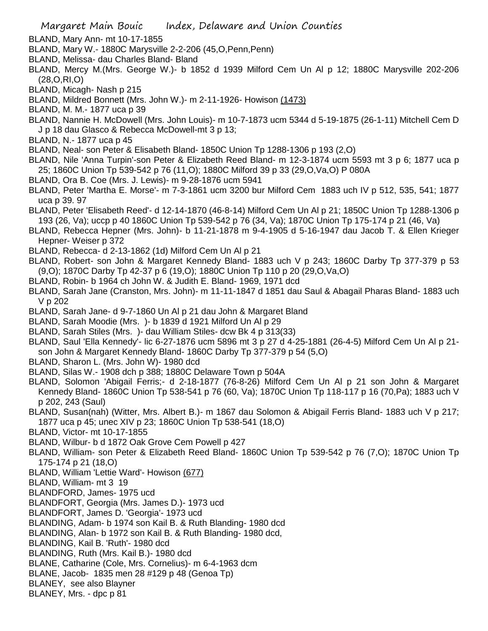- BLAND, Mary Ann- mt 10-17-1855
- BLAND, Mary W.- 1880C Marysville 2-2-206 (45,O,Penn,Penn)
- BLAND, Melissa- dau Charles Bland- Bland
- BLAND, Mercy M.(Mrs. George W.)- b 1852 d 1939 Milford Cem Un Al p 12; 1880C Marysville 202-206 (28,O,RI,O)
- BLAND, Micagh- Nash p 215
- BLAND, Mildred Bonnett (Mrs. John W.)- m 2-11-1926- Howison (1473)
- BLAND, M. M.- 1877 uca p 39
- BLAND, Nannie H. McDowell (Mrs. John Louis)- m 10-7-1873 ucm 5344 d 5-19-1875 (26-1-11) Mitchell Cem D J p 18 dau Glasco & Rebecca McDowell-mt 3 p 13;
- BLAND, N.- 1877 uca p 45
- BLAND, Neal- son Peter & Elisabeth Bland- 1850C Union Tp 1288-1306 p 193 (2,O)
- BLAND, Nile 'Anna Turpin'-son Peter & Elizabeth Reed Bland- m 12-3-1874 ucm 5593 mt 3 p 6; 1877 uca p 25; 1860C Union Tp 539-542 p 76 (11,O); 1880C Milford 39 p 33 (29,O,Va,O) P 080A
- BLAND, Ora B. Coe (Mrs. J. Lewis)- m 9-28-1876 ucm 5941
- BLAND, Peter 'Martha E. Morse'- m 7-3-1861 ucm 3200 bur Milford Cem 1883 uch IV p 512, 535, 541; 1877 uca p 39. 97
- BLAND, Peter 'Elisabeth Reed'- d 12-14-1870 (46-8-14) Milford Cem Un Al p 21; 1850C Union Tp 1288-1306 p 193 (26, Va); uccp p 40 1860C Union Tp 539-542 p 76 (34, Va); 1870C Union Tp 175-174 p 21 (46, Va)
- BLAND, Rebecca Hepner (Mrs. John)- b 11-21-1878 m 9-4-1905 d 5-16-1947 dau Jacob T. & Ellen Krieger Hepner- Weiser p 372
- BLAND, Rebecca- d 2-13-1862 (1d) Milford Cem Un Al p 21
- BLAND, Robert- son John & Margaret Kennedy Bland- 1883 uch V p 243; 1860C Darby Tp 377-379 p 53 (9,O); 1870C Darby Tp 42-37 p 6 (19,O); 1880C Union Tp 110 p 20 (29,O,Va,O)
- BLAND, Robin- b 1964 ch John W. & Judith E. Bland- 1969, 1971 dcd
- BLAND, Sarah Jane (Cranston, Mrs. John)- m 11-11-1847 d 1851 dau Saul & Abagail Pharas Bland- 1883 uch V p 202
- BLAND, Sarah Jane- d 9-7-1860 Un Al p 21 dau John & Margaret Bland
- BLAND, Sarah Moodie (Mrs. )- b 1839 d 1921 Milford Un Al p 29
- BLAND, Sarah Stiles (Mrs. )- dau William Stiles- dcw Bk 4 p 313(33)
- BLAND, Saul 'Ella Kennedy'- lic 6-27-1876 ucm 5896 mt 3 p 27 d 4-25-1881 (26-4-5) Milford Cem Un Al p 21 son John & Margaret Kennedy Bland- 1860C Darby Tp 377-379 p 54 (5,O)
- BLAND, Sharon L. (Mrs. John W)- 1980 dcd
- BLAND, Silas W.- 1908 dch p 388; 1880C Delaware Town p 504A
- BLAND, Solomon 'Abigail Ferris;- d 2-18-1877 (76-8-26) Milford Cem Un Al p 21 son John & Margaret Kennedy Bland- 1860C Union Tp 538-541 p 76 (60, Va); 1870C Union Tp 118-117 p 16 (70,Pa); 1883 uch V p 202, 243 (Saul)
- BLAND, Susan(nah) (Witter, Mrs. Albert B.)- m 1867 dau Solomon & Abigail Ferris Bland- 1883 uch V p 217; 1877 uca p 45; unec XIV p 23; 1860C Union Tp 538-541 (18,O)
- BLAND, Victor- mt 10-17-1855
- BLAND, Wilbur- b d 1872 Oak Grove Cem Powell p 427
- BLAND, William- son Peter & Elizabeth Reed Bland- 1860C Union Tp 539-542 p 76 (7,O); 1870C Union Tp 175-174 p 21 (18,O)
- BLAND, William 'Lettie Ward'- Howison (677)
- BLAND, William- mt 3 19
- BLANDFORD, James- 1975 ucd
- BLANDFORT, Georgia (Mrs. James D.)- 1973 ucd
- BLANDFORT, James D. 'Georgia'- 1973 ucd
- BLANDING, Adam- b 1974 son Kail B. & Ruth Blanding- 1980 dcd
- BLANDING, Alan- b 1972 son Kail B. & Ruth Blanding- 1980 dcd,
- BLANDING, Kail B. 'Ruth'- 1980 dcd
- BLANDING, Ruth (Mrs. Kail B.)- 1980 dcd
- BLANE, Catharine (Cole, Mrs. Cornelius)- m 6-4-1963 dcm
- BLANE, Jacob- 1835 men 28 #129 p 48 (Genoa Tp)
- BLANEY, see also Blayner
- BLANEY, Mrs. dpc p 81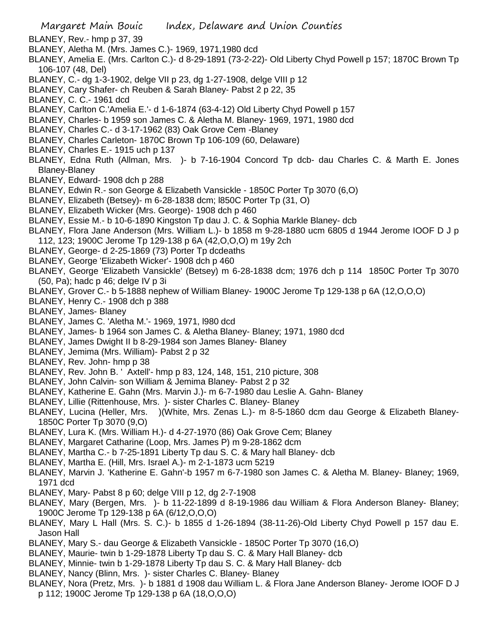- Margaret Main Bouic Index, Delaware and Union Counties BLANEY, Rev.- hmp p 37, 39 BLANEY, Aletha M. (Mrs. James C.)- 1969, 1971,1980 dcd BLANEY, Amelia E. (Mrs. Carlton C.)- d 8-29-1891 (73-2-22)- Old Liberty Chyd Powell p 157; 1870C Brown Tp 106-107 (48, Del) BLANEY, C.- dg 1-3-1902, delge VII p 23, dg 1-27-1908, delge VIII p 12 BLANEY, Cary Shafer- ch Reuben & Sarah Blaney- Pabst 2 p 22, 35 BLANEY, C. C.- 1961 dcd BLANEY, Carlton C.'Amelia E.'- d 1-6-1874 (63-4-12) Old Liberty Chyd Powell p 157 BLANEY, Charles- b 1959 son James C. & Aletha M. Blaney- 1969, 1971, 1980 dcd BLANEY, Charles C.- d 3-17-1962 (83) Oak Grove Cem -Blaney BLANEY, Charles Carleton- 1870C Brown Tp 106-109 (60, Delaware) BLANEY, Charles E.- 1915 uch p 137 BLANEY, Edna Ruth (Allman, Mrs. )- b 7-16-1904 Concord Tp dcb- dau Charles C. & Marth E. Jones Blaney-Blaney BLANEY, Edward- 1908 dch p 288 BLANEY, Edwin R.- son George & Elizabeth Vansickle - 1850C Porter Tp 3070 (6,O) BLANEY, Elizabeth (Betsey)- m 6-28-1838 dcm; l850C Porter Tp (31, O) BLANEY, Elizabeth Wicker (Mrs. George)- 1908 dch p 460 BLANEY, Essie M.- b 10-6-1890 Kingston Tp dau J. C. & Sophia Markle Blaney- dcb BLANEY, Flora Jane Anderson (Mrs. William L.)- b 1858 m 9-28-1880 ucm 6805 d 1944 Jerome IOOF D J p 112, 123; 1900C Jerome Tp 129-138 p 6A (42,O,O,O) m 19y 2ch BLANEY, George- d 2-25-1869 (73) Porter Tp dcdeaths BLANEY, George 'Elizabeth Wicker'- 1908 dch p 460 BLANEY, George 'Elizabeth Vansickle' (Betsey) m 6-28-1838 dcm; 1976 dch p 114 1850C Porter Tp 3070 (50, Pa); hadc p 46; delge IV p 3i BLANEY, Grover C.- b 5-1888 nephew of William Blaney- 1900C Jerome Tp 129-138 p 6A (12,O,O,O) BLANEY, Henry C.- 1908 dch p 388 BLANEY, James- Blaney BLANEY, James C. 'Aletha M.'- 1969, 1971, l980 dcd BLANEY, James- b 1964 son James C. & Aletha Blaney- Blaney; 1971, 1980 dcd BLANEY, James Dwight II b 8-29-1984 son James Blaney- Blaney BLANEY, Jemima (Mrs. William)- Pabst 2 p 32 BLANEY, Rev. John- hmp p 38 BLANEY, Rev. John B. ' Axtell'- hmp p 83, 124, 148, 151, 210 picture, 308 BLANEY, John Calvin- son William & Jemima Blaney- Pabst 2 p 32 BLANEY, Katherine E. Gahn (Mrs. Marvin J.)- m 6-7-1980 dau Leslie A. Gahn- Blaney BLANEY, Lillie (Rittenhouse, Mrs. )- sister Charles C. Blaney- Blaney BLANEY, Lucina (Heller, Mrs. )(White, Mrs. Zenas L.)- m 8-5-1860 dcm dau George & Elizabeth Blaney-1850C Porter Tp 3070 (9,O) BLANEY, Lura K. (Mrs. William H.)- d 4-27-1970 (86) Oak Grove Cem; Blaney BLANEY, Margaret Catharine (Loop, Mrs. James P) m 9-28-1862 dcm
	- BLANEY, Martha C.- b 7-25-1891 Liberty Tp dau S. C. & Mary hall Blaney- dcb
	- BLANEY, Martha E. (Hill, Mrs. Israel A.)- m 2-1-1873 ucm 5219
	- BLANEY, Marvin J. 'Katherine E. Gahn'-b 1957 m 6-7-1980 son James C. & Aletha M. Blaney- Blaney; 1969, 1971 dcd
	- BLANEY, Mary- Pabst 8 p 60; delge VIII p 12, dg 2-7-1908
	- BLANEY, Mary (Bergen, Mrs. )- b 11-22-1899 d 8-19-1986 dau William & Flora Anderson Blaney- Blaney; 1900C Jerome Tp 129-138 p 6A (6/12,O,O,O)
	- BLANEY, Mary L Hall (Mrs. S. C.)- b 1855 d 1-26-1894 (38-11-26)-Old Liberty Chyd Powell p 157 dau E. Jason Hall
	- BLANEY, Mary S.- dau George & Elizabeth Vansickle 1850C Porter Tp 3070 (16,O)
	- BLANEY, Maurie- twin b 1-29-1878 Liberty Tp dau S. C. & Mary Hall Blaney- dcb
	- BLANEY, Minnie- twin b 1-29-1878 Liberty Tp dau S. C. & Mary Hall Blaney- dcb
	- BLANEY, Nancy (Blinn, Mrs. )- sister Charles C. Blaney- Blaney
	- BLANEY, Nora (Pretz, Mrs. )- b 1881 d 1908 dau William L. & Flora Jane Anderson Blaney- Jerome IOOF D J p 112; 1900C Jerome Tp 129-138 p 6A (18,O,O,O)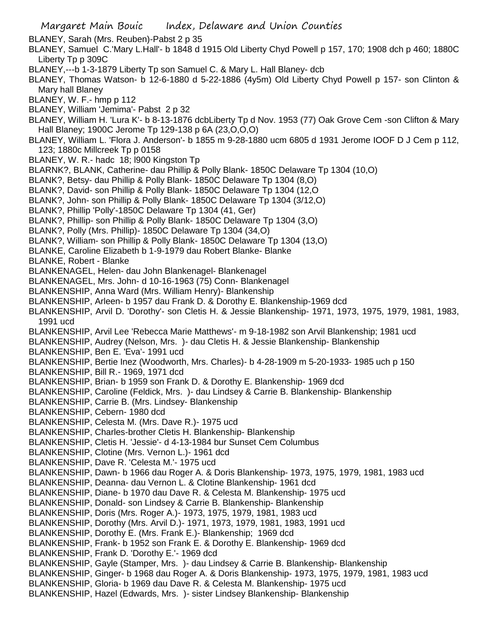BLANEY, Sarah (Mrs. Reuben)-Pabst 2 p 35

- BLANEY, Samuel C.'Mary L.Hall'- b 1848 d 1915 Old Liberty Chyd Powell p 157, 170; 1908 dch p 460; 1880C Liberty Tp p 309C
- BLANEY,---b 1-3-1879 Liberty Tp son Samuel C. & Mary L. Hall Blaney- dcb
- BLANEY, Thomas Watson- b 12-6-1880 d 5-22-1886 (4y5m) Old Liberty Chyd Powell p 157- son Clinton & Mary hall Blaney
- BLANEY, W. F.- hmp p 112
- BLANEY, William 'Jemima'- Pabst 2 p 32
- BLANEY, William H. 'Lura K'- b 8-13-1876 dcbLiberty Tp d Nov. 1953 (77) Oak Grove Cem -son Clifton & Mary Hall Blaney; 1900C Jerome Tp 129-138 p 6A (23,O,O,O)
- BLANEY, William L. 'Flora J. Anderson'- b 1855 m 9-28-1880 ucm 6805 d 1931 Jerome IOOF D J Cem p 112, 123; 1880c Millcreek Tp p 0158
- BLANEY, W. R.- hadc 18; l900 Kingston Tp
- BLARNK?, BLANK, Catherine- dau Phillip & Polly Blank- 1850C Delaware Tp 1304 (10,O)
- BLANK?, Betsy- dau Phillip & Polly Blank- 1850C Delaware Tp 1304 (8,O)
- BLANK?, David- son Phillip & Polly Blank- 1850C Delaware Tp 1304 (12,O
- BLANK?, John- son Phillip & Polly Blank- 1850C Delaware Tp 1304 (3/12,O)
- BLANK?, Phillip 'Polly'-1850C Delaware Tp 1304 (41, Ger)
- BLANK?, Phillip- son Phillip & Polly Blank- 1850C Delaware Tp 1304 (3,O)
- BLANK?, Polly (Mrs. Phillip)- 1850C Delaware Tp 1304 (34,O)
- BLANK?, William- son Phillip & Polly Blank- 1850C Delaware Tp 1304 (13,O)
- BLANKE, Caroline Elizabeth b 1-9-1979 dau Robert Blanke- Blanke
- BLANKE, Robert Blanke
- BLANKENAGEL, Helen- dau John Blankenagel- Blankenagel
- BLANKENAGEL, Mrs. John- d 10-16-1963 (75) Conn- Blankenagel
- BLANKENSHIP, Anna Ward (Mrs. William Henry)- Blankenship
- BLANKENSHIP, Arleen- b 1957 dau Frank D. & Dorothy E. Blankenship-1969 dcd
- BLANKENSHIP, Arvil D. 'Dorothy'- son Cletis H. & Jessie Blankenship- 1971, 1973, 1975, 1979, 1981, 1983, 1991 ucd
- BLANKENSHIP, Arvil Lee 'Rebecca Marie Matthews'- m 9-18-1982 son Arvil Blankenship; 1981 ucd
- BLANKENSHIP, Audrey (Nelson, Mrs. )- dau Cletis H. & Jessie Blankenship- Blankenship
- BLANKENSHIP, Ben E. 'Eva'- 1991 ucd
- BLANKENSHIP, Bertie Inez (Woodworth, Mrs. Charles)- b 4-28-1909 m 5-20-1933- 1985 uch p 150
- BLANKENSHIP, Bill R.- 1969, 1971 dcd
- BLANKENSHIP, Brian- b 1959 son Frank D. & Dorothy E. Blankenship- 1969 dcd
- BLANKENSHIP, Caroline (Feldick, Mrs. )- dau Lindsey & Carrie B. Blankenship- Blankenship
- BLANKENSHIP, Carrie B. (Mrs. Lindsey- Blankenship
- BLANKENSHIP, Cebern- 1980 dcd
- BLANKENSHIP, Celesta M. (Mrs. Dave R.)- 1975 ucd
- BLANKENSHIP, Charles-brother Cletis H. Blankenship- Blankenship
- BLANKENSHIP, Cletis H. 'Jessie'- d 4-13-1984 bur Sunset Cem Columbus
- BLANKENSHIP, Clotine (Mrs. Vernon L.)- 1961 dcd
- BLANKENSHIP, Dave R. 'Celesta M.'- 1975 ucd
- BLANKENSHIP, Dawn- b 1966 dau Roger A. & Doris Blankenship- 1973, 1975, 1979, 1981, 1983 ucd
- BLANKENSHIP, Deanna- dau Vernon L. & Clotine Blankenship- 1961 dcd
- BLANKENSHIP, Diane- b 1970 dau Dave R. & Celesta M. Blankenship- 1975 ucd
- BLANKENSHIP, Donald- son Lindsey & Carrie B. Blankenship- Blankenship
- BLANKENSHIP, Doris (Mrs. Roger A.)- 1973, 1975, 1979, 1981, 1983 ucd
- BLANKENSHIP, Dorothy (Mrs. Arvil D.)- 1971, 1973, 1979, 1981, 1983, 1991 ucd
- BLANKENSHIP, Dorothy E. (Mrs. Frank E.)- Blankenship; 1969 dcd
- BLANKENSHIP, Frank- b 1952 son Frank E. & Dorothy E. Blankenship- 1969 dcd
- BLANKENSHIP, Frank D. 'Dorothy E.'- 1969 dcd
- BLANKENSHIP, Gayle (Stamper, Mrs. )- dau Lindsey & Carrie B. Blankenship- Blankenship
- BLANKENSHIP, Ginger- b 1968 dau Roger A. & Doris Blankenship- 1973, 1975, 1979, 1981, 1983 ucd
- BLANKENSHIP, Gloria- b 1969 dau Dave R. & Celesta M. Blankenship- 1975 ucd
- BLANKENSHIP, Hazel (Edwards, Mrs. )- sister Lindsey Blankenship- Blankenship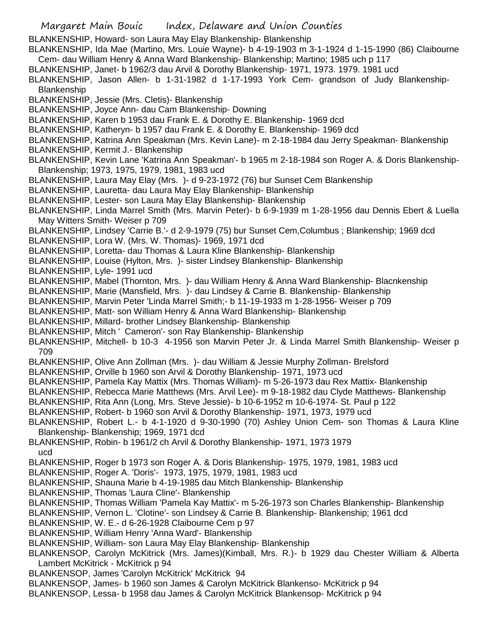Margaret Main Bouic Index, Delaware and Union Counties BLANKENSHIP, Howard- son Laura May Elay Blankenship- Blankenship BLANKENSHIP, Ida Mae (Martino, Mrs. Louie Wayne)- b 4-19-1903 m 3-1-1924 d 1-15-1990 (86) Claibourne Cem- dau William Henry & Anna Ward Blankenship- Blankenship; Martino; 1985 uch p 117 BLANKENSHIP, Janet- b 1962/3 dau Arvil & Dorothy Blankenship- 1971, 1973. 1979. 1981 ucd BLANKENSHIP, Jason Allen- b 1-31-1982 d 1-17-1993 York Cem- grandson of Judy Blankenship-**Blankenship** BLANKENSHIP, Jessie (Mrs. Cletis)- Blankenship BLANKENSHIP, Joyce Ann- dau Cam Blankenship- Downing BLANKENSHIP, Karen b 1953 dau Frank E. & Dorothy E. Blankenship- 1969 dcd BLANKENSHIP, Katheryn- b 1957 dau Frank E. & Dorothy E. Blankenship- 1969 dcd BLANKENSHIP, Katrina Ann Speakman (Mrs. Kevin Lane)- m 2-18-1984 dau Jerry Speakman- Blankenship BLANKENSHIP, Kermit J.- Blankenship BLANKENSHIP, Kevin Lane 'Katrina Ann Speakman'- b 1965 m 2-18-1984 son Roger A. & Doris Blankenship-Blankenship; 1973, 1975, 1979, 1981, 1983 ucd BLANKENSHIP, Laura May Elay (Mrs. )- d 9-23-1972 (76) bur Sunset Cem Blankenship BLANKENSHIP, Lauretta- dau Laura May Elay Blankenship- Blankenship BLANKENSHIP, Lester- son Laura May Elay Blankenship- Blankenship BLANKENSHIP, Linda Marrel Smith (Mrs. Marvin Peter)- b 6-9-1939 m 1-28-1956 dau Dennis Ebert & Luella May Witters Smith- Weiser p 709 BLANKENSHIP, Lindsey 'Carrie B.'- d 2-9-1979 (75) bur Sunset Cem,Columbus ; Blankenship; 1969 dcd BLANKENSHIP, Lora W. (Mrs. W. Thomas)- 1969, 1971 dcd BLANKENSHIP, Loretta- dau Thomas & Laura Kline Blankenship- Blankenship BLANKENSHIP, Louise (Hylton, Mrs. )- sister Lindsey Blankenship- Blankenship BLANKENSHIP, Lyle- 1991 ucd BLANKENSHIP, Mabel (Thornton, Mrs. )- dau William Henry & Anna Ward Blankenship- Blacnkenship BLANKENSHIP, Marie (Mansfield, Mrs. )- dau Lindsey & Carrie B. Blankenship- Blankenship BLANKENSHIP, Marvin Peter 'Linda Marrel Smith;- b 11-19-1933 m 1-28-1956- Weiser p 709 BLANKENSHIP, Matt- son William Henry & Anna Ward Blankenship- Blankenship BLANKENSHIP, Millard- brother Lindsey Blankenship- Blankenship BLANKENSHIP, Mitch ' Cameron'- son Ray Blankenship- Blankenship BLANKENSHIP, Mitchell- b 10-3 4-1956 son Marvin Peter Jr. & Linda Marrel Smith Blankenship- Weiser p 709 BLANKENSHIP, Olive Ann Zollman (Mrs. )- dau William & Jessie Murphy Zollman- Brelsford BLANKENSHIP, Orville b 1960 son Arvil & Dorothy Blankenship- 1971, 1973 ucd BLANKENSHIP, Pamela Kay Mattix (Mrs. Thomas William)- m 5-26-1973 dau Rex Mattix- Blankenship BLANKENSHIP, Rebecca Marie Matthews (Mrs. Arvil Lee)- m 9-18-1982 dau Clyde Matthews- Blankenship BLANKENSHIP, Rita Ann (Long, Mrs. Steve Jessie)- b 10-6-1952 m 10-6-1974- St. Paul p 122 BLANKENSHIP, Robert- b 1960 son Arvil & Dorothy Blankenship- 1971, 1973, 1979 ucd BLANKENSHIP, Robert L.- b 4-1-1920 d 9-30-1990 (70) Ashley Union Cem- son Thomas & Laura Kline Blankenship- Blankenship; 1969, 1971 dcd BLANKENSHIP, Robin- b 1961/2 ch Arvil & Dorothy Blankenship- 1971, 1973 1979 ucd BLANKENSHIP, Roger b 1973 son Roger A. & Doris Blankenship- 1975, 1979, 1981, 1983 ucd BLANKENSHIP, Roger A. 'Doris'- 1973, 1975, 1979, 1981, 1983 ucd BLANKENSHIP, Shauna Marie b 4-19-1985 dau Mitch Blankenship- Blankenship BLANKENSHIP, Thomas 'Laura Cline'- Blankenship BLANKENSHIP, Thomas William 'Pamela Kay Mattix'- m 5-26-1973 son Charles Blankenship- Blankenship BLANKENSHIP, Vernon L. 'Clotine'- son Lindsey & Carrie B. Blankenship- Blankenship; 1961 dcd BLANKENSHIP, W. E.- d 6-26-1928 Claibourne Cem p 97 BLANKENSHIP, William Henry 'Anna Ward'- Blankenship BLANKENSHIP, William- son Laura May Elay Blankenship- Blankenship BLANKENSOP, Carolyn McKitrick (Mrs. James)(Kimball, Mrs. R.)- b 1929 dau Chester William & Alberta Lambert McKitrick - McKitrick p 94 BLANKENSOP, James 'Carolyn McKitrick' McKitrick 94 BLANKENSOP, James- b 1960 son James & Carolyn McKitrick Blankenso- McKitrick p 94 BLANKENSOP, Lessa- b 1958 dau James & Carolyn McKitrick Blankensop- McKitrick p 94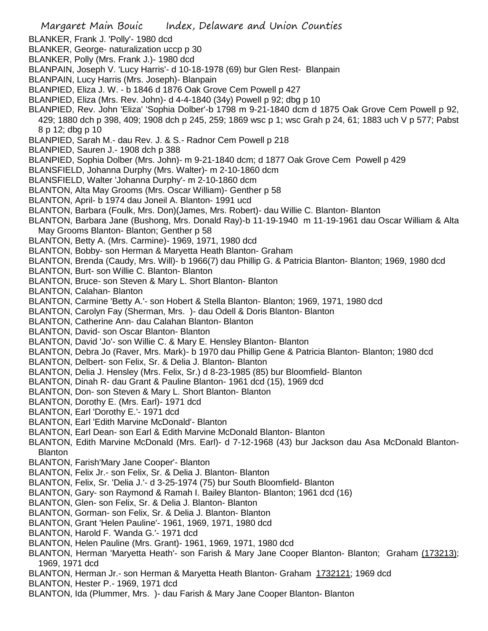Margaret Main Bouic Index, Delaware and Union Counties BLANKER, Frank J. 'Polly'- 1980 dcd BLANKER, George- naturalization uccp p 30 BLANKER, Polly (Mrs. Frank J.)- 1980 dcd BLANPAIN, Joseph V. 'Lucy Harris'- d 10-18-1978 (69) bur Glen Rest- Blanpain BLANPAIN, Lucy Harris (Mrs. Joseph)- Blanpain BLANPIED, Eliza J. W. - b 1846 d 1876 Oak Grove Cem Powell p 427 BLANPIED, Eliza (Mrs. Rev. John)- d 4-4-1840 (34y) Powell p 92; dbg p 10 BLANPIED, Rev. John 'Eliza' 'Sophia Dolber'-b 1798 m 9-21-1840 dcm d 1875 Oak Grove Cem Powell p 92, 429; 1880 dch p 398, 409; 1908 dch p 245, 259; 1869 wsc p 1; wsc Grah p 24, 61; 1883 uch V p 577; Pabst 8 p 12; dbg p 10 BLANPIED, Sarah M.- dau Rev. J. & S.- Radnor Cem Powell p 218 BLANPIED, Sauren J.- 1908 dch p 388 BLANPIED, Sophia Dolber (Mrs. John)- m 9-21-1840 dcm; d 1877 Oak Grove Cem Powell p 429 BLANSFIELD, Johanna Durphy (Mrs. Walter)- m 2-10-1860 dcm BLANSFIELD, Walter 'Johanna Durphy'- m 2-10-1860 dcm BLANTON, Alta May Grooms (Mrs. Oscar William)- Genther p 58 BLANTON, April- b 1974 dau Joneil A. Blanton- 1991 ucd BLANTON, Barbara (Foulk, Mrs. Don)(James, Mrs. Robert)- dau Willie C. Blanton- Blanton BLANTON, Barbara Jane (Bushong, Mrs. Donald Ray)-b 11-19-1940 m 11-19-1961 dau Oscar William & Alta May Grooms Blanton- Blanton; Genther p 58 BLANTON, Betty A. (Mrs. Carmine)- 1969, 1971, 1980 dcd BLANTON, Bobby- son Herman & Maryetta Heath Blanton- Graham BLANTON, Brenda (Caudy, Mrs. Will)- b 1966(7) dau Phillip G. & Patricia Blanton- Blanton; 1969, 1980 dcd BLANTON, Burt- son Willie C. Blanton- Blanton BLANTON, Bruce- son Steven & Mary L. Short Blanton- Blanton BLANTON, Calahan- Blanton BLANTON, Carmine 'Betty A.'- son Hobert & Stella Blanton- Blanton; 1969, 1971, 1980 dcd BLANTON, Carolyn Fay (Sherman, Mrs. )- dau Odell & Doris Blanton- Blanton BLANTON, Catherine Ann- dau Calahan Blanton- Blanton BLANTON, David- son Oscar Blanton- Blanton BLANTON, David 'Jo'- son Willie C. & Mary E. Hensley Blanton- Blanton BLANTON, Debra Jo (Raver, Mrs. Mark)- b 1970 dau Phillip Gene & Patricia Blanton- Blanton; 1980 dcd BLANTON, Delbert- son Felix, Sr. & Delia J. Blanton- Blanton BLANTON, Delia J. Hensley (Mrs. Felix, Sr.) d 8-23-1985 (85) bur Bloomfield- Blanton BLANTON, Dinah R- dau Grant & Pauline Blanton- 1961 dcd (15), 1969 dcd BLANTON, Don- son Steven & Mary L. Short Blanton- Blanton BLANTON, Dorothy E. (Mrs. Earl)- 1971 dcd BLANTON, Earl 'Dorothy E.'- 1971 dcd BLANTON, Earl 'Edith Marvine McDonald'- Blanton BLANTON, Earl Dean- son Earl & Edith Marvine McDonald Blanton- Blanton BLANTON, Edith Marvine McDonald (Mrs. Earl)- d 7-12-1968 (43) bur Jackson dau Asa McDonald Blanton-Blanton BLANTON, Farish'Mary Jane Cooper'- Blanton BLANTON, Felix Jr.- son Felix, Sr. & Delia J. Blanton- Blanton BLANTON, Felix, Sr. 'Delia J.'- d 3-25-1974 (75) bur South Bloomfield- Blanton BLANTON, Gary- son Raymond & Ramah I. Bailey Blanton- Blanton; 1961 dcd (16) BLANTON, Glen- son Felix, Sr. & Delia J. Blanton- Blanton BLANTON, Gorman- son Felix, Sr. & Delia J. Blanton- Blanton BLANTON, Grant 'Helen Pauline'- 1961, 1969, 1971, 1980 dcd BLANTON, Harold F. 'Wanda G.'- 1971 dcd BLANTON, Helen Pauline (Mrs. Grant)- 1961, 1969, 1971, 1980 dcd

- BLANTON, Herman 'Maryetta Heath'- son Farish & Mary Jane Cooper Blanton- Blanton; Graham (173213); 1969, 1971 dcd
- BLANTON, Herman Jr.- son Herman & Maryetta Heath Blanton- Graham 1732121; 1969 dcd
- BLANTON, Hester P.- 1969, 1971 dcd
- BLANTON, Ida (Plummer, Mrs. )- dau Farish & Mary Jane Cooper Blanton- Blanton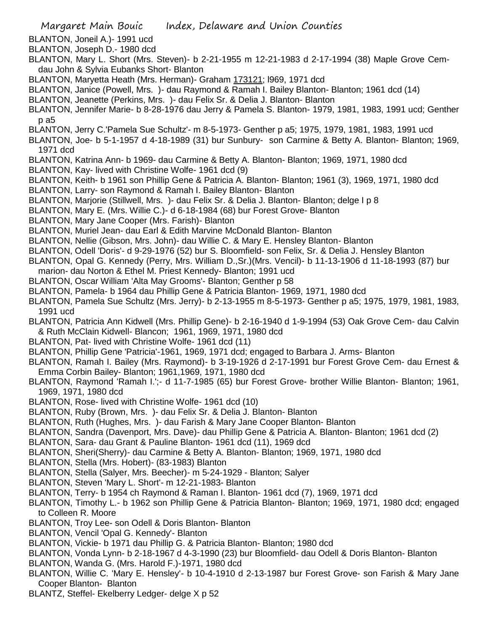BLANTON, Joneil A.)- 1991 ucd

- BLANTON, Joseph D.- 1980 dcd
- BLANTON, Mary L. Short (Mrs. Steven)- b 2-21-1955 m 12-21-1983 d 2-17-1994 (38) Maple Grove Cemdau John & Sylvia Eubanks Short- Blanton
- BLANTON, Maryetta Heath (Mrs. Herman)- Graham 173121; l969, 1971 dcd
- BLANTON, Janice (Powell, Mrs. )- dau Raymond & Ramah I. Bailey Blanton- Blanton; 1961 dcd (14)
- BLANTON, Jeanette (Perkins, Mrs. )- dau Felix Sr. & Delia J. Blanton- Blanton
- BLANTON, Jennifer Marie- b 8-28-1976 dau Jerry & Pamela S. Blanton- 1979, 1981, 1983, 1991 ucd; Genther p a5
- BLANTON, Jerry C.'Pamela Sue Schultz'- m 8-5-1973- Genther p a5; 1975, 1979, 1981, 1983, 1991 ucd
- BLANTON, Joe- b 5-1-1957 d 4-18-1989 (31) bur Sunbury- son Carmine & Betty A. Blanton- Blanton; 1969, 1971 dcd
- BLANTON, Katrina Ann- b 1969- dau Carmine & Betty A. Blanton- Blanton; 1969, 1971, 1980 dcd
- BLANTON, Kay- lived with Christine Wolfe- 1961 dcd (9)
- BLANTON, Keith- b 1961 son Phillip Gene & Patricia A. Blanton- Blanton; 1961 (3), 1969, 1971, 1980 dcd BLANTON, Larry- son Raymond & Ramah I. Bailey Blanton- Blanton
- BLANTON, Marjorie (Stillwell, Mrs. )- dau Felix Sr. & Delia J. Blanton- Blanton; delge I p 8
- BLANTON, Mary E. (Mrs. Willie C.)- d 6-18-1984 (68) bur Forest Grove- Blanton
- BLANTON, Mary Jane Cooper (Mrs. Farish)- Blanton
- BLANTON, Muriel Jean- dau Earl & Edith Marvine McDonald Blanton- Blanton
- BLANTON, Nellie (Gibson, Mrs. John)- dau Willie C. & Mary E. Hensley Blanton- Blanton
- BLANTON, Odell 'Doris'- d 9-29-1976 (52) bur S. Bloomfield- son Felix, Sr. & Delia J. Hensley Blanton
- BLANTON, Opal G. Kennedy (Perry, Mrs. William D.,Sr.)(Mrs. Vencil)- b 11-13-1906 d 11-18-1993 (87) bur marion- dau Norton & Ethel M. Priest Kennedy- Blanton; 1991 ucd
- BLANTON, Oscar William 'Alta May Grooms'- Blanton; Genther p 58
- BLANTON, Pamela- b 1964 dau Phillip Gene & Patricia Blanton- 1969, 1971, 1980 dcd
- BLANTON, Pamela Sue Schultz (Mrs. Jerry)- b 2-13-1955 m 8-5-1973- Genther p a5; 1975, 1979, 1981, 1983, 1991 ucd
- BLANTON, Patricia Ann Kidwell (Mrs. Phillip Gene)- b 2-16-1940 d 1-9-1994 (53) Oak Grove Cem- dau Calvin & Ruth McClain Kidwell- Blancon; 1961, 1969, 1971, 1980 dcd
- BLANTON, Pat- lived with Christine Wolfe- 1961 dcd (11)
- BLANTON, Phillip Gene 'Patricia'-1961, 1969, 1971 dcd; engaged to Barbara J. Arms- Blanton
- BLANTON, Ramah I. Bailey (Mrs. Raymond)- b 3-19-1926 d 2-17-1991 bur Forest Grove Cem- dau Ernest & Emma Corbin Bailey- Blanton; 1961,1969, 1971, 1980 dcd
- BLANTON, Raymond 'Ramah I.';- d 11-7-1985 (65) bur Forest Grove- brother Willie Blanton- Blanton; 1961, 1969, 1971, 1980 dcd
- BLANTON, Rose- lived with Christine Wolfe- 1961 dcd (10)
- BLANTON, Ruby (Brown, Mrs. )- dau Felix Sr. & Delia J. Blanton- Blanton
- BLANTON, Ruth (Hughes, Mrs. )- dau Farish & Mary Jane Cooper Blanton- Blanton
- BLANTON, Sandra (Davenport, Mrs. Dave)- dau Phillip Gene & Patricia A. Blanton- Blanton; 1961 dcd (2)
- BLANTON, Sara- dau Grant & Pauline Blanton- 1961 dcd (11), 1969 dcd
- BLANTON, Sheri(Sherry)- dau Carmine & Betty A. Blanton- Blanton; 1969, 1971, 1980 dcd
- BLANTON, Stella (Mrs. Hobert)- (83-1983) Blanton
- BLANTON, Stella (Salyer, Mrs. Beecher)- m 5-24-1929 Blanton; Salyer
- BLANTON, Steven 'Mary L. Short'- m 12-21-1983- Blanton
- BLANTON, Terry- b 1954 ch Raymond & Raman I. Blanton- 1961 dcd (7), 1969, 1971 dcd
- BLANTON, Timothy L.- b 1962 son Phillip Gene & Patricia Blanton- Blanton; 1969, 1971, 1980 dcd; engaged to Colleen R. Moore
- BLANTON, Troy Lee- son Odell & Doris Blanton- Blanton
- BLANTON, Vencil 'Opal G. Kennedy'- Blanton
- BLANTON, Vickie- b 1971 dau Phillip G. & Patricia Blanton- Blanton; 1980 dcd
- BLANTON, Vonda Lynn- b 2-18-1967 d 4-3-1990 (23) bur Bloomfield- dau Odell & Doris Blanton- Blanton
- BLANTON, Wanda G. (Mrs. Harold F.)-1971, 1980 dcd
- BLANTON, Willie C. 'Mary E. Hensley'- b 10-4-1910 d 2-13-1987 bur Forest Grove- son Farish & Mary Jane Cooper Blanton- Blanton
- BLANTZ, Steffel- Ekelberry Ledger- delge X p 52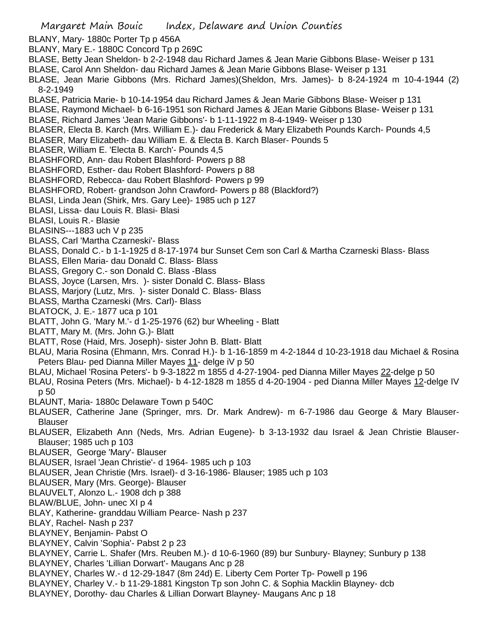- Margaret Main Bouic Index, Delaware and Union Counties BLANY, Mary- 1880c Porter Tp p 456A BLANY, Mary E.- 1880C Concord Tp p 269C BLASE, Betty Jean Sheldon- b 2-2-1948 dau Richard James & Jean Marie Gibbons Blase- Weiser p 131 BLASE, Carol Ann Sheldon- dau Richard James & Jean Marie Gibbons Blase- Weiser p 131 BLASE, Jean Marie Gibbons (Mrs. Richard James)(Sheldon, Mrs. James)- b 8-24-1924 m 10-4-1944 (2) 8-2-1949 BLASE, Patricia Marie- b 10-14-1954 dau Richard James & Jean Marie Gibbons Blase- Weiser p 131 BLASE, Raymond Michael- b 6-16-1951 son Richard James & JEan Marie Gibbons Blase- Weiser p 131 BLASE, Richard James 'Jean Marie Gibbons'- b 1-11-1922 m 8-4-1949- Weiser p 130 BLASER, Electa B. Karch (Mrs. William E.)- dau Frederick & Mary Elizabeth Pounds Karch- Pounds 4,5 BLASER, Mary Elizabeth- dau William E. & Electa B. Karch Blaser- Pounds 5 BLASER, William E. 'Electa B. Karch'- Pounds 4,5 BLASHFORD, Ann- dau Robert Blashford- Powers p 88 BLASHFORD, Esther- dau Robert Blashford- Powers p 88 BLASHFORD, Rebecca- dau Robert Blashford- Powers p 99 BLASHFORD, Robert- grandson John Crawford- Powers p 88 (Blackford?) BLASI, Linda Jean (Shirk, Mrs. Gary Lee)- 1985 uch p 127 BLASI, Lissa- dau Louis R. Blasi- Blasi BLASI, Louis R.- Blasie BLASINS---1883 uch V p 235 BLASS, Carl 'Martha Czarneski'- Blass BLASS, Donald C.- b 1-1-1925 d 8-17-1974 bur Sunset Cem son Carl & Martha Czarneski Blass- Blass BLASS, Ellen Maria- dau Donald C. Blass- Blass BLASS, Gregory C.- son Donald C. Blass -Blass BLASS, Joyce (Larsen, Mrs. )- sister Donald C. Blass- Blass BLASS, Marjory (Lutz, Mrs. )- sister Donald C. Blass- Blass BLASS, Martha Czarneski (Mrs. Carl)- Blass BLATOCK, J. E.- 1877 uca p 101 BLATT, John G. 'Mary M.'- d 1-25-1976 (62) bur Wheeling - Blatt BLATT, Mary M. (Mrs. John G.)- Blatt BLATT, Rose (Haid, Mrs. Joseph)- sister John B. Blatt- Blatt BLAU, Maria Rosina (Ehmann, Mrs. Conrad H.)- b 1-16-1859 m 4-2-1844 d 10-23-1918 dau Michael & Rosina Peters Blau- ped Dianna Miller Mayes 11- delge iV p 50 BLAU, Michael 'Rosina Peters'- b 9-3-1822 m 1855 d 4-27-1904- ped Dianna Miller Mayes 22-delge p 50 BLAU, Rosina Peters (Mrs. Michael)- b 4-12-1828 m 1855 d 4-20-1904 - ped Dianna Miller Mayes 12-delge IV p 50 BLAUNT, Maria- 1880c Delaware Town p 540C BLAUSER, Catherine Jane (Springer, mrs. Dr. Mark Andrew)- m 6-7-1986 dau George & Mary Blauser-Blauser BLAUSER, Elizabeth Ann (Neds, Mrs. Adrian Eugene)- b 3-13-1932 dau Israel & Jean Christie Blauser-Blauser; 1985 uch p 103 BLAUSER, George 'Mary'- Blauser BLAUSER, Israel 'Jean Christie'- d 1964- 1985 uch p 103 BLAUSER, Jean Christie (Mrs. Israel)- d 3-16-1986- Blauser; 1985 uch p 103 BLAUSER, Mary (Mrs. George)- Blauser BLAUVELT, Alonzo L.- 1908 dch p 388 BLAW/BLUE, John- unec XI p 4 BLAY, Katherine- granddau William Pearce- Nash p 237 BLAY, Rachel- Nash p 237 BLAYNEY, Benjamin- Pabst O BLAYNEY, Calvin 'Sophia'- Pabst 2 p 23 BLAYNEY, Carrie L. Shafer (Mrs. Reuben M.)- d 10-6-1960 (89) bur Sunbury- Blayney; Sunbury p 138
- BLAYNEY, Charles 'Lillian Dorwart'- Maugans Anc p 28
- BLAYNEY, Charles W.- d 12-29-1847 (8m 24d) E. Liberty Cem Porter Tp- Powell p 196
- BLAYNEY, Charley V.- b 11-29-1881 Kingston Tp son John C. & Sophia Macklin Blayney- dcb
- BLAYNEY, Dorothy- dau Charles & Lillian Dorwart Blayney- Maugans Anc p 18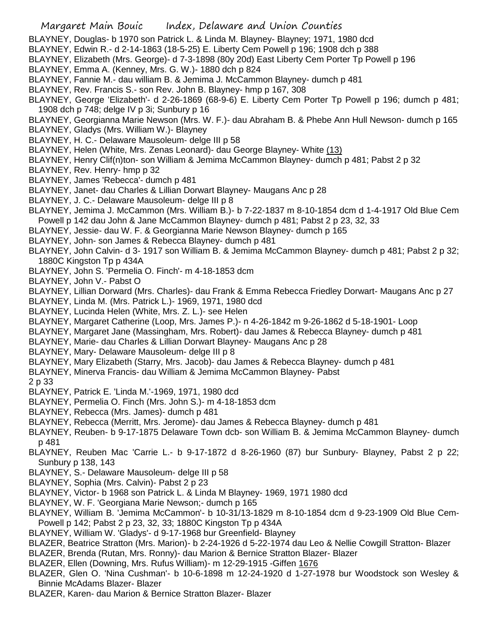## Margaret Main Bouic Index, Delaware and Union Counties

- BLAYNEY, Douglas- b 1970 son Patrick L. & Linda M. Blayney- Blayney; 1971, 1980 dcd
- BLAYNEY, Edwin R.- d 2-14-1863 (18-5-25) E. Liberty Cem Powell p 196; 1908 dch p 388
- BLAYNEY, Elizabeth (Mrs. George)- d 7-3-1898 (80y 20d) East Liberty Cem Porter Tp Powell p 196
- BLAYNEY, Emma A. (Kenney, Mrs. G. W.)- 1880 dch p 824
- BLAYNEY, Fannie M.- dau william B. & Jemima J. McCammon Blayney- dumch p 481
- BLAYNEY, Rev. Francis S.- son Rev. John B. Blayney- hmp p 167, 308
- BLAYNEY, George 'Elizabeth'- d 2-26-1869 (68-9-6) E. Liberty Cem Porter Tp Powell p 196; dumch p 481; 1908 dch p 748; delge IV p 3i; Sunbury p 16
- BLAYNEY, Georgianna Marie Newson (Mrs. W. F.)- dau Abraham B. & Phebe Ann Hull Newson- dumch p 165
- BLAYNEY, Gladys (Mrs. William W.)- Blayney
- BLAYNEY, H. C.- Delaware Mausoleum- delge III p 58
- BLAYNEY, Helen (White, Mrs. Zenas Leonard)- dau George Blayney- White (13)
- BLAYNEY, Henry Clif(n)ton- son William & Jemima McCammon Blayney- dumch p 481; Pabst 2 p 32
- BLAYNEY, Rev. Henry- hmp p 32
- BLAYNEY, James 'Rebecca'- dumch p 481
- BLAYNEY, Janet- dau Charles & Lillian Dorwart Blayney- Maugans Anc p 28
- BLAYNEY, J. C.- Delaware Mausoleum- delge III p 8
- BLAYNEY, Jemima J. McCammon (Mrs. William B.)- b 7-22-1837 m 8-10-1854 dcm d 1-4-1917 Old Blue Cem Powell p 142 dau John & Jane McCammon Blayney- dumch p 481; Pabst 2 p 23, 32, 33
- BLAYNEY, Jessie- dau W. F. & Georgianna Marie Newson Blayney- dumch p 165
- BLAYNEY, John- son James & Rebecca Blayney- dumch p 481
- BLAYNEY, John Calvin- d 3- 1917 son William B. & Jemima McCammon Blayney- dumch p 481; Pabst 2 p 32; 1880C Kingston Tp p 434A
- BLAYNEY, John S. 'Permelia O. Finch'- m 4-18-1853 dcm
- BLAYNEY, John V.- Pabst O
- BLAYNEY, Lillian Dorward (Mrs. Charles)- dau Frank & Emma Rebecca Friedley Dorwart- Maugans Anc p 27
- BLAYNEY, Linda M. (Mrs. Patrick L.)- 1969, 1971, 1980 dcd
- BLAYNEY, Lucinda Helen (White, Mrs. Z. L.)- see Helen
- BLAYNEY, Margaret Catherine (Loop, Mrs. James P.)- n 4-26-1842 m 9-26-1862 d 5-18-1901- Loop
- BLAYNEY, Margaret Jane (Massingham, Mrs. Robert)- dau James & Rebecca Blayney- dumch p 481
- BLAYNEY, Marie- dau Charles & Lillian Dorwart Blayney- Maugans Anc p 28
- BLAYNEY, Mary- Delaware Mausoleum- delge III p 8
- BLAYNEY, Mary Elizabeth (Starry, Mrs. Jacob)- dau James & Rebecca Blayney- dumch p 481
- BLAYNEY, Minerva Francis- dau William & Jemima McCammon Blayney- Pabst

2 p 33

- BLAYNEY, Patrick E. 'Linda M.'-1969, 1971, 1980 dcd
- BLAYNEY, Permelia O. Finch (Mrs. John S.)- m 4-18-1853 dcm
- BLAYNEY, Rebecca (Mrs. James)- dumch p 481
- BLAYNEY, Rebecca (Merritt, Mrs. Jerome)- dau James & Rebecca Blayney- dumch p 481
- BLAYNEY, Reuben- b 9-17-1875 Delaware Town dcb- son William B. & Jemima McCammon Blayney- dumch p 481
- BLAYNEY, Reuben Mac 'Carrie L.- b 9-17-1872 d 8-26-1960 (87) bur Sunbury- Blayney, Pabst 2 p 22; Sunbury p 138, 143
- BLAYNEY, S.- Delaware Mausoleum- delge III p 58
- BLAYNEY, Sophia (Mrs. Calvin)- Pabst 2 p 23
- BLAYNEY, Victor- b 1968 son Patrick L. & Linda M Blayney- 1969, 1971 1980 dcd
- BLAYNEY, W. F. 'Georgiana Marie Newson;- dumch p 165
- BLAYNEY, William B. 'Jemima McCammon'- b 10-31/13-1829 m 8-10-1854 dcm d 9-23-1909 Old Blue Cem-Powell p 142; Pabst 2 p 23, 32, 33; 1880C Kingston Tp p 434A
- BLAYNEY, William W. 'Gladys'- d 9-17-1968 bur Greenfield- Blayney
- BLAZER, Beatrice Stratton (Mrs. Marion)- b 2-24-1926 d 5-22-1974 dau Leo & Nellie Cowgill Stratton- Blazer
- BLAZER, Brenda (Rutan, Mrs. Ronny)- dau Marion & Bernice Stratton Blazer- Blazer
- BLAZER, Ellen (Downing, Mrs. Rufus William)- m 12-29-1915 -Giffen 1676
- BLAZER, Glen O. 'Nina Cushman'- b 10-6-1898 m 12-24-1920 d 1-27-1978 bur Woodstock son Wesley & Binnie McAdams Blazer- Blazer
- BLAZER, Karen- dau Marion & Bernice Stratton Blazer- Blazer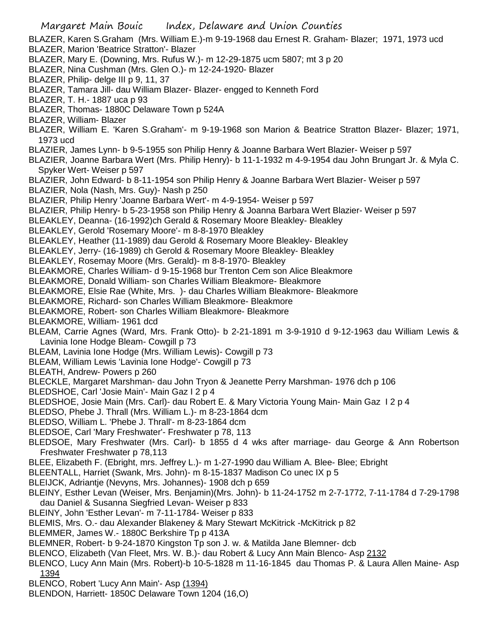BLAZER, Karen S.Graham (Mrs. William E.)-m 9-19-1968 dau Ernest R. Graham- Blazer; 1971, 1973 ucd BLAZER, Marion 'Beatrice Stratton'- Blazer

- BLAZER, Mary E. (Downing, Mrs. Rufus W.)- m 12-29-1875 ucm 5807; mt 3 p 20
- BLAZER, Nina Cushman (Mrs. Glen O.)- m 12-24-1920- Blazer
- BLAZER, Philip- delge III p 9, 11, 37
- BLAZER, Tamara Jill- dau William Blazer- Blazer- engged to Kenneth Ford
- BLAZER, T. H.- 1887 uca p 93
- BLAZER, Thomas- 1880C Delaware Town p 524A
- BLAZER, William- Blazer
- BLAZER, William E. 'Karen S.Graham'- m 9-19-1968 son Marion & Beatrice Stratton Blazer- Blazer; 1971, 1973 ucd
- BLAZIER, James Lynn- b 9-5-1955 son Philip Henry & Joanne Barbara Wert Blazier- Weiser p 597
- BLAZIER, Joanne Barbara Wert (Mrs. Philip Henry)- b 11-1-1932 m 4-9-1954 dau John Brungart Jr. & Myla C. Spyker Wert- Weiser p 597
- BLAZIER, John Edward- b 8-11-1954 son Philip Henry & Joanne Barbara Wert Blazier- Weiser p 597
- BLAZIER, Nola (Nash, Mrs. Guy)- Nash p 250
- BLAZIER, Philip Henry 'Joanne Barbara Wert'- m 4-9-1954- Weiser p 597
- BLAZIER, Philip Henry- b 5-23-1958 son Philip Henry & Joanna Barbara Wert Blazier- Weiser p 597
- BLEAKLEY, Deanna- (16-1992)ch Gerald & Rosemary Moore Bleakley- Bleakley
- BLEAKLEY, Gerold 'Rosemary Moore'- m 8-8-1970 Bleakley
- BLEAKLEY, Heather (11-1989) dau Gerold & Rosemary Moore Bleakley- Bleakley
- BLEAKLEY, Jerry- (16-1989) ch Gerold & Rosemary Moore Bleakley- Bleakley
- BLEAKLEY, Rosemay Moore (Mrs. Gerald)- m 8-8-1970- Bleakley
- BLEAKMORE, Charles William- d 9-15-1968 bur Trenton Cem son Alice Bleakmore
- BLEAKMORE, Donald William- son Charles William Bleakmore- Bleakmore
- BLEAKMORE, Elsie Rae (White, Mrs. )- dau Charles William Bleakmore- Bleakmore
- BLEAKMORE, Richard- son Charles William Bleakmore- Bleakmore
- BLEAKMORE, Robert- son Charles William Bleakmore- Bleakmore
- BLEAKMORE, William- 1961 dcd
- BLEAM, Carrie Agnes (Ward, Mrs. Frank Otto)- b 2-21-1891 m 3-9-1910 d 9-12-1963 dau William Lewis & Lavinia Ione Hodge Bleam- Cowgill p 73
- BLEAM, Lavinia Ione Hodge (Mrs. William Lewis)- Cowgill p 73
- BLEAM, William Lewis 'Lavinia Ione Hodge'- Cowgill p 73
- BLEATH, Andrew- Powers p 260
- BLECKLE, Margaret Marshman- dau John Tryon & Jeanette Perry Marshman- 1976 dch p 106
- BLEDSHOE, Carl 'Josie Main'- Main Gaz I 2 p 4
- BLEDSHOE, Josie Main (Mrs. Carl)- dau Robert E. & Mary Victoria Young Main- Main Gaz I 2 p 4
- BLEDSO, Phebe J. Thrall (Mrs. William L.)- m 8-23-1864 dcm
- BLEDSO, William L. 'Phebe J. Thrall'- m 8-23-1864 dcm
- BLEDSOE, Carl 'Mary Freshwater'- Freshwater p 78, 113
- BLEDSOE, Mary Freshwater (Mrs. Carl)- b 1855 d 4 wks after marriage- dau George & Ann Robertson Freshwater Freshwater p 78,113
- BLEE, Elizabeth F. (Ebright, mrs. Jeffrey L.)- m 1-27-1990 dau William A. Blee- Blee; Ebright
- BLEENTALL, Harriet (Swank, Mrs. John)- m 8-15-1837 Madison Co unec IX p 5
- BLEIJCK, Adriantje (Nevyns, Mrs. Johannes)- 1908 dch p 659
- BLEINY, Esther Levan (Weiser, Mrs. Benjamin)(Mrs. John)- b 11-24-1752 m 2-7-1772, 7-11-1784 d 7-29-1798 dau Daniel & Susanna Siegfried Levan- Weiser p 833
- BLEINY, John 'Esther Levan'- m 7-11-1784- Weiser p 833
- BLEMIS, Mrs. O.- dau Alexander Blakeney & Mary Stewart McKitrick -McKitrick p 82
- BLEMMER, James W.- 1880C Berkshire Tp p 413A
- BLEMNER, Robert- b 9-24-1870 Kingston Tp son J. w. & Matilda Jane Blemner- dcb
- BLENCO, Elizabeth (Van Fleet, Mrs. W. B.)- dau Robert & Lucy Ann Main Blenco- Asp 2132
- BLENCO, Lucy Ann Main (Mrs. Robert)-b 10-5-1828 m 11-16-1845 dau Thomas P. & Laura Allen Maine- Asp 1394
- BLENCO, Robert 'Lucy Ann Main'- Asp (1394)
- BLENDON, Harriett- 1850C Delaware Town 1204 (16,O)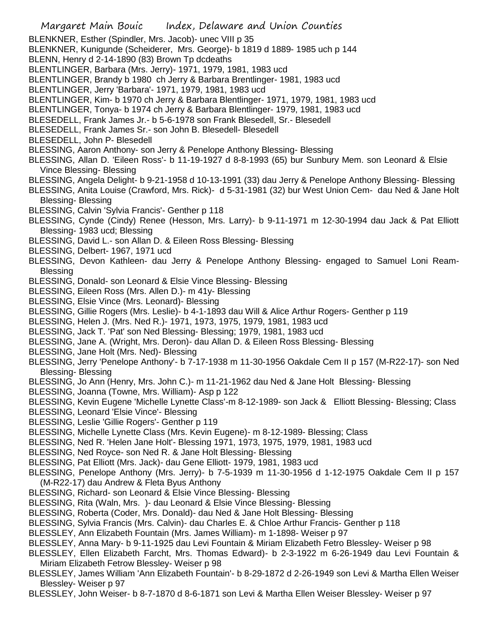- Margaret Main Bouic Index, Delaware and Union Counties BLENKNER, Esther (Spindler, Mrs. Jacob)- unec VIII p 35 BLENKNER, Kunigunde (Scheiderer, Mrs. George)- b 1819 d 1889- 1985 uch p 144 BLENN, Henry d 2-14-1890 (83) Brown Tp dcdeaths BLENTLINGER, Barbara (Mrs. Jerry)- 1971, 1979, 1981, 1983 ucd BLENTLINGER, Brandy b 1980 ch Jerry & Barbara Brentlinger- 1981, 1983 ucd BLENTLINGER, Jerry 'Barbara'- 1971, 1979, 1981, 1983 ucd BLENTLINGER, Kim- b 1970 ch Jerry & Barbara Blentlinger- 1971, 1979, 1981, 1983 ucd BLENTLINGER, Tonya- b 1974 ch Jerry & Barbara Blentlinger- 1979, 1981, 1983 ucd BLESEDELL, Frank James Jr.- b 5-6-1978 son Frank Blesedell, Sr.- Blesedell BLESEDELL, Frank James Sr.- son John B. Blesedell- Blesedell BLESEDELL, John P- Blesedell BLESSING, Aaron Anthony- son Jerry & Penelope Anthony Blessing- Blessing BLESSING, Allan D. 'Eileen Ross'- b 11-19-1927 d 8-8-1993 (65) bur Sunbury Mem. son Leonard & Elsie Vince Blessing- Blessing BLESSING, Angela Delight- b 9-21-1958 d 10-13-1991 (33) dau Jerry & Penelope Anthony Blessing- Blessing BLESSING, Anita Louise (Crawford, Mrs. Rick)- d 5-31-1981 (32) bur West Union Cem- dau Ned & Jane Holt Blessing- Blessing BLESSING, Calvin 'Sylvia Francis'- Genther p 118 BLESSING, Cynde (Cindy) Renee (Hesson, Mrs. Larry)- b 9-11-1971 m 12-30-1994 dau Jack & Pat Elliott Blessing- 1983 ucd; Blessing BLESSING, David L.- son Allan D. & Eileen Ross Blessing- Blessing BLESSING, Delbert- 1967, 1971 ucd BLESSING, Devon Kathleen- dau Jerry & Penelope Anthony Blessing- engaged to Samuel Loni Ream-Blessing BLESSING, Donald- son Leonard & Elsie Vince Blessing- Blessing BLESSING, Eileen Ross (Mrs. Allen D.)- m 41y- Blessing BLESSING, Elsie Vince (Mrs. Leonard)- Blessing BLESSING, Gillie Rogers (Mrs. Leslie)- b 4-1-1893 dau Will & Alice Arthur Rogers- Genther p 119 BLESSING, Helen J. (Mrs. Ned R.)- 1971, 1973, 1975, 1979, 1981, 1983 ucd BLESSING, Jack T. 'Pat' son Ned Blessing- Blessing; 1979, 1981, 1983 ucd BLESSING, Jane A. (Wright, Mrs. Deron)- dau Allan D. & Eileen Ross Blessing- Blessing BLESSING, Jane Holt (Mrs. Ned)- Blessing BLESSING, Jerry 'Penelope Anthony'- b 7-17-1938 m 11-30-1956 Oakdale Cem II p 157 (M-R22-17)- son Ned Blessing- Blessing BLESSING, Jo Ann (Henry, Mrs. John C.)- m 11-21-1962 dau Ned & Jane Holt Blessing- Blessing BLESSING, Joanna (Towne, Mrs. William)- Asp p 122 BLESSING, Kevin Eugene 'Michelle Lynette Class'-m 8-12-1989- son Jack & Elliott Blessing- Blessing; Class BLESSING, Leonard 'Elsie Vince'- Blessing BLESSING, Leslie 'Gillie Rogers'- Genther p 119 BLESSING, Michelle Lynette Class (Mrs. Kevin Eugene)- m 8-12-1989- Blessing; Class BLESSING, Ned R. 'Helen Jane Holt'- Blessing 1971, 1973, 1975, 1979, 1981, 1983 ucd BLESSING, Ned Royce- son Ned R. & Jane Holt Blessing- Blessing BLESSING, Pat Elliott (Mrs. Jack)- dau Gene Elliott- 1979, 1981, 1983 ucd BLESSING, Penelope Anthony (Mrs. Jerry)- b 7-5-1939 m 11-30-1956 d 1-12-1975 Oakdale Cem II p 157 (M-R22-17) dau Andrew & Fleta Byus Anthony BLESSING, Richard- son Leonard & Elsie Vince Blessing- Blessing BLESSING, Rita (Waln, Mrs. )- dau Leonard & Elsie Vince Blessing- Blessing BLESSING, Roberta (Coder, Mrs. Donald)- dau Ned & Jane Holt Blessing- Blessing BLESSING, Sylvia Francis (Mrs. Calvin)- dau Charles E. & Chloe Arthur Francis- Genther p 118 BLESSLEY, Ann Elizabeth Fountain (Mrs. James William)- m 1-1898- Weiser p 97 BLESSLEY, Anna Mary- b 9-11-1925 dau Levi Fountain & Miriam Elizabeth Fetro Blessley- Weiser p 98 BLESSLEY, Ellen Elizabeth Farcht, Mrs. Thomas Edward)- b 2-3-1922 m 6-26-1949 dau Levi Fountain & Miriam Elizabeth Fetrow Blessley- Weiser p 98 BLESSLEY, James William 'Ann Elizabeth Fountain'- b 8-29-1872 d 2-26-1949 son Levi & Martha Ellen Weiser Blessley- Weiser p 97
- BLESSLEY, John Weiser- b 8-7-1870 d 8-6-1871 son Levi & Martha Ellen Weiser Blessley- Weiser p 97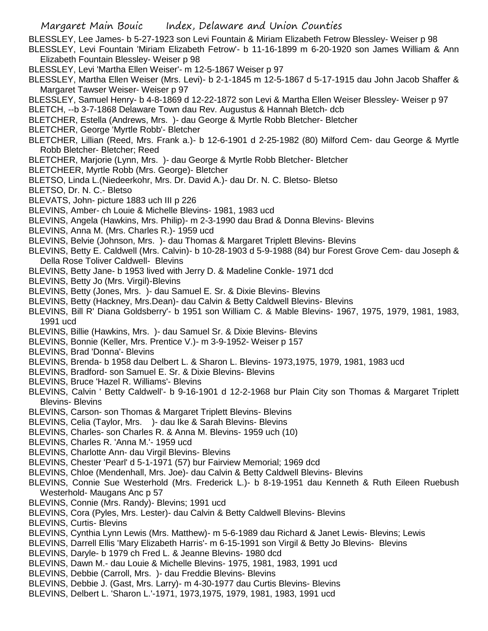BLESSLEY, Lee James- b 5-27-1923 son Levi Fountain & Miriam Elizabeth Fetrow Blessley- Weiser p 98

- BLESSLEY, Levi Fountain 'Miriam Elizabeth Fetrow'- b 11-16-1899 m 6-20-1920 son James William & Ann Elizabeth Fountain Blessley- Weiser p 98
- BLESSLEY, Levi 'Martha Ellen Weiser'- m 12-5-1867 Weiser p 97
- BLESSLEY, Martha Ellen Weiser (Mrs. Levi)- b 2-1-1845 m 12-5-1867 d 5-17-1915 dau John Jacob Shaffer & Margaret Tawser Weiser- Weiser p 97
- BLESSLEY, Samuel Henry- b 4-8-1869 d 12-22-1872 son Levi & Martha Ellen Weiser Blessley- Weiser p 97
- BLETCH, --b 3-7-1868 Delaware Town dau Rev. Augustus & Hannah Bletch- dcb
- BLETCHER, Estella (Andrews, Mrs. )- dau George & Myrtle Robb Bletcher- Bletcher
- BLETCHER, George 'Myrtle Robb'- Bletcher
- BLETCHER, Lillian (Reed, Mrs. Frank a.)- b 12-6-1901 d 2-25-1982 (80) Milford Cem- dau George & Myrtle Robb Bletcher- Bletcher; Reed
- BLETCHER, Marjorie (Lynn, Mrs. )- dau George & Myrtle Robb Bletcher- Bletcher
- BLETCHEER, Myrtle Robb (Mrs. George)- Bletcher
- BLETSO, Linda L.(Niedeerkohr, Mrs. Dr. David A.)- dau Dr. N. C. Bletso- Bletso
- BLETSO, Dr. N. C.- Bletso
- BLEVATS, John- picture 1883 uch III p 226
- BLEVINS, Amber- ch Louie & Michelle Blevins- 1981, 1983 ucd
- BLEVINS, Angela (Hawkins, Mrs. Philip)- m 2-3-1990 dau Brad & Donna Blevins- Blevins
- BLEVINS, Anna M. (Mrs. Charles R.)- 1959 ucd
- BLEVINS, Belvie (Johnson, Mrs. )- dau Thomas & Margaret Triplett Blevins- Blevins
- BLEVINS, Betty E. Caldwell (Mrs. Calvin)- b 10-28-1903 d 5-9-1988 (84) bur Forest Grove Cem- dau Joseph & Della Rose Toliver Caldwell- Blevins
- BLEVINS, Betty Jane- b 1953 lived with Jerry D. & Madeline Conkle- 1971 dcd
- BLEVINS, Betty Jo (Mrs. Virgil)-Blevins
- BLEVINS, Betty (Jones, Mrs. )- dau Samuel E. Sr. & Dixie Blevins- Blevins
- BLEVINS, Betty (Hackney, Mrs.Dean)- dau Calvin & Betty Caldwell Blevins- Blevins
- BLEVINS, Bill R' Diana Goldsberry'- b 1951 son William C. & Mable Blevins- 1967, 1975, 1979, 1981, 1983, 1991 ucd
- BLEVINS, Billie (Hawkins, Mrs. )- dau Samuel Sr. & Dixie Blevins- Blevins
- BLEVINS, Bonnie (Keller, Mrs. Prentice V.)- m 3-9-1952- Weiser p 157
- BLEVINS, Brad 'Donna'- Blevins
- BLEVINS, Brenda- b 1958 dau Delbert L. & Sharon L. Blevins- 1973,1975, 1979, 1981, 1983 ucd
- BLEVINS, Bradford- son Samuel E. Sr. & Dixie Blevins- Blevins
- BLEVINS, Bruce 'Hazel R. Williams'- Blevins
- BLEVINS, Calvin ' Betty Caldwell'- b 9-16-1901 d 12-2-1968 bur Plain City son Thomas & Margaret Triplett Blevins- Blevins
- BLEVINS, Carson- son Thomas & Margaret Triplett Blevins- Blevins
- BLEVINS, Celia (Taylor, Mrs. )- dau Ike & Sarah Blevins- Blevins
- BLEVINS, Charles- son Charles R. & Anna M. Blevins- 1959 uch (10)
- BLEVINS, Charles R. 'Anna M.'- 1959 ucd
- BLEVINS, Charlotte Ann- dau Virgil Blevins- Blevins
- BLEVINS, Chester 'Pearl' d 5-1-1971 (57) bur Fairview Memorial; 1969 dcd
- BLEVINS, Chloe (Mendenhall, Mrs. Joe)- dau Calvin & Betty Caldwell Blevins- Blevins
- BLEVINS, Connie Sue Westerhold (Mrs. Frederick L.)- b 8-19-1951 dau Kenneth & Ruth Eileen Ruebush Westerhold- Maugans Anc p 57
- BLEVINS, Connie (Mrs. Randy)- Blevins; 1991 ucd
- BLEVINS, Cora (Pyles, Mrs. Lester)- dau Calvin & Betty Caldwell Blevins- Blevins
- BLEVINS, Curtis- Blevins
- BLEVINS, Cynthia Lynn Lewis (Mrs. Matthew)- m 5-6-1989 dau Richard & Janet Lewis- Blevins; Lewis
- BLEVINS, Darrell Ellis 'Mary Elizabeth Harris'- m 6-15-1991 son Virgil & Betty Jo Blevins- Blevins
- BLEVINS, Daryle- b 1979 ch Fred L. & Jeanne Blevins- 1980 dcd
- BLEVINS, Dawn M.- dau Louie & Michelle Blevins- 1975, 1981, 1983, 1991 ucd
- BLEVINS, Debbie (Carroll, Mrs. )- dau Freddie Blevins- Blevins
- BLEVINS, Debbie J. (Gast, Mrs. Larry)- m 4-30-1977 dau Curtis Blevins- Blevins
- BLEVINS, Delbert L. 'Sharon L.'-1971, 1973,1975, 1979, 1981, 1983, 1991 ucd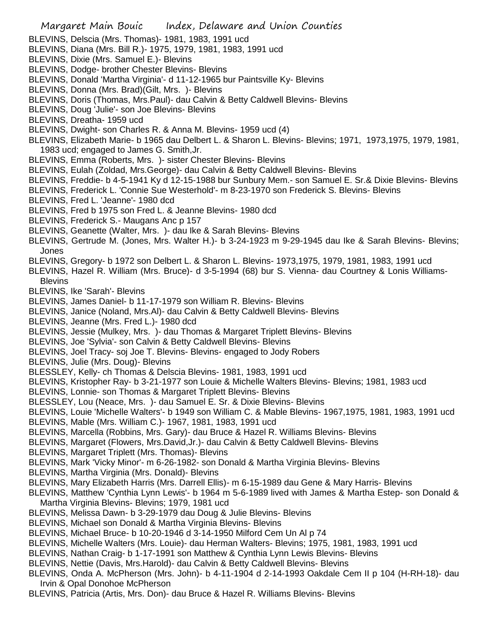- BLEVINS, Delscia (Mrs. Thomas)- 1981, 1983, 1991 ucd
- BLEVINS, Diana (Mrs. Bill R.)- 1975, 1979, 1981, 1983, 1991 ucd
- BLEVINS, Dixie (Mrs. Samuel E.)- Blevins
- BLEVINS, Dodge- brother Chester Blevins- Blevins
- BLEVINS, Donald 'Martha Virginia'- d 11-12-1965 bur Paintsville Ky- Blevins
- BLEVINS, Donna (Mrs. Brad)(Gilt, Mrs. )- Blevins
- BLEVINS, Doris (Thomas, Mrs.Paul)- dau Calvin & Betty Caldwell Blevins- Blevins
- BLEVINS, Doug 'Julie'- son Joe Blevins- Blevins
- BLEVINS, Dreatha- 1959 ucd
- BLEVINS, Dwight- son Charles R. & Anna M. Blevins- 1959 ucd (4)
- BLEVINS, Elizabeth Marie- b 1965 dau Delbert L. & Sharon L. Blevins- Blevins; 1971, 1973,1975, 1979, 1981, 1983 ucd; engaged to James G. Smith,Jr.
- BLEVINS, Emma (Roberts, Mrs. )- sister Chester Blevins- Blevins
- BLEVINS, Eulah (Zoldad, Mrs.George)- dau Calvin & Betty Caldwell Blevins- Blevins
- BLEVINS, Freddie- b 4-5-1941 Ky d 12-15-1988 bur Sunbury Mem.- son Samuel E. Sr.& Dixie Blevins- Blevins
- BLEVINS, Frederick L. 'Connie Sue Westerhold'- m 8-23-1970 son Frederick S. Blevins- Blevins
- BLEVINS, Fred L. 'Jeanne'- 1980 dcd
- BLEVINS, Fred b 1975 son Fred L. & Jeanne Blevins- 1980 dcd
- BLEVINS, Frederick S.- Maugans Anc p 157
- BLEVINS, Geanette (Walter, Mrs. )- dau Ike & Sarah Blevins- Blevins
- BLEVINS, Gertrude M. (Jones, Mrs. Walter H.)- b 3-24-1923 m 9-29-1945 dau Ike & Sarah Blevins- Blevins; Jones
- BLEVINS, Gregory- b 1972 son Delbert L. & Sharon L. Blevins- 1973,1975, 1979, 1981, 1983, 1991 ucd
- BLEVINS, Hazel R. William (Mrs. Bruce)- d 3-5-1994 (68) bur S. Vienna- dau Courtney & Lonis Williams-**Blevins**
- BLEVINS, Ike 'Sarah'- Blevins
- BLEVINS, James Daniel- b 11-17-1979 son William R. Blevins- Blevins
- BLEVINS, Janice (Noland, Mrs.Al)- dau Calvin & Betty Caldwell Blevins- Blevins
- BLEVINS, Jeanne (Mrs. Fred L.)- 1980 dcd
- BLEVINS, Jessie (Mulkey, Mrs. )- dau Thomas & Margaret Triplett Blevins- Blevins
- BLEVINS, Joe 'Sylvia'- son Calvin & Betty Caldwell Blevins- Blevins
- BLEVINS, Joel Tracy- soj Joe T. Blevins- Blevins- engaged to Jody Robers
- BLEVINS, Julie (Mrs. Doug)- Blevins
- BLESSLEY, Kelly- ch Thomas & Delscia Blevins- 1981, 1983, 1991 ucd
- BLEVINS, Kristopher Ray- b 3-21-1977 son Louie & Michelle Walters Blevins- Blevins; 1981, 1983 ucd
- BLEVINS, Lonnie- son Thomas & Margaret Triplett Blevins- Blevins
- BLESSLEY, Lou (Neace, Mrs. )- dau Samuel E. Sr. & Dixie Blevins- Blevins
- BLEVINS, Louie 'Michelle Walters'- b 1949 son William C. & Mable Blevins- 1967,1975, 1981, 1983, 1991 ucd
- BLEVINS, Mable (Mrs. William C.)- 1967, 1981, 1983, 1991 ucd
- BLEVINS, Marcella (Robbins, Mrs. Gary)- dau Bruce & Hazel R. Williams Blevins- Blevins
- BLEVINS, Margaret (Flowers, Mrs.David,Jr.)- dau Calvin & Betty Caldwell Blevins- Blevins
- BLEVINS, Margaret Triplett (Mrs. Thomas)- Blevins
- BLEVINS, Mark 'Vicky Minor'- m 6-26-1982- son Donald & Martha Virginia Blevins- Blevins
- BLEVINS, Martha Virginia (Mrs. Donald)- Blevins
- BLEVINS, Mary Elizabeth Harris (Mrs. Darrell Ellis)- m 6-15-1989 dau Gene & Mary Harris- Blevins
- BLEVINS, Matthew 'Cynthia Lynn Lewis'- b 1964 m 5-6-1989 lived with James & Martha Estep- son Donald & Martha Virginia Blevins- Blevins; 1979, 1981 ucd
- BLEVINS, Melissa Dawn- b 3-29-1979 dau Doug & Julie Blevins- Blevins
- BLEVINS, Michael son Donald & Martha Virginia Blevins- Blevins
- BLEVINS, Michael Bruce- b 10-20-1946 d 3-14-1950 Milford Cem Un Al p 74
- BLEVINS, Michelle Walters (Mrs. Louie)- dau Herman Walters- Blevins; 1975, 1981, 1983, 1991 ucd
- BLEVINS, Nathan Craig- b 1-17-1991 son Matthew & Cynthia Lynn Lewis Blevins- Blevins
- BLEVINS, Nettie (Davis, Mrs.Harold)- dau Calvin & Betty Caldwell Blevins- Blevins
- BLEVINS, Onda A. McPherson (Mrs. John)- b 4-11-1904 d 2-14-1993 Oakdale Cem II p 104 (H-RH-18)- dau Irvin & Opal Donohoe McPherson
- BLEVINS, Patricia (Artis, Mrs. Don)- dau Bruce & Hazel R. Williams Blevins- Blevins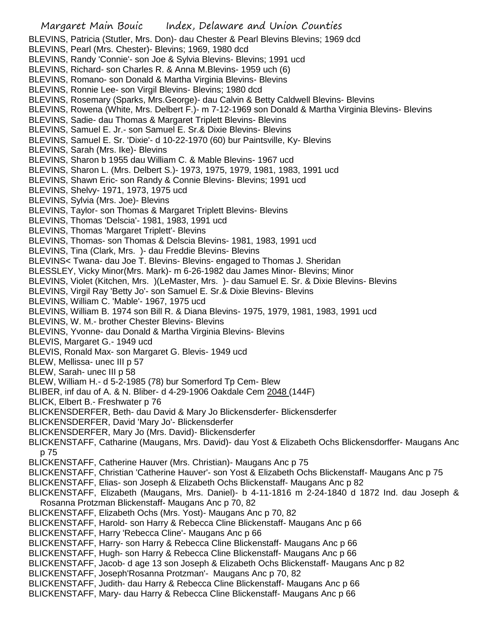Margaret Main Bouic Index, Delaware and Union Counties BLEVINS, Patricia (Stutler, Mrs. Don)- dau Chester & Pearl Blevins Blevins; 1969 dcd BLEVINS, Pearl (Mrs. Chester)- Blevins; 1969, 1980 dcd BLEVINS, Randy 'Connie'- son Joe & Sylvia Blevins- Blevins; 1991 ucd BLEVINS, Richard- son Charles R. & Anna M.Blevins- 1959 uch (6) BLEVINS, Romano- son Donald & Martha Virginia Blevins- Blevins BLEVINS, Ronnie Lee- son Virgil Blevins- Blevins; 1980 dcd BLEVINS, Rosemary (Sparks, Mrs.George)- dau Calvin & Betty Caldwell Blevins- Blevins BLEVINS, Rowena (White, Mrs. Delbert F.)- m 7-12-1969 son Donald & Martha Virginia Blevins- Blevins BLEVINS, Sadie- dau Thomas & Margaret Triplett Blevins- Blevins BLEVINS, Samuel E. Jr.- son Samuel E. Sr.& Dixie Blevins- Blevins BLEVINS, Samuel E. Sr. 'Dixie'- d 10-22-1970 (60) bur Paintsville, Ky- Blevins BLEVINS, Sarah (Mrs. Ike)- Blevins BLEVINS, Sharon b 1955 dau William C. & Mable Blevins- 1967 ucd BLEVINS, Sharon L. (Mrs. Delbert S.)- 1973, 1975, 1979, 1981, 1983, 1991 ucd BLEVINS, Shawn Eric- son Randy & Connie Blevins- Blevins; 1991 ucd BLEVINS, Shelvy- 1971, 1973, 1975 ucd BLEVINS, Sylvia (Mrs. Joe)- Blevins BLEVINS, Taylor- son Thomas & Margaret Triplett Blevins- Blevins BLEVINS, Thomas 'Delscia'- 1981, 1983, 1991 ucd BLEVINS, Thomas 'Margaret Triplett'- Blevins BLEVINS, Thomas- son Thomas & Delscia Blevins- 1981, 1983, 1991 ucd BLEVINS, Tina (Clark, Mrs. )- dau Freddie Blevins- Blevins BLEVINS< Twana- dau Joe T. Blevins- Blevins- engaged to Thomas J. Sheridan BLESSLEY, Vicky Minor(Mrs. Mark)- m 6-26-1982 dau James Minor- Blevins; Minor BLEVINS, Violet (Kitchen, Mrs. )(LeMaster, Mrs. )- dau Samuel E. Sr. & Dixie Blevins- Blevins BLEVINS, Virgil Ray 'Betty Jo'- son Samuel E. Sr.& Dixie Blevins- Blevins BLEVINS, William C. 'Mable'- 1967, 1975 ucd BLEVINS, William B. 1974 son Bill R. & Diana Blevins- 1975, 1979, 1981, 1983, 1991 ucd BLEVINS, W. M.- brother Chester Blevins- Blevins BLEVINS, Yvonne- dau Donald & Martha Virginia Blevins- Blevins BLEVIS, Margaret G.- 1949 ucd BLEVIS, Ronald Max- son Margaret G. Blevis- 1949 ucd BLEW, Mellissa- unec III p 57 BLEW, Sarah- unec III p 58 BLEW, William H.- d 5-2-1985 (78) bur Somerford Tp Cem- Blew BLIBER, inf dau of A. & N. Bliber- d 4-29-1906 Oakdale Cem 2048 (144F) BLICK, Elbert B.- Freshwater p 76 BLICKENSDERFER, Beth- dau David & Mary Jo Blickensderfer- Blickensderfer BLICKENSDERFER, David 'Mary Jo'- Blickensderfer BLICKENSDERFER, Mary Jo (Mrs. David)- Blickensderfer BLICKENSTAFF, Catharine (Maugans, Mrs. David)- dau Yost & Elizabeth Ochs Blickensdorffer- Maugans Anc p 75 BLICKENSTAFF, Catherine Hauver (Mrs. Christian)- Maugans Anc p 75 BLICKENSTAFF, Christian 'Catherine Hauver'- son Yost & Elizabeth Ochs Blickenstaff- Maugans Anc p 75 BLICKENSTAFF, Elias- son Joseph & Elizabeth Ochs Blickenstaff- Maugans Anc p 82 BLICKENSTAFF, Elizabeth (Maugans, Mrs. Daniel)- b 4-11-1816 m 2-24-1840 d 1872 Ind. dau Joseph & Rosanna Protzman Blickenstaff- Maugans Anc p 70, 82 BLICKENSTAFF, Elizabeth Ochs (Mrs. Yost)- Maugans Anc p 70, 82 BLICKENSTAFF, Harold- son Harry & Rebecca Cline Blickenstaff- Maugans Anc p 66 BLICKENSTAFF, Harry 'Rebecca Cline'- Maugans Anc p 66 BLICKENSTAFF, Harry- son Harry & Rebecca Cline Blickenstaff- Maugans Anc p 66 BLICKENSTAFF, Hugh- son Harry & Rebecca Cline Blickenstaff- Maugans Anc p 66 BLICKENSTAFF, Jacob- d age 13 son Joseph & Elizabeth Ochs Blickenstaff- Maugans Anc p 82 BLICKENSTAFF, Joseph'Rosanna Protzman'- Maugans Anc p 70, 82 BLICKENSTAFF, Judith- dau Harry & Rebecca Cline Blickenstaff- Maugans Anc p 66 BLICKENSTAFF, Mary- dau Harry & Rebecca Cline Blickenstaff- Maugans Anc p 66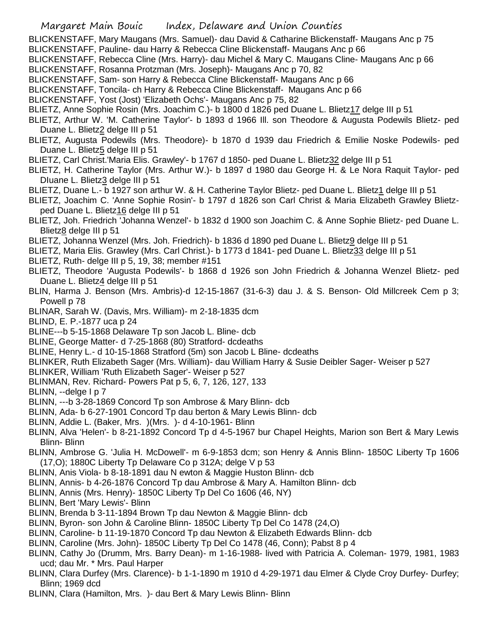- BLICKENSTAFF, Mary Maugans (Mrs. Samuel)- dau David & Catharine Blickenstaff- Maugans Anc p 75 BLICKENSTAFF, Pauline- dau Harry & Rebecca Cline Blickenstaff- Maugans Anc p 66
- BLICKENSTAFF, Rebecca Cline (Mrs. Harry)- dau Michel & Mary C. Maugans Cline- Maugans Anc p 66
- BLICKENSTAFF, Rosanna Protzman (Mrs. Joseph)- Maugans Anc p 70, 82
- BLICKENSTAFF, Sam- son Harry & Rebecca Cline Blickenstaff- Maugans Anc p 66
- BLICKENSTAFF, Toncila- ch Harry & Rebecca Cline Blickenstaff- Maugans Anc p 66
- BLICKENSTAFF, Yost (Jost) 'Elizabeth Ochs'- Maugans Anc p 75, 82
- BLIETZ, Anne Sophie Rosin (Mrs. Joachim C.)- b 1800 d 1826 ped Duane L. Blietz17 delge III p 51
- BLIETZ, Arthur W. 'M. Catherine Taylor'- b 1893 d 1966 Ill. son Theodore & Augusta Podewils Blietz- ped Duane L. Blietz2 delge III p 51
- BLIETZ, Augusta Podewils (Mrs. Theodore)- b 1870 d 1939 dau Friedrich & Emilie Noske Podewils- ped Duane L. Blietz5 delge III p 51
- BLIETZ, Carl Christ.'Maria Elis. Grawley'- b 1767 d 1850- ped Duane L. Blietz32 delge III p 51
- BLIETZ, H. Catherine Taylor (Mrs. Arthur W.)- b 1897 d 1980 dau George H. & Le Nora Raquit Taylor- ped DIuane L. Blietz3 delge III p 51
- BLIETZ, Duane L.- b 1927 son arthur W. & H. Catherine Taylor Blietz- ped Duane L. Blietz1 delge III p 51
- BLIETZ, Joachim C. 'Anne Sophie Rosin'- b 1797 d 1826 son Carl Christ & Maria Elizabeth Grawley Blietzped Duane L. Blietz16 delge III p 51
- BLIETZ, Joh. Friedrich 'Johanna Wenzel'- b 1832 d 1900 son Joachim C. & Anne Sophie Blietz- ped Duane L. Blietz8 delge III p 51
- BLIETZ, Johanna Wenzel (Mrs. Joh. Friedrich)- b 1836 d 1890 ped Duane L. Blietz9 delge III p 51
- BLIETZ, Maria Elis. Grawley (Mrs. Carl Christ.)- b 1773 d 1841- ped Duane L. Blietz33 delge III p 51
- BLIETZ, Ruth- delge III p 5, 19, 38; member #151
- BLIETZ, Theodore 'Augusta Podewils'- b 1868 d 1926 son John Friedrich & Johanna Wenzel Blietz- ped Duane L. Blietz4 delge III p 51
- BLIN, Harma J. Benson (Mrs. Ambris)-d 12-15-1867 (31-6-3) dau J. & S. Benson- Old Millcreek Cem p 3; Powell p 78
- BLINAR, Sarah W. (Davis, Mrs. William)- m 2-18-1835 dcm
- BLIND, E. P.-1877 uca p 24
- BLINE---b 5-15-1868 Delaware Tp son Jacob L. Bline- dcb
- BLINE, George Matter- d 7-25-1868 (80) Stratford- dcdeaths
- BLINE, Henry L.- d 10-15-1868 Stratford (5m) son Jacob L Bline- dcdeaths
- BLINKER, Ruth Elizabeth Sager (Mrs. William)- dau William Harry & Susie Deibler Sager- Weiser p 527
- BLINKER, William 'Ruth Elizabeth Sager'- Weiser p 527
- BLINMAN, Rev. Richard- Powers Pat p 5, 6, 7, 126, 127, 133
- BLINN, --delge I p 7
- BLINN, ---b 3-28-1869 Concord Tp son Ambrose & Mary Blinn- dcb
- BLINN, Ada- b 6-27-1901 Concord Tp dau berton & Mary Lewis Blinn- dcb
- BLINN, Addie L. (Baker, Mrs. )(Mrs. )- d 4-10-1961- Blinn
- BLINN, Alva 'Helen'- b 8-21-1892 Concord Tp d 4-5-1967 bur Chapel Heights, Marion son Bert & Mary Lewis Blinn- Blinn
- BLINN, Ambrose G. 'Julia H. McDowell'- m 6-9-1853 dcm; son Henry & Annis Blinn- 1850C Liberty Tp 1606 (17,O); 1880C Liberty Tp Delaware Co p 312A; delge V p 53
- BLINN, Anis Viola- b 8-18-1891 dau N ewton & Maggie Huston Blinn- dcb
- BLINN, Annis- b 4-26-1876 Concord Tp dau Ambrose & Mary A. Hamilton Blinn- dcb
- BLINN, Annis (Mrs. Henry)- 1850C Liberty Tp Del Co 1606 (46, NY)
- BLINN, Bert 'Mary Lewis'- Blinn
- BLINN, Brenda b 3-11-1894 Brown Tp dau Newton & Maggie Blinn- dcb
- BLINN, Byron- son John & Caroline Blinn- 1850C Liberty Tp Del Co 1478 (24,O)
- BLINN, Caroline- b 11-19-1870 Concord Tp dau Newton & Elizabeth Edwards Blinn- dcb
- BLINN, Caroline (Mrs. John)- 1850C Liberty Tp Del Co 1478 (46, Conn); Pabst 8 p 4
- BLINN, Cathy Jo (Drumm, Mrs. Barry Dean)- m 1-16-1988- lived with Patricia A. Coleman- 1979, 1981, 1983 ucd; dau Mr. \* Mrs. Paul Harper
- BLINN, Clara Durfey (Mrs. Clarence)- b 1-1-1890 m 1910 d 4-29-1971 dau Elmer & Clyde Croy Durfey- Durfey; Blinn; 1969 dcd
- BLINN, Clara (Hamilton, Mrs. )- dau Bert & Mary Lewis Blinn- Blinn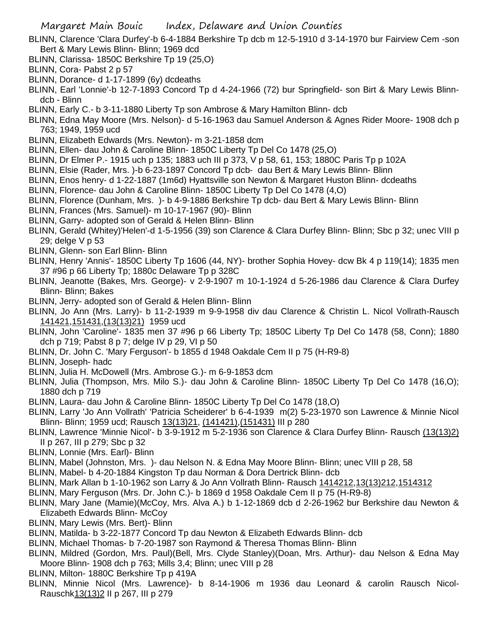- BLINN, Clarence 'Clara Durfey'-b 6-4-1884 Berkshire Tp dcb m 12-5-1910 d 3-14-1970 bur Fairview Cem -son Bert & Mary Lewis Blinn- Blinn; 1969 dcd
- BLINN, Clarissa- 1850C Berkshire Tp 19 (25,O)
- BLINN, Cora- Pabst 2 p 57
- BLINN, Dorance- d 1-17-1899 (6y) dcdeaths
- BLINN, Earl 'Lonnie'-b 12-7-1893 Concord Tp d 4-24-1966 (72) bur Springfield- son Birt & Mary Lewis Blinndcb - Blinn
- BLINN, Early C.- b 3-11-1880 Liberty Tp son Ambrose & Mary Hamilton Blinn- dcb
- BLINN, Edna May Moore (Mrs. Nelson)- d 5-16-1963 dau Samuel Anderson & Agnes Rider Moore- 1908 dch p 763; 1949, 1959 ucd
- BLINN, Elizabeth Edwards (Mrs. Newton)- m 3-21-1858 dcm
- BLINN, Ellen- dau John & Caroline Blinn- 1850C Liberty Tp Del Co 1478 (25,O)
- BLINN, Dr Elmer P.- 1915 uch p 135; 1883 uch III p 373, V p 58, 61, 153; 1880C Paris Tp p 102A
- BLINN, Elsie (Rader, Mrs. )-b 6-23-1897 Concord Tp dcb- dau Bert & Mary Lewis Blinn- Blinn
- BLINN, Enos henry- d 1-22-1887 (1m6d) Hyattsville son Newton & Margaret Huston Blinn- dcdeaths
- BLINN, Florence- dau John & Caroline Blinn- 1850C Liberty Tp Del Co 1478 (4,O)
- BLINN, Florence (Dunham, Mrs. )- b 4-9-1886 Berkshire Tp dcb- dau Bert & Mary Lewis Blinn- Blinn
- BLINN, Frances (Mrs. Samuel)- m 10-17-1967 (90)- Blinn
- BLINN, Garry- adopted son of Gerald & Helen Blinn- Blinn
- BLINN, Gerald (Whitey)'Helen'-d 1-5-1956 (39) son Clarence & Clara Durfey Blinn- Blinn; Sbc p 32; unec VIII p 29; delge V p 53
- BLINN, Glenn- son Earl Blinn- Blinn
- BLINN, Henry 'Annis'- 1850C Liberty Tp 1606 (44, NY)- brother Sophia Hovey- dcw Bk 4 p 119(14); 1835 men 37 #96 p 66 Liberty Tp; 1880c Delaware Tp p 328C
- BLINN, Jeanotte (Bakes, Mrs. George)- v 2-9-1907 m 10-1-1924 d 5-26-1986 dau Clarence & Clara Durfey Blinn- Blinn; Bakes
- BLINN, Jerry- adopted son of Gerald & Helen Blinn- Blinn
- BLINN, Jo Ann (Mrs. Larry)- b 11-2-1939 m 9-9-1958 div dau Clarence & Christin L. Nicol Vollrath-Rausch 141421,151431,(13(13)21) 1959 ucd
- BLINN, John 'Caroline'- 1835 men 37 #96 p 66 Liberty Tp; 1850C Liberty Tp Del Co 1478 (58, Conn); 1880 dch p 719; Pabst 8 p 7; delge IV p 29, VI p 50
- BLINN, Dr. John C. 'Mary Ferguson'- b 1855 d 1948 Oakdale Cem II p 75 (H-R9-8)
- BLINN, Joseph- hadc
- BLINN, Julia H. McDowell (Mrs. Ambrose G.)- m 6-9-1853 dcm
- BLINN, Julia (Thompson, Mrs. Milo S.)- dau John & Caroline Blinn- 1850C Liberty Tp Del Co 1478 (16,O); 1880 dch p 719
- BLINN, Laura- dau John & Caroline Blinn- 1850C Liberty Tp Del Co 1478 (18,O)
- BLINN, Larry 'Jo Ann Vollrath' 'Patricia Scheiderer' b 6-4-1939 m(2) 5-23-1970 son Lawrence & Minnie Nicol Blinn- Blinn; 1959 ucd; Rausch 13(13)21, (141421),(151431) III p 280
- BLINN, Lawrence 'Minnie Nicol'- b 3-9-1912 m 5-2-1936 son Clarence & Clara Durfey Blinn- Rausch (13(13)2) II p 267, III p 279; Sbc p 32
- BLINN, Lonnie (Mrs. Earl)- Blinn
- BLINN, Mabel (Johnston, Mrs. )- dau Nelson N. & Edna May Moore Blinn- Blinn; unec VIII p 28, 58
- BLINN, Mabel- b 4-20-1884 Kingston Tp dau Norman & Dora Dertrick Blinn- dcb
- BLINN, Mark Allan b 1-10-1962 son Larry & Jo Ann Vollrath Blinn- Rausch 1414212,13(13)212,1514312
- BLINN, Mary Ferguson (Mrs. Dr. John C.)- b 1869 d 1958 Oakdale Cem II p 75 (H-R9-8)
- BLINN, Mary Jane (Mamie)(McCoy, Mrs. Alva A.) b 1-12-1869 dcb d 2-26-1962 bur Berkshire dau Newton & Elizabeth Edwards Blinn- McCoy
- BLINN, Mary Lewis (Mrs. Bert)- Blinn
- BLINN, Matilda- b 3-22-1877 Concord Tp dau Newton & Elizabeth Edwards Blinn- dcb
- BLINN, Michael Thomas- b 7-20-1987 son Raymond & Theresa Thomas Blinn- Blinn
- BLINN, Mildred (Gordon, Mrs. Paul)(Bell, Mrs. Clyde Stanley)(Doan, Mrs. Arthur)- dau Nelson & Edna May Moore Blinn- 1908 dch p 763; Mills 3,4; Blinn; unec VIII p 28
- BLINN, Milton- 1880C Berkshire Tp p 419A
- BLINN, Minnie Nicol (Mrs. Lawrence)- b 8-14-1906 m 1936 dau Leonard & carolin Rausch Nicol-Rauschk13(13)2 II p 267, III p 279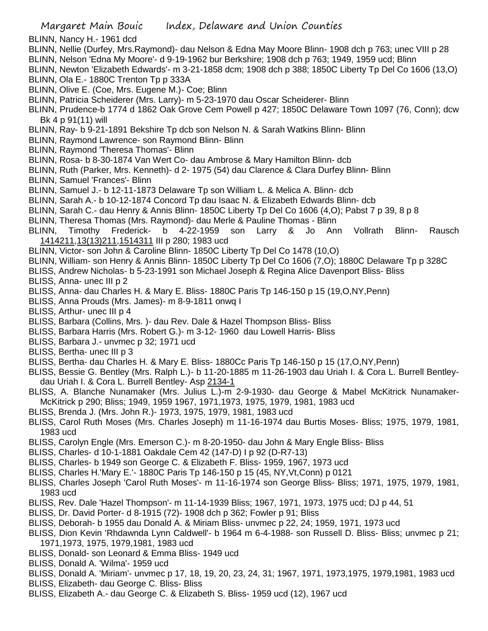- BLINN, Nancy H.- 1961 dcd
- BLINN, Nellie (Durfey, Mrs.Raymond)- dau Nelson & Edna May Moore Blinn- 1908 dch p 763; unec VIII p 28 BLINN, Nelson 'Edna My Moore'- d 9-19-1962 bur Berkshire; 1908 dch p 763; 1949, 1959 ucd; Blinn
- BLINN, Newton 'Elizabeth Edwards'- m 3-21-1858 dcm; 1908 dch p 388; 1850C Liberty Tp Del Co 1606 (13,O)
- BLINN, Ola E.- 1880C Trenton Tp p 333A
- BLINN, Olive E. (Coe, Mrs. Eugene M.)- Coe; Blinn
- BLINN, Patricia Scheiderer (Mrs. Larry)- m 5-23-1970 dau Oscar Scheiderer- Blinn
- BLINN, Prudence-b 1774 d 1862 Oak Grove Cem Powell p 427; 1850C Delaware Town 1097 (76, Conn); dcw Bk 4 p 91(11) will
- BLINN, Ray- b 9-21-1891 Bekshire Tp dcb son Nelson N. & Sarah Watkins Blinn- Blinn
- BLINN, Raymond Lawrence- son Raymond Blinn- Blinn
- BLINN, Raymond 'Theresa Thomas'- Blinn
- BLINN, Rosa- b 8-30-1874 Van Wert Co- dau Ambrose & Mary Hamilton Blinn- dcb
- BLINN, Ruth (Parker, Mrs. Kenneth)- d 2- 1975 (54) dau Clarence & Clara Durfey Blinn- Blinn
- BLINN, Samuel 'Frances'- Blinn
- BLINN, Samuel J.- b 12-11-1873 Delaware Tp son William L. & Melica A. Blinn- dcb
- BLINN, Sarah A.- b 10-12-1874 Concord Tp dau Isaac N. & Elizabeth Edwards Blinn- dcb
- BLINN, Sarah C.- dau Henry & Annis Blinn- 1850C Liberty Tp Del Co 1606 (4,O); Pabst 7 p 39, 8 p 8
- BLINN, Theresa Thomas (Mrs. Raymond)- dau Merle & Pauline Thomas Blinn
- BLINN, Timothy Frederick- b 4-22-1959 son Larry & Jo Ann Vollrath Blinn- Rausch 1414211,13(13)211,1514311 III p 280; 1983 ucd
- BLINN, Victor- son John & Caroline Blinn- 1850C Liberty Tp Del Co 1478 (10,O)
- BLINN, William- son Henry & Annis Blinn- 1850C Liberty Tp Del Co 1606 (7,O); 1880C Delaware Tp p 328C
- BLISS, Andrew Nicholas- b 5-23-1991 son Michael Joseph & Regina Alice Davenport Bliss- Bliss
- BLISS, Anna- unec III p 2
- BLISS, Anna- dau Charles H. & Mary E. Bliss- 1880C Paris Tp 146-150 p 15 (19,O,NY,Penn)
- BLISS, Anna Prouds (Mrs. James)- m 8-9-1811 onwq I
- BLISS, Arthur- unec III p 4
- BLISS, Barbara (Collins, Mrs. )- dau Rev. Dale & Hazel Thompson Bliss- Bliss
- BLISS, Barbara Harris (Mrs. Robert G.)- m 3-12- 1960 dau Lowell Harris- Bliss
- BLISS, Barbara J.- unvmec p 32; 1971 ucd
- BLISS, Bertha- unec III p 3
- BLISS, Bertha- dau Charles H. & Mary E. Bliss- 1880Cc Paris Tp 146-150 p 15 (17,O,NY,Penn)
- BLISS, Bessie G. Bentley (Mrs. Ralph L.)- b 11-20-1885 m 11-26-1903 dau Uriah I. & Cora L. Burrell Bentleydau Uriah I. & Cora L. Burrell Bentley- Asp 2134-1
- BLISS, A. Blanche Nunamaker (Mrs. Julius L.)-m 2-9-1930- dau George & Mabel McKitrick Nunamaker-McKitrick p 290; Bliss; 1949, 1959 1967, 1971,1973, 1975, 1979, 1981, 1983 ucd
- BLISS, Brenda J. (Mrs. John R.)- 1973, 1975, 1979, 1981, 1983 ucd
- BLISS, Carol Ruth Moses (Mrs. Charles Joseph) m 11-16-1974 dau Burtis Moses- Bliss; 1975, 1979, 1981, 1983 ucd
- BLISS, Carolyn Engle (Mrs. Emerson C.)- m 8-20-1950- dau John & Mary Engle Bliss- Bliss
- BLISS, Charles- d 10-1-1881 Oakdale Cem 42 (147-D) I p 92 (D-R7-13)
- BLISS, Charles- b 1949 son George C. & Elizabeth F. Bliss- 1959, 1967, 1973 ucd
- BLISS, Charles H.'Mary E.'- 1880C Paris Tp 146-150 p 15 (45, NY,Vt,Conn) p 0121
- BLISS, Charles Joseph 'Carol Ruth Moses'- m 11-16-1974 son George Bliss- Bliss; 1971, 1975, 1979, 1981, 1983 ucd
- BLISS, Rev. Dale 'Hazel Thompson'- m 11-14-1939 Bliss; 1967, 1971, 1973, 1975 ucd; DJ p 44, 51
- BLISS, Dr. David Porter- d 8-1915 (72)- 1908 dch p 362; Fowler p 91; Bliss
- BLISS, Deborah- b 1955 dau Donald A. & Miriam Bliss- unvmec p 22, 24; 1959, 1971, 1973 ucd
- BLISS, Dion Kevin 'Rhdawnda Lynn Caldwell'- b 1964 m 6-4-1988- son Russell D. Bliss- Bliss; unvmec p 21; 1971,1973, 1975, 1979,1981, 1983 ucd
- BLISS, Donald- son Leonard & Emma Bliss- 1949 ucd
- BLISS, Donald A. 'Wilma'- 1959 ucd
- BLISS, Donald A. 'Miriam'- unvmec p 17, 18, 19, 20, 23, 24, 31; 1967, 1971, 1973,1975, 1979,1981, 1983 ucd
- BLISS, Elizabeth- dau George C. Bliss- Bliss
- BLISS, Elizabeth A.- dau George C. & Elizabeth S. Bliss- 1959 ucd (12), 1967 ucd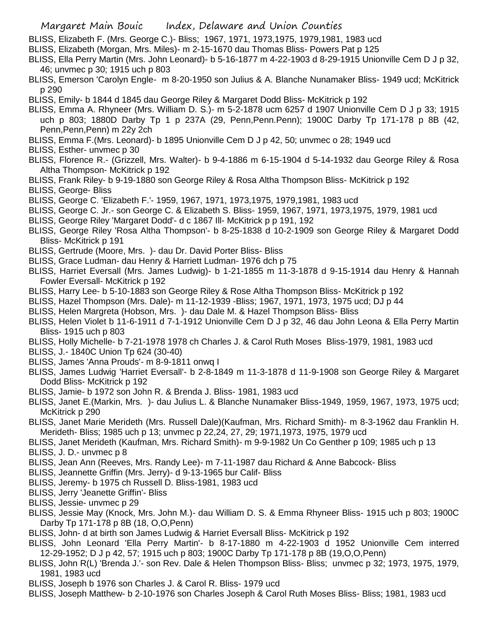- BLISS, Elizabeth F. (Mrs. George C.)- Bliss; 1967, 1971, 1973,1975, 1979,1981, 1983 ucd
- BLISS, Elizabeth (Morgan, Mrs. Miles)- m 2-15-1670 dau Thomas Bliss- Powers Pat p 125
- BLISS, Ella Perry Martin (Mrs. John Leonard)- b 5-16-1877 m 4-22-1903 d 8-29-1915 Unionville Cem D J p 32, 46; unvmec p 30; 1915 uch p 803
- BLISS, Emerson 'Carolyn Engle- m 8-20-1950 son Julius & A. Blanche Nunamaker Bliss- 1949 ucd; McKitrick p 290
- BLISS, Emily- b 1844 d 1845 dau George Riley & Margaret Dodd Bliss- McKitrick p 192
- BLISS, Emma A. Rhyneer (Mrs. William D. S.)- m 5-2-1878 ucm 6257 d 1907 Unionville Cem D J p 33; 1915 uch p 803; 1880D Darby Tp 1 p 237A (29, Penn,Penn.Penn); 1900C Darby Tp 171-178 p 8B (42, Penn,Penn,Penn) m 22y 2ch
- BLISS, Emma F.(Mrs. Leonard)- b 1895 Unionville Cem D J p 42, 50; unvmec o 28; 1949 ucd
- BLISS, Esther- unvmec p 30
- BLISS, Florence R.- (Grizzell, Mrs. Walter)- b 9-4-1886 m 6-15-1904 d 5-14-1932 dau George Riley & Rosa Altha Thompson- McKitrick p 192
- BLISS, Frank Riley- b 9-19-1880 son George Riley & Rosa Altha Thompson Bliss- McKitrick p 192
- BLISS, George- Bliss
- BLISS, George C. 'Elizabeth F.'- 1959, 1967, 1971, 1973,1975, 1979,1981, 1983 ucd
- BLISS, George C. Jr.- son George C. & Elizabeth S. Bliss- 1959, 1967, 1971, 1973,1975, 1979, 1981 ucd
- BLISS, George Riley 'Margaret Dodd'- d c 1867 Ill- McKitrick p p 191, 192
- BLISS, George Riley 'Rosa Altha Thompson'- b 8-25-1838 d 10-2-1909 son George Riley & Margaret Dodd Bliss- McKitrick p 191
- BLISS, Gertrude (Moore, Mrs. )- dau Dr. David Porter Bliss- Bliss
- BLISS, Grace Ludman- dau Henry & Harriett Ludman- 1976 dch p 75
- BLISS, Harriet Eversall (Mrs. James Ludwig)- b 1-21-1855 m 11-3-1878 d 9-15-1914 dau Henry & Hannah Fowler Eversall- McKitrick p 192
- BLISS, Harry Lee- b 5-10-1883 son George Riley & Rose Altha Thompson Bliss- McKitrick p 192
- BLISS, Hazel Thompson (Mrs. Dale)- m 11-12-1939 -Bliss; 1967, 1971, 1973, 1975 ucd; DJ p 44
- BLISS, Helen Margreta (Hobson, Mrs. )- dau Dale M. & Hazel Thompson Bliss- Bliss
- BLISS, Helen Violet b 11-6-1911 d 7-1-1912 Unionville Cem D J p 32, 46 dau John Leona & Ella Perry Martin Bliss- 1915 uch p 803
- BLISS, Holly Michelle- b 7-21-1978 1978 ch Charles J. & Carol Ruth Moses Bliss-1979, 1981, 1983 ucd
- BLISS, J.- 1840C Union Tp 624 (30-40)
- BLISS, James 'Anna Prouds'- m 8-9-1811 onwq I
- BLISS, James Ludwig 'Harriet Eversall'- b 2-8-1849 m 11-3-1878 d 11-9-1908 son George Riley & Margaret Dodd Bliss- McKitrick p 192
- BLISS, Jamie- b 1972 son John R. & Brenda J. Bliss- 1981, 1983 ucd
- BLISS, Janet E.(Markin, Mrs. )- dau Julius L. & Blanche Nunamaker Bliss-1949, 1959, 1967, 1973, 1975 ucd; McKitrick p 290
- BLISS, Janet Marie Merideth (Mrs. Russell Dale)(Kaufman, Mrs. Richard Smith)- m 8-3-1962 dau Franklin H. Merideth- Bliss; 1985 uch p 13; unvmec p 22,24, 27, 29; 1971,1973, 1975, 1979 ucd
- BLISS, Janet Merideth (Kaufman, Mrs. Richard Smith)- m 9-9-1982 Un Co Genther p 109; 1985 uch p 13 BLISS, J. D.- unvmec p 8
- BLISS, Jean Ann (Reeves, Mrs. Randy Lee)- m 7-11-1987 dau Richard & Anne Babcock- Bliss
- BLISS, Jeannette Griffin (Mrs. Jerry)- d 9-13-1965 bur Calif- Bliss
- BLISS, Jeremy- b 1975 ch Russell D. Bliss-1981, 1983 ucd
- BLISS, Jerry 'Jeanette Griffin'- Bliss
- BLISS, Jessie- unvmec p 29
- BLISS, Jessie May (Knock, Mrs. John M.)- dau William D. S. & Emma Rhyneer Bliss- 1915 uch p 803; 1900C Darby Tp 171-178 p 8B (18, O,O,Penn)
- BLISS, John- d at birth son James Ludwig & Harriet Eversall Bliss- McKitrick p 192
- BLISS, John Leonard 'Ella Perry Martin'- b 8-17-1880 m 4-22-1903 d 1952 Unionville Cem interred 12-29-1952; D J p 42, 57; 1915 uch p 803; 1900C Darby Tp 171-178 p 8B (19,O,O,Penn)
- BLISS, John R(L) 'Brenda J.'- son Rev. Dale & Helen Thompson Bliss- Bliss; unvmec p 32; 1973, 1975, 1979, 1981, 1983 ucd
- BLISS, Joseph b 1976 son Charles J. & Carol R. Bliss- 1979 ucd
- BLISS, Joseph Matthew- b 2-10-1976 son Charles Joseph & Carol Ruth Moses Bliss- Bliss; 1981, 1983 ucd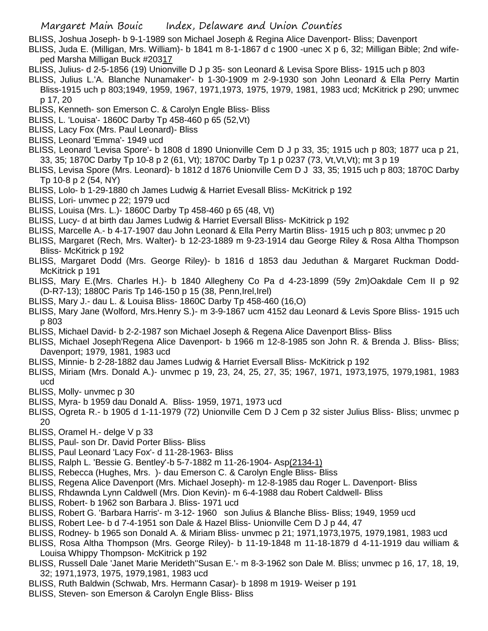BLISS, Joshua Joseph- b 9-1-1989 son Michael Joseph & Regina Alice Davenport- Bliss; Davenport

- BLISS, Juda E. (Milligan, Mrs. William)- b 1841 m 8-1-1867 d c 1900 -unec X p 6, 32; Milligan Bible; 2nd wifeped Marsha Milligan Buck #20317
- BLISS, Julius- d 2-5-1856 (19) Unionville D J p 35- son Leonard & Levisa Spore Bliss- 1915 uch p 803
- BLISS, Julius L.'A. Blanche Nunamaker'- b 1-30-1909 m 2-9-1930 son John Leonard & Ella Perry Martin Bliss-1915 uch p 803;1949, 1959, 1967, 1971,1973, 1975, 1979, 1981, 1983 ucd; McKitrick p 290; unvmec p 17, 20
- BLISS, Kenneth- son Emerson C. & Carolyn Engle Bliss- Bliss
- BLISS, L. 'Louisa'- 1860C Darby Tp 458-460 p 65 (52,Vt)
- BLISS, Lacy Fox (Mrs. Paul Leonard)- Bliss
- BLISS, Leonard 'Emma'- 1949 ucd
- BLISS, Leonard 'Levisa Spore'- b 1808 d 1890 Unionville Cem D J p 33, 35; 1915 uch p 803; 1877 uca p 21, 33, 35; 1870C Darby Tp 10-8 p 2 (61, Vt); 1870C Darby Tp 1 p 0237 (73, Vt,Vt,Vt); mt 3 p 19
- BLISS, Levisa Spore (Mrs. Leonard)- b 1812 d 1876 Unionville Cem D J 33, 35; 1915 uch p 803; 1870C Darby Tp 10-8 p 2 (54, NY)
- BLISS, Lolo- b 1-29-1880 ch James Ludwig & Harriet Evesall Bliss- McKitrick p 192
- BLISS, Lori- unvmec p 22; 1979 ucd
- BLISS, Louisa (Mrs. L.)- 1860C Darby Tp 458-460 p 65 (48, Vt)
- BLISS, Lucy- d at birth dau James Ludwig & Harriet Eversall Bliss- McKitrick p 192
- BLISS, Marcelle A.- b 4-17-1907 dau John Leonard & Ella Perry Martin Bliss- 1915 uch p 803; unvmec p 20
- BLISS, Margaret (Rech, Mrs. Walter)- b 12-23-1889 m 9-23-1914 dau George Riley & Rosa Altha Thompson Bliss- McKitrick p 192
- BLISS, Margaret Dodd (Mrs. George Riley)- b 1816 d 1853 dau Jeduthan & Margaret Ruckman Dodd-McKitrick p 191
- BLISS, Mary E.(Mrs. Charles H.)- b 1840 Allegheny Co Pa d 4-23-1899 (59y 2m)Oakdale Cem II p 92 (D-R7-13); 1880C Paris Tp 146-150 p 15 (38, Penn,Irel,Irel)
- BLISS, Mary J.- dau L. & Louisa Bliss- 1860C Darby Tp 458-460 (16,O)
- BLISS, Mary Jane (Wolford, Mrs.Henry S.)- m 3-9-1867 ucm 4152 dau Leonard & Levis Spore Bliss- 1915 uch p 803
- BLISS, Michael David- b 2-2-1987 son Michael Joseph & Regena Alice Davenport Bliss- Bliss
- BLISS, Michael Joseph'Regena Alice Davenport- b 1966 m 12-8-1985 son John R. & Brenda J. Bliss- Bliss; Davenport; 1979, 1981, 1983 ucd
- BLISS, Minnie- b 2-28-1882 dau James Ludwig & Harriet Eversall Bliss- McKitrick p 192
- BLISS, Miriam (Mrs. Donald A.)- unvmec p 19, 23, 24, 25, 27, 35; 1967, 1971, 1973,1975, 1979,1981, 1983 ucd
- BLISS, Molly- unvmec p 30
- BLISS, Myra- b 1959 dau Donald A. Bliss- 1959, 1971, 1973 ucd
- BLISS, Ogreta R.- b 1905 d 1-11-1979 (72) Unionville Cem D J Cem p 32 sister Julius Bliss- Bliss; unvmec p 20
- BLISS, Oramel H.- delge V p 33
- BLISS, Paul- son Dr. David Porter Bliss- Bliss
- BLISS, Paul Leonard 'Lacy Fox'- d 11-28-1963- Bliss
- BLISS, Ralph L. 'Bessie G. Bentley'-b 5-7-1882 m 11-26-1904- Asp(2134-1)
- BLISS, Rebecca (Hughes, Mrs. )- dau Emerson C. & Carolyn Engle Bliss- Bliss
- BLISS, Regena Alice Davenport (Mrs. Michael Joseph)- m 12-8-1985 dau Roger L. Davenport- Bliss
- BLISS, Rhdawnda Lynn Caldwell (Mrs. Dion Kevin)- m 6-4-1988 dau Robert Caldwell- Bliss
- BLISS, Robert- b 1962 son Barbara J. Bliss- 1971 ucd
- BLISS, Robert G. 'Barbara Harris'- m 3-12- 1960 son Julius & Blanche Bliss- Bliss; 1949, 1959 ucd
- BLISS, Robert Lee- b d 7-4-1951 son Dale & Hazel Bliss- Unionville Cem D J p 44, 47
- BLISS, Rodney- b 1965 son Donald A. & Miriam Bliss- unvmec p 21; 1971,1973,1975, 1979,1981, 1983 ucd
- BLISS, Rosa Altha Thompson (Mrs. George Riley)- b 11-19-1848 m 11-18-1879 d 4-11-1919 dau william & Louisa Whippy Thompson- McKitrick p 192
- BLISS, Russell Dale 'Janet Marie Merideth''Susan E.'- m 8-3-1962 son Dale M. Bliss; unvmec p 16, 17, 18, 19, 32; 1971,1973, 1975, 1979,1981, 1983 ucd
- BLISS, Ruth Baldwin (Schwab, Mrs. Hermann Casar)- b 1898 m 1919- Weiser p 191
- BLISS, Steven- son Emerson & Carolyn Engle Bliss- Bliss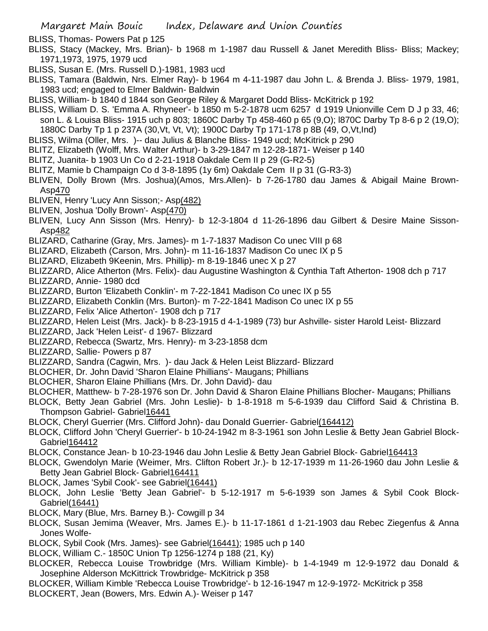- BLISS, Thomas- Powers Pat p 125
- BLISS, Stacy (Mackey, Mrs. Brian)- b 1968 m 1-1987 dau Russell & Janet Meredith Bliss- Bliss; Mackey; 1971,1973, 1975, 1979 ucd
- BLISS, Susan E. (Mrs. Russell D.)-1981, 1983 ucd
- BLISS, Tamara (Baldwin, Nrs. Elmer Ray)- b 1964 m 4-11-1987 dau John L. & Brenda J. Bliss- 1979, 1981, 1983 ucd; engaged to Elmer Baldwin- Baldwin
- BLISS, William- b 1840 d 1844 son George Riley & Margaret Dodd Bliss- McKitrick p 192
- BLISS, William D. S. 'Emma A. Rhyneer'- b 1850 m 5-2-1878 ucm 6257 d 1919 Unionville Cem D J p 33, 46; son L. & Louisa Bliss- 1915 uch p 803; 1860C Darby Tp 458-460 p 65 (9,O); l870C Darby Tp 8-6 p 2 (19,O); 1880C Darby Tp 1 p 237A (30,Vt, Vt, Vt); 1900C Darby Tp 171-178 p 8B (49, O,Vt,Ind)
- BLISS, Wilma (Oller, Mrs. )-- dau Julius & Blanche Bliss- 1949 ucd; McKitrick p 290
- BLITZ, Elizabeth (Wolff, Mrs. Walter Arthur)- b 3-29-1847 m 12-28-1871- Weiser p 140
- BLITZ, Juanita- b 1903 Un Co d 2-21-1918 Oakdale Cem II p 29 (G-R2-5)
- BLITZ, Mamie b Champaign Co d 3-8-1895 (1y 6m) Oakdale Cem II p 31 (G-R3-3)
- BLIVEN, Dolly Brown (Mrs. Joshua)(Amos, Mrs.Allen)- b 7-26-1780 dau James & Abigail Maine Brown-Asp470
- BLIVEN, Henry 'Lucy Ann Sisson;- Asp(482)
- BLIVEN, Joshua 'Dolly Brown'- Asp(470)
- BLIVEN, Lucy Ann Sisson (Mrs. Henry)- b 12-3-1804 d 11-26-1896 dau Gilbert & Desire Maine Sisson-Asp482
- BLIZARD, Catharine (Gray, Mrs. James)- m 1-7-1837 Madison Co unec VIII p 68
- BLIZARD, Elizabeth (Carson, Mrs. John)- m 11-16-1837 Madison Co unec IX p 5
- BLIZARD, Elizabeth 9Keenin, Mrs. Phillip)- m 8-19-1846 unec X p 27
- BLIZZARD, Alice Atherton (Mrs. Felix)- dau Augustine Washington & Cynthia Taft Atherton- 1908 dch p 717 BLIZZARD, Annie- 1980 dcd
- BLIZZARD, Burton 'Elizabeth Conklin'- m 7-22-1841 Madison Co unec IX p 55
- BLIZZARD, Elizabeth Conklin (Mrs. Burton)- m 7-22-1841 Madison Co unec IX p 55
- BLIZZARD, Felix 'Alice Atherton'- 1908 dch p 717
- BLIZZARD, Helen Leist (Mrs. Jack)- b 8-23-1915 d 4-1-1989 (73) bur Ashville- sister Harold Leist- Blizzard
- BLIZZARD, Jack 'Helen Leist'- d 1967- Blizzard
- BLIZZARD, Rebecca (Swartz, Mrs. Henry)- m 3-23-1858 dcm
- BLIZZARD, Sallie- Powers p 87
- BLIZZARD, Sandra (Cagwin, Mrs. )- dau Jack & Helen Leist Blizzard- Blizzard
- BLOCHER, Dr. John David 'Sharon Elaine Phillians'- Maugans; Phillians
- BLOCHER, Sharon Elaine Phillians (Mrs. Dr. John David)- dau
- BLOCHER, Matthew- b 7-28-1976 son Dr. John David & Sharon Elaine Phillians Blocher- Maugans; Phillians
- BLOCK, Betty Jean Gabriel (Mrs. John Leslie)- b 1-8-1918 m 5-6-1939 dau Clifford Said & Christina B. Thompson Gabriel- Gabriel16441
- BLOCK, Cheryl Guerrier (Mrs. Clifford John)- dau Donald Guerrier- Gabriel(164412)
- BLOCK, Clifford John 'Cheryl Guerrier'- b 10-24-1942 m 8-3-1961 son John Leslie & Betty Jean Gabriel Block-Gabriel164412
- BLOCK, Constance Jean- b 10-23-1946 dau John Leslie & Betty Jean Gabriel Block- Gabriel 164413
- BLOCK, Gwendolyn Marie (Weimer, Mrs. Clifton Robert Jr.)- b 12-17-1939 m 11-26-1960 dau John Leslie & Betty Jean Gabriel Block- Gabriel164411
- BLOCK, James 'Sybil Cook'- see Gabriel(16441)
- BLOCK, John Leslie 'Betty Jean Gabriel'- b 5-12-1917 m 5-6-1939 son James & Sybil Cook Block-Gabriel(16441)
- BLOCK, Mary (Blue, Mrs. Barney B.)- Cowgill p 34
- BLOCK, Susan Jemima (Weaver, Mrs. James E.)- b 11-17-1861 d 1-21-1903 dau Rebec Ziegenfus & Anna Jones Wolfe-
- BLOCK, Sybil Cook (Mrs. James)- see Gabriel(16441); 1985 uch p 140
- BLOCK, William C.- 1850C Union Tp 1256-1274 p 188 (21, Ky)
- BLOCKER, Rebecca Louise Trowbridge (Mrs. William Kimble)- b 1-4-1949 m 12-9-1972 dau Donald & Josephine Alderson McKittrick Trowbridge- McKitrick p 358
- BLOCKER, William Kimble 'Rebecca Louise Trowbridge'- b 12-16-1947 m 12-9-1972- McKitrick p 358 BLOCKERT, Jean (Bowers, Mrs. Edwin A.)- Weiser p 147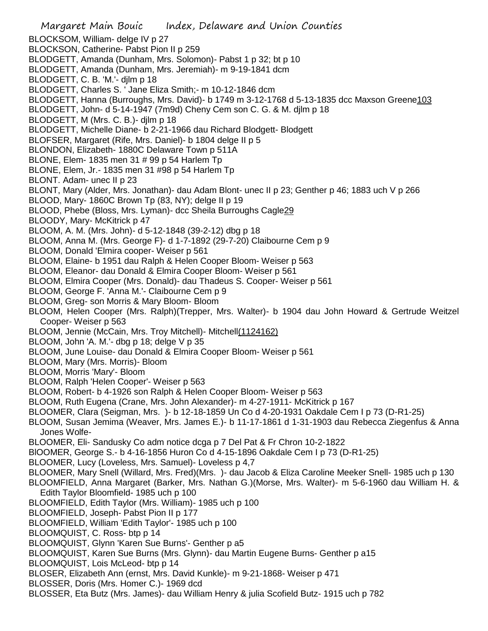- Margaret Main Bouic Index, Delaware and Union Counties BLOCKSOM, William- delge IV p 27 BLOCKSON, Catherine- Pabst Pion II p 259 BLODGETT, Amanda (Dunham, Mrs. Solomon)- Pabst 1 p 32; bt p 10 BLODGETT, Amanda (Dunham, Mrs. Jeremiah)- m 9-19-1841 dcm BLODGETT, C. B. 'M.'- djlm p 18 BLODGETT, Charles S. ' Jane Eliza Smith;- m 10-12-1846 dcm BLODGETT, Hanna (Burroughs, Mrs. David)- b 1749 m 3-12-1768 d 5-13-1835 dcc Maxson Greene103 BLODGETT, John- d 5-14-1947 (7m9d) Cheny Cem son C. G. & M. djlm p 18 BLODGETT, M (Mrs. C. B.)- djlm p 18 BLODGETT, Michelle Diane- b 2-21-1966 dau Richard Blodgett- Blodgett BLOFSER, Margaret (Rife, Mrs. Daniel)- b 1804 delge II p 5 BLONDON, Elizabeth- 1880C Delaware Town p 511A BLONE, Elem- 1835 men 31 # 99 p 54 Harlem Tp BLONE, Elem, Jr.- 1835 men 31 #98 p 54 Harlem Tp BLONT. Adam- unec II p 23 BLONT, Mary (Alder, Mrs. Jonathan)- dau Adam Blont- unec II p 23; Genther p 46; 1883 uch V p 266 BLOOD, Mary- 1860C Brown Tp (83, NY); delge II p 19 BLOOD, Phebe (Bloss, Mrs. Lyman)- dcc Sheila Burroughs Cagle29 BLOODY, Mary- McKitrick p 47 BLOOM, A. M. (Mrs. John)- d 5-12-1848 (39-2-12) dbg p 18 BLOOM, Anna M. (Mrs. George F)- d 1-7-1892 (29-7-20) Claibourne Cem p 9 BLOOM, Donald 'Elmira cooper- Weiser p 561 BLOOM, Elaine- b 1951 dau Ralph & Helen Cooper Bloom- Weiser p 563 BLOOM, Eleanor- dau Donald & Elmira Cooper Bloom- Weiser p 561 BLOOM, Elmira Cooper (Mrs. Donald)- dau Thadeus S. Cooper- Weiser p 561 BLOOM, George F. 'Anna M.'- Claibourne Cem p 9 BLOOM, Greg- son Morris & Mary Bloom- Bloom BLOOM, Helen Cooper (Mrs. Ralph)(Trepper, Mrs. Walter)- b 1904 dau John Howard & Gertrude Weitzel Cooper- Weiser p 563 BLOOM, Jennie (McCain, Mrs. Troy Mitchell)- Mitchell(1124162) BLOOM, John 'A. M.'- dbg p 18; delge V p 35 BLOOM, June Louise- dau Donald & Elmira Cooper Bloom- Weiser p 561 BLOOM, Mary (Mrs. Morris)- Bloom BLOOM, Morris 'Mary'- Bloom BLOOM, Ralph 'Helen Cooper'- Weiser p 563 BLOOM, Robert- b 4-1926 son Ralph & Helen Cooper Bloom- Weiser p 563 BLOOM, Ruth Eugena (Crane, Mrs. John Alexander)- m 4-27-1911- McKitrick p 167 BLOOMER, Clara (Seigman, Mrs. )- b 12-18-1859 Un Co d 4-20-1931 Oakdale Cem I p 73 (D-R1-25) BLOOM, Susan Jemima (Weaver, Mrs. James E.)- b 11-17-1861 d 1-31-1903 dau Rebecca Ziegenfus & Anna Jones Wolfe-BLOOMER, Eli- Sandusky Co adm notice dcga p 7 Del Pat & Fr Chron 10-2-1822 BlOOMER, George S.- b 4-16-1856 Huron Co d 4-15-1896 Oakdale Cem I p 73 (D-R1-25) BLOOMER, Lucy (Loveless, Mrs. Samuel)- Loveless p 4,7 BLOOMER, Mary Snell (Willard, Mrs. Fred)(Mrs. )- dau Jacob & Eliza Caroline Meeker Snell- 1985 uch p 130 BLOOMFIELD, Anna Margaret (Barker, Mrs. Nathan G.)(Morse, Mrs. Walter)- m 5-6-1960 dau William H. & Edith Taylor Bloomfield- 1985 uch p 100 BLOOMFIELD, Edith Taylor (Mrs. William)- 1985 uch p 100 BLOOMFIELD, Joseph- Pabst Pion II p 177 BLOOMFIELD, William 'Edith Taylor'- 1985 uch p 100 BLOOMQUIST, C. Ross- btp p 14 BLOOMQUIST, Glynn 'Karen Sue Burns'- Genther p a5 BLOOMQUIST, Karen Sue Burns (Mrs. Glynn)- dau Martin Eugene Burns- Genther p a15 BLOOMQUIST, Lois McLeod- btp p 14 BLOSER, Elizabeth Ann (ernst, Mrs. David Kunkle)- m 9-21-1868- Weiser p 471 BLOSSER, Doris (Mrs. Homer C.)- 1969 dcd
- BLOSSER, Eta Butz (Mrs. James)- dau William Henry & julia Scofield Butz- 1915 uch p 782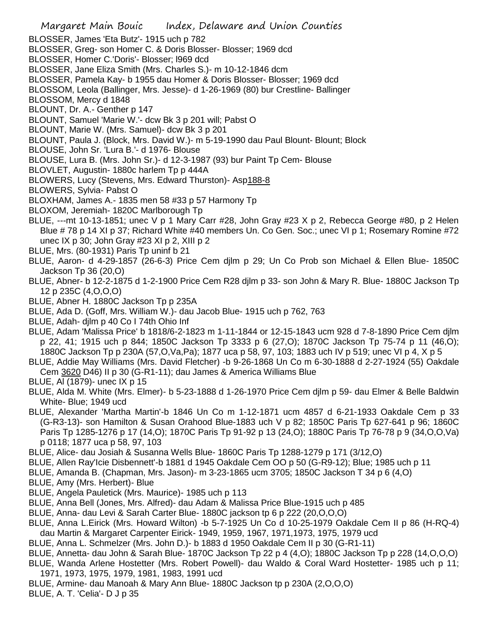BLOSSER, James 'Eta Butz'- 1915 uch p 782

- BLOSSER, Greg- son Homer C. & Doris Blosser- Blosser; 1969 dcd
- BLOSSER, Homer C.'Doris'- Blosser; l969 dcd
- BLOSSER, Jane Eliza Smith (Mrs. Charles S.)- m 10-12-1846 dcm
- BLOSSER, Pamela Kay- b 1955 dau Homer & Doris Blosser- Blosser; 1969 dcd
- BLOSSOM, Leola (Ballinger, Mrs. Jesse)- d 1-26-1969 (80) bur Crestline- Ballinger
- BLOSSOM, Mercy d 1848
- BLOUNT, Dr. A.- Genther p 147
- BLOUNT, Samuel 'Marie W.'- dcw Bk 3 p 201 will; Pabst O
- BLOUNT, Marie W. (Mrs. Samuel)- dcw Bk 3 p 201
- BLOUNT, Paula J. (Block, Mrs. David W.)- m 5-19-1990 dau Paul Blount- Blount; Block
- BLOUSE, John Sr. 'Lura B.'- d 1976- Blouse
- BLOUSE, Lura B. (Mrs. John Sr.)- d 12-3-1987 (93) bur Paint Tp Cem- Blouse
- BLOVLET, Augustin- 1880c harlem Tp p 444A
- BLOWERS, Lucy (Stevens, Mrs. Edward Thurston)- Asp188-8
- BLOWERS, Sylvia- Pabst O
- BLOXHAM, James A.- 1835 men 58 #33 p 57 Harmony Tp
- BLOXOM, Jeremiah- 1820C Marlborough Tp
- BLUE, ---mt 10-13-1851; unec V p 1 Mary Carr #28, John Gray #23 X p 2, Rebecca George #80, p 2 Helen Blue # 78 p 14 XI p 37; Richard White #40 members Un. Co Gen. Soc.; unec VI p 1; Rosemary Romine #72 unec IX p 30; John Gray #23 XI p 2, XIII p 2
- BLUE, Mrs. (80-1931) Paris Tp uninf b 21
- BLUE, Aaron- d 4-29-1857 (26-6-3) Price Cem djlm p 29; Un Co Prob son Michael & Ellen Blue- 1850C Jackson Tp 36 (20,O)
- BLUE, Abner- b 12-2-1875 d 1-2-1900 Price Cem R28 djlm p 33- son John & Mary R. Blue- 1880C Jackson Tp 12 p 235C (4,O,O,O)
- BLUE, Abner H. 1880C Jackson Tp p 235A
- BLUE, Ada D. (Goff, Mrs. William W.)- dau Jacob Blue- 1915 uch p 762, 763
- BLUE, Adah- djlm p 40 Co I 74th Ohio Inf
- BLUE, Adam 'Malissa Price' b 1818/6-2-1823 m 1-11-1844 or 12-15-1843 ucm 928 d 7-8-1890 Price Cem djlm p 22, 41; 1915 uch p 844; 1850C Jackson Tp 3333 p 6 (27,O); 1870C Jackson Tp 75-74 p 11 (46,O); 1880C Jackson Tp p 230A (57,O,Va,Pa); 1877 uca p 58, 97, 103; 1883 uch IV p 519; unec VI p 4, X p 5
- BLUE, Addie May Williams (Mrs. David Fletcher) -b 9-26-1868 Un Co m 6-30-1888 d 2-27-1924 (55) Oakdale Cem 3620 D46) II p 30 (G-R1-11); dau James & America Williams Blue
- BLUE, Al (1879)- unec IX p 15
- BLUE, Alda M. White (Mrs. Elmer)- b 5-23-1888 d 1-26-1970 Price Cem djlm p 59- dau Elmer & Belle Baldwin White- Blue; 1949 ucd
- BLUE, Alexander 'Martha Martin'-b 1846 Un Co m 1-12-1871 ucm 4857 d 6-21-1933 Oakdale Cem p 33 (G-R3-13)- son Hamilton & Susan Orahood Blue-1883 uch V p 82; 1850C Paris Tp 627-641 p 96; 1860C Paris Tp 1285-1276 p 17 (14,O); 1870C Paris Tp 91-92 p 13 (24,O); 1880C Paris Tp 76-78 p 9 (34,O,O,Va) p 0118; 1877 uca p 58, 97, 103
- BLUE, Alice- dau Josiah & Susanna Wells Blue- 1860C Paris Tp 1288-1279 p 171 (3/12,O)
- BLUE, Allen Ray'Icie Disbennett'-b 1881 d 1945 Oakdale Cem OO p 50 (G-R9-12); Blue; 1985 uch p 11
- BLUE, Amanda B. (Chapman, Mrs. Jason)- m 3-23-1865 ucm 3705; 1850C Jackson T 34 p 6 (4,O)
- BLUE, Amy (Mrs. Herbert)- Blue
- BLUE, Angela Pauletick (Mrs. Maurice)- 1985 uch p 113
- BLUE, Anna Bell (Jones, Mrs. Alfred)- dau Adam & Malissa Price Blue-1915 uch p 485
- BLUE, Anna- dau Levi & Sarah Carter Blue- 1880C jackson tp 6 p 222 (20,O,O,O)
- BLUE, Anna L.Eirick (Mrs. Howard Wilton) -b 5-7-1925 Un Co d 10-25-1979 Oakdale Cem II p 86 (H-RQ-4) dau Martin & Margaret Carpenter Eirick- 1949, 1959, 1967, 1971,1973, 1975, 1979 ucd
- BLUE, Anna L. Schmelzer (Mrs. John D.)- b 1883 d 1950 Oakdale Cem II p 30 (G-R1-11)
- BLUE, Annetta- dau John & Sarah Blue- 1870C Jackson Tp 22 p 4 (4,O); 1880C Jackson Tp p 228 (14,O,O,O)
- BLUE, Wanda Arlene Hostetter (Mrs. Robert Powell)- dau Waldo & Coral Ward Hostetter- 1985 uch p 11; 1971, 1973, 1975, 1979, 1981, 1983, 1991 ucd
- BLUE, Armine- dau Manoah & Mary Ann Blue- 1880C Jackson tp p 230A (2,O,O,O)
- BLUE, A. T. 'Celia'- D J p 35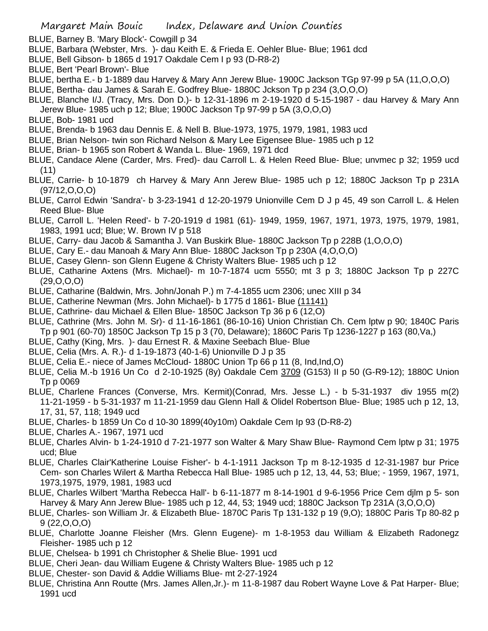- BLUE, Barney B. 'Mary Block'- Cowgill p 34
- BLUE, Barbara (Webster, Mrs. )- dau Keith E. & Frieda E. Oehler Blue- Blue; 1961 dcd
- BLUE, Bell Gibson- b 1865 d 1917 Oakdale Cem I p 93 (D-R8-2)
- BLUE, Bert 'Pearl Brown'- Blue
- BLUE, bertha E.- b 1-1889 dau Harvey & Mary Ann Jerew Blue- 1900C Jackson TGp 97-99 p 5A (11,O,O,O)
- BLUE, Bertha- dau James & Sarah E. Godfrey Blue- 1880C Jckson Tp p 234 (3,O,O,O)
- BLUE, Blanche I/J. (Tracy, Mrs. Don D.)- b 12-31-1896 m 2-19-1920 d 5-15-1987 dau Harvey & Mary Ann Jerew Blue- 1985 uch p 12; Blue; 1900C Jackson Tp 97-99 p 5A (3,O,O,O)
- BLUE, Bob- 1981 ucd
- BLUE, Brenda- b 1963 dau Dennis E. & Nell B. Blue-1973, 1975, 1979, 1981, 1983 ucd
- BLUE, Brian Nelson- twin son Richard Nelson & Mary Lee Eigensee Blue- 1985 uch p 12
- BLUE, Brian- b 1965 son Robert & Wanda L. Blue- 1969, 1971 dcd
- BLUE, Candace Alene (Carder, Mrs. Fred)- dau Carroll L. & Helen Reed Blue- Blue; unvmec p 32; 1959 ucd (11)
- BLUE, Carrie- b 10-1879 ch Harvey & Mary Ann Jerew Blue- 1985 uch p 12; 1880C Jackson Tp p 231A (97/12,O,O,O)
- BLUE, Carrol Edwin 'Sandra'- b 3-23-1941 d 12-20-1979 Unionville Cem D J p 45, 49 son Carroll L. & Helen Reed Blue- Blue
- BLUE, Carroll L. 'Helen Reed'- b 7-20-1919 d 1981 (61)- 1949, 1959, 1967, 1971, 1973, 1975, 1979, 1981, 1983, 1991 ucd; Blue; W. Brown IV p 518
- BLUE, Carry- dau Jacob & Samantha J. Van Buskirk Blue- 1880C Jackson Tp p 228B (1,O,O,O)
- BLUE, Cary E.- dau Manoah & Mary Ann Blue- 1880C Jackson Tp p 230A (4,O,O,O)
- BLUE, Casey Glenn- son Glenn Eugene & Christy Walters Blue- 1985 uch p 12
- BLUE, Catharine Axtens (Mrs. Michael)- m 10-7-1874 ucm 5550; mt 3 p 3; 1880C Jackson Tp p 227C (29,O,O,O)
- BLUE, Catharine (Baldwin, Mrs. John/Jonah P.) m 7-4-1855 ucm 2306; unec XIII p 34
- BLUE, Catherine Newman (Mrs. John Michael)- b 1775 d 1861- Blue (11141)
- BLUE, Cathrine- dau Michael & Ellen Blue- 1850C Jackson Tp 36 p 6 (12,O)
- BLUE, Cathrine (Mrs. John M. Sr)- d 11-16-1861 (86-10-16) Union Christian Ch. Cem lptw p 90; 1840C Paris Tp p 901 (60-70) 1850C Jackson Tp 15 p 3 (70, Delaware); 1860C Paris Tp 1236-1227 p 163 (80,Va,)
- BLUE, Cathy (King, Mrs. )- dau Ernest R. & Maxine Seebach Blue- Blue
- BLUE, Celia (Mrs. A. R.)- d 1-19-1873 (40-1-6) Unionville D J p 35
- BLUE, Celia E.- niece of James McCloud- 1880C Union Tp 66 p 11 (8, Ind,Ind,O)
- BLUE, Celia M.-b 1916 Un Co d 2-10-1925 (8y) Oakdale Cem 3709 (G153) II p 50 (G-R9-12); 1880C Union Tp p 0069
- BLUE, Charlene Frances (Converse, Mrs. Kermit)(Conrad, Mrs. Jesse L.) b 5-31-1937 div 1955 m(2) 11-21-1959 - b 5-31-1937 m 11-21-1959 dau Glenn Hall & Olidel Robertson Blue- Blue; 1985 uch p 12, 13, 17, 31, 57, 118; 1949 ucd
- BLUE, Charles- b 1859 Un Co d 10-30 1899(40y10m) Oakdale Cem Ip 93 (D-R8-2)
- BLUE, Charles A.- 1967, 1971 ucd
- BLUE, Charles Alvin- b 1-24-1910 d 7-21-1977 son Walter & Mary Shaw Blue- Raymond Cem lptw p 31; 1975 ucd; Blue
- BLUE, Charles Clair'Katherine Louise Fisher'- b 4-1-1911 Jackson Tp m 8-12-1935 d 12-31-1987 bur Price Cem- son Charles Wilert & Martha Rebecca Hall Blue- 1985 uch p 12, 13, 44, 53; Blue; - 1959, 1967, 1971, 1973,1975, 1979, 1981, 1983 ucd
- BLUE, Charles Wilbert 'Martha Rebecca Hall'- b 6-11-1877 m 8-14-1901 d 9-6-1956 Price Cem djlm p 5- son Harvey & Mary Ann Jerew Blue- 1985 uch p 12, 44, 53; 1949 ucd; 1880C Jackson Tp 231A (3,O,O,O)
- BLUE, Charles- son William Jr. & Elizabeth Blue- 1870C Paris Tp 131-132 p 19 (9,O); 1880C Paris Tp 80-82 p  $9(22,0,0,0)$
- BLUE, Charlotte Joanne Fleisher (Mrs. Glenn Eugene)- m 1-8-1953 dau William & Elizabeth Radonegz Fleisher- 1985 uch p 12
- BLUE, Chelsea- b 1991 ch Christopher & Shelie Blue- 1991 ucd
- BLUE, Cheri Jean- dau William Eugene & Christy Walters Blue- 1985 uch p 12
- BLUE, Chester- son David & Addie Williams Blue- mt 2-27-1924
- BLUE, Christina Ann Routte (Mrs. James Allen,Jr.)- m 11-8-1987 dau Robert Wayne Love & Pat Harper- Blue; 1991 ucd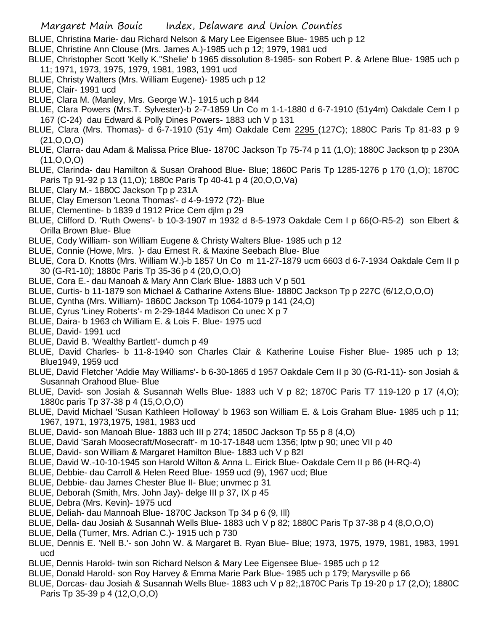- BLUE, Christina Marie- dau Richard Nelson & Mary Lee Eigensee Blue- 1985 uch p 12
- BLUE, Christine Ann Clouse (Mrs. James A.)-1985 uch p 12; 1979, 1981 ucd
- BLUE, Christopher Scott 'Kelly K.''Shelie' b 1965 dissolution 8-1985- son Robert P. & Arlene Blue- 1985 uch p 11; 1971, 1973, 1975, 1979, 1981, 1983, 1991 ucd
- BLUE, Christy Walters (Mrs. William Eugene)- 1985 uch p 12
- BLUE, Clair- 1991 ucd
- BLUE, Clara M. (Manley, Mrs. George W.)- 1915 uch p 844
- BLUE, Clara Powers (Mrs.T. Sylvester)-b 2-7-1859 Un Co m 1-1-1880 d 6-7-1910 (51y4m) Oakdale Cem I p 167 (C-24) dau Edward & Polly Dines Powers- 1883 uch V p 131
- BLUE, Clara (Mrs. Thomas)- d 6-7-1910 (51y 4m) Oakdale Cem 2295 (127C); 1880C Paris Tp 81-83 p 9 (21,O,O,O)
- BLUE, Clarra- dau Adam & Malissa Price Blue- 1870C Jackson Tp 75-74 p 11 (1,O); 1880C Jackson tp p 230A (11,O,O,O)
- BLUE, Clarinda- dau Hamilton & Susan Orahood Blue- Blue; 1860C Paris Tp 1285-1276 p 170 (1,O); 1870C Paris Tp 91-92 p 13 (11,O); 1880c Paris Tp 40-41 p 4 (20,O,O,Va)
- BLUE, Clary M.- 1880C Jackson Tp p 231A
- BLUE, Clay Emerson 'Leona Thomas'- d 4-9-1972 (72)- Blue
- BLUE, Clementine- b 1839 d 1912 Price Cem djlm p 29
- BLUE, Clifford D. 'Ruth Owens'- b 10-3-1907 m 1932 d 8-5-1973 Oakdale Cem I p 66(O-R5-2) son Elbert & Orilla Brown Blue- Blue
- BLUE, Cody William- son William Eugene & Christy Walters Blue- 1985 uch p 12
- BLUE, Connie (Howe, Mrs. )- dau Ernest R. & Maxine Seebach Blue- Blue
- BLUE, Cora D. Knotts (Mrs. William W.)-b 1857 Un Co m 11-27-1879 ucm 6603 d 6-7-1934 Oakdale Cem II p 30 (G-R1-10); 1880c Paris Tp 35-36 p 4 (20,O,O,O)
- BLUE, Cora E.- dau Manoah & Mary Ann Clark Blue- 1883 uch V p 501
- BLUE, Curtis- b 11-1879 son Michael & Catharine Axtens Blue- 1880C Jackson Tp p 227C (6/12,O,O,O)
- BLUE, Cyntha (Mrs. William)- 1860C Jackson Tp 1064-1079 p 141 (24,O)
- BLUE, Cyrus 'Liney Roberts'- m 2-29-1844 Madison Co unec X p 7
- BLUE, Daira- b 1963 ch William E. & Lois F. Blue- 1975 ucd
- BLUE, David- 1991 ucd
- BLUE, David B. 'Wealthy Bartlett'- dumch p 49
- BLUE, David Charles- b 11-8-1940 son Charles Clair & Katherine Louise Fisher Blue- 1985 uch p 13; Blue1949, 1959 ucd
- BLUE, David Fletcher 'Addie May Williams'- b 6-30-1865 d 1957 Oakdale Cem II p 30 (G-R1-11)- son Josiah & Susannah Orahood Blue- Blue
- BLUE, David- son Josiah & Susannah Wells Blue- 1883 uch V p 82; 1870C Paris T7 119-120 p 17 (4,O); 1880c paris Tp 37-38 p 4 (15,O,O,O)
- BLUE, David Michael 'Susan Kathleen Holloway' b 1963 son William E. & Lois Graham Blue- 1985 uch p 11; 1967, 1971, 1973,1975, 1981, 1983 ucd
- BLUE, David- son Manoah Blue- 1883 uch III p 274; 1850C Jackson Tp 55 p 8 (4,O)
- BLUE, David 'Sarah Moosecraft/Mosecraft'- m 10-17-1848 ucm 1356; lptw p 90; unec VII p 40
- BLUE, David- son William & Margaret Hamilton Blue- 1883 uch V p 82I
- BLUE, David W.-10-10-1945 son Harold Wilton & Anna L. Eirick Blue- Oakdale Cem II p 86 (H-RQ-4)
- BLUE, Debbie- dau Carroll & Helen Reed Blue- 1959 ucd (9), 1967 ucd; Blue
- BLUE, Debbie- dau James Chester Blue II- Blue; unvmec p 31
- BLUE, Deborah (Smith, Mrs. John Jay)- delge III p 37, IX p 45
- BLUE, Debra (Mrs. Kevin)- 1975 ucd
- BLUE, Deliah- dau Mannoah Blue- 1870C Jackson Tp 34 p 6 (9, Ill)
- BLUE, Della- dau Josiah & Susannah Wells Blue- 1883 uch V p 82; 1880C Paris Tp 37-38 p 4 (8,O,O,O)
- BLUE, Della (Turner, Mrs. Adrian C.)- 1915 uch p 730
- BLUE, Dennis E. 'Nell B.'- son John W. & Margaret B. Ryan Blue- Blue; 1973, 1975, 1979, 1981, 1983, 1991 ucd
- BLUE, Dennis Harold- twin son Richard Nelson & Mary Lee Eigensee Blue- 1985 uch p 12
- BLUE, Donald Harold- son Roy Harvey & Emma Marie Park Blue- 1985 uch p 179; Marysville p 66
- BLUE, Dorcas- dau Josiah & Susannah Wells Blue- 1883 uch V p 82;,1870C Paris Tp 19-20 p 17 (2,O); 1880C Paris Tp 35-39 p 4 (12,O,O,O)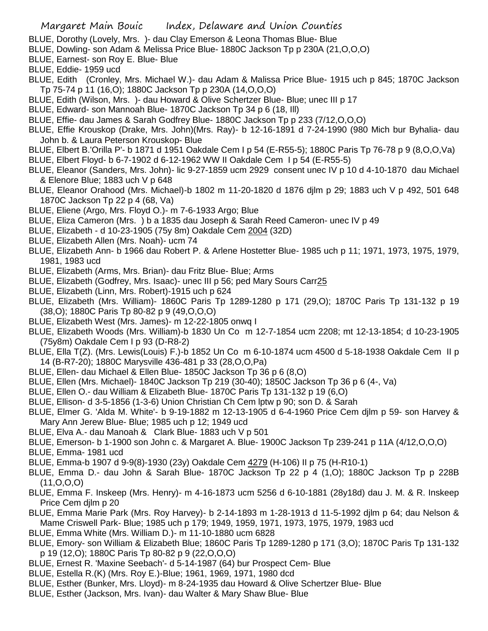- BLUE, Dorothy (Lovely, Mrs. )- dau Clay Emerson & Leona Thomas Blue- Blue
- BLUE, Dowling- son Adam & Melissa Price Blue- 1880C Jackson Tp p 230A (21,O,O,O)
- BLUE, Earnest- son Roy E. Blue- Blue
- BLUE, Eddie- 1959 ucd
- BLUE, Edith (Cronley, Mrs. Michael W.)- dau Adam & Malissa Price Blue- 1915 uch p 845; 1870C Jackson Tp 75-74 p 11 (16,O); 1880C Jackson Tp p 230A (14,O,O,O)
- BLUE, Edith (Wilson, Mrs. )- dau Howard & Olive Schertzer Blue- Blue; unec III p 17
- BLUE, Edward- son Mannoah Blue- 1870C Jackson Tp 34 p 6 (18, Ill)
- BLUE, Effie- dau James & Sarah Godfrey Blue- 1880C Jackson Tp p 233 (7/12,O,O,O)
- BLUE, Effie Krouskop (Drake, Mrs. John)(Mrs. Ray)- b 12-16-1891 d 7-24-1990 (980 Mich bur Byhalia- dau John b. & Laura Peterson Krouskop- Blue
- BLUE, Elbert B.'Orilla P'- b 1871 d 1951 Oakdale Cem I p 54 (E-R55-5); 1880C Paris Tp 76-78 p 9 (8,O,O,Va)
- BLUE, Elbert Floyd- b 6-7-1902 d 6-12-1962 WW II Oakdale Cem I p 54 (E-R55-5)
- BLUE, Eleanor (Sanders, Mrs. John)- lic 9-27-1859 ucm 2929 consent unec IV p 10 d 4-10-1870 dau Michael & Elenore Blue; 1883 uch V p 648
- BLUE, Eleanor Orahood (Mrs. Michael)-b 1802 m 11-20-1820 d 1876 djlm p 29; 1883 uch V p 492, 501 648 1870C Jackson Tp 22 p 4 (68, Va)
- BLUE, Eliene (Argo, Mrs. Floyd O.)- m 7-6-1933 Argo; Blue
- BLUE, Eliza Cameron (Mrs. ) b a 1835 dau Joseph & Sarah Reed Cameron- unec IV p 49
- BLUE, Elizabeth d 10-23-1905 (75y 8m) Oakdale Cem 2004 (32D)
- BLUE, Elizabeth Allen (Mrs. Noah)- ucm 74
- BLUE, Elizabeth Ann- b 1966 dau Robert P. & Arlene Hostetter Blue- 1985 uch p 11; 1971, 1973, 1975, 1979, 1981, 1983 ucd
- BLUE, Elizabeth (Arms, Mrs. Brian)- dau Fritz Blue- Blue; Arms
- BLUE, Elizabeth (Godfrey, Mrs. Isaac)- unec III p 56; ped Mary Sours Carr25
- BLUE, Elizabeth (Linn, Mrs. Robert)-1915 uch p 624
- BLUE, Elizabeth (Mrs. William)- 1860C Paris Tp 1289-1280 p 171 (29,O); 1870C Paris Tp 131-132 p 19 (38,O); 1880C Paris Tp 80-82 p 9 (49,O,O,O)
- BLUE, Elizabeth West (Mrs. James)- m 12-22-1805 onwq I
- BLUE, Elizabeth Woods (Mrs. William)-b 1830 Un Co m 12-7-1854 ucm 2208; mt 12-13-1854; d 10-23-1905 (75y8m) Oakdale Cem I p 93 (D-R8-2)
- BLUE, Ella T(Z). (Mrs. Lewis(Louis) F.)-b 1852 Un Co m 6-10-1874 ucm 4500 d 5-18-1938 Oakdale Cem II p 14 (B-R7-20); 1880C Marysville 436-481 p 33 (28,O,O,Pa)
- BLUE, Ellen- dau Michael & Ellen Blue- 1850C Jackson Tp 36 p 6 (8,O)
- BLUE, Ellen (Mrs. Michael)- 1840C Jackson Tp 219 (30-40); 1850C Jackson Tp 36 p 6 (4-, Va)
- BLUE, Ellen O.- dau William & Elizabeth Blue- 1870C Paris Tp 131-132 p 19 (6,O)
- BLUE, Ellison- d 3-5-1856 (1-3-6) Union Christian Ch Cem lptw p 90; son D. & Sarah
- BLUE, Elmer G. 'Alda M. White'- b 9-19-1882 m 12-13-1905 d 6-4-1960 Price Cem djlm p 59- son Harvey & Mary Ann Jerew Blue- Blue; 1985 uch p 12; 1949 ucd
- BLUE, Elva A.- dau Manoah & Clark Blue- 1883 uch V p 501
- BLUE, Emerson- b 1-1900 son John c. & Margaret A. Blue- 1900C Jackson Tp 239-241 p 11A (4/12,O,O,O)
- BLUE, Emma- 1981 ucd
- BLUE, Emma-b 1907 d 9-9(8)-1930 (23y) Oakdale Cem 4279 (H-106) II p 75 (H-R10-1)
- BLUE, Emma D.- dau John & Sarah Blue- 1870C Jackson Tp 22 p 4 (1,O); 1880C Jackson Tp p 228B (11,O,O,O)
- BLUE, Emma F. Inskeep (Mrs. Henry)- m 4-16-1873 ucm 5256 d 6-10-1881 (28y18d) dau J. M. & R. Inskeep Price Cem djlm p 20
- BLUE, Emma Marie Park (Mrs. Roy Harvey)- b 2-14-1893 m 1-28-1913 d 11-5-1992 djlm p 64; dau Nelson & Mame Criswell Park- Blue; 1985 uch p 179; 1949, 1959, 1971, 1973, 1975, 1979, 1983 ucd
- BLUE, Emma White (Mrs. William D.)- m 11-10-1880 ucm 6828
- BLUE, Emory- son William & Elizabeth Blue; 1860C Paris Tp 1289-1280 p 171 (3,O); 1870C Paris Tp 131-132 p 19 (12,O); 1880C Paris Tp 80-82 p 9 (22,O,O,O)
- BLUE, Ernest R. 'Maxine Seebach'- d 5-14-1987 (64) bur Prospect Cem- Blue
- BLUE, Estella R.(K) (Mrs. Roy E.)-Blue; 1961, 1969, 1971, 1980 dcd
- BLUE, Esther (Bunker, Mrs. Lloyd)- m 8-24-1935 dau Howard & Olive Schertzer Blue- Blue
- BLUE, Esther (Jackson, Mrs. Ivan)- dau Walter & Mary Shaw Blue- Blue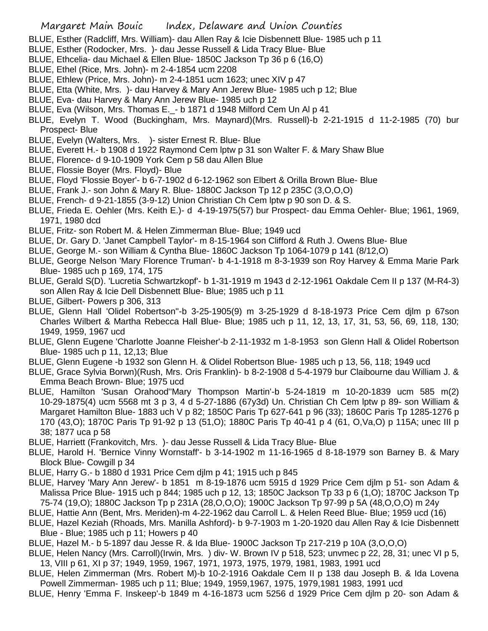- BLUE, Esther (Radcliff, Mrs. William)- dau Allen Ray & Icie Disbennett Blue- 1985 uch p 11
- BLUE, Esther (Rodocker, Mrs. )- dau Jesse Russell & Lida Tracy Blue- Blue
- BLUE, Ethcelia- dau Michael & Ellen Blue- 1850C Jackson Tp 36 p 6 (16,O)
- BLUE, Ethel (Rice, Mrs. John)- m 2-4-1854 ucm 2208
- BLUE, Ethlew (Price, Mrs. John)- m 2-4-1851 ucm 1623; unec XIV p 47
- BLUE, Etta (White, Mrs. )- dau Harvey & Mary Ann Jerew Blue- 1985 uch p 12; Blue
- BLUE, Eva- dau Harvey & Mary Ann Jerew Blue- 1985 uch p 12
- BLUE, Eva (Wilson, Mrs. Thomas E.\_- b 1871 d 1948 Milford Cem Un Al p 41
- BLUE, Evelyn T. Wood (Buckingham, Mrs. Maynard)(Mrs. Russell)-b 2-21-1915 d 11-2-1985 (70) bur Prospect- Blue
- BLUE, Evelyn (Walters, Mrs. )- sister Ernest R. Blue- Blue
- BLUE, Everett H.- b 1908 d 1922 Raymond Cem lptw p 31 son Walter F. & Mary Shaw Blue
- BLUE, Florence- d 9-10-1909 York Cem p 58 dau Allen Blue
- BLUE, Flossie Boyer (Mrs. Floyd)- Blue
- BLUE, Floyd 'Flossie Boyer'- b 6-7-1902 d 6-12-1962 son Elbert & Orilla Brown Blue- Blue
- BLUE, Frank J.- son John & Mary R. Blue- 1880C Jackson Tp 12 p 235C (3,O,O,O)
- BLUE, French- d 9-21-1855 (3-9-12) Union Christian Ch Cem lptw p 90 son D. & S.
- BLUE, Frieda E. Oehler (Mrs. Keith E.)- d 4-19-1975(57) bur Prospect- dau Emma Oehler- Blue; 1961, 1969, 1971, 1980 dcd
- BLUE, Fritz- son Robert M. & Helen Zimmerman Blue- Blue; 1949 ucd
- BLUE, Dr. Gary D. 'Janet Campbell Taylor'- m 8-15-1964 son Clifford & Ruth J. Owens Blue- Blue
- BLUE, George M.- son William & Cyntha Blue- 1860C Jackson Tp 1064-1079 p 141 (8/12,O)
- BLUE, George Nelson 'Mary Florence Truman'- b 4-1-1918 m 8-3-1939 son Roy Harvey & Emma Marie Park Blue- 1985 uch p 169, 174, 175
- BLUE, Gerald S(D). 'Lucretia Schwartzkopf'- b 1-31-1919 m 1943 d 2-12-1961 Oakdale Cem II p 137 (M-R4-3) son Allen Ray & Icie Dell Disbennett Blue- Blue; 1985 uch p 11
- BLUE, Gilbert- Powers p 306, 313
- BLUE, Glenn Hall 'Olidel Robertson''-b 3-25-1905(9) m 3-25-1929 d 8-18-1973 Price Cem djlm p 67son Charles Wilbert & Martha Rebecca Hall Blue- Blue; 1985 uch p 11, 12, 13, 17, 31, 53, 56, 69, 118, 130; 1949, 1959, 1967 ucd
- BLUE, Glenn Eugene 'Charlotte Joanne Fleisher'-b 2-11-1932 m 1-8-1953 son Glenn Hall & Olidel Robertson Blue- 1985 uch p 11, 12,13; Blue
- BLUE, Glenn Eugene -b 1932 son Glenn H. & Olidel Robertson Blue- 1985 uch p 13, 56, 118; 1949 ucd
- BLUE, Grace Sylvia Borwn)(Rush, Mrs. Oris Franklin)- b 8-2-1908 d 5-4-1979 bur Claibourne dau William J. & Emma Beach Brown- Blue; 1975 ucd
- BLUE, Hamilton 'Susan Orahood''Mary Thompson Martin'-b 5-24-1819 m 10-20-1839 ucm 585 m(2) 10-29-1875(4) ucm 5568 mt 3 p 3, 4 d 5-27-1886 (67y3d) Un. Christian Ch Cem lptw p 89- son William & Margaret Hamilton Blue- 1883 uch V p 82; 1850C Paris Tp 627-641 p 96 (33); 1860C Paris Tp 1285-1276 p 170 (43,O); 1870C Paris Tp 91-92 p 13 (51,O); 1880C Paris Tp 40-41 p 4 (61, O,Va,O) p 115A; unec III p 38; 1877 uca p 58
- BLUE, Harriett (Frankovitch, Mrs. )- dau Jesse Russell & Lida Tracy Blue- Blue
- BLUE, Harold H. 'Bernice Vinny Wornstaff'- b 3-14-1902 m 11-16-1965 d 8-18-1979 son Barney B. & Mary Block Blue- Cowgill p 34
- BLUE, Harry G.- b 1880 d 1931 Price Cem djlm p 41; 1915 uch p 845
- BLUE, Harvey 'Mary Ann Jerew'- b 1851 m 8-19-1876 ucm 5915 d 1929 Price Cem djlm p 51- son Adam & Malissa Price Blue- 1915 uch p 844; 1985 uch p 12, 13; 1850C Jackson Tp 33 p 6 (1,O); 1870C Jackson Tp 75-74 (19,O); 1880C Jackson Tp p 231A (28,O,O,O); 1900C Jackson Tp 97-99 p 5A (48,O,O,O) m 24y
- BLUE, Hattie Ann (Bent, Mrs. Meriden)-m 4-22-1962 dau Carroll L. & Helen Reed Blue- Blue; 1959 ucd (16)
- BLUE, Hazel Keziah (Rhoads, Mrs. Manilla Ashford)- b 9-7-1903 m 1-20-1920 dau Allen Ray & Icie Disbennett Blue - Blue; 1985 uch p 11; Howers p 40
- BLUE, Hazel M.- b 5-1897 dau Jesse R. & Ida Blue- 1900C Jackson Tp 217-219 p 10A (3,O,O,O)
- BLUE, Helen Nancy (Mrs. Carroll)(Irwin, Mrs. ) div- W. Brown IV p 518, 523; unvmec p 22, 28, 31; unec VI p 5, 13, VIII p 61, XI p 37; 1949, 1959, 1967, 1971, 1973, 1975, 1979, 1981, 1983, 1991 ucd
- BLUE, Helen Zimmerman (Mrs. Robert M)-b 10-2-1916 Oakdale Cem II p 138 dau Joseph B. & Ida Lovena Powell Zimmerman- 1985 uch p 11; Blue; 1949, 1959,1967, 1975, 1979,1981 1983, 1991 ucd
- BLUE, Henry 'Emma F. Inskeep'-b 1849 m 4-16-1873 ucm 5256 d 1929 Price Cem djlm p 20- son Adam &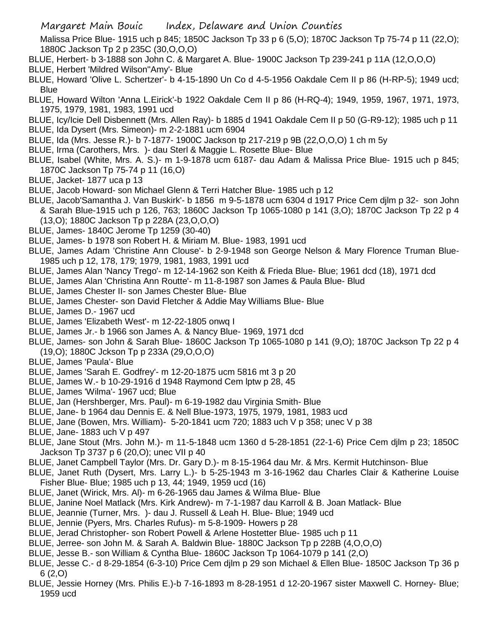Malissa Price Blue- 1915 uch p 845; 1850C Jackson Tp 33 p 6 (5,O); 1870C Jackson Tp 75-74 p 11 (22,O); 1880C Jackson Tp 2 p 235C (30,O,O,O)

- BLUE, Herbert- b 3-1888 son John C. & Margaret A. Blue- 1900C Jackson Tp 239-241 p 11A (12,O,O,O)
- BLUE, Herbert 'Mildred Wilson''Amy'- Blue
- BLUE, Howard 'Olive L. Schertzer'- b 4-15-1890 Un Co d 4-5-1956 Oakdale Cem II p 86 (H-RP-5); 1949 ucd; **Blue**
- BLUE, Howard Wilton 'Anna L.Eirick'-b 1922 Oakdale Cem II p 86 (H-RQ-4); 1949, 1959, 1967, 1971, 1973, 1975, 1979, 1981, 1983, 1991 ucd
- BLUE, Icy/Icie Dell Disbennett (Mrs. Allen Ray)- b 1885 d 1941 Oakdale Cem II p 50 (G-R9-12); 1985 uch p 11
- BLUE, Ida Dysert (Mrs. Simeon)- m 2-2-1881 ucm 6904
- BLUE, Ida (Mrs. Jesse R.)- b 7-1877- 1900C Jackson tp 217-219 p 9B (22,O,O,O) 1 ch m 5y
- BLUE, Irma (Carothers, Mrs. )- dau Sterl & Maggie L. Rosette Blue- Blue
- BLUE, Isabel (White, Mrs. A. S.)- m 1-9-1878 ucm 6187- dau Adam & Malissa Price Blue- 1915 uch p 845; 1870C Jackson Tp 75-74 p 11 (16,O)
- BLUE, Jacket- 1877 uca p 13
- BLUE, Jacob Howard- son Michael Glenn & Terri Hatcher Blue- 1985 uch p 12
- BLUE, Jacob'Samantha J. Van Buskirk'- b 1856 m 9-5-1878 ucm 6304 d 1917 Price Cem djlm p 32- son John & Sarah Blue-1915 uch p 126, 763; 1860C Jackson Tp 1065-1080 p 141 (3,O); 1870C Jackson Tp 22 p 4 (13,O); 1880C Jackson Tp p 228A (23,O,O,O)
- BLUE, James- 1840C Jerome Tp 1259 (30-40)
- BLUE, James- b 1978 son Robert H. & Miriam M. Blue- 1983, 1991 ucd
- BLUE, James Adam 'Christine Ann Clouse'- b 2-9-1948 son George Nelson & Mary Florence Truman Blue-1985 uch p 12, 178, 179; 1979, 1981, 1983, 1991 ucd
- BLUE, James Alan 'Nancy Trego'- m 12-14-1962 son Keith & Frieda Blue- Blue; 1961 dcd (18), 1971 dcd
- BLUE, James Alan 'Christina Ann Routte'- m 11-8-1987 son James & Paula Blue- Blud
- BLUE, James Chester II- son James Chester Blue- Blue
- BLUE, James Chester- son David Fletcher & Addie May Williams Blue- Blue
- BLUE, James D.- 1967 ucd
- BLUE, James 'Elizabeth West'- m 12-22-1805 onwq I
- BLUE, James Jr.- b 1966 son James A. & Nancy Blue- 1969, 1971 dcd
- BLUE, James- son John & Sarah Blue- 1860C Jackson Tp 1065-1080 p 141 (9,O); 1870C Jackson Tp 22 p 4 (19,O); 1880C Jckson Tp p 233A (29,O,O,O)
- BLUE, James 'Paula'- Blue
- BLUE, James 'Sarah E. Godfrey'- m 12-20-1875 ucm 5816 mt 3 p 20
- BLUE, James W.- b 10-29-1916 d 1948 Raymond Cem lptw p 28, 45
- BLUE, James 'Wilma'- 1967 ucd; Blue
- BLUE, Jan (Hershberger, Mrs. Paul)- m 6-19-1982 dau Virginia Smith- Blue
- BLUE, Jane- b 1964 dau Dennis E. & Nell Blue-1973, 1975, 1979, 1981, 1983 ucd
- BLUE, Jane (Bowen, Mrs. William)- 5-20-1841 ucm 720; 1883 uch V p 358; unec V p 38
- BLUE, Jane- 1883 uch V p 497
- BLUE, Jane Stout (Mrs. John M.)- m 11-5-1848 ucm 1360 d 5-28-1851 (22-1-6) Price Cem djlm p 23; 1850C Jackson Tp 3737 p 6 (20,O); unec VII p 40
- BLUE, Janet Campbell Taylor (Mrs. Dr. Gary D.)- m 8-15-1964 dau Mr. & Mrs. Kermit Hutchinson- Blue
- BLUE, Janet Ruth (Dysert, Mrs. Larry L.)- b 5-25-1943 m 3-16-1962 dau Charles Clair & Katherine Louise Fisher Blue- Blue; 1985 uch p 13, 44; 1949, 1959 ucd (16)
- BLUE, Janet (Wirick, Mrs. Al)- m 6-26-1965 dau James & Wilma Blue- Blue
- BLUE, Janine Noel Matlack (Mrs. Kirk Andrew)- m 7-1-1987 dau Karroll & B. Joan Matlack- Blue
- BLUE, Jeannie (Turner, Mrs. )- dau J. Russell & Leah H. Blue- Blue; 1949 ucd
- BLUE, Jennie (Pyers, Mrs. Charles Rufus)- m 5-8-1909- Howers p 28
- BLUE, Jerad Christopher- son Robert Powell & Arlene Hostetter Blue- 1985 uch p 11
- BLUE, Jerree- son John M. & Sarah A. Baldwin Blue- 1880C Jackson Tp p 228B (4,O,O,O)
- BLUE, Jesse B.- son William & Cyntha Blue- 1860C Jackson Tp 1064-1079 p 141 (2,O)
- BLUE, Jesse C.- d 8-29-1854 (6-3-10) Price Cem djlm p 29 son Michael & Ellen Blue- 1850C Jackson Tp 36 p 6 (2,O)
- BLUE, Jessie Horney (Mrs. Philis E.)-b 7-16-1893 m 8-28-1951 d 12-20-1967 sister Maxwell C. Horney- Blue; 1959 ucd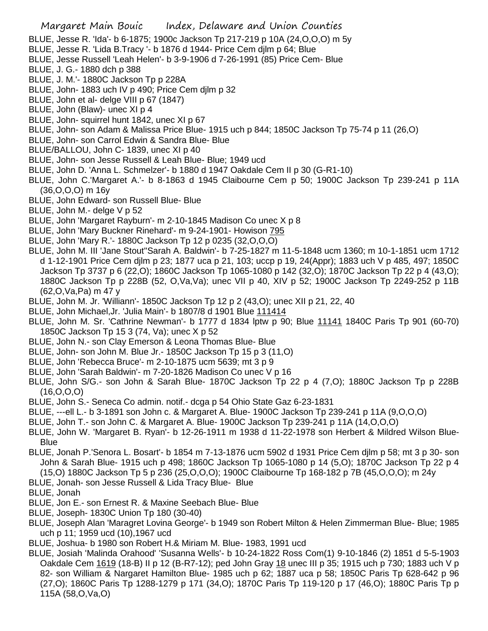- BLUE, Jesse R. 'Ida'- b 6-1875; 1900c Jackson Tp 217-219 p 10A (24,O,O,O) m 5y
- BLUE, Jesse R. 'Lida B.Tracy '- b 1876 d 1944- Price Cem djlm p 64; Blue
- BLUE, Jesse Russell 'Leah Helen'- b 3-9-1906 d 7-26-1991 (85) Price Cem- Blue
- BLUE, J. G.- 1880 dch p 388
- BLUE, J. M.'- 1880C Jackson Tp p 228A
- BLUE, John- 1883 uch IV p 490; Price Cem djlm p 32
- BLUE, John et al- delge VIII p 67 (1847)
- BLUE, John (Blaw)- unec XI p 4
- BLUE, John- squirrel hunt 1842, unec XI p 67
- BLUE, John- son Adam & Malissa Price Blue- 1915 uch p 844; 1850C Jackson Tp 75-74 p 11 (26,O)
- BLUE, John- son Carrol Edwin & Sandra Blue- Blue
- BLUE/BALLOU, John C- 1839, unec XI p 40
- BLUE, John- son Jesse Russell & Leah Blue- Blue; 1949 ucd
- BLUE, John D. 'Anna L. Schmelzer'- b 1880 d 1947 Oakdale Cem II p 30 (G-R1-10)
- BLUE, John C.'Margaret A.'- b 8-1863 d 1945 Claibourne Cem p 50; 1900C Jackson Tp 239-241 p 11A (36,O,O,O) m 16y
- BLUE, John Edward- son Russell Blue- Blue
- BLUE, John M.- delge V p 52
- BLUE, John 'Margaret Rayburn'- m 2-10-1845 Madison Co unec X p 8
- BLUE, John 'Mary Buckner Rinehard'- m 9-24-1901- Howison 795
- BLUE, John 'Mary R.'- 1880C Jackson Tp 12 p 0235 (32,O,O,O)
- BLUE, John M. III 'Jane Stout''Sarah A. Baldwin'- b 7-25-1827 m 11-5-1848 ucm 1360; m 10-1-1851 ucm 1712 d 1-12-1901 Price Cem djlm p 23; 1877 uca p 21, 103; uccp p 19, 24(Appr); 1883 uch V p 485, 497; 1850C Jackson Tp 3737 p 6 (22,O); 1860C Jackson Tp 1065-1080 p 142 (32,O); 1870C Jackson Tp 22 p 4 (43,O); 1880C Jackson Tp p 228B (52, O,Va,Va); unec VII p 40, XIV p 52; 1900C Jackson Tp 2249-252 p 11B (62,O,Va,Pa) m 47 y
- BLUE, John M. Jr. 'Williann'- 1850C Jackson Tp 12 p 2 (43,O); unec XII p 21, 22, 40
- BLUE, John Michael,Jr. 'Julia Main'- b 1807/8 d 1901 Blue 111414
- BLUE, John M. Sr. 'Cathrine Newman'- b 1777 d 1834 lptw p 90; Blue 11141 1840C Paris Tp 901 (60-70) 1850C Jackson Tp 15 3 (74, Va); unec X p 52
- BLUE, John N.- son Clay Emerson & Leona Thomas Blue- Blue
- BLUE, John- son John M. Blue Jr.- 1850C Jackson Tp 15 p 3 (11,O)
- BLUE, John 'Rebecca Bruce'- m 2-10-1875 ucm 5639; mt 3 p 9
- BLUE, John 'Sarah Baldwin'- m 7-20-1826 Madison Co unec V p 16
- BLUE, John S/G.- son John & Sarah Blue- 1870C Jackson Tp 22 p 4 (7,O); 1880C Jackson Tp p 228B (16,O,O,O)
- BLUE, John S.- Seneca Co admin. notif.- dcga p 54 Ohio State Gaz 6-23-1831
- BLUE, ---ell L.- b 3-1891 son John c. & Margaret A. Blue- 1900C Jackson Tp 239-241 p 11A (9,O,O,O)
- BLUE, John T.- son John C. & Margaret A. Blue- 1900C Jackson Tp 239-241 p 11A (14,O,O,O)
- BLUE, John W. 'Margaret B. Ryan'- b 12-26-1911 m 1938 d 11-22-1978 son Herbert & Mildred Wilson Blue-**Blue**
- BLUE, Jonah P.'Senora L. Bosart'- b 1854 m 7-13-1876 ucm 5902 d 1931 Price Cem djlm p 58; mt 3 p 30- son John & Sarah Blue- 1915 uch p 498; 1860C Jackson Tp 1065-1080 p 14 (5,O); 1870C Jackson Tp 22 p 4 (15,O) 1880C Jackson Tp 5 p 236 (25,O,O,O); 1900C Claibourne Tp 168-182 p 7B (45,O,O,O); m 24y
- BLUE, Jonah- son Jesse Russell & Lida Tracy Blue- Blue
- BLUE, Jonah
- BLUE, Jon E.- son Ernest R. & Maxine Seebach Blue- Blue
- BLUE, Joseph- 1830C Union Tp 180 (30-40)
- BLUE, Joseph Alan 'Maragret Lovina George'- b 1949 son Robert Milton & Helen Zimmerman Blue- Blue; 1985 uch p 11; 1959 ucd (10),1967 ucd
- BLUE, Joshua- b 1980 son Robert H.& Miriam M. Blue- 1983, 1991 ucd
- BLUE, Josiah 'Malinda Orahood' 'Susanna Wells'- b 10-24-1822 Ross Com(1) 9-10-1846 (2) 1851 d 5-5-1903 Oakdale Cem 1619 (18-B) II p 12 (B-R7-12); ped John Gray 18 unec III p 35; 1915 uch p 730; 1883 uch V p 82- son William & Nargaret Hamilton Blue- 1985 uch p 62; 1887 uca p 58; 1850C Paris Tp 628-642 p 96 (27,O); 1860C Paris Tp 1288-1279 p 171 (34,O); 1870C Paris Tp 119-120 p 17 (46,O); 1880C Paris Tp p 115A (58,O,Va,O)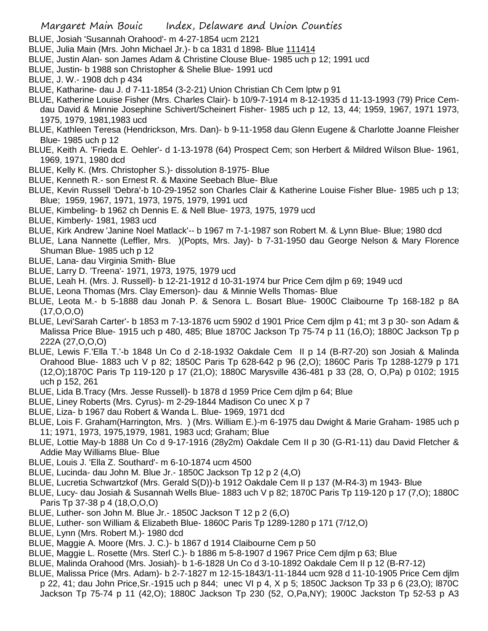- BLUE, Josiah 'Susannah Orahood'- m 4-27-1854 ucm 2121
- BLUE, Julia Main (Mrs. John Michael Jr.)- b ca 1831 d 1898- Blue 111414
- BLUE, Justin Alan- son James Adam & Christine Clouse Blue- 1985 uch p 12; 1991 ucd
- BLUE, Justin- b 1988 son Christopher & Shelie Blue- 1991 ucd
- BLUE, J. W.- 1908 dch p 434
- BLUE, Katharine- dau J. d 7-11-1854 (3-2-21) Union Christian Ch Cem lptw p 91
- BLUE, Katherine Louise Fisher (Mrs. Charles Clair)- b 10/9-7-1914 m 8-12-1935 d 11-13-1993 (79) Price Cemdau David & Minnie Josephine Schivert/Scheinert Fisher- 1985 uch p 12, 13, 44; 1959, 1967, 1971 1973, 1975, 1979, 1981,1983 ucd
- BLUE, Kathleen Teresa (Hendrickson, Mrs. Dan)- b 9-11-1958 dau Glenn Eugene & Charlotte Joanne Fleisher Blue- 1985 uch p 12
- BLUE, Keith A. 'Frieda E. Oehler'- d 1-13-1978 (64) Prospect Cem; son Herbert & Mildred Wilson Blue- 1961, 1969, 1971, 1980 dcd
- BLUE, Kelly K. (Mrs. Christopher S.)- dissolution 8-1975- Blue
- BLUE, Kenneth R.- son Ernest R. & Maxine Seebach Blue- Blue
- BLUE, Kevin Russell 'Debra'-b 10-29-1952 son Charles Clair & Katherine Louise Fisher Blue- 1985 uch p 13; Blue; 1959, 1967, 1971, 1973, 1975, 1979, 1991 ucd
- BLUE, Kimbeling- b 1962 ch Dennis E. & Nell Blue- 1973, 1975, 1979 ucd
- BLUE, Kimberly- 1981, 1983 ucd
- BLUE, Kirk Andrew 'Janine Noel Matlack'-- b 1967 m 7-1-1987 son Robert M. & Lynn Blue- Blue; 1980 dcd
- BLUE, Lana Nannette (Leffler, Mrs. )(Popts, Mrs. Jay)- b 7-31-1950 dau George Nelson & Mary Florence Shuman Blue- 1985 uch p 12
- BLUE, Lana- dau Virginia Smith- Blue
- BLUE, Larry D. 'Treena'- 1971, 1973, 1975, 1979 ucd
- BLUE, Leah H. (Mrs. J. Russell)- b 12-21-1912 d 10-31-1974 bur Price Cem djlm p 69; 1949 ucd
- BLUE, Leona Thomas (Mrs. Clay Emerson)- dau & Minnie Wells Thomas- Blue
- BLUE, Leota M.- b 5-1888 dau Jonah P. & Senora L. Bosart Blue- 1900C Claibourne Tp 168-182 p 8A (17,O,O,O)
- BLUE, Levi'Sarah Carter'- b 1853 m 7-13-1876 ucm 5902 d 1901 Price Cem djlm p 41; mt 3 p 30- son Adam & Malissa Price Blue- 1915 uch p 480, 485; Blue 1870C Jackson Tp 75-74 p 11 (16,O); 1880C Jackson Tp p 222A (27,O,O,O)
- BLUE, Lewis F.'Ella T.'-b 1848 Un Co d 2-18-1932 Oakdale Cem II p 14 (B-R7-20) son Josiah & Malinda Orahood Blue- 1883 uch V p 82; 1850C Paris Tp 628-642 p 96 (2,O); 1860C Paris Tp 1288-1279 p 171 (12,O);1870C Paris Tp 119-120 p 17 (21,O); 1880C Marysville 436-481 p 33 (28, O, O,Pa) p 0102; 1915 uch p 152, 261
- BLUE, Lida B.Tracy (Mrs. Jesse Russell)- b 1878 d 1959 Price Cem djlm p 64; Blue
- BLUE, Liney Roberts (Mrs. Cyrus)- m 2-29-1844 Madison Co unec X p 7
- BLUE, Liza- b 1967 dau Robert & Wanda L. Blue- 1969, 1971 dcd
- BLUE, Lois F. Graham(Harrington, Mrs. ) (Mrs. William E.)-m 6-1975 dau Dwight & Marie Graham- 1985 uch p 11; 1971, 1973, 1975,1979, 1981, 1983 ucd; Graham; Blue
- BLUE, Lottie May-b 1888 Un Co d 9-17-1916 (28y2m) Oakdale Cem II p 30 (G-R1-11) dau David Fletcher & Addie May Williams Blue- Blue
- BLUE, Louis J. 'Ella Z. Southard'- m 6-10-1874 ucm 4500
- BLUE, Lucinda- dau John M. Blue Jr.- 1850C Jackson Tp 12 p 2 (4,O)
- BLUE, Lucretia Schwartzkof (Mrs. Gerald S(D))-b 1912 Oakdale Cem II p 137 (M-R4-3) m 1943- Blue
- BLUE, Lucy- dau Josiah & Susannah Wells Blue- 1883 uch V p 82; 1870C Paris Tp 119-120 p 17 (7,O); 1880C Paris Tp 37-38 p 4 (18,O,O,O)
- BLUE, Luther- son John M. Blue Jr.- 1850C Jackson T 12 p 2 (6,O)
- BLUE, Luther- son William & Elizabeth Blue- 1860C Paris Tp 1289-1280 p 171 (7/12,O)
- BLUE, Lynn (Mrs. Robert M.)- 1980 dcd
- BLUE, Maggie A. Moore (Mrs. J. C.)- b 1867 d 1914 Claibourne Cem p 50
- BLUE, Maggie L. Rosette (Mrs. Sterl C.)- b 1886 m 5-8-1907 d 1967 Price Cem djlm p 63; Blue
- BLUE, Malinda Orahood (Mrs. Josiah)- b 1-6-1828 Un Co d 3-10-1892 Oakdale Cem II p 12 (B-R7-12)
- BLUE, Malissa Price (Mrs. Adam)- b 2-7-1827 m 12-15-1843/1-11-1844 ucm 928 d 11-10-1905 Price Cem djlm p 22, 41; dau John Price,Sr.-1915 uch p 844; unec VI p 4, X p 5; 1850C Jackson Tp 33 p 6 (23,O); l870C Jackson Tp 75-74 p 11 (42,O); 1880C Jackson Tp 230 (52, O,Pa,NY); 1900C Jackston Tp 52-53 p A3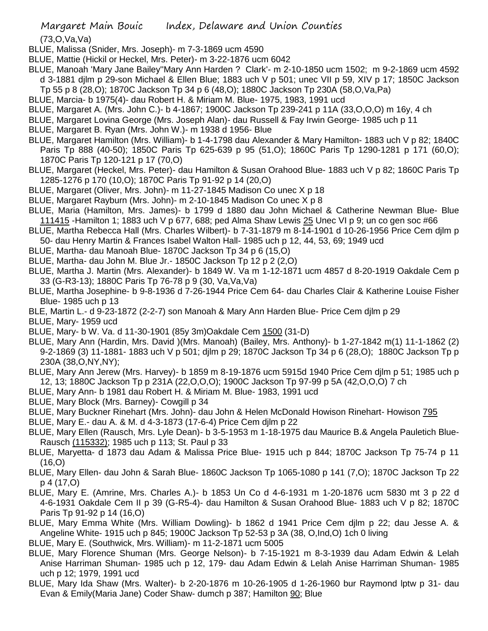## Margaret Main Bouic Index, Delaware and Union Counties

(73,O,Va,Va)

- BLUE, Malissa (Snider, Mrs. Joseph)- m 7-3-1869 ucm 4590
- BLUE, Mattie (Hickil or Heckel, Mrs. Peter)- m 3-22-1876 ucm 6042
- BLUE, Manoah 'Mary Jane Bailey''Mary Ann Harden ? Clark'- m 2-10-1850 ucm 1502; m 9-2-1869 ucm 4592 d 3-1881 djlm p 29-son Michael & Ellen Blue; 1883 uch V p 501; unec VII p 59, XIV p 17; 1850C Jackson Tp 55 p 8 (28,O); 1870C Jackson Tp 34 p 6 (48,O); 1880C Jackson Tp 230A (58,O,Va,Pa)
- BLUE, Marcia- b 1975(4)- dau Robert H. & Miriam M. Blue- 1975, 1983, 1991 ucd
- BLUE, Margaret A. (Mrs. John C.)- b 4-1867; 1900C Jackson Tp 239-241 p 11A (33,O,O,O) m 16y, 4 ch
- BLUE, Margaret Lovina George (Mrs. Joseph Alan)- dau Russell & Fay Irwin George- 1985 uch p 11
- BLUE, Margaret B. Ryan (Mrs. John W.)- m 1938 d 1956- Blue
- BLUE, Margaret Hamilton (Mrs. William)- b 1-4-1798 dau Alexander & Mary Hamilton- 1883 uch V p 82; 1840C Paris Tp 888 (40-50); 1850C Paris Tp 625-639 p 95 (51,O); 1860C Paris Tp 1290-1281 p 171 (60,O); 1870C Paris Tp 120-121 p 17 (70,O)
- BLUE, Margaret (Heckel, Mrs. Peter)- dau Hamilton & Susan Orahood Blue- 1883 uch V p 82; 1860C Paris Tp 1285-1276 p 170 (10,O); 1870C Paris Tp 91-92 p 14 (20,O)
- BLUE, Margaret (Oliver, Mrs. John)- m 11-27-1845 Madison Co unec X p 18
- BLUE, Margaret Rayburn (Mrs. John)- m 2-10-1845 Madison Co unec X p 8
- BLUE, Maria (Hamilton, Mrs. James)- b 1799 d 1880 dau John Michael & Catherine Newman Blue- Blue 111415 -Hamilton 1; 1883 uch V p 677, 688; ped Alma Shaw Lewis 25 Unec VI p 9; un co gen soc #66
- BLUE, Martha Rebecca Hall (Mrs. Charles Wilbert)- b 7-31-1879 m 8-14-1901 d 10-26-1956 Price Cem djlm p 50- dau Henry Martin & Frances Isabel Walton Hall- 1985 uch p 12, 44, 53, 69; 1949 ucd
- BLUE, Martha- dau Manoah Blue- 1870C Jackson Tp 34 p 6 (15,O)
- BLUE, Martha- dau John M. Blue Jr.- 1850C Jackson Tp 12 p 2 (2,O)
- BLUE, Martha J. Martin (Mrs. Alexander)- b 1849 W. Va m 1-12-1871 ucm 4857 d 8-20-1919 Oakdale Cem p 33 (G-R3-13); 1880C Paris Tp 76-78 p 9 (30, Va,Va,Va)
- BLUE, Martha Josephine- b 9-8-1936 d 7-26-1944 Price Cem 64- dau Charles Clair & Katherine Louise Fisher Blue- 1985 uch p 13
- BLE, Martin L.- d 9-23-1872 (2-2-7) son Manoah & Mary Ann Harden Blue- Price Cem djlm p 29
- BLUE, Mary- 1959 ucd
- BLUE, Mary- b W. Va. d 11-30-1901 (85y 3m)Oakdale Cem 1500 (31-D)
- BLUE, Mary Ann (Hardin, Mrs. David )(Mrs. Manoah) (Bailey, Mrs. Anthony)- b 1-27-1842 m(1) 11-1-1862 (2) 9-2-1869 (3) 11-1881- 1883 uch V p 501; djlm p 29; 1870C Jackson Tp 34 p 6 (28,O); 1880C Jackson Tp p 230A (38,O,NY,NY);
- BLUE, Mary Ann Jerew (Mrs. Harvey)- b 1859 m 8-19-1876 ucm 5915d 1940 Price Cem djlm p 51; 1985 uch p 12, 13; 1880C Jackson Tp p 231A (22,O,O,O); 1900C Jackson Tp 97-99 p 5A (42,O,O,O) 7 ch
- BLUE, Mary Ann- b 1981 dau Robert H. & Miriam M. Blue- 1983, 1991 ucd
- BLUE, Mary Block (Mrs. Barney)- Cowgill p 34
- BLUE, Mary Buckner Rinehart (Mrs. John)- dau John & Helen McDonald Howison Rinehart- Howison 795
- BLUE, Mary E.- dau A. & M. d 4-3-1873 (17-6-4) Price Cem djlm p 22
- BLUE, Mary Ellen (Rausch, Mrs. Lyle Dean)- b 3-5-1953 m 1-18-1975 dau Maurice B.& Angela Pauletich Blue-Rausch (115332); 1985 uch p 113; St. Paul p 33
- BLUE, Maryetta- d 1873 dau Adam & Malissa Price Blue- 1915 uch p 844; 1870C Jackson Tp 75-74 p 11 (16,O)
- BLUE, Mary Ellen- dau John & Sarah Blue- 1860C Jackson Tp 1065-1080 p 141 (7,O); 1870C Jackson Tp 22 p 4 (17,O)
- BLUE, Mary E. (Amrine, Mrs. Charles A.)- b 1853 Un Co d 4-6-1931 m 1-20-1876 ucm 5830 mt 3 p 22 d 4-6-1931 Oakdale Cem II p 39 (G-R5-4)- dau Hamilton & Susan Orahood Blue- 1883 uch V p 82; 1870C Paris Tp 91-92 p 14 (16,O)
- BLUE, Mary Emma White (Mrs. William Dowling)- b 1862 d 1941 Price Cem djlm p 22; dau Jesse A. & Angeline White- 1915 uch p 845; 1900C Jackson Tp 52-53 p 3A (38, O,Ind,O) 1ch 0 living
- BLUE, Mary E. (Southwick, Mrs. William)- m 11-2-1871 ucm 5005
- BLUE, Mary Florence Shuman (Mrs. George Nelson)- b 7-15-1921 m 8-3-1939 dau Adam Edwin & Lelah Anise Harriman Shuman- 1985 uch p 12, 179- dau Adam Edwin & Lelah Anise Harriman Shuman- 1985 uch p 12; 1979, 1991 ucd
- BLUE, Mary Ida Shaw (Mrs. Walter)- b 2-20-1876 m 10-26-1905 d 1-26-1960 bur Raymond lptw p 31- dau Evan & Emily(Maria Jane) Coder Shaw- dumch p 387; Hamilton 90; Blue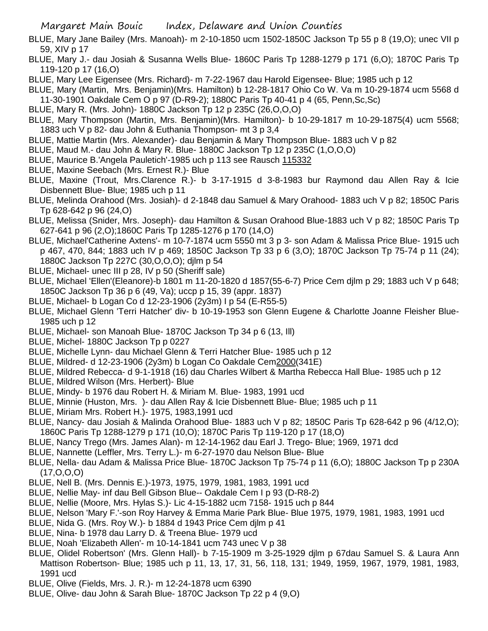- BLUE, Mary Jane Bailey (Mrs. Manoah)- m 2-10-1850 ucm 1502-1850C Jackson Tp 55 p 8 (19,O); unec VII p 59, XIV p 17
- BLUE, Mary J.- dau Josiah & Susanna Wells Blue- 1860C Paris Tp 1288-1279 p 171 (6,O); 1870C Paris Tp 119-120 p 17 (16,O)
- BLUE, Mary Lee Eigensee (Mrs. Richard)- m 7-22-1967 dau Harold Eigensee- Blue; 1985 uch p 12
- BLUE, Mary (Martin, Mrs. Benjamin)(Mrs. Hamilton) b 12-28-1817 Ohio Co W. Va m 10-29-1874 ucm 5568 d 11-30-1901 Oakdale Cem O p 97 (D-R9-2); 1880C Paris Tp 40-41 p 4 (65, Penn,Sc,Sc)
- BLUE, Mary R. (Mrs. John)- 1880C Jackson Tp 12 p 235C (26,O,O,O)
- BLUE, Mary Thompson (Martin, Mrs. Benjamin)(Mrs. Hamilton)- b 10-29-1817 m 10-29-1875(4) ucm 5568; 1883 uch V p 82- dau John & Euthania Thompson- mt 3 p 3,4
- BLUE, Mattie Martin (Mrs. Alexander)- dau Benjamin & Mary Thompson Blue- 1883 uch V p 82
- BLUE, Maud M.- dau John & Mary R. Blue- 1880C Jackson Tp 12 p 235C (1,O,O,O)
- BLUE, Maurice B.'Angela Pauletich'-1985 uch p 113 see Rausch 115332
- BLUE, Maxine Seebach (Mrs. Ernest R.)- Blue
- BLUE, Maxine (Trout, Mrs.Clarence R.)- b 3-17-1915 d 3-8-1983 bur Raymond dau Allen Ray & Icie Disbennett Blue- Blue; 1985 uch p 11
- BLUE, Melinda Orahood (Mrs. Josiah)- d 2-1848 dau Samuel & Mary Orahood- 1883 uch V p 82; 1850C Paris Tp 628-642 p 96 (24,O)
- BLUE, Melissa (Snider, Mrs. Joseph)- dau Hamilton & Susan Orahood Blue-1883 uch V p 82; 1850C Paris Tp 627-641 p 96 (2,O);1860C Paris Tp 1285-1276 p 170 (14,O)
- BLUE, Michael'Catherine Axtens'- m 10-7-1874 ucm 5550 mt 3 p 3- son Adam & Malissa Price Blue- 1915 uch p 467, 470, 844; 1883 uch IV p 469; 1850C Jackson Tp 33 p 6 (3,O); 1870C Jackson Tp 75-74 p 11 (24); 1880C Jackson Tp 227C (30,O,O,O); djlm p 54
- BLUE, Michael- unec III p 28, IV p 50 (Sheriff sale)
- BLUE, Michael 'Ellen'(Eleanore)-b 1801 m 11-20-1820 d 1857(55-6-7) Price Cem djlm p 29; 1883 uch V p 648; 1850C Jackson Tp 36 p 6 (49, Va); uccp p 15, 39 (appr. 1837)
- BLUE, Michael- b Logan Co d 12-23-1906 (2y3m) I p 54 (E-R55-5)
- BLUE, Michael Glenn 'Terri Hatcher' div- b 10-19-1953 son Glenn Eugene & Charlotte Joanne Fleisher Blue-1985 uch p 12
- BLUE, Michael- son Manoah Blue- 1870C Jackson Tp 34 p 6 (13, Ill)
- BLUE, Michel- 1880C Jackson Tp p 0227
- BLUE, Michelle Lynn- dau Michael Glenn & Terri Hatcher Blue- 1985 uch p 12
- BLUE, Mildred- d 12-23-1906 (2y3m) b Logan Co Oakdale Cem2000(341E)
- BLUE, Mildred Rebecca- d 9-1-1918 (16) dau Charles Wilbert & Martha Rebecca Hall Blue- 1985 uch p 12
- BLUE, Mildred Wilson (Mrs. Herbert)- Blue
- BLUE, Mindy- b 1976 dau Robert H. & Miriam M. Blue- 1983, 1991 ucd
- BLUE, Minnie (Huston, Mrs. )- dau Allen Ray & Icie Disbennett Blue- Blue; 1985 uch p 11
- BLUE, Miriam Mrs. Robert H.)- 1975, 1983,1991 ucd
- BLUE, Nancy- dau Josiah & Malinda Orahood Blue- 1883 uch V p 82; 1850C Paris Tp 628-642 p 96 (4/12,O); 1860C Paris Tp 1288-1279 p 171 (10,O); 1870C Paris Tp 119-120 p 17 (18,O)
- BLUE, Nancy Trego (Mrs. James Alan)- m 12-14-1962 dau Earl J. Trego- Blue; 1969, 1971 dcd
- BLUE, Nannette (Leffler, Mrs. Terry L.)- m 6-27-1970 dau Nelson Blue- Blue
- BLUE, Nella- dau Adam & Malissa Price Blue- 1870C Jackson Tp 75-74 p 11 (6,O); 1880C Jackson Tp p 230A (17,O,O,O)
- BLUE, Nell B. (Mrs. Dennis E.)-1973, 1975, 1979, 1981, 1983, 1991 ucd
- BLUE, Nellie May- inf dau Bell Gibson Blue-- Oakdale Cem I p 93 (D-R8-2)
- BLUE, Nellie (Moore, Mrs. Hylas S.)- Lic 4-15-1882 ucm 7158- 1915 uch p 844
- BLUE, Nelson 'Mary F.'-son Roy Harvey & Emma Marie Park Blue- Blue 1975, 1979, 1981, 1983, 1991 ucd
- BLUE, Nida G. (Mrs. Roy W.)- b 1884 d 1943 Price Cem djlm p 41
- BLUE, Nina- b 1978 dau Larry D. & Treena Blue- 1979 ucd
- BLUE, Noah 'Elizabeth Allen'- m 10-14-1841 ucm 743 unec V p 38
- BLUE, Olidel Robertson' (Mrs. Glenn Hall)- b 7-15-1909 m 3-25-1929 djlm p 67dau Samuel S. & Laura Ann Mattison Robertson- Blue; 1985 uch p 11, 13, 17, 31, 56, 118, 131; 1949, 1959, 1967, 1979, 1981, 1983, 1991 ucd
- BLUE, Olive (Fields, Mrs. J. R.)- m 12-24-1878 ucm 6390
- BLUE, Olive- dau John & Sarah Blue- 1870C Jackson Tp 22 p 4 (9,O)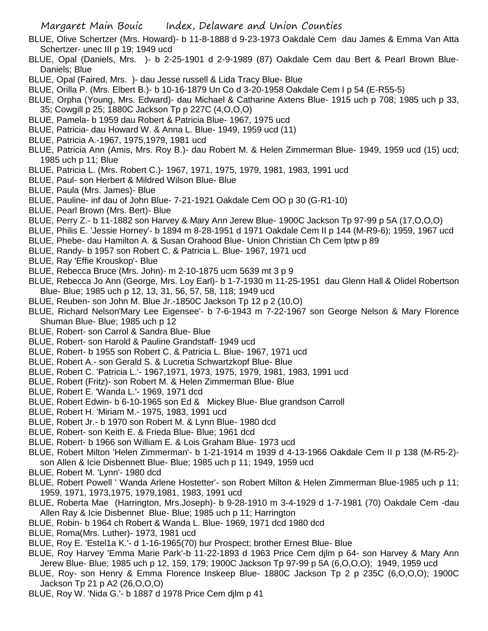- BLUE, Olive Schertzer (Mrs. Howard)- b 11-8-1888 d 9-23-1973 Oakdale Cem dau James & Emma Van Atta Schertzer- unec III p 19; 1949 ucd
- BLUE, Opal (Daniels, Mrs. )- b 2-25-1901 d 2-9-1989 (87) Oakdale Cem dau Bert & Pearl Brown Blue-Daniels; Blue
- BLUE, Opal (Faired, Mrs. )- dau Jesse russell & Lida Tracy Blue- Blue
- BLUE, Orilla P. (Mrs. Elbert B.)- b 10-16-1879 Un Co d 3-20-1958 Oakdale Cem I p 54 (E-R55-5)
- BLUE, Orpha (Young, Mrs. Edward)- dau Michael & Catharine Axtens Blue- 1915 uch p 708; 1985 uch p 33, 35; Cowgill p 25; 1880C Jackson Tp p 227C (4,O,O,O)
- BLUE, Pamela- b 1959 dau Robert & Patricia Blue- 1967, 1975 ucd
- BLUE, Patricia- dau Howard W. & Anna L. Blue- 1949, 1959 ucd (11)
- BLUE, Patricia A.-1967, 1975,1979, 1981 ucd
- BLUE, Patricia Ann (Amis, Mrs. Roy B.)- dau Robert M. & Helen Zimmerman Blue- 1949, 1959 ucd (15) ucd; 1985 uch p 11; Blue
- BLUE, Patricia L. (Mrs. Robert C.)- 1967, 1971, 1975, 1979, 1981, 1983, 1991 ucd
- BLUE, Paul- son Herbert & Mildred Wilson Blue- Blue
- BLUE, Paula (Mrs. James)- Blue
- BLUE, Pauline- inf dau of John Blue- 7-21-1921 Oakdale Cem OO p 30 (G-R1-10)
- BLUE, Pearl Brown (Mrs. Bert)- Blue
- BLUE, Perry Z.- b 11-1882 son Harvey & Mary Ann Jerew Blue- 1900C Jackson Tp 97-99 p 5A (17,O,O,O)
- BLUE, Philis E. 'Jessie Horney'- b 1894 m 8-28-1951 d 1971 Oakdale Cem II p 144 (M-R9-6); 1959, 1967 ucd
- BLUE, Phebe- dau Hamilton A. & Susan Orahood Blue- Union Christian Ch Cem lptw p 89
- BLUE, Randy- b 1957 son Robert C. & Patricia L. Blue- 1967, 1971 ucd
- BLUE, Ray 'Effie Krouskop'- Blue
- BLUE, Rebecca Bruce (Mrs. John)- m 2-10-1875 ucm 5639 mt 3 p 9
- BLUE, Rebecca Jo Ann (George, Mrs. Loy Earl)- b 1-7-1930 m 11-25-1951 dau Glenn Hall & Olidel Robertson Blue- Blue; 1985 uch p 12, 13, 31, 56, 57, 58, 118; 1949 ucd
- BLUE, Reuben- son John M. Blue Jr.-1850C Jackson Tp 12 p 2 (10,O)
- BLUE, Richard Nelson'Mary Lee Eigensee'- b 7-6-1943 m 7-22-1967 son George Nelson & Mary Florence Shuman Blue- Blue; 1985 uch p 12
- BLUE, Robert- son Carrol & Sandra Blue- Blue
- BLUE, Robert- son Harold & Pauline Grandstaff- 1949 ucd
- BLUE, Robert- b 1955 son Robert C. & Patricia L. Blue- 1967, 1971 ucd
- BLUE, Robert A.- son Gerald S. & Lucretia Schwartzkopf Blue- Blue
- BLUE, Robert C. 'Patricia L.'- 1967,1971, 1973, 1975, 1979, 1981, 1983, 1991 ucd
- BLUE, Robert (Fritz)- son Robert M. & Helen Zimmerman Blue- Blue
- BLUE, Robert E. 'Wanda L.'- 1969, 1971 dcd
- BLUE, Robert Edwin- b 6-10-1965 son Ed & Mickey Blue- Blue grandson Carroll
- BLUE, Robert H. 'Miriam M.- 1975, 1983, 1991 ucd
- BLUE, Robert Jr.- b 1970 son Robert M. & Lynn Blue- 1980 dcd
- BLUE, Robert- son Keith E. & Frieda Blue- Blue; 1961 dcd
- BLUE, Robert- b 1966 son William E. & Lois Graham Blue- 1973 ucd
- BLUE, Robert Milton 'Helen Zimmerman'- b 1-21-1914 m 1939 d 4-13-1966 Oakdale Cem II p 138 (M-R5-2) son Allen & Icie Disbennett Blue- Blue; 1985 uch p 11; 1949, 1959 ucd
- BLUE, Robert M. 'Lynn'- 1980 dcd
- BLUE, Robert Powell ' Wanda Arlene Hostetter'- son Robert Milton & Helen Zimmerman Blue-1985 uch p 11; 1959, 1971, 1973,1975, 1979,1981, 1983, 1991 ucd
- BLUE, Roberta Mae (Harrington, Mrs.Joseph)- b 9-28-1910 m 3-4-1929 d 1-7-1981 (70) Oakdale Cem -dau Allen Ray & Icie Disbennet Blue- Blue; 1985 uch p 11; Harrington
- BLUE, Robin- b 1964 ch Robert & Wanda L. Blue- 1969, 1971 dcd 1980 dcd
- BLUE, Roma(Mrs. Luther)- 1973, 1981 ucd
- BLUE, Roy E. 'Estel1a K.'- d 1-16-1965(70) bur Prospect; brother Ernest Blue- Blue
- BLUE, Roy Harvey 'Emma Marie Park'-b 11-22-1893 d 1963 Price Cem djlm p 64- son Harvey & Mary Ann Jerew Blue- Blue; 1985 uch p 12, 159, 179; 1900C Jackson Tp 97-99 p 5A (6,O,O,O); 1949, 1959 ucd
- BLUE, Roy- son Henry & Emma Florence Inskeep Blue- 1880C Jackson Tp 2 p 235C (6,O,O,O); 1900C Jackson Tp 21 p A2 (26,O,O,O)
- BLUE, Roy W. 'Nida G.'- b 1887 d 1978 Price Cem djlm p 41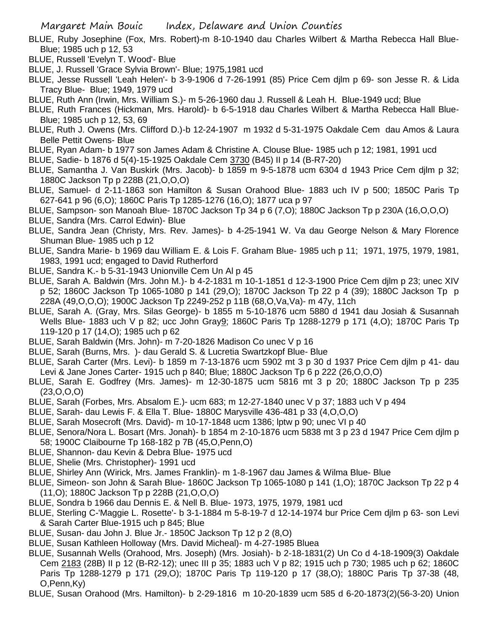- BLUE, Ruby Josephine (Fox, Mrs. Robert)-m 8-10-1940 dau Charles Wilbert & Martha Rebecca Hall Blue-Blue; 1985 uch p 12, 53
- BLUE, Russell 'Evelyn T. Wood'- Blue
- BLUE, J. Russell 'Grace Sylvia Brown'- Blue; 1975,1981 ucd
- BLUE, Jesse Russell 'Leah Helen'- b 3-9-1906 d 7-26-1991 (85) Price Cem djlm p 69- son Jesse R. & Lida Tracy Blue- Blue; 1949, 1979 ucd
- BLUE, Ruth Ann (Irwin, Mrs. William S.)- m 5-26-1960 dau J. Russell & Leah H. Blue-1949 ucd; Blue
- BLUE, Ruth Frances (Hickman, Mrs. Harold)- b 6-5-1918 dau Charles Wilbert & Martha Rebecca Hall Blue-Blue; 1985 uch p 12, 53, 69
- BLUE, Ruth J. Owens (Mrs. Clifford D.)-b 12-24-1907 m 1932 d 5-31-1975 Oakdale Cem dau Amos & Laura Belle Pettit Owens- Blue
- BLUE, Ryan Adam- b 1977 son James Adam & Christine A. Clouse Blue- 1985 uch p 12; 1981, 1991 ucd
- BLUE, Sadie- b 1876 d 5(4)-15-1925 Oakdale Cem 3730 (B45) II p 14 (B-R7-20)
- BLUE, Samantha J. Van Buskirk (Mrs. Jacob)- b 1859 m 9-5-1878 ucm 6304 d 1943 Price Cem djlm p 32; 1880C Jackson Tp p 228B (21,O,O,O)
- BLUE, Samuel- d 2-11-1863 son Hamilton & Susan Orahood Blue- 1883 uch IV p 500; 1850C Paris Tp 627-641 p 96 (6,O); 1860C Paris Tp 1285-1276 (16,O); 1877 uca p 97
- BLUE, Sampson- son Manoah Blue- 1870C Jackson Tp 34 p 6 (7,O); 1880C Jackson Tp p 230A (16,O,O,O)
- BLUE, Sandra (Mrs. Carrol Edwin)- Blue
- BLUE, Sandra Jean (Christy, Mrs. Rev. James)- b 4-25-1941 W. Va dau George Nelson & Mary Florence Shuman Blue- 1985 uch p 12
- BLUE, Sandra Marie- b 1969 dau William E. & Lois F. Graham Blue- 1985 uch p 11; 1971, 1975, 1979, 1981, 1983, 1991 ucd; engaged to David Rutherford
- BLUE, Sandra K.- b 5-31-1943 Unionville Cem Un Al p 45
- BLUE, Sarah A. Baldwin (Mrs. John M.)- b 4-2-1831 m 10-1-1851 d 12-3-1900 Price Cem djlm p 23; unec XIV p 52; 1860C Jackson Tp 1065-1080 p 141 (29,O); 1870C Jackson Tp 22 p 4 (39); 1880C Jackson Tp p 228A (49,O,O,O); 1900C Jackson Tp 2249-252 p 11B (68,O,Va,Va)- m 47y, 11ch
- BLUE, Sarah A. (Gray, Mrs. Silas George)- b 1855 m 5-10-1876 ucm 5880 d 1941 dau Josiah & Susannah Wells Blue- 1883 uch V p 82; ucc John Gray9; 1860C Paris Tp 1288-1279 p 171 (4,O); 1870C Paris Tp 119-120 p 17 (14,O); 1985 uch p 62
- BLUE, Sarah Baldwin (Mrs. John)- m 7-20-1826 Madison Co unec V p 16
- BLUE, Sarah (Burns, Mrs. )- dau Gerald S. & Lucretia Swartzkopf Blue- Blue
- BLUE, Sarah Carter (Mrs. Levi)- b 1859 m 7-13-1876 ucm 5902 mt 3 p 30 d 1937 Price Cem djlm p 41- dau Levi & Jane Jones Carter- 1915 uch p 840; Blue; 1880C Jackson Tp 6 p 222 (26,O,O,O)
- BLUE, Sarah E. Godfrey (Mrs. James)- m 12-30-1875 ucm 5816 mt 3 p 20; 1880C Jackson Tp p 235 (23,O,O,O)
- BLUE, Sarah (Forbes, Mrs. Absalom E.)- ucm 683; m 12-27-1840 unec V p 37; 1883 uch V p 494
- BLUE, Sarah- dau Lewis F. & Ella T. Blue- 1880C Marysville 436-481 p 33 (4,O,O,O)
- BLUE, Sarah Mosecroft (Mrs. David)- m 10-17-1848 ucm 1386; lptw p 90; unec VI p 40
- BLUE, Senora/Nora L. Bosart (Mrs. Jonah)- b 1854 m 2-10-1876 ucm 5838 mt 3 p 23 d 1947 Price Cem djlm p 58; 1900C Claibourne Tp 168-182 p 7B (45,O,Penn,O)
- BLUE, Shannon- dau Kevin & Debra Blue- 1975 ucd
- BLUE, Shelie (Mrs. Christopher)- 1991 ucd
- BLUE, Shirley Ann (Wirick, Mrs. James Franklin)- m 1-8-1967 dau James & Wilma Blue- Blue
- BLUE, Simeon- son John & Sarah Blue- 1860C Jackson Tp 1065-1080 p 141 (1,O); 1870C Jackson Tp 22 p 4 (11,O); 1880C Jackson Tp p 228B (21,O,O,O)
- BLUE, Sondra b 1966 dau Dennis E. & Nell B. Blue- 1973, 1975, 1979, 1981 ucd
- BLUE, Sterling C-'Maggie L. Rosette'- b 3-1-1884 m 5-8-19-7 d 12-14-1974 bur Price Cem djlm p 63- son Levi & Sarah Carter Blue-1915 uch p 845; Blue
- BLUE, Susan- dau John J. Blue Jr.- 1850C Jackson Tp 12 p 2 (8,O)
- BLUE, Susan Kathleen Holloway (Mrs. David Micheal)- m 4-27-1985 Bluea
- BLUE, Susannah Wells (Orahood, Mrs. Joseph) (Mrs. Josiah)- b 2-18-1831(2) Un Co d 4-18-1909(3) Oakdale Cem 2183 (28B) II p 12 (B-R2-12); unec III p 35; 1883 uch V p 82; 1915 uch p 730; 1985 uch p 62; 1860C Paris Tp 1288-1279 p 171 (29,O); 1870C Paris Tp 119-120 p 17 (38,O); 1880C Paris Tp 37-38 (48, O,Penn,Ky)
- BLUE, Susan Orahood (Mrs. Hamilton)- b 2-29-1816 m 10-20-1839 ucm 585 d 6-20-1873(2)(56-3-20) Union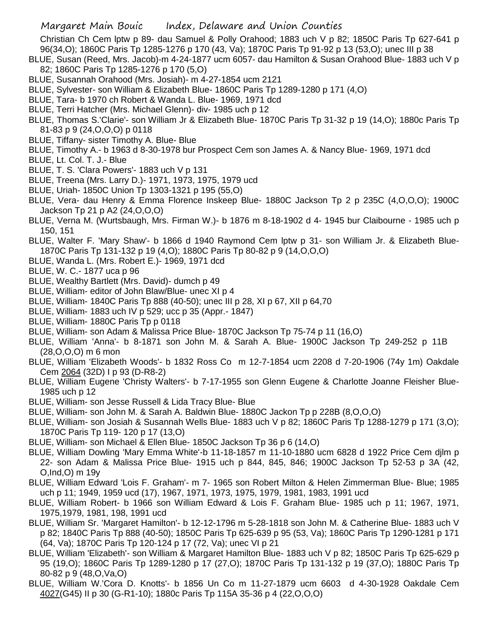Christian Ch Cem lptw p 89- dau Samuel & Polly Orahood; 1883 uch V p 82; 1850C Paris Tp 627-641 p 96(34,O); 1860C Paris Tp 1285-1276 p 170 (43, Va); 1870C Paris Tp 91-92 p 13 (53,O); unec III p 38

- BLUE, Susan (Reed, Mrs. Jacob)-m 4-24-1877 ucm 6057- dau Hamilton & Susan Orahood Blue- 1883 uch V p 82; 1860C Paris Tp 1285-1276 p 170 (5,O)
- BLUE, Susannah Orahood (Mrs. Josiah)- m 4-27-1854 ucm 2121
- BLUE, Sylvester- son William & Elizabeth Blue- 1860C Paris Tp 1289-1280 p 171 (4,O)
- BLUE, Tara- b 1970 ch Robert & Wanda L. Blue- 1969, 1971 dcd
- BLUE, Terri Hatcher (Mrs. Michael Glenn)- div- 1985 uch p 12
- BLUE, Thomas S.'Clarie'- son William Jr & Elizabeth Blue- 1870C Paris Tp 31-32 p 19 (14,O); 1880c Paris Tp 81-83 p 9 (24,O,O,O) p 0118
- BLUE, Tiffany- sister Timothy A. Blue- Blue
- BLUE, Timothy A.- b 1963 d 8-30-1978 bur Prospect Cem son James A. & Nancy Blue- 1969, 1971 dcd
- BLUE, Lt. Col. T. J.- Blue
- BLUE, T. S. 'Clara Powers'- 1883 uch V p 131
- BLUE, Treena (Mrs. Larry D.)- 1971, 1973, 1975, 1979 ucd
- BLUE, Uriah- 1850C Union Tp 1303-1321 p 195 (55,O)
- BLUE, Vera- dau Henry & Emma Florence Inskeep Blue- 1880C Jackson Tp 2 p 235C (4,O,O,O); 1900C Jackson Tp 21 p A2 (24,O,O,O)
- BLUE, Verna M. (Wurtsbaugh, Mrs. Firman W.)- b 1876 m 8-18-1902 d 4- 1945 bur Claibourne 1985 uch p 150, 151
- BLUE, Walter F. 'Mary Shaw'- b 1866 d 1940 Raymond Cem lptw p 31- son William Jr. & Elizabeth Blue-1870C Paris Tp 131-132 p 19 (4,O); 1880C Paris Tp 80-82 p 9 (14,O,O,O)
- BLUE, Wanda L. (Mrs. Robert E.)- 1969, 1971 dcd
- BLUE, W. C.- 1877 uca p 96
- BLUE, Wealthy Bartlett (Mrs. David)- dumch p 49
- BLUE, William- editor of John Blaw/Blue- unec XI p 4
- BLUE, William- 1840C Paris Tp 888 (40-50); unec III p 28, XI p 67, XII p 64,70
- BLUE, William- 1883 uch IV p 529; ucc p 35 (Appr.- 1847)
- BLUE, William- 1880C Paris Tp p 0118
- BLUE, William- son Adam & Malissa Price Blue- 1870C Jackson Tp 75-74 p 11 (16,O)
- BLUE, William 'Anna'- b 8-1871 son John M. & Sarah A. Blue- 1900C Jackson Tp 249-252 p 11B (28,O,O,O) m 6 mon
- BLUE, William 'Elizabeth Woods'- b 1832 Ross Co m 12-7-1854 ucm 2208 d 7-20-1906 (74y 1m) Oakdale Cem 2064 (32D) I p 93 (D-R8-2)
- BLUE, William Eugene 'Christy Walters'- b 7-17-1955 son Glenn Eugene & Charlotte Joanne Fleisher Blue-1985 uch p 12
- BLUE, William- son Jesse Russell & Lida Tracy Blue- Blue
- BLUE, William- son John M. & Sarah A. Baldwin Blue- 1880C Jackon Tp p 228B (8,O,O,O)
- BLUE, William- son Josiah & Susannah Wells Blue- 1883 uch V p 82; 1860C Paris Tp 1288-1279 p 171 (3,O); 1870C Paris Tp 119- 120 p 17 (13,O)
- BLUE, William- son Michael & Ellen Blue- 1850C Jackson Tp 36 p 6 (14,O)
- BLUE, William Dowling 'Mary Emma White'-b 11-18-1857 m 11-10-1880 ucm 6828 d 1922 Price Cem djlm p 22- son Adam & Malissa Price Blue- 1915 uch p 844, 845, 846; 1900C Jackson Tp 52-53 p 3A (42, O,Ind,O) m 19y
- BLUE, William Edward 'Lois F. Graham'- m 7- 1965 son Robert Milton & Helen Zimmerman Blue- Blue; 1985 uch p 11; 1949, 1959 ucd (17), 1967, 1971, 1973, 1975, 1979, 1981, 1983, 1991 ucd
- BLUE, William Robert- b 1966 son William Edward & Lois F. Graham Blue- 1985 uch p 11; 1967, 1971, 1975,1979, 1981, 198, 1991 ucd
- BLUE, William Sr. 'Margaret Hamilton'- b 12-12-1796 m 5-28-1818 son John M. & Catherine Blue- 1883 uch V p 82; 1840C Paris Tp 888 (40-50); 1850C Paris Tp 625-639 p 95 (53, Va); 1860C Paris Tp 1290-1281 p 171 (64, Va); 1870C Paris Tp 120-124 p 17 (72, Va); unec VI p 21
- BLUE, William 'Elizabeth'- son William & Margaret Hamilton Blue- 1883 uch V p 82; 1850C Paris Tp 625-629 p 95 (19,O); 1860C Paris Tp 1289-1280 p 17 (27,O); 1870C Paris Tp 131-132 p 19 (37,O); 1880C Paris Tp 80-82 p 9 (48,O,Va,O)
- BLUE, William W.'Cora D. Knotts'- b 1856 Un Co m 11-27-1879 ucm 6603 d 4-30-1928 Oakdale Cem 4027(G45) II p 30 (G-R1-10); 1880c Paris Tp 115A 35-36 p 4 (22,O,O,O)